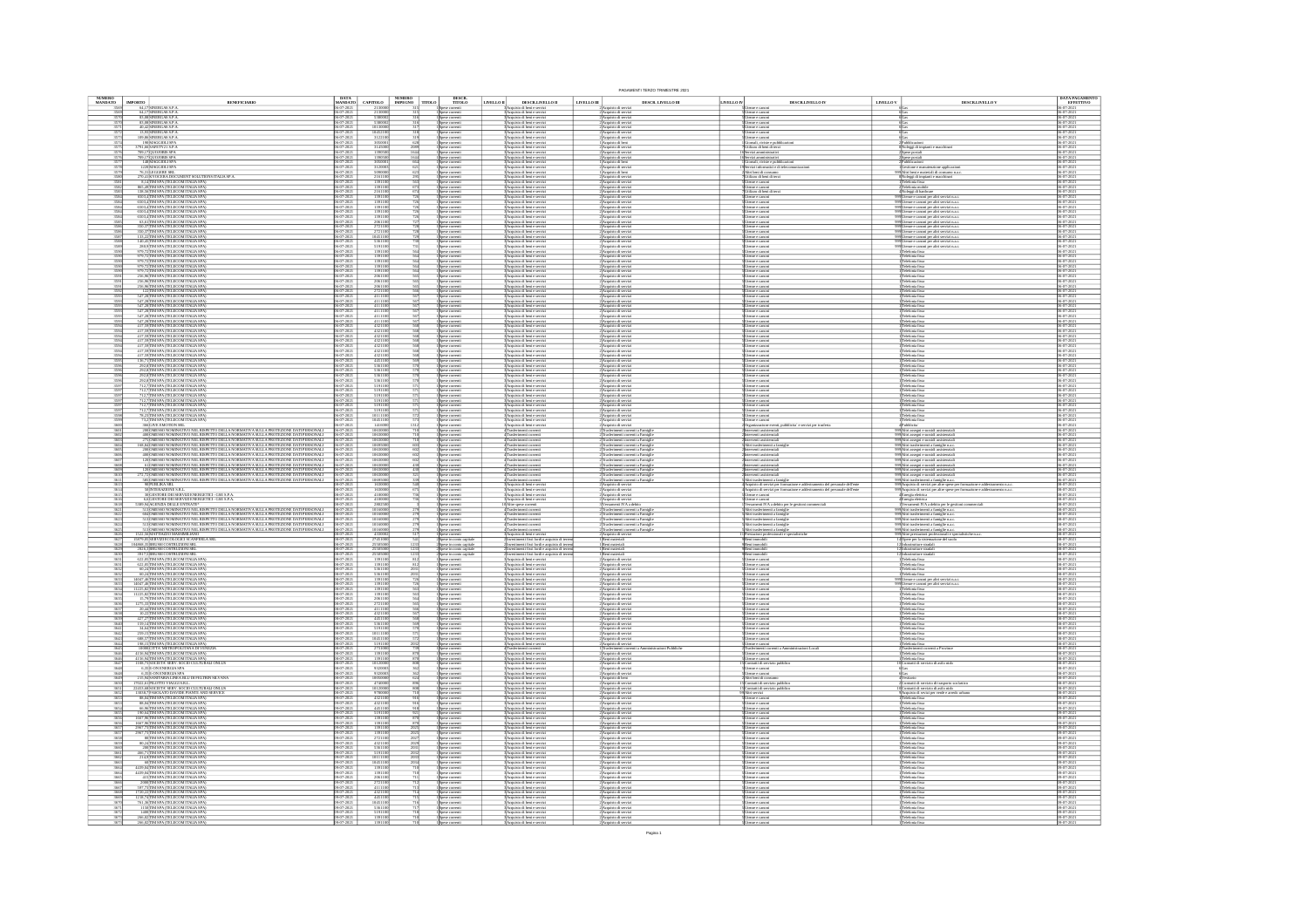|                     |                                                                                                                                                                                                                                                                                                                                                                                                                                                                                           |                                                    |                                                                                                                                                                                        |                    |                                                                                                                         |                                                                      |                                                                                                                                                                                                                            |                                                                                                                                            |             | PAGAMENTI TERZO TRIMESTRE 2021                                                                                                                     |            |                                                                                                                |           |                                                                                                                                                                                                                                              |                                                    |
|---------------------|-------------------------------------------------------------------------------------------------------------------------------------------------------------------------------------------------------------------------------------------------------------------------------------------------------------------------------------------------------------------------------------------------------------------------------------------------------------------------------------------|----------------------------------------------------|----------------------------------------------------------------------------------------------------------------------------------------------------------------------------------------|--------------------|-------------------------------------------------------------------------------------------------------------------------|----------------------------------------------------------------------|----------------------------------------------------------------------------------------------------------------------------------------------------------------------------------------------------------------------------|--------------------------------------------------------------------------------------------------------------------------------------------|-------------|----------------------------------------------------------------------------------------------------------------------------------------------------|------------|----------------------------------------------------------------------------------------------------------------|-----------|----------------------------------------------------------------------------------------------------------------------------------------------------------------------------------------------------------------------------------------------|----------------------------------------------------|
| NUMERO<br>MANDATO   | $\begin{tabular}{ c c } \hline\textbf{IMPORTO} & \\ \hline \textbf{64,17} \textbf{SNREIGAS S.} \textbf{P.A} \\ \hline \textbf{64,17} \textbf{SNREIGAS S.} \textbf{P.A} \\ \hline \textbf{83,08} \textbf{SNREBCAS S.} \textbf{P.A} \\ \hline \textbf{83,08} \textbf{SNREAGAS S.} \textbf{P.A} \\ \hline \textbf{40,14} \textbf{SNREAGAS S.} \textbf{P.A} \\ \hline \textbf{13,93} \textbf{SNREREGAS S.} \textbf{P.A} \\ \hline$<br><b>BENEFICIARIO</b>                                     |                                                    | $\begin{array}{ l } \hline \text{DATA} \\ \text{MANDATO} \end{array} \quad \begin{array}{ l } \hline \text{CAPTOLO} \end{array}$                                                       |                    | $\begin{array}{ l c c }\hline \text{NUMERO} & \text{TTOLO}\\ \hline \text{IMPEGNO} & \text{TTOLO}\\ \hline \end{array}$ | $DESCR$<br>$TTOLO$                                                   | LIVELLO II                                                                                                                                                                                                                 | DESCRLIVELLO II                                                                                                                            | LIVELLO III | DESCR. LIVELLO III<br>an di sarci                                                                                                                  | LIVELLO IV | $\texttt{DESCRLIVELLO}\,\textsc{IV}$                                                                           | LIVELLO V | DESCR.LIVELLO V                                                                                                                                                                                                                              | <b>DATA PAGAMENTO</b><br>EFFETTIVO<br>05-07-2021   |
|                     |                                                                                                                                                                                                                                                                                                                                                                                                                                                                                           |                                                    |                                                                                                                                                                                        |                    |                                                                                                                         | Spese correnti                                                       | Acquisto di beni e serviz                                                                                                                                                                                                  |                                                                                                                                            |             | 2 Acquisto di servizi                                                                                                                              |            | ce e canoni                                                                                                    |           |                                                                                                                                                                                                                                              |                                                    |
|                     |                                                                                                                                                                                                                                                                                                                                                                                                                                                                                           |                                                    | 53800<br>53800<br>01300                                                                                                                                                                |                    |                                                                                                                         | Spese correnti<br>Spese correnti<br>Spese correnti                   | :<br>:}Acquisto di beni e servizi<br>:}Acquisto di beni e servizi<br>:}Acquisto di beni e servizi                                                                                                                          |                                                                                                                                            |             | 2)<br>Acquisto di servizi<br>2)<br>Acquisto di servizi<br>2)<br>Acquisto di servizi<br>2)<br>Acquisto di servizi                                   |            | Jierze e canoni<br>Jierze e canoni<br>Jierze e canoni                                                          |           |                                                                                                                                                                                                                                              |                                                    |
|                     |                                                                                                                                                                                                                                                                                                                                                                                                                                                                                           |                                                    |                                                                                                                                                                                        |                    |                                                                                                                         | Spese correnti<br>Spese correnti                                     | Acquisto di beni e serviz<br>Acquisto di beni e serviz                                                                                                                                                                     |                                                                                                                                            |             |                                                                                                                                                    |            | esze e canoni<br>esse e canoni                                                                                 |           |                                                                                                                                                                                                                                              | 05-07-202<br>05-07-202                             |
|                     | 109,86 SINERGAS S.P.A<br>190 MAGGIOLI SPA<br>3791,66 SAFETY 21 S.P.A<br>709,17 QUOJOBIS SPA<br>148 MAGGIOLI SPA<br>148 MAGGIOLI SPA                                                                                                                                                                                                                                                                                                                                                       |                                                    | $\begin{array}{r}\n 1045211 \\  \underline{312211} \\  \underline{305000} \\  \underline{314500} \\  \underline{139050} \\  \underline{139050} \\  \underline{100000} \\  \end{array}$ |                    |                                                                                                                         | Spese correnti<br>Spese correnti<br>Spese correnti                   | Acquisto di beni e serviz<br>Acquisto di beni e serviz<br>Acquisto di beni e serviz                                                                                                                                        |                                                                                                                                            |             | Acquisto di beni<br>Acquisto di serv<br>Acquisto di servi                                                                                          |            | àonali, riviste e pu<br>Itilizzo di beni di te                                                                 |           | Noleggi di impianti e macchina<br>Spese postal                                                                                                                                                                                               |                                                    |
|                     |                                                                                                                                                                                                                                                                                                                                                                                                                                                                                           |                                                    | 13905                                                                                                                                                                                  | $\frac{1644}{664}$ |                                                                                                                         | Spese correnti<br>I Spese correnti                                   | 3 Acquisto di beni e servizi<br>3 Acquisto di beni e servizi                                                                                                                                                               |                                                                                                                                            |             | 2)Acquisto di serviz<br>1)Acquisto di beni                                                                                                         |            | ervizi amministrati<br>Jornali, riviste e pu                                                                   |           | Spese postali<br>Pubblicazioni                                                                                                                                                                                                               | 06-07-202<br>06-07-202                             |
|                     | 1220 MAGGIOLI SPA<br>76,31 LEGGERE SRL                                                                                                                                                                                                                                                                                                                                                                                                                                                    | $-07 - 202$                                        | 3120003                                                                                                                                                                                |                    |                                                                                                                         | Spese correnti<br>Spese correnti                                     | 3 Acquisto di beni e servizi<br>3 Acquisto di beni e servizi                                                                                                                                                               |                                                                                                                                            |             | 2 Acquisto di serviz<br>1 Acquisto di beni                                                                                                         |            | evizi informatici e di tele                                                                                    |           | Gestione e manutenzione applicazioni<br>Altri beni e materiali di consumo n.a.c.                                                                                                                                                             | 06-07-202                                          |
| $\frac{3580}{3581}$ | $\begin{array}{l} \mathcal{D}_{\mathcal{P},\mathcal{A}}(\mathbf{H},\mathbf{K}) \times \mathcal{D}_{\mathcal{A}}(\mathbf{H},\mathbf{K}) \times \mathcal{D}_{\mathcal{A}}(\mathbf{H},\mathbf{K}) \times \mathcal{D}_{\mathcal{A}}(\mathbf{H},\mathbf{K}) \times \mathcal{D}_{\mathcal{A}}(\mathbf{H},\mathbf{K}) \times \mathcal{D}_{\mathcal{A}}(\mathbf{H},\mathbf{K}) \times \mathcal{D}_{\mathcal{A}}(\mathbf{H},\mathbf{K}) \times \mathcal{D}_{\mathcal{A}}(\mathbf{H},\mathbf{K}) \$ | 06-07-2021<br>06-07-2021                           | 2161100                                                                                                                                                                                |                    |                                                                                                                         | Spese correnti<br>I Spese correnti                                   | 3.<br>Acquisto di beni e servizi<br>3. Acquisto di beni e servizi                                                                                                                                                          |                                                                                                                                            |             | 2 Acquisto di servizi<br>2 Acquisto di servizi                                                                                                     |            | tilizzo di beni di terzi                                                                                       |           | :<br> Noleggi di impianti e macchinari<br>! Taleforda fissa                                                                                                                                                                                  | 06-07-202<br>06-07-202                             |
| 3582                |                                                                                                                                                                                                                                                                                                                                                                                                                                                                                           |                                                    | 1391100<br>2161100                                                                                                                                                                     |                    |                                                                                                                         | Spese correnti<br>Spese correnti                                     | :<br>: Acquisto di beni e servizi<br>: Acquisto di beni e servizi                                                                                                                                                          |                                                                                                                                            |             | l'Acquisto di serviz<br>l'Acquisto di serviz                                                                                                       |            | henze e canoni<br>Itilizzo di beni di terzi                                                                    |           | 'elefonia mobile<br>éoleggi di hardwar                                                                                                                                                                                                       | 06-07-202<br>06-07-202                             |
|                     |                                                                                                                                                                                                                                                                                                                                                                                                                                                                                           |                                                    | $\begin{array}{r} 139110 \\ \hline 139110 \\ 139110 \\ \hline 139110 \end{array}$                                                                                                      |                    |                                                                                                                         | Spese correnti<br>Spese correnti                                     | :<br>: Acquisto di beni e servizi<br>: Acquisto di beni e servizi                                                                                                                                                          |                                                                                                                                            |             | 2)Acquisto di servi<br>2)Acquisto di servi                                                                                                         |            | tenze e canoni<br>tenze e canoni                                                                               |           | Utenze e canoni per altri servizi n.a.c.<br>Utenze e canoni per altri servizi n.a.c.                                                                                                                                                         | 06-07-20<br>06-07-20                               |
|                     |                                                                                                                                                                                                                                                                                                                                                                                                                                                                                           | 6-07-202                                           |                                                                                                                                                                                        |                    |                                                                                                                         | Spese correnti<br>Spese correnti                                     | 3 Acquisto di beni e servizi<br>3 Acquisto di beni e servizi                                                                                                                                                               |                                                                                                                                            |             | $\begin{array}{l} 2\text{Acquisto d service}\\ 2\text{Acquisto d service}\\ 2\text{Acquisto d service}\\ 2\text{Acquisto d service}\\ \end{array}$ |            | enze e canoe                                                                                                   |           | 09 Usenze e canoni per altri servizi n.a.c.<br>09 Usenze e canoni per altri servizi n.a.c.                                                                                                                                                   | 06-07-202<br>06-07-202                             |
|                     | $\begin{array}{l} 6933.4\hline \text{MMS} + \text{OPEI EOM} \text{THA} \text{IM} \text{SPA} \\ 693.4\hline \text{MMS} + \text{OPEI EDM} \text{THA} \text{IA} \text{SPA} \\ \hline 693.4\hline \text{HM} \text{SPA} \text{THI} \text{EOM} \text{THA} \text{IA} \text{SPA} \\ \hline 693.4\hline \text{HM} \text{SPA} \text{THI} \text{EOM} \text{THA} \text{IA} \text{SPA} \\ \hline 63.5\hline \text{HM} \text{S$                                                                         |                                                    | 1391100<br>1391100<br>2061100<br>2721100<br>2721100<br>5361100<br>5361100<br>5191100                                                                                                   |                    |                                                                                                                         | Spese correnti<br>Spese correnti                                     | :<br>: Acquisto di beni e servizi<br>: Acquisto di beni e servizi                                                                                                                                                          |                                                                                                                                            |             |                                                                                                                                                    |            | tenze e canoni<br>tenze e canoni                                                                               |           | 299 Usenze e canoni per altri servizi ma.s<br>299 Usenze e canoni per altri servizi ma.s                                                                                                                                                     | 06-07-202                                          |
|                     |                                                                                                                                                                                                                                                                                                                                                                                                                                                                                           |                                                    |                                                                                                                                                                                        |                    |                                                                                                                         | Spese correnti<br>Spese correnti<br>Spese correnti                   | : Acquisto di beni e serviz<br> Acquisto di beni e serviz<br>Acquisto di beni e serviz                                                                                                                                     |                                                                                                                                            |             | :<br>: Acquisto di servi<br>: Acquisto di servi<br>2 Acquisto di servi                                                                             |            | ltenze e canoni<br>ltenze e canoni<br>esze e canoe                                                             |           | 299 Utenze e canoni per altri servizi n.a.c<br>299 Utenze e canoni per altri servizi n.a.c<br>9 Utenze e canoni per altri servizi n.a.c                                                                                                      | 06-07-202<br>06-07-202                             |
| 3588                |                                                                                                                                                                                                                                                                                                                                                                                                                                                                                           | $7 - 202$                                          |                                                                                                                                                                                        |                    |                                                                                                                         | 1 Spese correnti<br>1 Spese correnti                                 | 3 Acquisto di beni e servizi<br>3 Acquisto di beni e servizi                                                                                                                                                               |                                                                                                                                            |             | 2)Acquisto di servizi<br>2)Acquisto di servizi                                                                                                     |            | ltenze e canoni<br>ltenze e canoni                                                                             |           | 299 Uasuae e canoni per altri servizi n.a.c.<br>299 Uasuae e canoni per altri servizi n.a.c.                                                                                                                                                 | 06-07-2021<br>06-07-2021                           |
|                     | 979,72 IIM SPA (TELECOM ITALIA SPA)<br>979,72 IIM SPA (TELECOM ITALIA SPA)                                                                                                                                                                                                                                                                                                                                                                                                                | $\frac{16-07-202}{20}$                             | $\frac{1391101}{139110}$                                                                                                                                                               |                    |                                                                                                                         | Spese correnti<br>I Spese correnti                                   | 3 Acquisto di beni e servizi<br>3 Acquisto di beni e servizi                                                                                                                                                               |                                                                                                                                            |             | 2 Acquisto di servizi<br>2 Acquisto di servizi                                                                                                     |            | Jienze e canoni<br>Jienze e canoni                                                                             |           | Telefonia fissa<br>Telefonia fissa                                                                                                                                                                                                           | 06-07-202<br>06-07-202                             |
|                     | $\begin{array}{c} 979, 72 \,\mathrm{TM}\,\mathrm{SPA}\,(\mathrm{TELECOM}\,\mathrm{ITALIA}\,\mathrm{SPA})\\ 979, 72 \,\mathrm{TM}\,\mathrm{SPA}\,(\mathrm{TELECOM}\,\mathrm{ITALIA}\,\mathrm{SPA})\\ 979, 72 \,\mathrm{TM}\,\mathrm{SPA}\,(\mathrm{TELECOM}\,\mathrm{ITALIA}\,\mathrm{SPA})\\ 256, 96 \,\mathrm{TM}\,\mathrm{SPA}\,(\mathrm{TELECOM}\,\mathrm{ITALIA}\,\mathrm{SPA}) \end{array}$                                                                                          | 6-07-2021<br>6-07-2021                             | $\frac{139110}{139110}$                                                                                                                                                                |                    |                                                                                                                         | Spese correnti<br>Spese correnti                                     | 3 Acquisto di beni e servizi<br>3 Acquisto di beni e servizi                                                                                                                                                               |                                                                                                                                            |             | 2) Acquisto di serviz<br>2) Acquisto di serviz                                                                                                     |            | ltenze e canoni<br>ltenze e canoni                                                                             |           | Teleforria fissa<br>Teleforria fissa                                                                                                                                                                                                         | 06-07-202<br>06-07-202                             |
| $\frac{3590}{2591}$ |                                                                                                                                                                                                                                                                                                                                                                                                                                                                                           | 6-07-202                                           | 1391100<br>2061100                                                                                                                                                                     |                    | 564<br>565                                                                                                              | Spese correnti<br>Spese correnti                                     | 3 Acquisto di beni e servizi<br>3 Acquisto di beni e servizi                                                                                                                                                               |                                                                                                                                            |             | 2 Acquisto di serviz<br>2 Acquisto di serviz                                                                                                       |            | ltenze e canoni<br>ltenze e canoni                                                                             |           | Teleforna fissa<br>Teleforna fissa                                                                                                                                                                                                           | 06-07-202<br>06-07-202                             |
| $\frac{3591}{2001}$ | 256,96 TIM SPA (TELECOM ITALIA SPA)<br>256,96 TIM SPA (TELECOM ITALIA SPA)<br>122 TIM SPA (TELECOM ITALIA SP)<br>547,28 TIM SPA (TELECOM ITALIA SP)                                                                                                                                                                                                                                                                                                                                       | 16-07-2021<br>16-07-2021<br>$\frac{16-07-202}{20}$ | 2061100<br>2061100<br>$\frac{272110}{411110}$                                                                                                                                          | $rac{565}{365}$    |                                                                                                                         | Spese correnti<br>Spese correnti<br>Spese correnti<br>Spese correnti | 3 Acquisto di beni e servizi<br>3 Acquisto di beni e servizi<br>3 Acquisto di beri e servizi<br>3 Acquisto di beri e servizi                                                                                               |                                                                                                                                            |             | 2) Acquisto di servizi<br>2) Acquisto di servizi<br>2) Acquisto di servizi<br>2) Acquisto di servizi                                               |            | ltenze e canoni<br>ltenze e canoni<br>ltenze e canoni<br>ltenze e canoni                                       |           | Telefonia fissa<br>Telefonia fissa<br>Telefonia fissa<br>Telefonia fissa                                                                                                                                                                     | 06-07-2021<br>06-07-2021<br>06-07-202<br>06-07-202 |
|                     |                                                                                                                                                                                                                                                                                                                                                                                                                                                                                           | 6-07-2021                                          | $\frac{411110}{411110}$                                                                                                                                                                |                    |                                                                                                                         | Spese correnti<br>Spese correnti                                     | :<br> Acquisto di beni e servizi<br> Acquisto di beni e servizi                                                                                                                                                            |                                                                                                                                            |             | 2 Acquisto di serviz<br>2 Acquisto di serviz                                                                                                       |            |                                                                                                                |           |                                                                                                                                                                                                                                              | 06-07-202<br>06-07-202                             |
|                     | 547,28 IIM SPA (TELECOM ITALIA SPA)<br>547,28 IIM SPA (TELECOM ITALIA SPA)<br>547,28 IIM SPA (TELECOM ITALIA SPA)<br>547,28 IIM SPA (TELECOM ITALIA SPA)                                                                                                                                                                                                                                                                                                                                  |                                                    | $\frac{4111100}{4111100}$                                                                                                                                                              |                    |                                                                                                                         | Spese correnti<br>Spese correnti                                     | :<br>:Acquisto di beni e servizi<br>:Acquisto di beni e servizi                                                                                                                                                            |                                                                                                                                            |             | 2 Acquisto di serviz<br>2 Acquisto di serviz                                                                                                       |            | Jienze e canoni<br>Jienze e canoni<br>Jienze e canoni<br>Jienze e canoni                                       |           | Telefonia fissa<br>Telefonia fissa<br>Telefonia fissa<br>Telefonia fissa                                                                                                                                                                     | 06-07-202<br>06-07-202                             |
|                     |                                                                                                                                                                                                                                                                                                                                                                                                                                                                                           |                                                    |                                                                                                                                                                                        |                    |                                                                                                                         | pese correnti<br>pese correnti                                       | :<br>: Acquisto di beni e serviz<br>: Acquisto di beni e serviz                                                                                                                                                            |                                                                                                                                            |             | 2 Acquisto di servi<br>2 Acquisto di servi                                                                                                         |            | esze e canoni<br>esze e canoni                                                                                 |           | deforzia fissa<br>deforzia fissa                                                                                                                                                                                                             | 06-07-202<br>06-07-202<br>06-07-202                |
|                     | 367, 260 IM SPA (TELECOM ITALIA SPA)<br>417, 597 IM SPA (TELECOM ITALIA SPA)<br>417, 597 IM SPA (TELECOM ITALIA SPA)<br>417, 597 IM SPA (TELECOM ITALIA SPA)<br>417, 597 IM SPA (TELECOM ITALIA SPA)<br>417, 597 IM SPA (TELECOM ITALIA SPA)                                                                                                                                                                                                                                              |                                                    | $\begin{array}{r}41110\\432110\\432110\\432110\\432110\\432110\end{array}$                                                                                                             |                    |                                                                                                                         | 1 Spese correnti<br>1 Spese correnti<br>1 Spese correnti             | Acquisto di beni e serviz                                                                                                                                                                                                  |                                                                                                                                            |             | 2 Acquisto di servi                                                                                                                                |            | sze e canor                                                                                                    |           | <b><i><u>forma</u></i></b> fissa                                                                                                                                                                                                             |                                                    |
| 3594                |                                                                                                                                                                                                                                                                                                                                                                                                                                                                                           |                                                    |                                                                                                                                                                                        |                    |                                                                                                                         |                                                                      | l'Acquisto di beni e servizi<br>l'Acquisto di beni e servizi                                                                                                                                                               |                                                                                                                                            |             | 2 Acquisto di serviz<br>2 Acquisto di serviz                                                                                                       |            | ltenze e canoni<br>ltenze e canoni                                                                             |           | 'elefonia fissa<br>'elefonia fissa                                                                                                                                                                                                           | 06-07-202<br>06-07-202<br>06-07-202<br>06-07-202   |
|                     | 417,59 TIM SPA (TELECOM ITALIA SPA<br>417,59 TIM SPA (TELECOM ITALIA SPA<br>417,59 TIM SPA (TELECOM ITALIA SPA)<br>136,71 TIM SPA (TELECOM ITALIA SPA)                                                                                                                                                                                                                                                                                                                                    | 6-07-202                                           | $-432110$<br>$-432110$                                                                                                                                                                 |                    |                                                                                                                         | Spese correnti<br>I Spese correnti<br>Spese correnti                 | 3 Acquisto di beni e servizi<br>3 Acquisto di beni e servizi                                                                                                                                                               |                                                                                                                                            |             | 2)Acquisto di servizi<br>2)Acquisto di servizi                                                                                                     |            | ltenze e canoni<br>ltenze e canoni<br>ltenze e canoni                                                          |           | 'elefonia fissa<br>'elefonia fissa                                                                                                                                                                                                           | 06-07-2021<br>06-07-2021                           |
| 3596                | 292,8 TIM SPA (TELECOM ITALIA SPA)<br>292,8 TIM SPA (TELECOM ITALIA SPA)                                                                                                                                                                                                                                                                                                                                                                                                                  | 16-07-2021<br>16-07-2021                           | $\begin{array}{r} \hline 4321100 \\ \hline 4451100 \\ \hline 5361100 \\ \hline 5361100 \end{array}$                                                                                    |                    |                                                                                                                         | l<br>Spese correnti<br>I Spese correnti                              | 3 Acquisto di beni e servizi<br>3 Acquisto di beni e servizi<br>:<br>3 Acquisto di beni e servizi<br>3 Acquisto di beni e servizi                                                                                          |                                                                                                                                            |             | 2) Acquisto di servizi<br>2) Acquisto di servizi<br>2) Acquisto di servizi<br>2) Acquisto di servizi                                               |            | henze e canoni                                                                                                 |           | Teleforria fissa<br>Teleforria fissa<br>Telefonia fissa<br>Telefonia fissa                                                                                                                                                                   | 06-07-2021<br>06-07-2021                           |
| 3596<br>3596        |                                                                                                                                                                                                                                                                                                                                                                                                                                                                                           |                                                    | 5361100<br>5361100                                                                                                                                                                     |                    |                                                                                                                         | Spese correnti<br>Spese correnti                                     | 3 Acquisto di beni e servizi<br>3 Acquisto di beni e servizi                                                                                                                                                               |                                                                                                                                            |             | 2) Acquisto di serviz<br>2) Acquisto di serviz                                                                                                     |            | ltenze e canoni<br>ltenze e canoni                                                                             |           | Teleforria fissa<br>Teleforria fissa                                                                                                                                                                                                         | 06-07-2021<br>06-07-2021                           |
|                     | $\begin{array}{l} 292.8 \mathrm{TIM}\ \mathrm{SPA}\ \mathrm{(TELECOM\,ITALIA\, SPA)} \\ 292.8 \mathrm{TIM}\ \mathrm{SPA}\ \mathrm{(TELECOM\,ITALIA\, SPA)} \\ 212.7 \mathrm{TIM}\ \mathrm{SPA}\ \mathrm{(TELECOM\,ITALIA\, SPA)} \\ 712.7 \mathrm{TIM}\ \mathrm{SPA}\ \mathrm{(TELECOM\, TALLA\, SPA)} \end{array}$                                                                                                                                                                       |                                                    | 519110<br>519110                                                                                                                                                                       |                    |                                                                                                                         | Spese correnti<br>Spese correnti                                     | :<br>: Acquisto di beni e servizi<br>: Acquisto di beni e servizi                                                                                                                                                          |                                                                                                                                            |             | 2 Acquisto di servizi<br>2 Acquisto di servizi                                                                                                     |            | ltenze e canoni<br>ltenze e canoni                                                                             |           | Telefonia fissa<br>Telefonia fissa                                                                                                                                                                                                           | 06-07-202<br>06-07-202                             |
|                     | 2,7 TIM SPA (TELECOM ITALIA SPA)<br>2,7 TIM SPA (TELECOM ITALIA SPA)                                                                                                                                                                                                                                                                                                                                                                                                                      | $6 - 07 - 2021$                                    | 5191101                                                                                                                                                                                |                    |                                                                                                                         | Spese correnti<br>Spese correnti                                     | :<br>: Acquisto di beni e servizi<br>: Acquisto di beni e servizi                                                                                                                                                          |                                                                                                                                            |             | 2) Acquisto di servizi<br>2) Acquisto di servizi                                                                                                   |            | ltenze e canoni                                                                                                |           | 'elefonia fissa<br>'elefonia fissa                                                                                                                                                                                                           | 06-07-202                                          |
|                     | $\begin{array}{l} \mathbf{712.7} \text{THM SPA (TELECOM ITALIA SPA)} \\ \mathbf{712.7} \text{HM SPA (TELECOM ITALIA SPA)} \\ \mathbf{73.2} \text{THM SPA (TELECOM ITALIA SPA)} \\ \mathbf{73.2} \text{THM SPA (TELECOM ITALIA SPA)} \end{array}$                                                                                                                                                                                                                                          | 6-07-2021<br>6-07-2021                             | 5191100<br>5191100                                                                                                                                                                     |                    |                                                                                                                         | Spese correnti<br>Spese correnti                                     | : Acquisto di beni e servizi<br> Acquisto di beni e servizi                                                                                                                                                                |                                                                                                                                            |             | 2)Acquisto di servizi<br>2)Acquisto di servizi                                                                                                     |            | lenze e canoni<br>lenze e canoni                                                                               |           | Telefonia fissa<br>Telefonia fissa                                                                                                                                                                                                           | 06-07-2021<br>06-07-2021                           |
|                     |                                                                                                                                                                                                                                                                                                                                                                                                                                                                                           |                                                    | $\begin{array}{r} 1011110 \\ 1045110 \\ \hline 141600 \\ \hline 1063000 \\ \hline 1063000 \end{array}$                                                                                 |                    |                                                                                                                         | Spese correnti<br>Spese correnti                                     | :<br>: Acquisto di beni e serviz<br>: Acquisto di beni e serviz                                                                                                                                                            |                                                                                                                                            |             | 2 Acquisto di servizi<br>2 Acquisto di servizi                                                                                                     |            | Jienze e canoni<br>Jienze e canoni                                                                             |           | Telefonia fissa<br>Telefonia fissa                                                                                                                                                                                                           | 06-07-202<br>06-07-202                             |
| 3601<br>3602        |                                                                                                                                                                                                                                                                                                                                                                                                                                                                                           | 6-07-2021                                          |                                                                                                                                                                                        |                    |                                                                                                                         | Spese correnti<br>Spese correnti<br>I Spese correnti                 | Acquisto di beni e serviz<br>4 Trasferimenti correnti<br>4 Trasferimenti correnti                                                                                                                                          |                                                                                                                                            |             | 2 Acquisto di servizi<br>l'Itasferimenti correnti a Famiglie<br>l'Itasferimenti correnti a Famiglie                                                |            | Organizzazione eventi, pubblicita`e servizi per trasferta<br>Interventi assistenziali                          |           | dicita'<br>09 Altri assegni e sussidi assistenzial<br>09 Altri assegni e sussidi assistenzial                                                                                                                                                | 06-07-202<br>06-07-2021<br>06-07-2021              |
| 3603                |                                                                                                                                                                                                                                                                                                                                                                                                                                                                                           |                                                    | 106300                                                                                                                                                                                 |                    |                                                                                                                         | Spese correnti<br>Spese correnti                                     | 4 Trasferimenti correnti<br>4 Trasferimenti correnti                                                                                                                                                                       |                                                                                                                                            |             | :<br>Trasferimenti correnti a Famiglie<br>:Trasferimenti correnti a Famiglie                                                                       |            | venti assistenzi.<br>Interventi assistenzia<br>Altri trasferimenti a                                           |           | .<br>99 Abri assegri e sussidi assistenziali<br>09 Abri trasferimenti a famiglie n.a.c.                                                                                                                                                      | 06-07-202<br>06-07-202                             |
| 3605                |                                                                                                                                                                                                                                                                                                                                                                                                                                                                                           | 6-07-2021                                          |                                                                                                                                                                                        |                    |                                                                                                                         | Spese converti<br>Spese converti<br>Spese converti                   | $\begin{array}{l} \textbf{4} \textbf{Trasferimeuti corezati}\\ \textbf{4} \textbf{Trasferimezti corezati}\\ \textbf{4} \textbf{Trasferimezti corezati}\\ \end{array}$                                                      |                                                                                                                                            |             | Trasferimenti correnti a Famiglie                                                                                                                  |            | Interventi assistenzia                                                                                         |           | .<br>1994'Abri assegni e sussidi assistenzial<br>1994'Abri accepti e contribut                                                                                                                                                               | 06-07-202<br>06-07-202                             |
|                     |                                                                                                                                                                                                                                                                                                                                                                                                                                                                                           | -07-2021<br>-07-2021                               | $\begin{array}{r} 106300 \\ 106300 \\ 106300 \\ 106300 \\ \end{array}$                                                                                                                 |                    |                                                                                                                         | Spese correnti                                                       | <sup>4</sup> Trasferimenti correnti                                                                                                                                                                                        |                                                                                                                                            |             | Izasteramenti correnti a Famiglio<br>Trasferamenti correnti a Famiglio<br>Trasferimenti correnti a Famiglie                                        |            | nerveni assistenia<br>nerveni assistenzia                                                                      |           | ri assegni e sussidi assistenzia<br>ri assegni e sussidi assistenzia<br>tri assegni e sussidi assistenzia                                                                                                                                    | 06-07-202<br>06-07-202<br>06-07-202                |
|                     | <b>REAL AND RESIDENCE IN THE RELEASE AND RELEASE AND RELEASE AND RELEASE AND RELEASE AND RELEASE AND RELEASE AND RELEASE AND RELEASE AND RELEASE AND RELEASE AND RELEASE AND RELEASE AND RELEASE AND RELEASE AND RELEASE AND REL</b>                                                                                                                                                                                                                                                      | 06-07-2021                                         | $\frac{106300}{106300}$                                                                                                                                                                |                    |                                                                                                                         | Spese correnti<br>Spese correnti                                     | 4 Trasferimenti correnti<br>4 Trasferimenti correnti                                                                                                                                                                       |                                                                                                                                            |             | :Trasferimenti correnti a Famiglie<br>:Trasferimenti correnti a Famiglie                                                                           |            | Interventi assistenziali<br>Interventi assistenziali                                                           |           | HAltri assegni e sussidi assistenziali<br>HAltri assegni e sussidi assistenziali                                                                                                                                                             | 06-07-202<br>06-07-202                             |
|                     |                                                                                                                                                                                                                                                                                                                                                                                                                                                                                           | 6-07-2021<br>8-07-2021                             | 106950                                                                                                                                                                                 |                    |                                                                                                                         | Spese correnti<br>Spese correnti                                     | 4 Trasferimenti correnti<br>3 Acquisto di beni e serv                                                                                                                                                                      |                                                                                                                                            |             | :<br>Trasferimenti correnti a Famiglie<br>: Acquisto di servizi                                                                                    |            | Altri trasferimenti a famiglie<br>Acquisto di servizi per forma<br>sne e addestramento del personale dell'ente |           | 9 Altri trasferimenti a farriglie n.a.c.<br>9 Acquisto di servizi per altre spese per formazione e addestramento n.a.c                                                                                                                       | 06-07-202<br>08-07-202                             |
| $\frac{3614}{3615}$ | SOPORIAN SRL<br>30 (GESTORE DEL SRL<br>30 (GESTORE DEL SRVIZI ENERGETICI - GSE S.P.A.)<br>6.0 (GESTORE DELSERVIZI ENERGETICI - GSE S.P.A.)<br>5389,94 (GENZIA DELLE ENTRATE*                                                                                                                                                                                                                                                                                                              | 8-07-2021<br>8-07-2021                             | $\frac{163000}{410000}$                                                                                                                                                                |                    |                                                                                                                         | Spese correnti<br>Spese correnti                                     | :<br> Acquisto di beni e servizi<br> Acquisto di beni e servizi                                                                                                                                                            |                                                                                                                                            |             | 2) Acquisto di servizi<br>2) Acquisto di servizi                                                                                                   |            | Acquisto di servizi per formazione e addestramento del personale dell'ente<br>Utenze e canoni                  |           | $99\lambda$ cquisto di servizi per altre spese per formazione e addestramento n.a.c.<br>«Energia elettrica<br>» di servizia dell'interiore della statistica della statistica della statistica<br>» IV essamenti IVA a debitto per le gestion | 08-07-202                                          |
| 3616<br>3618        |                                                                                                                                                                                                                                                                                                                                                                                                                                                                                           | 107-2021<br>107-2021                               | 41000                                                                                                                                                                                  |                    |                                                                                                                         | Spese correnti<br>Spese correnti                                     | 3 Acquisto di beni e servizi<br>1 Altre spese correnti                                                                                                                                                                     |                                                                                                                                            |             | 2)Acquisto di servizi<br>3)Versamenti IVA a debit                                                                                                  |            | Jtenze e canoni<br>/ersamenti IVA a debito per le gestioni commerciali                                         |           |                                                                                                                                                                                                                                              | 08-07-202<br>08-07-202                             |
|                     | 8) SAKAENA DELE ENTANTE SESPETTO DELLA NORMATIVA SULLA PROTEZIONE DATI PERSONALI SUOLOGICALE SUOLOGICA E DELE SESPETTO DELLA NORMATIVA SULLA PROTEZIONE DATI PERSONALI 350 ASSANO NOMINATIVO NEL RESPETTO DELLA NORMATIVA SULL                                                                                                                                                                                                                                                            |                                                    | 101600<br>101600<br>101600                                                                                                                                                             |                    |                                                                                                                         | Spese correnti<br>Spese correnti<br>Spese correnti                   | 4 Trasferimenti correnti<br>4 Trasferimenti correnti<br>4 Trasferimenti correnti                                                                                                                                           |                                                                                                                                            |             | : Trasferimenti correnti a Fan<br>: Trasferimenti correnti a Fan<br>Trasferimenti correnti a Famiglie                                              |            | Vitri trasferimenti a famiglis<br>Vitri trasferimenti a famiglis<br>Altri trasferimenti a famigli              |           | )<br>Altri trasferimenti a famiglie n.a.c<br>Altri trasferimenti a famiglie n.a.c<br>19 Altri trasferimenti a farriglie n.a.c                                                                                                                | 08-07-20<br>08-07-20<br>8-07-20                    |
|                     |                                                                                                                                                                                                                                                                                                                                                                                                                                                                                           |                                                    | 101600                                                                                                                                                                                 |                    |                                                                                                                         | Spese correnti<br>Spese correnti                                     | 4 Trasferimenti correnti<br>4 Trasferimenti correnti                                                                                                                                                                       |                                                                                                                                            |             | <b>Trasferimenti correnti a Famiglie<br/>Trasferimenti correnti a Famiglie</b>                                                                     |            | dtri trasferimenti a fami<br>dtri trasferimenti a fami                                                         |           | 9 Altri trasferimenti a famiglie n.a.c<br>9 Altri trasferimenti a famiglie n.a.c                                                                                                                                                             | 08-07-20<br>08-07-20                               |
|                     |                                                                                                                                                                                                                                                                                                                                                                                                                                                                                           |                                                    | $\frac{433000}{2745100}$                                                                                                                                                               |                    |                                                                                                                         | Spese correnti<br>Spese in como capitali<br>Spese in como capitali   |                                                                                                                                                                                                                            | 3)<br>Acquisto di beri e servizi<br>2)<br>Investimenti fissi lordi e acquisto di terr<br>2)<br>Investimenti fissi lordi e acquisto di terr |             | $\begin{array}{l} 2  \text{Acquisto di serviz}\\ 1  \text{Beni materiali}\\ 1  \text{Beni materiali} \end{array}$                                  |            | Prestazioni profe<br>Beni immobili<br>Beni immobili                                                            |           | )<br>Altre prestazioni professionali e specialistiche n.:<br>«Opere per la sistemazione del suolo<br>clinfrastrutture stradali                                                                                                               | 08-07-202<br>08-07-202<br>08-07-202                |
|                     |                                                                                                                                                                                                                                                                                                                                                                                                                                                                                           |                                                    |                                                                                                                                                                                        |                    |                                                                                                                         | Spese in como capita<br>Spese in como capita                         |                                                                                                                                                                                                                            | rvestimenti fissi lordi e acquisto di ter<br>rvestimenti fissi lordi e acquisto di ter                                                     |             | Beni materiali<br>Beni materiali                                                                                                                   |            | leni immobili<br>leni immobili                                                                                 |           |                                                                                                                                                                                                                                              |                                                    |
|                     | 5122, SIMONESO MANIMUM NEL ROSTO EL SEGUNDO DE LA SEGUNDO DE LA SEGUNDO DE LA SEGUNDO DE LA SEGUNDO DE LA SEGUNDO DE LA SEGUNDO DE LA SEGUNDO DE LA SEGUNDO DE LA SEGUNDO DE LA SEGUNDO DE LA SEGUNDO DE LA SEGUNDO DE LA SEG                                                                                                                                                                                                                                                             |                                                    | 2550500<br>2550500<br>139110                                                                                                                                                           |                    |                                                                                                                         |                                                                      | Acquisto di beni e serviz                                                                                                                                                                                                  |                                                                                                                                            |             | 2) Acquisto di servi<br>2) Acquisto di servi<br>2) Acquisto di servi                                                                               |            | state e carace                                                                                                 |           | sfrastrutture stradali<br>sfrastrutture stradali<br>"elefonia fissa                                                                                                                                                                          | 08-07-202<br>08-07-202<br>08-07-202                |
|                     |                                                                                                                                                                                                                                                                                                                                                                                                                                                                                           | 8-07-20                                            | 139110<br>536110                                                                                                                                                                       |                    |                                                                                                                         | Spese correnti<br>Spese correnti                                     | :<br>: Acquisto di beni e servizi<br>: Acquisto di beni e servizi                                                                                                                                                          |                                                                                                                                            |             |                                                                                                                                                    |            | ltenze e canoni<br>ltenze e canoni                                                                             |           | Telefonia fissa<br>Telefonia fissa                                                                                                                                                                                                           | 08-07-202<br>08-07-202                             |
| $\frac{3633}{3634}$ | 60,24 TIM SPA (TELECOM ITALIA SPA)<br>14047,46 TIM SPA (TELECOM ITALIA SPA)<br>14047,46 TIM SPA (TELECOM ITALIA SPA)<br>11225,82 TIM SPA (TELECOM ITALIA SPA)                                                                                                                                                                                                                                                                                                                             | $8-07-202$                                         | 536110<br>139110<br>$\frac{139110}{139110}$                                                                                                                                            |                    |                                                                                                                         | Spese correnti<br>Spese correnti                                     | 3 Acquisto di beni e servizi<br>3 Acquisto di beni e servizi                                                                                                                                                               |                                                                                                                                            |             | 2 Acquisto di serviz<br>2 Acquisto di serviz                                                                                                       |            | ltenze e canoni<br>ltenze e canoni<br>fenze e canoni                                                           |           | elefonia fissa<br>Isenze e canoni per altri servizi n.a.c.<br>09 Uavrze e canoni per altri servizi n.a.s                                                                                                                                     | 08-07-202<br>08-07-2021<br>08-07-2021              |
| 3634<br>3635        |                                                                                                                                                                                                                                                                                                                                                                                                                                                                                           |                                                    | 1391100<br>2061100                                                                                                                                                                     |                    |                                                                                                                         | Spese correnti<br>Spese correnti<br>Spese correnti<br>Spese correnti | 3 Acquisto di beni e servizi<br>3 Acquisto di beni e servizi<br>3 Acquisto di beri e servizi<br>3 Acquisto di beri e servizi<br>3                                                                                          |                                                                                                                                            |             | 2 Acquisto di serviz<br>2 Acquisto di serviz<br>2 Acquisto di serviz<br>2 Acquisto di serviz                                                       |            | Jienze e canoni<br>Jienze e canoni<br>Jienze e canoni                                                          |           | Teleforsia fissa<br>Teleforsia fissa                                                                                                                                                                                                         | 08-07-2021<br>08-07-2021                           |
|                     | $\begin{array}{r} 11225, 82 \, \text{mN} \, \text{SPA} \, (\text{HELCON ITALA SPA}) \\ 1225, 82 \, \text{mN} \, \text{SPA} \, (\text{TELECM ITALA SPA}) \\ 15, 79 \, \text{mN} \, \text{SPA} \, (\text{TELECM ITALA SPA}) \\ 2275, 33 \, \text{mN} \, \text{SPA} \, (\text{TELECM ITALA SPA}) \\ 10, 22 \, \text{mN} \, \text{SPA} \, (\text{TELECM ITALA SPA}) \\ 10, 22 \, \text{$                                                                                                      |                                                    | $\frac{272110}{411110}$                                                                                                                                                                |                    |                                                                                                                         | Spese correnti<br>Spese correnti                                     | :<br>: Acquisto di beni e serviz<br>: Acquisto di beni e serviz                                                                                                                                                            |                                                                                                                                            |             | 2 Acquisto di servi<br>2 Acquisto di servi                                                                                                         |            | ltenze e canoni<br>ltenze e canoni                                                                             |           | Telefonia fissa<br>Telefonia fissa                                                                                                                                                                                                           | 08-07-202<br>08-07-202                             |
|                     |                                                                                                                                                                                                                                                                                                                                                                                                                                                                                           | $-07 - 202$<br>8-07-202                            | 432110                                                                                                                                                                                 |                    |                                                                                                                         | Spese correnti                                                       | Acquisto di beri e serviz                                                                                                                                                                                                  |                                                                                                                                            |             | 2 Acquisto di serviz                                                                                                                               |            | tenze e canoni                                                                                                 |           | deforsa fissa                                                                                                                                                                                                                                | 08-07-202                                          |
|                     | $\begin{tabular}{l c c c} \hline $42.27$\mu$M 82A (THECOM TALA 89A) \\ \hline 22.27$\mu$M 82A (THECOM TALA 89A) \\ \hline 23.47$\mu$M 85A (THECOM TALA 89A) \\ \hline 23.5$\mu$M 85A (THECOM TALA 89A) \\ \hline 68.5$\mu$M 83A (THECOM TALA 89A) \\ \hline 68.7$\mu$M 83A (THECOM TALA 89A) \\ \hline 69.9774&8476907479A$                                                                                                                                                               |                                                    | 445110<br>536110<br>519110                                                                                                                                                             |                    |                                                                                                                         | Spese comenti<br>Spese comenti<br>Spese comenti                      | 3 Acquisto di beni e servizi<br>3 Acquisto di beni e servizi<br>3 Acquisto di beni e servizi                                                                                                                               |                                                                                                                                            |             | 2)<br>Acquisto di serviz<br>2)<br>Acquisto di serviz<br>2)<br>Acquisto di serviz                                                                   |            | Jenze e canoni<br>Jenze e canoni<br>Jenze e canoni                                                             |           | lelefonia fissa<br>lelefonia fissa<br>lelefonia fissa                                                                                                                                                                                        | 08-07-202<br>08-07-202<br>08-07-202                |
|                     |                                                                                                                                                                                                                                                                                                                                                                                                                                                                                           |                                                    | 10111101<br>10451101<br>5191101<br>2731001<br>1391101                                                                                                                                  |                    |                                                                                                                         | Spese correnti<br>Spese correnti                                     | : Acquisto di beni e servizi<br> Acquisto di beni e servizi                                                                                                                                                                |                                                                                                                                            |             | 2 Acquisto di serviz<br>2 Acquisto di serviz                                                                                                       |            | tenze e canoni<br>tenze e canoni                                                                               |           | 'elefonia fissa<br>'elefonia fissa                                                                                                                                                                                                           | 08-07-202<br>08-07-202                             |
| 3645<br>3646        |                                                                                                                                                                                                                                                                                                                                                                                                                                                                                           |                                                    |                                                                                                                                                                                        |                    |                                                                                                                         | i Spese correnti<br>I Spese correnti                                 | 3 Acquisto di beni e serviz<br>4 Trasferimenti correnti<br>3 Acquisto di beni e serviz                                                                                                                                     |                                                                                                                                            |             | 2)Acquisto di servi<br>1)Trasferimenti con<br>2)Acquisto di servi<br>zioni Pubblich                                                                |            | tenze e canoni<br>asferimenti correnti a An<br>ziori Locali                                                    |           | Telefonia fissa<br>Trasferimenti correnti a Province<br>Telefonia fissa                                                                                                                                                                      | 08-07-202<br>08-07-202                             |
| 3646                |                                                                                                                                                                                                                                                                                                                                                                                                                                                                                           | 8-07-202                                           | 139110<br>1012000                                                                                                                                                                      |                    |                                                                                                                         | Spese corrent<br>Spese correnti<br>Spese correnti                    | :<br>: Acquisto di beni e servizi<br>: Acquisto di beni e servizi                                                                                                                                                          |                                                                                                                                            |             | 2 Acquisto di serviz<br>2 Acquisto di serviz                                                                                                       |            | ste e canoni<br>Jtenze e canoni<br>Jontratti di servizio                                                       |           | elefonia fissa<br>¦ontratti di servizio di asilo nido                                                                                                                                                                                        | 08-07-202<br>08-07-202                             |
|                     | 6,35 E-ON ENERGIA SPA<br>6,35 E-ON ENERGIA SPA                                                                                                                                                                                                                                                                                                                                                                                                                                            | 18-07-2021<br>18-07-2021                           | 932000                                                                                                                                                                                 |                    |                                                                                                                         |                                                                      | :<br> Acquisto di beni e servizi<br> Acquisto di beni e servizi                                                                                                                                                            |                                                                                                                                            |             |                                                                                                                                                    |            | tenze e canoni                                                                                                 |           |                                                                                                                                                                                                                                              | 08-07-202<br>08-07-202                             |
| 3649                | 0.150 EUN EMPIRAL AND HALL DI FELTRIN SILVANA<br>17022 SI PILOTTO VAGGI SR.L<br>17022 SI PILOTTO VAGGI SR.L<br>2453,6880CIETA SERV. SOCIO CULTURALI ONLUS<br>13038,7 FASOLATO DAVIDE PIANTE AND SERVICE                                                                                                                                                                                                                                                                                   | 18-07-202                                          | 1005000                                                                                                                                                                                | $rac{624}{396}$    |                                                                                                                         | Spese correnti<br>Spese correnti<br>Spese correnti<br>Spese correnti | 3 Acquisto di beni e servizi<br>3 Acquisto di beni e servizi                                                                                                                                                               |                                                                                                                                            |             | 2 Acquisto di serviz<br>2 Acquisto di serviz<br>1 Acquisto di beni<br>2 Acquisto di serviz                                                         |            | (Utenze e canoni<br>(Altri beni di consum<br>(Contratti di servizio                                            |           | Vestiario<br>Contratti di servizio di trasporto scolastic                                                                                                                                                                                    | 08-07-2021<br>08-07-2021                           |
| 3651<br>3652        |                                                                                                                                                                                                                                                                                                                                                                                                                                                                                           | 8-07-202                                           | 10120001                                                                                                                                                                               | $rac{808}{710}$    |                                                                                                                         | Spese correnti<br>Spese correnti                                     | 3 Acquisto di beni e servizi<br>3 Acquisto di beni e servizi                                                                                                                                                               |                                                                                                                                            |             | 2 Acquisto di serviz<br>2 Acquisto di serviz                                                                                                       |            | Contratti di servizio p<br>Altri servizi                                                                       |           | Contratti di servizio di asilo rado<br>Acquisto di sevizi per verde e arredo urban                                                                                                                                                           | 08-07-2021<br>08-07-2021                           |
|                     | 88,04 TIM SPA (TELECOM ITALIA SPA)<br>88,04 TIM SPA (TELECOM ITALIA SPA)                                                                                                                                                                                                                                                                                                                                                                                                                  |                                                    | $\frac{432110}{432110}$                                                                                                                                                                |                    |                                                                                                                         | Spese correnti<br>Spese correnti                                     | 3 Acquisto di beri e servizi<br>3 Acquisto di beri e servizi                                                                                                                                                               |                                                                                                                                            |             | 2 Acquisto di servi<br>2 Acquisto di servi                                                                                                         |            | Utenze e canoni<br>Utenze e canoni                                                                             |           |                                                                                                                                                                                                                                              | 09-07-202<br>09-07-202                             |
|                     | 89,96  IIM 3PA (TELECOM ITALIA SPA)<br>190,64  IM 3PA (TELECOM ITALIA SPA)<br>190,64  IM 3PA (TELECOM ITALIA SPA)<br>1667,96  IM 3PA (TELECOM ITALIA SPA)<br>1667,96  IM 3PA (TELECOM ITALIA SPA)<br>290,73  IM 3PA (TELECOM ITALIA SPA)<br>80                                                                                                                                                                                                                                            | 9-07-202<br>9-07-202                               | 4451100<br>5191100<br>1391100<br>1391100                                                                                                                                               |                    |                                                                                                                         | Spese correnti<br>Spese correnti                                     | : Acquisto di beni e servizi<br> Acquisto di beni e servizi                                                                                                                                                                |                                                                                                                                            |             | 2 Acquisto di serviz<br>2 Acquisto di serviz                                                                                                       |            | ltenze e canoni<br>ltenze e canoni                                                                             |           | Teleforsia fissa<br>Teleforsia fissa<br>Teleforsia fissa<br>Teleforsia fissa                                                                                                                                                                 | 09-07-202<br>09-07-202                             |
| 3656<br>3656        |                                                                                                                                                                                                                                                                                                                                                                                                                                                                                           | 9-07-202<br>$-202$                                 |                                                                                                                                                                                        | $\frac{870}{870}$  |                                                                                                                         | Spese correnti<br>Spese correnti                                     | 3 Acquisto di beni e servizi<br>3 Acquisto di beni e servizi                                                                                                                                                               |                                                                                                                                            |             | 2 Acquisto di serviz<br>2 Acquisto di serviz                                                                                                       |            | tenze e canoni<br>tenze e canoni                                                                               |           |                                                                                                                                                                                                                                              | 09-07-2021<br>09-07-2021                           |
|                     |                                                                                                                                                                                                                                                                                                                                                                                                                                                                                           |                                                    | 139110<br>139110                                                                                                                                                                       |                    |                                                                                                                         | pese correnti<br>pese correnti                                       | 3 Acquisto di beni e serviz<br>3 Acquisto di beni e serviz                                                                                                                                                                 |                                                                                                                                            |             | 2 Acquisto di servi<br>2 Acquisto di servi                                                                                                         |            | tenze e canoni<br>tenze e canoni                                                                               |           | deforsia fissa<br>deforsia fissa                                                                                                                                                                                                             | 09-07-202<br>09-07-202                             |
|                     | 80,24 TIM SPA (TELECOM ITALIA SPA)<br>200 TIM SPA (TELECOM ITALIA SPA)                                                                                                                                                                                                                                                                                                                                                                                                                    |                                                    | 4321100<br>5361100                                                                                                                                                                     |                    |                                                                                                                         | Spese correnti<br>Spese correnti                                     | 3 Acquisto di beni e servizi<br>3 Acquisto di beni e servizi<br>3 Acquisto di beni e servizi                                                                                                                               |                                                                                                                                            |             | 2) Acquisto di serviz<br>2) Acquisto di serviz<br>2) Acquisto di serviz                                                                            |            | ltenze e canoni<br>ltenze e canoni                                                                             |           | Telefonia fissa<br>Telefonia fissa<br>Telefonia fissa                                                                                                                                                                                        | 09-07-202<br>09-07-202                             |
|                     | 466,71 TIM SPA (TELECOM ITALIA SPA<br>214,9 TIM SPA (TELECOM ITALIA SPA                                                                                                                                                                                                                                                                                                                                                                                                                   |                                                    | $\frac{519110}{1011110}$                                                                                                                                                               |                    |                                                                                                                         | Spese correnti<br>Spese correnti                                     | :<br>: Acquisto di beni e servizi<br>: Acquisto di beni e servizi                                                                                                                                                          |                                                                                                                                            |             | 2)Acquisto di servi<br>2)Acquisto di servi                                                                                                         |            | ltenze e canoni<br>ltenze e canoni                                                                             |           | 'elefonia fissa<br>'elefonia fissa                                                                                                                                                                                                           | 09-07-202<br>09-07-202                             |
| 3663                | $\begin{array}{c} 60 \, \text{TM SPA (TELECOM ITALIA SPA)}\\ 44\, 39,04 \, \text{TM SPA (TELECOM ITALIA SPA)}\\ 44\, 39,04 \, \text{TM SPA (TELECOM ITALIA SPA)}\\ 415 \, \text{TM SPA (TELECOM ITALIA SPA)} \end{array}$                                                                                                                                                                                                                                                                 | 9-07-202                                           | 10451101                                                                                                                                                                               |                    |                                                                                                                         | 1 Spese correnti<br>1 Spese correnti<br>1 Spese correnti             | - ЗАсешьно из вети в метки<br>- ЗАсешьно di beri e servizi<br>- ЗАсешьно di beri e servizi<br>- ЗАсешьно di beri e servizi<br>- ЗАсешьно di beri e servizi<br>- ЗАсешьно di beri e servizi<br>- ЗАсешьно di beri e servizi |                                                                                                                                            |             | 2 Acquisto di serviz<br>2 Acquisto di serviz                                                                                                       |            | fenze e canoni<br>ltenze e canoni<br>ltenze e canoni                                                           |           | Teleforia fissa<br>Teleforia fissa<br>Teleforia fissa<br>Teleforia fissa<br>Teleforia fissa<br>Teleforia fissa                                                                                                                               | 09-07-2021<br>09-07-2021                           |
| 3664                |                                                                                                                                                                                                                                                                                                                                                                                                                                                                                           | 9-07-202                                           | 1391100<br>2061100                                                                                                                                                                     |                    |                                                                                                                         | Spese correnti<br>Spese correnti                                     |                                                                                                                                                                                                                            |                                                                                                                                            |             | 2 Acquisto di serviz<br>2 Acquisto di serviz                                                                                                       |            | henze e canoni<br>henze e canoni                                                                               |           |                                                                                                                                                                                                                                              | 09-07-2021<br>09-07-2021                           |
| 3666                | $\begin{array}{c} 2000 \, \text{TM} \, \text{SPA}\, (\text{TELECOM ITALLA SPA})\\ 597, 73 \, \text{TM} \, \text{SPA}\, (\text{TELECOM ITALLA SPA})\\ 1720, 22 \, \text{TM} \, \text{SPA}\, (\text{TELECOM ITALLA SPA})\\ 1218, 74 \, \text{TM} \, \text{SPA}\, (\text{TELECOM ITALLA SPA})\\ \end{array}$                                                                                                                                                                                 | 19-07-2021<br>19-07-2021                           | $\frac{2721100}{4111100}$                                                                                                                                                              |                    |                                                                                                                         |                                                                      |                                                                                                                                                                                                                            |                                                                                                                                            |             | 2 Acquisto di serviz<br>2 Acquisto di serviz                                                                                                       |            |                                                                                                                |           |                                                                                                                                                                                                                                              | 09-07-202<br>09-07-202                             |
| 3670                |                                                                                                                                                                                                                                                                                                                                                                                                                                                                                           |                                                    | 432110<br>445110                                                                                                                                                                       |                    |                                                                                                                         | pese correnti<br>pese correnti                                       | :<br>: Acquisto di beni e serviz<br>: Acquisto di beni e serviz                                                                                                                                                            |                                                                                                                                            |             | 2)Acquisto di servi<br>2)Acquisto di servi                                                                                                         |            | lenze e canoni<br>lenze e canoni                                                                               |           | 'elefonia fissa<br>'elefonia fissa                                                                                                                                                                                                           | r9-07-202<br>r9-07-202                             |
|                     | 761,36 TIM SPA (TELECOM ITALIA SPA)<br>1150 TIM SPA (TELECOM ITALIA SPA)                                                                                                                                                                                                                                                                                                                                                                                                                  | 9-07-2021<br>9-07-2021                             | 10451100                                                                                                                                                                               |                    |                                                                                                                         | Spese correnti<br>Spese correnti<br>Spese correnti<br>Spese correnti | 3 Acquisto di beni e servizi<br>3 Acquisto di beni e servizi                                                                                                                                                               |                                                                                                                                            |             | 2 Acquisto di serviz<br>2 Acquisto di serviz                                                                                                       |            | Jienze e canoni<br>Jienze e canoni<br>Jienze e canoni                                                          |           | 'elefonia fissa<br>'elefonia fissa                                                                                                                                                                                                           | 09-07-2021<br>09-07-2021                           |
| 3672<br>3673        | 1400 TIM SPA (TELECOM ITALIA SPA)<br>266,02 TIM SPA (TELECOM ITALIA SPA)<br>266,02 TIM SPA (TELECOM ITALIA SPA                                                                                                                                                                                                                                                                                                                                                                            | 9-07-2021<br>9-07-2021                             | 5191100<br>1391100<br>139110                                                                                                                                                           |                    |                                                                                                                         | Spese corrent                                                        | 3 Acquisto di beni e servizi<br>3 Acquisto di beni e servizi<br>3 Acquisto di beni e serviz                                                                                                                                |                                                                                                                                            |             | 2 Acquisto di serviz<br>2 Acquisto di serviz<br>Acquisto di servi                                                                                  |            | tenze e canoe                                                                                                  |           | 'elefonia fissa<br>'elefonia fissa                                                                                                                                                                                                           | 09-07-2021<br>09-07-2021                           |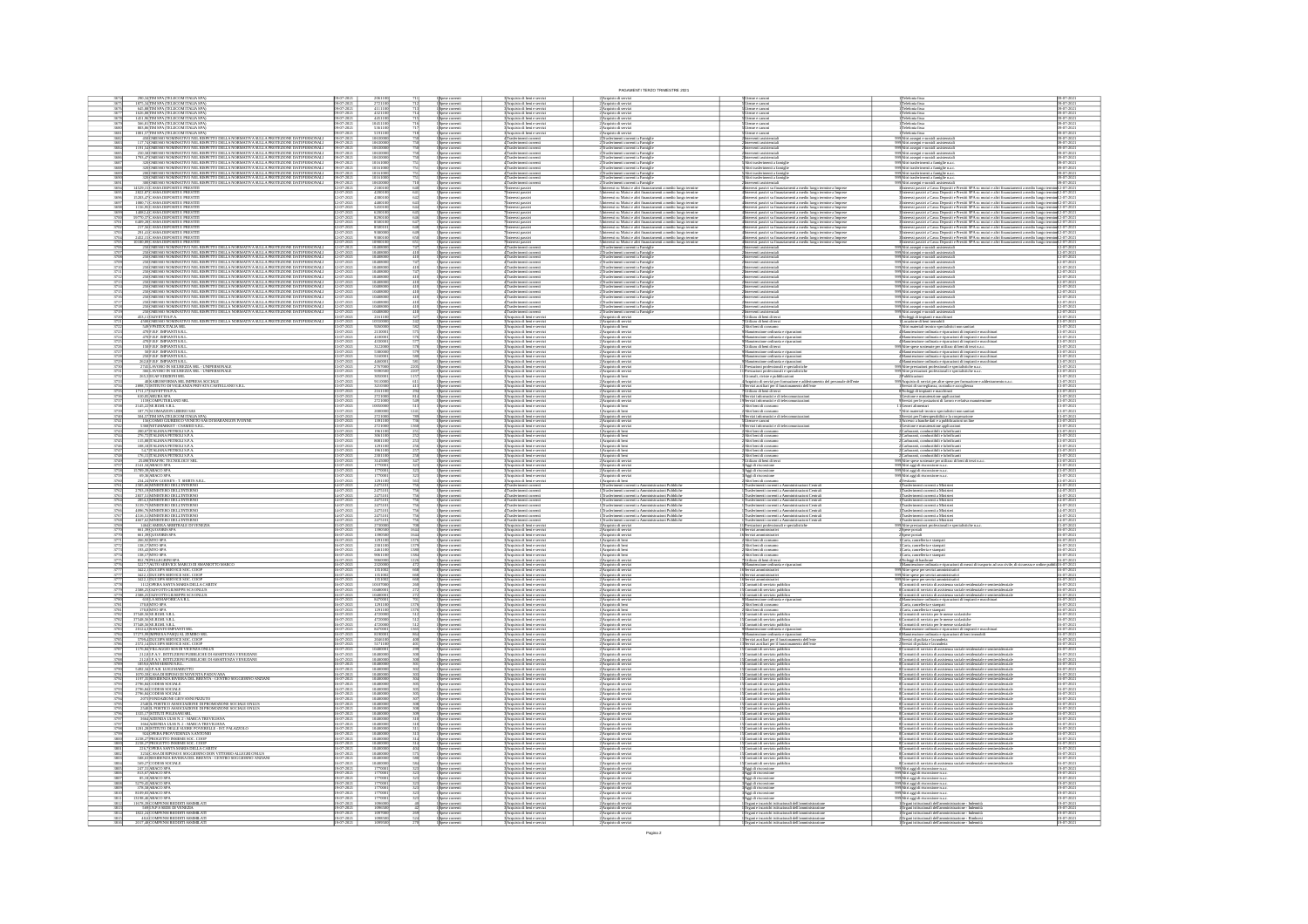|                                                                                                                                                                                                                                                        |                                                         |                                                                                                                                   |                                                                                                          |                                                                                                                                                                                                                                                                                                                                                                                                                                                  | PAGAMENTI TERZO TRIMESTRE 2021                                                                                                                                                                                                                                             |                                                                                                                                                                                                                                                                                                                                                                                                                                                                                                                        |                                                                                                                                                                                                                                                                                                                                                                                                                                       |                                                  |
|--------------------------------------------------------------------------------------------------------------------------------------------------------------------------------------------------------------------------------------------------------|---------------------------------------------------------|-----------------------------------------------------------------------------------------------------------------------------------|----------------------------------------------------------------------------------------------------------|--------------------------------------------------------------------------------------------------------------------------------------------------------------------------------------------------------------------------------------------------------------------------------------------------------------------------------------------------------------------------------------------------------------------------------------------------|----------------------------------------------------------------------------------------------------------------------------------------------------------------------------------------------------------------------------------------------------------------------------|------------------------------------------------------------------------------------------------------------------------------------------------------------------------------------------------------------------------------------------------------------------------------------------------------------------------------------------------------------------------------------------------------------------------------------------------------------------------------------------------------------------------|---------------------------------------------------------------------------------------------------------------------------------------------------------------------------------------------------------------------------------------------------------------------------------------------------------------------------------------------------------------------------------------------------------------------------------------|--------------------------------------------------|
| 290,34 TIM SPA (TELECOM ITALIA SPA)<br>1875,34 TIM SPA (TELECOM ITALIA SPA)                                                                                                                                                                            | 9-07-202                                                |                                                                                                                                   | 1 Spese correnti<br>1 Spese correnti<br>1 Spese correnti<br>1 Spese correnti                             |                                                                                                                                                                                                                                                                                                                                                                                                                                                  | 2)Acquisto di servizi<br>2)Acquisto di servizi<br>2)Acquisto di servizi<br>2)Acquisto di servizi                                                                                                                                                                           | tesse e cimon<br>tesse e cimon                                                                                                                                                                                                                                                                                                                                                                                                                                                                                         | .<br>Teleforia fissa<br>Teleforia fissa                                                                                                                                                                                                                                                                                                                                                                                               | 9-07-202                                         |
| 645,88 TIM SPA (TELECOM ITALIA SPA)<br>1626,88 TIM SPA (TELECOM ITALIA SPA)<br>1451,96 TIM SPA (TELECOM ITALIA SPA)<br>566,81 TIM SPA (TELECOM ITALIA SPA)                                                                                             | 9-07-2021<br>9-07-2021                                  | 4111100<br>4321100<br>445110                                                                                                      | Spese correnti<br>Spese correnti                                                                         | Acquisto di beni e serviz<br>Acquisto di beni e serviz<br>Acquisto di beri e serviz<br>Acquisto di beri e serviz                                                                                                                                                                                                                                                                                                                                 | Acquisto di servizi<br>Acquisto di servizi                                                                                                                                                                                                                                 | Jienze e canoni<br>Jienze e canoni                                                                                                                                                                                                                                                                                                                                                                                                                                                                                     | 'elefonia fissa<br>'elefonia fissa                                                                                                                                                                                                                                                                                                                                                                                                    | 19-07-202<br>19-07-202                           |
| 803,86 TIM SPA (TELECOM ITALIA SPA)<br>1001,57 TIM SPA (TELECOM ITALIA SPA)                                                                                                                                                                            | 9-07-2021                                               | 536110                                                                                                                            |                                                                                                          | :<br>: Acquisto di beni e serviz<br>: Acquisto di beni e serviz                                                                                                                                                                                                                                                                                                                                                                                  | Acquisto di servizi<br>Acquisto di servizi                                                                                                                                                                                                                                 | Jienze e canoni<br>Jienze e canoni                                                                                                                                                                                                                                                                                                                                                                                                                                                                                     | Telefonia fissa<br>Telefonia fissa                                                                                                                                                                                                                                                                                                                                                                                                    | 9-07-202                                         |
| <b>BOLOGY ATTENTION IN A CONTROLLANCE IN A CONTRACT OF A CONTRACT OF A CONTRACT OF A CONTRACT OF A CONTRACT OF A CONTRACT OF A CONTRACT OF A CONTRACT OF A CONTRACT OF A CONTRACT OF A CONTRACT OF A CONTRACT OF A CONTRACT OF A</b><br>368<br>3684    | 09-07-2021<br>09-07-2021<br>09-07-202                   | 1063000<br>$\frac{1063000}{1063000}$                                                                                              | Spese correnti<br>Spese correnti<br>Spese correnti<br>Spese correnti<br>Spese correnti<br>Spese correnti | Spacifizato en pera e serviz<br>4 Trasferimenti correnti<br>4 Trasferimenti correnti<br>4 Trasferimenti correnti                                                                                                                                                                                                                                                                                                                                 | Trasferimenti correnti a Famiglie<br>Trasferimenti correnti a Famiglie                                                                                                                                                                                                     | venti assist<br>rterverti assistenzial<br>rterverti assistenzial                                                                                                                                                                                                                                                                                                                                                                                                                                                       | 2090Abri assegri e sussidi assistenzia<br>2090Abri assegri e sussidi assistenzia<br>2090Abri assegri e sussidi assistenzia<br>2090Abri assegri e sussidi assistenzia                                                                                                                                                                                                                                                                  | 9-07-202<br>9-07-202                             |
|                                                                                                                                                                                                                                                        | 09-07-202<br>19-07-202                                  | 106300                                                                                                                            | .<br>Spese correnti                                                                                      | 4 Trasferimenti correnti                                                                                                                                                                                                                                                                                                                                                                                                                         | Trasferimenti correnti a Famigli<br>Trasferimenti correnti a Famigli                                                                                                                                                                                                       | rventi assistenzia<br>rterverti assistenzia                                                                                                                                                                                                                                                                                                                                                                                                                                                                            |                                                                                                                                                                                                                                                                                                                                                                                                                                       | 9-07-202                                         |
|                                                                                                                                                                                                                                                        | 09-07-202                                               | $\frac{1016100}{1016100}$                                                                                                         | .<br>pese correnti<br>pese correnti                                                                      | 4<br>Trasferimenti corrent<br>4 Trasferimenti corrent                                                                                                                                                                                                                                                                                                                                                                                            | .<br>Itasferimenti correnti a Famiglie<br>Itasferimenti correnti a Famiglie                                                                                                                                                                                                | trasferimenti a fan<br>trasferimenti a fan                                                                                                                                                                                                                                                                                                                                                                                                                                                                             | 999 Altri assegni e sussidi assistenzia<br>999 Altri trasferimenti a famiglie n.a.<br>999 Altri trasferimenti a famiglie n.a.<br>i trasferimenti a farriglie n.a.<br>i trasferimenti a farriglie n.a.                                                                                                                                                                                                                                 | 09-07-202                                        |
| 200 OMESSO NOMINATIVO NEL RISPETTO DELLA NORMATIVA SULLA PROTEZIONE DATI PERSONALI (1947-202<br>320 OMESSO NOMINATIVO NEL RISPETTO DELLA NORMATIVA SULLA PROTEZIONE DATI PERSONALI (1947-202                                                           |                                                         | $\frac{101610}{101610}$                                                                                                           | Spese correnti<br>Spese correnti                                                                         | Trasferimenti corrent<br>Trasferimenti corrent<br>4 Trasferimenti corren                                                                                                                                                                                                                                                                                                                                                                         | issferimenti correnti a Famiglie<br>issferimenti correnti a Famiglie                                                                                                                                                                                                       |                                                                                                                                                                                                                                                                                                                                                                                                                                                                                                                        | 199 <mark>)Altri trasferimenti a farriglie n.a.</mark><br>199 <b>)Altri trasferimenti a farriglie n.a.</b>                                                                                                                                                                                                                                                                                                                            | 09-07-202<br>09-07-202                           |
| $300\mbox{mESSO}$ NOMINATIVO NEL RISPETTO DELLA NORMATIVA SULLA PROTEZIONE DATI PERSONALI $14529,15\mbox{[CASSA}$ DEPOSITI E PRESTITI<br>$\frac{2822,87}{15203,47} \frac{\text{CASSA DEPOSITION}}{\text{CASSA DEPOSTTIE PRESTIT}}$<br>3695<br>Vola     | 09-07-2021<br>2-07-202                                  | 1063000<br>420010                                                                                                                 | spore comment<br>Spese comment<br>Spese comment<br>Spese comment                                         |                                                                                                                                                                                                                                                                                                                                                                                                                                                  | c) tasserement correrei a Famiglie<br>Elimense del signification de l'antigüe<br>Elimense sia Matui e altri franziamenti a medio lango termine<br>Elimensesi su Matui e altri franziamenti a medio lango termine<br>Elimensesi su Matui e                                  | interventi assistenziali<br>Interessi passivi su fin<br>Interessi passivi su fin<br>Ziprerventi assosientanis<br>Specificaris sistematical annosio largo sternine a Impresse<br>Specificaris sus finanziamenti a medio largo sternine a Impresse<br>Specificaris passivi su finanziamenti a medio largo sternine a Impresse                                                                                                                                                                                            | 27 Μαΐου 18 Μαΐου 18 Μαΐου 18 Μαΐου 18 Μαΐου 18 Μαΐου 18 Μαΐου 18 Μαΐου 18 Μαΐου 18 Μαΐου 18 Μαΐου 18 Μαΐου 18<br>19 Μαΐου 18 Μαΐου 18 Μαΐου 18 Μαΐου 18 Μαΐου 18 Μαΐου 18 Μαΐου 18 Μαΐου 18 Μαΐου 18 Μαΐου 18 Μαΐου 18 Μαΐου                                                                                                                                                                                                         |                                                  |
| 1080,71 CASSA DEPOSITI E PRESTITI<br>1156,95 CASSA DEPOSITI E PRESTITI                                                                                                                                                                                 | 2-07-2021<br>2-07-2021                                  | 448010<br>$rac{643}{648}$                                                                                                         | Spese correnti<br>Spese correnti                                                                         | lateressi passivi<br>lateressi passivi                                                                                                                                                                                                                                                                                                                                                                                                           |                                                                                                                                                                                                                                                                            |                                                                                                                                                                                                                                                                                                                                                                                                                                                                                                                        |                                                                                                                                                                                                                                                                                                                                                                                                                                       |                                                  |
| 14082,4 CASSA DEPOSITI E PRESITI<br>59770,37 CASSA DEPOSITI E PRESITI                                                                                                                                                                                  | 12-07-2021<br>12-07-2021                                | 620010<br>떏                                                                                                                       | Spese correnti<br>Spese correnti                                                                         | lateressi passivi<br>lateressi passivi                                                                                                                                                                                                                                                                                                                                                                                                           | Înteressi su Mutui e altri finanziamenti a medio lungo termine<br>Înteressi su Mutui e altri finanziamenti a medio lungo termine                                                                                                                                           | rteressi passivi su finanziamenti a medio lungo termine a Imprese<br>Interessi passivi su finanziamenti a medio lungo termine a Imprese                                                                                                                                                                                                                                                                                                                                                                                | Interessi passivi a Cassa Depositi e Prestiti SPA su mutui e altri finanziamenti a medio lungo termini 12-07-202<br>Interessi passivi a Cassa Depositi e Prestiti SPA su mutui e altri finanziamenti a medio lungo termini 12-07-                                                                                                                                                                                                     |                                                  |
| 6409,28 CASSA DEPOSITI E PRESTIT $217,56$ CASSA DEPOSITI E PRESTIT                                                                                                                                                                                     | 2-07-2021<br>2-07-2021                                  | 850010                                                                                                                            | Spese correnti<br>Spese correnti<br>Spese correnti<br>Spese correnti                                     | lateressi passivi<br>lateressi passivi                                                                                                                                                                                                                                                                                                                                                                                                           | s<br>Sinteressi su Mutui e altri finanziamenti a medio lungo termine<br>Sinteressi su Mutui e altri finanziamenti a medio lungo termine<br>Sinteressi su Mutui e altri finanziamenti a medio lungo termine<br>Sinteressi su Mutui e altri                                  | Interessi passivi su finanziamenti a medio lungo termine a Imprese<br>Interessi passivi su finanziamenti a medio lungo termine a Imprese<br>Interessi passivi su finanziamenti a medio lungo termine a Imprese<br>Interessi passivi su                                                                                                                                                                                                                                                                                 | анновы равны и самы Depositie Frestin SPA за пише с жел повозапило на неко конду очение (2-07-2021)<br>Interest passes a Gossa Depositie Frestin SPA за пише е жел finanziamenti a medio kngga verning (2-07-2021)<br>Interest pass                                                                                                                                                                                                   |                                                  |
| 291,41 CASSA DEPOSITI E PRESTITI<br>2452,15 CASSA DEPOSITI E PRESTITI                                                                                                                                                                                  | 2-07-2021<br>2-07-2021<br>2-07-2021<br>2-07-2021        | 9380001<br>$rac{649}{650}$<br>109001                                                                                              | Spese correnti<br>Spese correnti                                                                         | Interessi passivi<br>Interessi passivi<br>lateressi passivi<br>Trasferimenti corre                                                                                                                                                                                                                                                                                                                                                               | .<br>Înteressi su Matui e altri finanziamenti a medio lungo termine<br>{Trasferimenti comenti a Famiglie                                                                                                                                                                   | Interessi passivi su finanziamenti a medio lungo termine a Impres<br>Interventi assistenziali                                                                                                                                                                                                                                                                                                                                                                                                                          | .<br>Stateressi passivi a Cassa Depositi e Prestiti SPA su mutui e altri finanziamenti a medio lungo te<br>ANtri assegni e sussidi assistenziali                                                                                                                                                                                                                                                                                      |                                                  |
|                                                                                                                                                                                                                                                        | 2-07-2021                                               | 104881<br>104881                                                                                                                  | Spase correnti                                                                                           | 4 Trasferimenti corrent<br>4 Trasferimenti corrent<br>4 Trasferimenti corrent                                                                                                                                                                                                                                                                                                                                                                    | Trasferimenti correnti a Famiglie                                                                                                                                                                                                                                          | Interventi assistenzial                                                                                                                                                                                                                                                                                                                                                                                                                                                                                                | $\frac{999}{201}$ Altri assegri e sussidi assistenziali<br>$\frac{999}{201}$ ltri assegri e sussidi assistenziali<br>$\frac{999}{201}$ ltri assegri e sussidi assistenziali                                                                                                                                                                                                                                                           |                                                  |
|                                                                                                                                                                                                                                                        | 2-07-2021<br>2-07-2021                                  | 10488<br>10488                                                                                                                    | .<br>pese correnti<br>pese correnti                                                                      | <b>Trasferimenti corrent</b><br>FTrasferimenti corrent                                                                                                                                                                                                                                                                                                                                                                                           | Trasferimenti correnti a Famigli<br>Trasferimenti correnti a Famigli<br>.<br>Irasferimenti correnti a Famigli<br>Irasferimenti correnti a Famigli                                                                                                                          | Interventi assistenzia<br>Interventi assistenzia<br>hterverti assistenzia<br>hterverti assistenzia                                                                                                                                                                                                                                                                                                                                                                                                                     | .<br>199 <mark>Ahri assegri e sussidi assistenzia</mark><br>199Ahri assegri e sussidi assistenzia                                                                                                                                                                                                                                                                                                                                     | 12-07-202<br>12-07-202                           |
|                                                                                                                                                                                                                                                        | $\frac{12-07-2021}{12-07-2021}$                         | 1048801<br>1048801<br>1048801                                                                                                     | .<br>pese correnti                                                                                       | 4 Trasferimenti correnti                                                                                                                                                                                                                                                                                                                                                                                                                         | Trasferimenti correnti a Famigli                                                                                                                                                                                                                                           | Interventi assistenzial                                                                                                                                                                                                                                                                                                                                                                                                                                                                                                | 09 Abri assegni e sussidi assistenzia                                                                                                                                                                                                                                                                                                                                                                                                 | 12-07-202<br>12-07-202<br>12-07-202              |
|                                                                                                                                                                                                                                                        | 2-07-2021<br>12-07-2021                                 |                                                                                                                                   | Spese correnti<br>Spese correnti                                                                         | l Trasferimenti corrent<br>l'Trasferimenti corrent                                                                                                                                                                                                                                                                                                                                                                                               | Trasferimenti correnti a Famigli                                                                                                                                                                                                                                           | terverti assistenzi.<br>terverti assistenzi.<br>Interventi assistenzial<br>Interventi assistenzial                                                                                                                                                                                                                                                                                                                                                                                                                     | ri assegni e sussidi assistenzia<br>ri assegni e sussidi assistenzia                                                                                                                                                                                                                                                                                                                                                                  | 2-07-202                                         |
|                                                                                                                                                                                                                                                        | 12-07-2021<br>12-07-2021                                | 104880<br>104880                                                                                                                  | Spese correnti<br>Spese correnti                                                                         | $\begin{array}{c} \textbf{4} \textbf{Trainer} \\ \textbf{4} \textbf{Trainer} \\ \textbf{4} \textbf{Trainer} \\ \textbf{5} \textbf{F} \\ \textbf{6} \textbf{F} \\ \textbf{7} \textbf{mer} \\ \textbf{8} \textbf{F} \\ \textbf{9} \textbf{F} \\ \textbf{10} \textbf{F} \\ \textbf{11} \textbf{F} \\ \textbf{12} \textbf{F} \\ \textbf{13} \textbf{F} \\ \textbf{16} \textbf{F} \\ \textbf{17} \textbf{F} \\ \textbf{18} \textbf{F} \\ \textbf{19}$ | Trasferimenti correnti a Famigli                                                                                                                                                                                                                                           |                                                                                                                                                                                                                                                                                                                                                                                                                                                                                                                        | 2009<br>Ani assegri e sussidi assistenziali<br>2009<br>Altri assegri e sussidi assistenziali<br>2009<br>Altri assegri e sussidi assistenziali<br>2009<br>Altri assegri e sussidi assistenziali<br>2009<br>Altri assegri e sussidi assistenziali                                                                                                                                                                                       | 12-07-202<br>12-07-202                           |
| 453,11 OLIVETTI S.P.A.<br>4500 OMESSO NOMINATIVO NEL RISPETTO DELLA NORMATIVA SULLA PROTEZIONE DATI PERSONALI                                                                                                                                          | 12-07-2021<br>12-07-2021<br>$\frac{107-2021}{107-2021}$ | 104880<br>104880<br>216110                                                                                                        | .<br>Spese correnti<br>Spese correnti                                                                    | 4 Trasferimenti correnti<br>4 Trasferimenti correnti<br>3 Acquisto di beni e serviz<br>3 Acquisto di beni e serviz                                                                                                                                                                                                                                                                                                                               | Trasferimenti correnti a Famiglie<br>Trasferimenti correnti a Famiglie<br>Acquisto di servizi<br>Acquisto di servizi                                                                                                                                                       | .<br>Interventi assistenzial<br>Interventi assistenzial<br>.<br>Jtilizzo di beni di terzi<br>Jtilizzo di beni di terzi                                                                                                                                                                                                                                                                                                                                                                                                 | :<br>Noleggi di impianti e macchinari<br>Locazione di beni immobili                                                                                                                                                                                                                                                                                                                                                                   | 12-07-202<br>12-07-202<br>3-07-202               |
| 549 VPSITEX ITALIA SRL<br>470 F.B.F. IMPIANTI S.R.L                                                                                                                                                                                                    | 107-2021<br>107-2021                                    | 9260000<br>2130001                                                                                                                | 1<br>Spese comenti<br>1 Spese comenti<br>1 Spese comenti                                                 | 3 Acquisto di beni e serviz<br>3 Acquisto di beni e serviz                                                                                                                                                                                                                                                                                                                                                                                       | 1 Acquisto di beni<br>2 Acquisto di servia                                                                                                                                                                                                                                 | Altri beni di consumo<br>Manutenzione ordinaria                                                                                                                                                                                                                                                                                                                                                                                                                                                                        | Locazione di neni immonii<br>Altri materiali tecnico-specialistici non sanitari<br>Manutenzione ordinaria e riparazioni di impianti e                                                                                                                                                                                                                                                                                                 | 13-07-202<br>13-07-202                           |
| 470) RAS MONARI SIMI,<br>1900 R.B. BADANTI SIRI,<br>1900 R.B. BADANTI SIRI,<br>1900 R.B. BADANTI SIRI,<br>2000 R.B. BADANTI SIRI,<br>2000 R.B. BADANTI SIRI,<br>2000 R.B. BADANTI SIRI,<br>2000 R.B. BADANTI SIRI,<br>2000 R.B. R.B. COREZZA SRI, -UND | 3-07-2021<br>3-07-2021                                  | $\frac{41000}{43300}$                                                                                                             | Spese correnti<br>Spese correnti                                                                         | :<br>: Acquisto di beni e serviz<br>: Acquisto di beni e serviz                                                                                                                                                                                                                                                                                                                                                                                  | : Acquisto di servia<br>! Acquisto di servia                                                                                                                                                                                                                               | lanzterazione ordinaria e riparazion<br>lanzterazione ordinaria e riparazion                                                                                                                                                                                                                                                                                                                                                                                                                                           | $\begin{tabular}{p{0.85\textwidth}} \hline \textbf{a} & \textbf{A} & \textbf{a} & \textbf{b} & \textbf{b} & \textbf{b} & \textbf{b} & \textbf{b} & \textbf{b} & \textbf{b} & \textbf{b} & \textbf{b} & \textbf{b} & \textbf{b} & \textbf{b} & \textbf{b} & \textbf{b} \\ \hline \textbf{a} & \textbf{A} & \textbf{B} & \textbf{B} & \textbf{B} & \textbf{b} & \textbf{b} & \textbf{b} & \textbf{b} & \textbf{b} & \textbf{b} & \text$ |                                                  |
|                                                                                                                                                                                                                                                        | $-07 - 202$                                             | 3122000<br>5380000<br>5160001<br>4460001<br>2767000<br>9390500                                                                    | Spese correnti<br>Spese correnti<br>Spese correnti<br>Spese correnti<br>Spese correnti                   | Acquisto di beni e servizi<br>:<br>Acquisto di beni e serviz<br>:<br>Acquisto di beni e serviz<br>:                                                                                                                                                                                                                                                                                                                                              | 2)<br>Acquisto di servizi<br>2)<br>Acquisto di servizi<br>2)<br>Acquisto di servizi<br>2)<br>Acquisto di servizi<br>2)<br>Acquisto di servizi                                                                                                                              | tilizzo di beni di terzi                                                                                                                                                                                                                                                                                                                                                                                                                                                                                               |                                                                                                                                                                                                                                                                                                                                                                                                                                       |                                                  |
|                                                                                                                                                                                                                                                        |                                                         |                                                                                                                                   |                                                                                                          |                                                                                                                                                                                                                                                                                                                                                                                                                                                  |                                                                                                                                                                                                                                                                            | ponsazo su sono ur west<br>O Manaterucione ordinaria e riparzeioni<br>O Manaterucione ordinaria e riparzeioni<br>O Manaterucione ordinaria e riparzeioni<br>I Prestazioni professionali e specialistiche<br>I Prestazioni professionali e spe                                                                                                                                                                                                                                                                          |                                                                                                                                                                                                                                                                                                                                                                                                                                       | 13-07-202<br>13-07-202                           |
| 265, 3 EGAF EDIZIONI SRL<br>40 KAIROSFORMA SRL IMPRESA SOCIALE<br>2898,72 ISTITUTO DI VIGILANZA PRIVATA CASTELLANO S.R.L                                                                                                                               | 3-07-2021<br>3-07-2021                                  | 2205<br>2207                                                                                                                      |                                                                                                          | 3 Acquisto di beni e serviz<br>3 Acquisto di beni e serviz<br>l'Acquisto di beri e serviz<br>! Acquisto di beri e serviz                                                                                                                                                                                                                                                                                                                         | Acquisto di beni<br>Acquisto di servi                                                                                                                                                                                                                                      | Giomali, riviste e pubblicazioni<br>Acquisto di servizi per formazione e addes                                                                                                                                                                                                                                                                                                                                                                                                                                         | dPubblicazioni<br>Aficopisto di servizi per altre spese per formazione e adde                                                                                                                                                                                                                                                                                                                                                         |                                                  |
|                                                                                                                                                                                                                                                        | 107-2021<br>107-2021                                    | 305000<br>911000<br>321030                                                                                                        | Spese comenti<br>Spese comenti<br>Spese comenti                                                          | Acquisto di beri e serviz<br>:<br>: Acquisto di beri e serviz<br>: Acquisto di beri e serviz                                                                                                                                                                                                                                                                                                                                                     | .<br>2 Acquisto di servia<br>2 Acquisto di servia<br>2 Acquisto di servia                                                                                                                                                                                                  | ausiliari per il funzionamento dell'ente<br>tilizzo di beni di terzi<br>evizi informatici e di telecomunicazioni                                                                                                                                                                                                                                                                                                                                                                                                       | :<br>Sevizi di sorveglianza, custodia e accoglienza<br>Noleggi di impianti e macchinari<br>Cesticne e manutenzione applicazioni                                                                                                                                                                                                                                                                                                       | 3-07-202<br>3-07-202<br>3-07-202                 |
| 1711,17 OLIVETTI S.P.A.<br>610,05 ARUBA SPA<br>610,051ARUBA SPA<br>1159 COMPUTERLAND SRL<br>2145,22 SE.RIMI. S.R.L.                                                                                                                                    | 3-07-202<br>3-07-202<br>$\frac{107-202}{107-202}$       | $\frac{216110}{272100}$<br>272100                                                                                                 | Spese correnti<br>Spese correnti                                                                         | :<br>: Acquisto di beni e serviz<br>: Acquisto di beni e serviz                                                                                                                                                                                                                                                                                                                                                                                  | :<br>Acquisto di servia<br>: Acquisto di beni                                                                                                                                                                                                                              | lervizi informatici e di teles<br>Viri beni di consumo                                                                                                                                                                                                                                                                                                                                                                                                                                                                 | Servizi per le postazioni di lavoro e relativa m<br>Generi alimentari                                                                                                                                                                                                                                                                                                                                                                 | 13-07-202<br>13-07-202<br>3-07-202               |
|                                                                                                                                                                                                                                                        | 3-07-2021<br>3-07-2021                                  | $\frac{20000}{27210}$                                                                                                             |                                                                                                          |                                                                                                                                                                                                                                                                                                                                                                                                                                                  |                                                                                                                                                                                                                                                                            |                                                                                                                                                                                                                                                                                                                                                                                                                                                                                                                        | Altri materiali tecnico-specialistici non sanitari<br>Servizi per l'interoperabilità e la cooperazione<br>Accesso a banche dati e a pubblicazioni on line                                                                                                                                                                                                                                                                             | 13-07-202<br>13-07-202                           |
| 2145, 2282: RIMI SR I.<br>167, 75 SCOMARZON LIBERO SAS<br>504, 57 JSCOMARZON LIBERO SAS<br>168 COSMO CILRIDICO VENETO SAS DI MARANGON IVONNE<br>5368 NETAMARKET - CSAMED S.R.I.<br>5368 NETAMARKET - CSAMED S.R.I.                                     | 3-07-2021<br>3-07-2021                                  | 1391100<br>2721000                                                                                                                | Spese correnti<br>Spese correnti<br>Spese correnti<br>Spese correnti<br>Spese correnti                   | 3) Acquisto di beni e servizi<br>3) Acquisto di beni e servizi<br>3) Acquisto di beni e servizi<br>3) Acquisto di beni e servizi                                                                                                                                                                                                                                                                                                                 | 1 Acquisto di beni<br>2 Acquisto di servizi<br>2 Acquisto di servizi<br>2 Acquisto di servizi                                                                                                                                                                              | Altri beni di consumo<br>Servizi informatici e di teles<br>Utenze e canoni<br>Servizi informatici e di teles                                                                                                                                                                                                                                                                                                                                                                                                           |                                                                                                                                                                                                                                                                                                                                                                                                                                       | 13-07-202<br>13-07-202                           |
| $\frac{200,\!67}{276,\!7211\!\!141\!\!14N\!\!A\!P\mathsf{EROLISPA}}$ 276,7211ALIANA PETROLIS.<br>P.A.                                                                                                                                                  |                                                         | 19611<br>30611                                                                                                                    |                                                                                                          | :<br>: Acquisto di beni e serviz<br>: Acquisto di beni e serviz                                                                                                                                                                                                                                                                                                                                                                                  | Acquisto di beni<br>Acquisto di beni                                                                                                                                                                                                                                       | Altri beni di consumo<br>Altri beni di consumo                                                                                                                                                                                                                                                                                                                                                                                                                                                                         | Gestione e manutenzione applicazioni<br>Carburanti, combustibili e lubrificanti<br>Carburanti, combustibili e lubrificanti                                                                                                                                                                                                                                                                                                            | 13-07-202<br>13-07-202                           |
| $\frac{115,88}{108,18} \overline{\text{ITALIANA PETROLISPA}} \\ \textcolor{red}{\textbf{108,18}} \overline{\text{ITALIANA PETROLISPA}} \label{eq:115}$                                                                                                 | 3-07-2021<br>3-07-2021<br>3-07-2021<br>3-07-2021        | 8081100<br>1291100<br>1961100<br>2301100                                                                                          | pese correnti<br>pese correnti                                                                           | 3 Acquisto di beni e serviz<br>3 Acquisto di beni e serviz<br>3 Acquisto di beni e servizi<br>3 Acquisto di beni e servizi                                                                                                                                                                                                                                                                                                                       | 1 Acquisto di beni<br>1 Acquisto di beni                                                                                                                                                                                                                                   | Vitri beni di consumo<br>Vitri beni di consumo                                                                                                                                                                                                                                                                                                                                                                                                                                                                         |                                                                                                                                                                                                                                                                                                                                                                                                                                       | 3-07-202<br>3-07-202<br>13-07-202<br>13-07-202   |
| $\begin{array}{c} 54,7\text{[TALIANA}\,\text{FEROLISPA} \\ 176,15\text{[TALIANA}\,\text{FEROLISPA} \\ 25498\text{ [RAFFC TECNOLOGV SRL} \\ 2141,34\text{ABACO}\,\text{SPA} \end{array}$                                                                | 3-07-2021<br>3-07-2021                                  | 3145000<br>1770001                                                                                                                | Spese correnti<br>Spese correnti<br>Spese correnti<br>Spese correnti                                     | S'Acquisto di beni e servizi<br>S'Acquisto di beni e servizi                                                                                                                                                                                                                                                                                                                                                                                     | 1 Acquisto di beni<br>1 Acquisto di beni<br>2 Acquisto di servizi<br>2 Acquisto di servizi                                                                                                                                                                                 | Altri beni di consumo<br>Altri beni di consumo<br>Utilizzo di beni di terzi<br>Aggi di riscossione                                                                                                                                                                                                                                                                                                                                                                                                                     | - 2Carburant, combussibili e lubrificanti<br>2Carburanti, combussibili e lubrificanti<br>2Carburanti, combussibili e lubrificanti<br>2Carburanti, combussibili e lubrificanti<br>2Carburanti, combussibili e lubrificanti<br>200 Altre spase                                                                                                                                                                                          | 13-07-202<br>13-07-202                           |
|                                                                                                                                                                                                                                                        | 3-07-2021<br>5-07-2021<br>1-07-2021                     | $\begin{array}{r} 177000 \\ 177000 \\ 129110 \\ 247510 \\ 247510 \\ \end{array}$                                                  | Spese correnti<br>Spese correnti                                                                         | l'Acquisto di beni e serviz<br>l'Acquisto di beni e serviz                                                                                                                                                                                                                                                                                                                                                                                       | Acquisto di servia<br>Acquisto di servia                                                                                                                                                                                                                                   | Aggi di riscossione<br>Aggi di riscossione                                                                                                                                                                                                                                                                                                                                                                                                                                                                             | 2001)<br>Altri aggi di riscossione n.a.c.<br>2001)<br>Altri aggi di riscossione n.a.c.<br>4 Vestiario<br>1 Trasferimenti correnti a Minister<br>1 Trasferimenti correnti a Minister                                                                                                                                                                                                                                                   | $-07 - 20$                                       |
| 2585,66 MINISTERO DELL'INTERNO<br>2703,19 MINISTERO DELL'INTERNO<br>2837,51 MINISTERO DELL'INTERNO<br>2854,3 MINISTERO DELL'INTERNO                                                                                                                    |                                                         |                                                                                                                                   | Spese correnti<br>Spese correnti<br>Spese correnti                                                       | $\frac{3 \text{Acquisto di beri e serviz}}{4 \text{Tsasferimeeti coerenti}}$                                                                                                                                                                                                                                                                                                                                                                     | 1 Acquisto di beni<br>1 Trasferimenti converti a An<br>1 Trasferimenti converti a An                                                                                                                                                                                       | uni<br>Uni beni di consumo<br>Irasferimenti correnti a Amministrazioni Centrali<br>Irasferimenti correnti a Amministrazioni Centrali                                                                                                                                                                                                                                                                                                                                                                                   |                                                                                                                                                                                                                                                                                                                                                                                                                                       | 14-07-202                                        |
|                                                                                                                                                                                                                                                        | 14-07-202<br>14-07-202                                  | 2475101<br>2475101<br>2475101<br>2475101<br>2475101<br>2475101                                                                    | Spese correnti<br>Spese correnti                                                                         | 4 Trasferimenti correnti<br>4 Trasferimenti correnti<br>4 Trasferimenti correnti                                                                                                                                                                                                                                                                                                                                                                 | Trasferimenti correnti a Amministrazioni Pubbliche<br>Trasferimenti correnti a Amministrazioni Pubbliche                                                                                                                                                                   | asferimenti correnti a Amministrazioni Centrali<br>asferimenti correnti a Amministrazioni Centrali<br>asferimenti correnti a Amministrazioni Centrali                                                                                                                                                                                                                                                                                                                                                                  | 'rasferimenti correnti a Ministeri<br>'rasferimenti correnti a Ministeri                                                                                                                                                                                                                                                                                                                                                              | 14-07-202<br>14-07-202                           |
| 3139,73 MINISTERO DELL'INTERNO<br>4096,76 MINISTERO DELL'INTERNO                                                                                                                                                                                       | 4-07-2021<br>LA-07-2021<br>14-07-2021<br>14-07-2021     |                                                                                                                                   | Spese correnti<br>Spese correnti<br>Spese correnti<br>Spese correnti                                     | $\begin{array}{c} \textbf{4} \text{ Trasferimeeti }\text{coerenti}\\ \textbf{4} \text{ Trasferimeeti }\text{coerenti}\\ \textbf{4} \text{ Trasferimeeti }\text{coerenti} \end{array}$                                                                                                                                                                                                                                                            | Trasferimenti converti a Amministrazioni Pubbliche<br>Trasferimenti converti a Amministrazioni Pubbliche<br>Trasferimenti converti a Amministrazioni Pubbliche<br>Trasferimenti converti a Amministrazioni Pubbliche<br>Trasferimenti converti a Amministrazioni Pubbliche |                                                                                                                                                                                                                                                                                                                                                                                                                                                                                                                        | rasferimenti correnti a Ministeri<br>'rasferimenti correnti a Ministeri<br>'rasferimenti correnti a Ministeri<br>'rasferimenti correnti a Ministeri                                                                                                                                                                                                                                                                                   | 14-07-202<br>14-07-202<br>14-07-202              |
| $\begin{array}{c} 4516, 51 \text{ MINSTERO DEL/NTERNO}\\ 4647, 62 \text{ MINSTERO DEL/NTERNO}\\ 1464 \text{CAMERA ABBITRALE DI VENEZ}\\ 661, 39 \text{QUOJOBS SPA} \end{array}$                                                                        |                                                         | 273000                                                                                                                            | Spese correnti<br>Spese correnti                                                                         | :<br>: Acquisto di beni e serviz<br>: Acquisto di beni e serviz                                                                                                                                                                                                                                                                                                                                                                                  | 2 Acquisto di servizi<br>2 Acquisto di servizi                                                                                                                                                                                                                             | $\begin{tabular}{l c c c} \hline {\bf 1} In a permutation control. A matrix transition Central \\ \hline \hline \textcolor{red}{The sferit metric} correcti a Aempistraction of central \\ \hline \textcolor{red}{The sferit metric} correcti a Aempistraction Central \\ \hline \textcolor{red}{The sferit metric} correcti & Aempiststrization of central \\ \hline \textcolor{red}{DRecritic} increases in all or special is setiable \\ \hline \textcolor{red}{BScritic} are misistrativi \\ \hline \end{tabular}$ | Altre prestazioni professionali e speci<br>Spese postali                                                                                                                                                                                                                                                                                                                                                                              | 15-07-202<br>16-07-202                           |
| 661,39 QUOJOBIS SPA<br>266,92 MYO SPA                                                                                                                                                                                                                  | 6-07-2021<br>6-07-2021                                  | 1390500<br>1291100<br>$\frac{1644}{1376}$                                                                                         | Spese correnti<br>Spese correnti<br>Spese correnti<br>Spese correnti                                     | 3 Acquisto di beni e servizi<br>3 Acquisto di beni e servizi                                                                                                                                                                                                                                                                                                                                                                                     | 2)Acquisto di servizi<br>1)Acquisto di beni                                                                                                                                                                                                                                | 6 Servizi amministrativi<br>2 Altri beni di consumo<br>2 Altri beni di consumo<br>2 Altri beni di consumo                                                                                                                                                                                                                                                                                                                                                                                                              | Spese postali<br>Carta, cancelleria e stampati<br>Carta, cancelleria e stampati<br>Carta, cancelleria e stampati                                                                                                                                                                                                                                                                                                                      | 16-07-202<br>16-07-202                           |
| 138,17 MYO SPA<br>193,43 MYO SPA                                                                                                                                                                                                                       | 6-07-2021<br>6-07-2021                                  | 1379<br>1380                                                                                                                      |                                                                                                          | 3 Acquisto di beni e serviz<br>3 Acquisto di beni e serviz                                                                                                                                                                                                                                                                                                                                                                                       | 1 Acquisto di beni<br>1 Acquisto di beni                                                                                                                                                                                                                                   |                                                                                                                                                                                                                                                                                                                                                                                                                                                                                                                        |                                                                                                                                                                                                                                                                                                                                                                                                                                       | 16-07-202<br>16-07-202                           |
| 138,17<br>MYO SPA<br>852,78<br>JPELIEGRIN SPA<br>3422,1 DUCOPS SERVICE SOC. COOP<br>3422,1 DUCOPS SERVICE SOC. COOP<br>3422,1 DUCOPS SERVICE SOC. COOP<br>3422,1 DUCOPS SERVICE SOC. COOP                                                              | 6-07-202<br>6-07-202                                    | 2301100<br>2461100<br>9061100<br>9060000<br>2320000<br>1351002<br>1351002<br>1384<br>1226                                         | Spese correnti<br>Spese correnti<br>Spese correnti<br>Spese correnti                                     | : Acquisto di beni e serviz<br> Acquisto di beni e serviz<br>:<br>: Acquisto di beni e serviz<br>: Acquisto di beni e serviz                                                                                                                                                                                                                                                                                                                     | 1 Acquisto di beni<br>2 Acquisto di serviz<br>: Acquisto di servi:<br>! Acquisto di servi:                                                                                                                                                                                 | Altri beni di consumo<br>Utilizzo di beni di terzi<br>manutenzione ordinaria e<br>Servizi amministrativi                                                                                                                                                                                                                                                                                                                                                                                                               | Carta, cancelleria e starrpati<br>Soleggi di hardware<br>lanutenzione ordinaria e riparazioni di mezzi di trasporto ad uso civile, di sicurezza e ordine<br><i>Itre spese per servizi amministrativi</i>                                                                                                                                                                                                                              | 16-07-202<br>16-07-202                           |
|                                                                                                                                                                                                                                                        | $-07 - 202$                                             |                                                                                                                                   | Spese correnti                                                                                           | 3 Acquisto di beni e serviz                                                                                                                                                                                                                                                                                                                                                                                                                      | 2 Acquisto di serviz                                                                                                                                                                                                                                                       | vizi amministrativ                                                                                                                                                                                                                                                                                                                                                                                                                                                                                                     | une spese per servizi amministrativi<br>Itre spese per servizi amministrativi<br>Itre spese per servizi amministrativi                                                                                                                                                                                                                                                                                                                | 16-07-202<br>16-07-202                           |
| <b>ARALISTICAL SERVICE SERVICE SOLUTION SERVICE SOLUTION SERVICE SOLUTION SERVICE SOLUTION SERVICE SOLUTION SERVICE SOLUTION SERVICE SOLUTION SERVICE SOLUTION SERVICE SOLUTION SERVICE SOLUTION SERVICE SOLUTION SERVICE SOLUTI</b>                   | 6-07-2021<br>6-07-2021<br>6-07-2021<br>6-07-2021        | 13510<br>101070<br>10480                                                                                                          | Spese correnti<br>I Spese correnti<br>Spese correnti                                                     | 3 Acquisto di beni e servizi<br>3 Acquisto di beni e servizi<br>3 Acquisto di beni e servizi<br>3 Acquisto di beni e servizi                                                                                                                                                                                                                                                                                                                     | 2)Acquisto di serviz<br>2)Acquisto di serviz                                                                                                                                                                                                                               | Servizi amministrativi<br>Contratti di servizio pul<br>Contratti di servizio pubblici                                                                                                                                                                                                                                                                                                                                                                                                                                  |                                                                                                                                                                                                                                                                                                                                                                                                                                       | 16-07-202<br>16-07-202                           |
|                                                                                                                                                                                                                                                        | 16-07-2021<br>16-07-2021                                | 10480001<br>8470001<br>1291100                                                                                                    | Spese correnti<br>Spese correnti<br>Spese correnti                                                       | 3 Acquisto di beni e servizi<br>3 Acquisto di beni e servizi                                                                                                                                                                                                                                                                                                                                                                                     | 2)<br>Acquisto di servizi<br>2)<br>Acquisto di servizi<br>2)<br>Acquisto di beni                                                                                                                                                                                           | <b>SContrant es set vaces positivales</b><br>SContrant di servizio pubblico<br>9 Manutercione ordinaria e ripar<br>2 Altri beni di consumo<br>2 Altri beni di consumo<br>5 Contrant di servizio pubblico<br>5 Contrant di servizio pubblico                                                                                                                                                                                                                                                                            | essentatut merculatur anteriorum ancus estate professoriale e semensudeuxide (Contratti di servizio di assistenza sociale estateuxide e semensudeuxide (Contratti di servizio di assistenza sociale ringianzi e semensudeuxide                                                                                                                                                                                                        | 16-07-202<br>16-07-202                           |
| 170,8MYO SPA<br>37548,56 SE RIMI SR.L.<br>$\frac{3781}{3782}$                                                                                                                                                                                          | 6-07-202<br>6-07-202                                    | 1291100<br>4720000                                                                                                                | Spese correnti<br>Spese correnti                                                                         | 3 Acquisto di beni e servizi<br>3 Acquisto di beni e servizi                                                                                                                                                                                                                                                                                                                                                                                     | 1 Acquisto di beni<br>2 Acquisto di servizi                                                                                                                                                                                                                                |                                                                                                                                                                                                                                                                                                                                                                                                                                                                                                                        |                                                                                                                                                                                                                                                                                                                                                                                                                                       | 16-07-202<br>16-07-202                           |
| 37548,56 SE RIMI S.R.L.<br>37548,56 SE RIMI S.R.L.                                                                                                                                                                                                     | 6-07-202<br>6-07-202<br>$-07 - 2021$                    | $\frac{472001}{472001}$<br>84700<br>1365                                                                                          | Spese correnti<br>Spese correnti<br>Spese correnti<br>Spese correnti                                     | 3 Acquisto di beni e servizi<br>3 Acquisto di beni e servizi<br>3 Acquisto di beni e servizi<br>3 Acquisto di beni e servizi                                                                                                                                                                                                                                                                                                                     | 2 Acquisto di serviz<br>2 Acquisto di serviz                                                                                                                                                                                                                               | SContratti di servizio pubblico<br>SContratti di servizio pubblico                                                                                                                                                                                                                                                                                                                                                                                                                                                     | Contratti di servizio per le mense scolastiche<br>Contratti di servizio per le mense scolastiche                                                                                                                                                                                                                                                                                                                                      | 16-07-202<br>16-07-202<br>16-07-202<br>16-07-202 |
| 3784/887 RIM IS R.<br>2012/80 MARK TANGARY AND MELON STATE OF STANDARD STATE STANDARD STATE STANDARD STATE STANDARD STANDARD STANDARD STANDARD STANDARD STANDARD STANDARD STANDARD STANDARD STANDARD STANDARD STANDARD STANDARD S<br>3785              | 6-07-2021<br>6-07-2021                                  | 2046100<br>5171100<br>$\frac{400}{1011}$                                                                                          | Spese correnti<br>Spese correnti                                                                         | 3 Acquisto di beni e serviz<br>3 Acquisto di beni e serviz                                                                                                                                                                                                                                                                                                                                                                                       | 2)<br>Acquisto di servizi<br>2)<br>Acquisto di servizi<br>2)<br>Acquisto di servizi                                                                                                                                                                                        | sonanti come continuate e riparazione continuate e riparazione continuate e riparazione continuate e riparazione di Servetzi ansiliari per il funzionarmo<br>Servetzi ansiliari per il funzionarmo<br>Servetzi ansiliari per il funz                                                                                                                                                                                                                                                                                   | (Contraint de service per la meure scalation)<br>planetarisme solvania e dependent di impani e macchinari<br>planetarisme collantia e dependent di impani e macchinari<br>Agreciat di publica e la machena<br>Agreciat di impani e del mac                                                                                                                                                                                            | 16-07-202<br>16-07-202                           |
| 3787                                                                                                                                                                                                                                                   | 6-07-202<br>6-07-202                                    |                                                                                                                                   | Spese correnti<br>Spese correnti                                                                         | : Acquisto di beni e serviz<br> Acquisto di beni e serviz                                                                                                                                                                                                                                                                                                                                                                                        | : Acquisto di serviz<br>: Acquisto di serviz                                                                                                                                                                                                                               |                                                                                                                                                                                                                                                                                                                                                                                                                                                                                                                        |                                                                                                                                                                                                                                                                                                                                                                                                                                       | 16-07-202<br>16-07-202                           |
| 1859,6 ANNI SERENI S.R.L.<br>5492,34 I.P.A.B. LUIGI MARIUTTO                                                                                                                                                                                           | $-07 - 202$                                             | $\begin{array}{r l} \hline 1048000 \\ \hline 1048000 \\ \hline 1048000 \\ \hline 1048000 \\ \hline 1048000 \\ \hline \end{array}$ | 1 Spese comeri<br>1 Spese comeri<br>1 Spese comeri                                                       | Acquisto di beni e serviz<br>3 Acquisto di beni e servizi<br>3 Acquisto di beni e servizi                                                                                                                                                                                                                                                                                                                                                        | 2 Acquisto di serviz<br>2 Acquisto di servizi<br>2 Acquisto di servizi                                                                                                                                                                                                     | Contratti di servizio pubbl<br>Contratti di servizio pubblic<br>Contratti di servizio pubbli                                                                                                                                                                                                                                                                                                                                                                                                                           |                                                                                                                                                                                                                                                                                                                                                                                                                                       | $6-07-202$                                       |
| 1070,59 CASA DI RIPOSO DI NOVENTA PADOVANA<br>1197,35 RESIDENZA RIVIERA DEL BRENTA - CENTRO SOGGIORNO ANZIANI                                                                                                                                          | 6407-2021<br>6407-2021                                  | 104801<br>104801                                                                                                                  | Spese correnti<br>Spese correnti                                                                         | 3 Acquisto di beni e servizi<br>3 Acquisto di beni e servizi                                                                                                                                                                                                                                                                                                                                                                                     | 2)Acquisto di servizi<br>2)Acquisto di servizi                                                                                                                                                                                                                             | S<br>Contratti di servizio pubblico<br>SContratti di servizio pubblico                                                                                                                                                                                                                                                                                                                                                                                                                                                 | Contratti di servizio di assistenza sociale residenziale e semiresidenziale<br>Contratti di servizio di assistenza sociale residenziale e semiresidenziale                                                                                                                                                                                                                                                                            | 16-07-202<br>16-07-202                           |
| 127. SACRODESS SOCIALE<br>2795.840CODESS SOCIALE<br>2795.840CODESS SOCIALE<br>2795.840CODESS SOCIALE<br>2797. SACRODESS SOCIALE<br>2797. SACRODESS SOCIALE<br>2801. FORTICO ASSOCIAZIONE DA PROMOZIONE SOCIALE ONLIS<br>25401. FORTICO ASSOC           | 6-07-2021                                               | $\begin{array}{r} 104800 \\ 104800 \\ 104800 \\ 104800 \end{array}$                                                               | Spese correnti<br>Spese correnti<br>Spese correnti                                                       | 3 Acquisto di beni e servizi<br>3 Acquisto di beni e servizi<br>3 Acquisto di beni e servizi                                                                                                                                                                                                                                                                                                                                                     | <b>2 Acquisto di servizi</b><br>2 Acquisto di servizi<br>2 Acquisto di servizi                                                                                                                                                                                             | Contratti di servizio pubblio<br>Contratti di servizio pubblic                                                                                                                                                                                                                                                                                                                                                                                                                                                         | Contratti di servizio di assistenza sociale avsidenziale e semirosidenziale<br>Contratti di servizio di assistenza sociale evsidenziale e semiresidenziale<br>Contratti di servizio di assistenza sociale evsidenziale e semiresiden                                                                                                                                                                                                  | 16-07-202<br>16-07-202<br>16-07-202<br>16-07-202 |
|                                                                                                                                                                                                                                                        | 6-07-2021<br>6-07-2021                                  | 104801<br>$\frac{308}{208}$                                                                                                       | Spese correnti<br>1 Spese correnti<br>1 Spese correnti                                                   | Acquisto di beni e serviz<br>3 Acquisto di beni e servizi<br>3 Acquisto di beni e servizi                                                                                                                                                                                                                                                                                                                                                        | 2 Acquisto di serviz<br>2)Acquisto di servizi<br>2)Acquisto di servizi                                                                                                                                                                                                     | Contratti di servizio pubbl<br>SContratti di servizio pubblic<br>SContratti di servizio pubblic                                                                                                                                                                                                                                                                                                                                                                                                                        | Contratti di servizio di assistenza sociale residenziale e semiresidenziale<br>Contratti di servizio di assistenza sociale residenziale e semiresidenziale                                                                                                                                                                                                                                                                            | 16-07-202                                        |
|                                                                                                                                                                                                                                                        | 6-07-2021<br>6-07-2021                                  | $\frac{10486}{10480^6}$                                                                                                           | Spese correnti<br>Spese correnti                                                                         | 3 Acquisto di beni e servizi<br>3 Acquisto di beni e servizi                                                                                                                                                                                                                                                                                                                                                                                     | 2 Acquisto di servizi<br>2 Acquisto di servizi                                                                                                                                                                                                                             | s<br>Contratti di servizio pubblic<br>SContratti di servizio pubblic                                                                                                                                                                                                                                                                                                                                                                                                                                                   | Contratti di servizio di assistenza sociale residenziale e semiresidenziale<br>Contratti di servizio di assistenza sociale residenziale e semiresidenziale                                                                                                                                                                                                                                                                            | 16-07-202                                        |
|                                                                                                                                                                                                                                                        | 6407-2021<br>6407-2021                                  | 104800                                                                                                                            | Spese correnti<br>Spese correnti                                                                         | :<br>: Acquisto di beni e serviz<br>: Acquisto di beni e serviz                                                                                                                                                                                                                                                                                                                                                                                  | 2)Acquisto di servizi<br>2)Acquisto di servizi                                                                                                                                                                                                                             | Contratti di servizio pubblici<br>Contratti di servizio reddelio                                                                                                                                                                                                                                                                                                                                                                                                                                                       | Contratti di servizio di assistenza sociale residenziale e semiresidenziale<br>Contratti di servizio di assistenza sociale residenziale e semiresidenziale                                                                                                                                                                                                                                                                            | 16-07-202                                        |
| 1281 ARRIVITO DELLE SUGRE FOVERELLE - BT. PALAZZOLO<br>2230 APAPELO ROLLE DE VARIABLE - BT. PALAZZOLO<br>2230 APAPELO SUGRE SUGRE - COOP<br>2230 APAPELO SUGRE ANTONIO DELLA CORTE<br>221 APAPELO SUGRE ANTARIO DELLA CORTE<br>236 APAPELO SU          | 6-07-2021<br>6-07-2021                                  | 104800<br>104800<br>104800<br>104800<br>104800                                                                                    | Spese correnti<br>Spese correnti<br>Spese correnti<br>Spese correnti                                     | : Acquisto di beni e serviz<br> Acquisto di beni e serviz<br>:<br>: Acquisto di beni e serviz<br>: Acquisto di beni e serviz                                                                                                                                                                                                                                                                                                                     | 2 Acquisto di servizi<br>2 Acquisto di servizi<br>2)Acquisto di serviz<br>2)Acquisto di serviz                                                                                                                                                                             | SContratti di servizio pubblis<br>SContratti di servizio pubblis<br>SContratti di servizio pubblis<br>SContratti di servizio pubblis                                                                                                                                                                                                                                                                                                                                                                                   | Contratti di servizio di assistenza sociale residenziale e semiresidenzial<br>Contratti di servizio di assistenza sociale residenziale e semiresidenzial<br>Contratti di servizio di assistenza sociale residenziale e semiresidenzi<br>Contratti di servizio di assistenza sociale residenziale e semiresidenzi                                                                                                                      | 16-07-202<br>16-07-202<br>16-07-202<br>16-07-202 |
|                                                                                                                                                                                                                                                        | $-07 - 202$                                             |                                                                                                                                   | Spese correnti                                                                                           | Acquisto di beri e servizi                                                                                                                                                                                                                                                                                                                                                                                                                       | 2 Acquisto di servizi                                                                                                                                                                                                                                                      | Contratti di servizio pubblio                                                                                                                                                                                                                                                                                                                                                                                                                                                                                          | ntratti di servizio di assistenza sociale resideuziale e semiresideuziale                                                                                                                                                                                                                                                                                                                                                             | 6-07-202                                         |
| 3803                                                                                                                                                                                                                                                   | 6-07-2021<br>6-07-2021                                  | 10480<br>10480                                                                                                                    | Spese correnti<br>Spese correnti                                                                         | 3 Acquisto di beni e servizi<br>3 Acquisto di beni e servizi                                                                                                                                                                                                                                                                                                                                                                                     | 2)Acquisto di servizi<br>2)Acquisto di servizi                                                                                                                                                                                                                             | Contratti di servizio pubblico<br>Contratti di servizio pubblico                                                                                                                                                                                                                                                                                                                                                                                                                                                       | Contratti di servizio di assistenza sociale residenziale e semiresidenziale<br>Contratti di servizio di assistenza sociale residenziale e semiresidenziale                                                                                                                                                                                                                                                                            | 16-07-202<br>16-07-202                           |
| 369,21 URBOS SOLUTION<br>247,31 URBOS SPA<br>83,56 ARACO SPA<br>85,18 ARACO SPA<br>379,38 ARACO SPA<br>8109 B SPARACO SPA<br>8109 B SPARACO SPA<br>3805<br>3806<br>7907                                                                                | 9-07-202<br>9-07-202<br>9-07-202                        | $\frac{177000}{1770001}$                                                                                                          | Spese correnti<br>I Spese correnti<br>I Spese correnti                                                   | 3 Acquisto di beni e servizi<br>3 Acquisto di beni e servizi<br>3 Acquisto di beni e servizi                                                                                                                                                                                                                                                                                                                                                     | 2)<br>Acquisto di servizi<br>2)<br>Acquisto di servizi                                                                                                                                                                                                                     | 3 Aggi di riscossione<br>3 Aggi di riscossione<br>3 Aggi di riscossione                                                                                                                                                                                                                                                                                                                                                                                                                                                | 999 Altri aggi di riscossione n.a.c.<br>999 Altri aggi di riscossione n.a.c.<br>999 Altri aggi di riscossione n.a.c.                                                                                                                                                                                                                                                                                                                  | 19-07-202<br>19-07-202<br>19-07-202              |
|                                                                                                                                                                                                                                                        | 07-202<br>07-202<br>07-202                              | 177000<br>177000<br>177000                                                                                                        | Spese correnti<br>Spese correnti<br>pese correnti                                                        | Acquisto di beni e serviz<br>Acquisto di beni e serviz<br>Acquisto di beni e serviz                                                                                                                                                                                                                                                                                                                                                              | 2)Acquisto di serviz<br>2)Acquisto di serviz<br>2 Acquisto di serviz                                                                                                                                                                                                       | الووز di riscossione الروبة<br>الووز di riscossione<br>Aggi di riscossione                                                                                                                                                                                                                                                                                                                                                                                                                                             | 2020Ahri aggi di riscossione n.a.c.<br>2020Ahri aggi di riscossione n.a.c.<br>2020Ahri aggi di riscossione n.a.c.<br>2020Ahri aggi di riscossione n.a.c.                                                                                                                                                                                                                                                                              |                                                  |
| 13198,46 ABACO SPA<br>11678,39 COMPENSI REDOITI ASSIMILATI<br>$\frac{3811}{3812}$                                                                                                                                                                      | 9-07-2021<br>9-07-2021                                  | 177000                                                                                                                            | Spese correnti<br>I Spese correnti                                                                       | 3 Acquisto di beni e servizi<br>3 Acquisto di beni e servizi                                                                                                                                                                                                                                                                                                                                                                                     | 2 Acquisto di servizi<br>2 Acquisto di servizi                                                                                                                                                                                                                             | s<br>Aggi di riscossione<br>I Organi e incarichi isti                                                                                                                                                                                                                                                                                                                                                                                                                                                                  | 299 Abri aggi di riscossione n.a.c.<br>1 Organi istituzionali dell'ammir                                                                                                                                                                                                                                                                                                                                                              | 19-07-202                                        |
|                                                                                                                                                                                                                                                        |                                                         |                                                                                                                                   |                                                                                                          |                                                                                                                                                                                                                                                                                                                                                                                                                                                  |                                                                                                                                                                                                                                                                            | onali dell'amministrazione                                                                                                                                                                                                                                                                                                                                                                                                                                                                                             | uzione - Inde                                                                                                                                                                                                                                                                                                                                                                                                                         |                                                  |
| 569 N.P.S SEDE DI VENEZIA<br>1822,24 COMPENSI REDDITI ASSIMILATI<br>$\frac{3813}{3814}$<br>40.6 COMPENSI REDDITI ASSIMILATI<br>2017,48 COMPENSI REDDITI ASSIMILATI                                                                                     | $-07 - 2021$<br>$-07 - 2021$<br>$-07 - 2021$            | 1096500<br>1097000<br>1098500<br>1099500                                                                                          | Spese correnti<br>Spese correnti<br>Spese correnti<br>Spese correnti                                     | :<br>: Acquisto di beni e servizi<br>: Acquisto di beni e servizi<br>:<br>: Acquisto di beni e servizi<br>: Acquisto di beni e servizi                                                                                                                                                                                                                                                                                                           | 2)Acquisto di servizi<br>2)Acquisto di servizi<br>2)Acquisto di servizi<br>2)Acquisto di servizi                                                                                                                                                                           | Organi e incarichi istituzionali dell'amministrazione<br>Organi e incarichi istituzionali dell'amministrazione<br>l Organi e incarichi istituzionali dell'amministrazione<br>I Organi e incarichi istituzionali dell'amministrazione                                                                                                                                                                                                                                                                                   | Organi istituzionali dell'amministrazione - Indemità<br>Organi istituzionali dell'amministrazione - Indemità<br>20 rgani istituzionali dell'amministrazione - Rimborsi<br>10 rgani istituzionali dell'amministrazione - Indemità                                                                                                                                                                                                      | 19-07-202<br>19-07-202                           |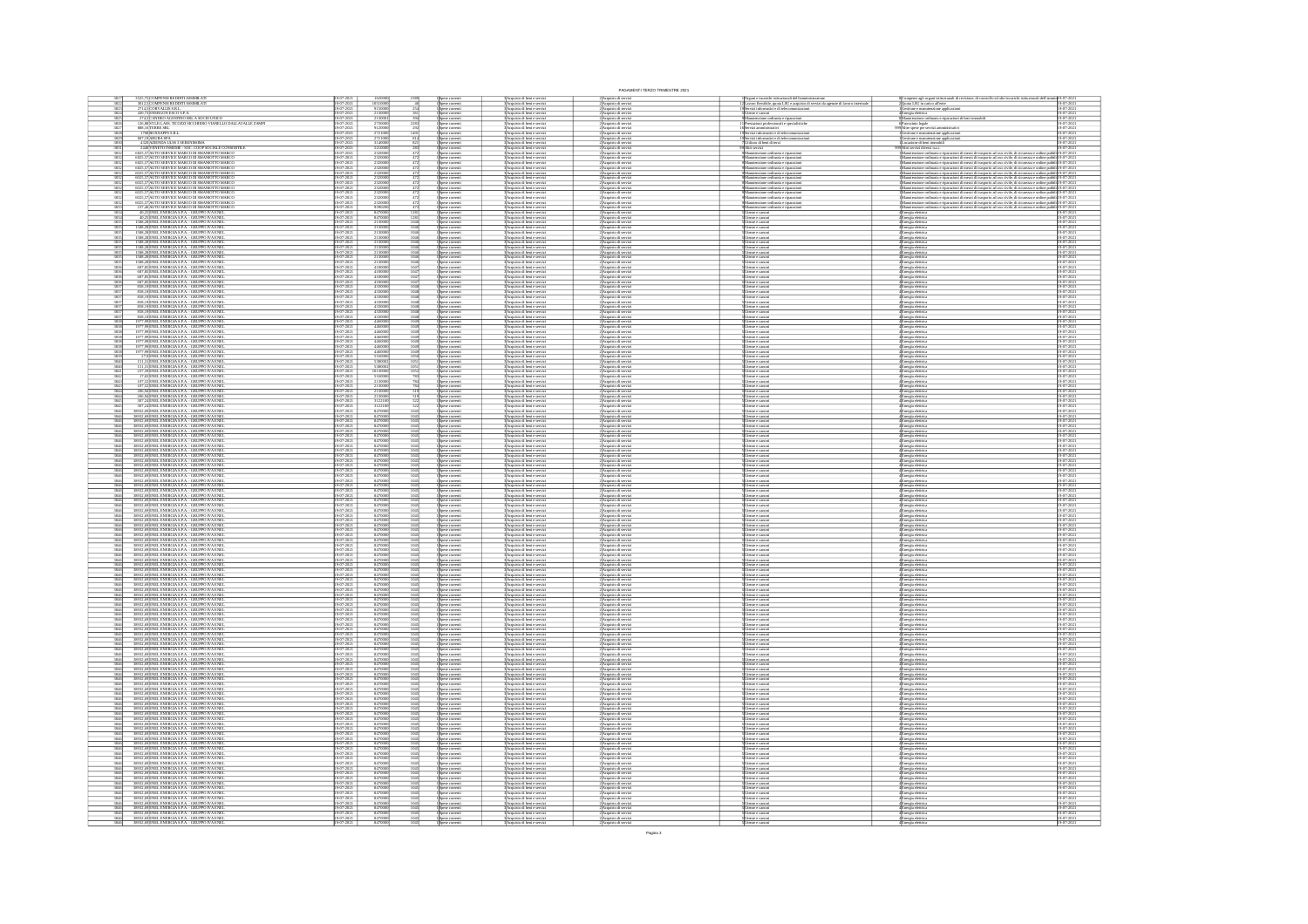|                                                                                          |                                                                                                                                                                                                                                                                                                                                                                                                           |                                                      |                                                                     |                                     |                                                                                        |                                                                                                                                                                                                                            | PAGAMENTI TERZO TRIMESTRE 2021                                                                                                                                                   |                                                                                                                                       |                                                                                                                                                                                                                                     |                                                               |
|------------------------------------------------------------------------------------------|-----------------------------------------------------------------------------------------------------------------------------------------------------------------------------------------------------------------------------------------------------------------------------------------------------------------------------------------------------------------------------------------------------------|------------------------------------------------------|---------------------------------------------------------------------|-------------------------------------|----------------------------------------------------------------------------------------|----------------------------------------------------------------------------------------------------------------------------------------------------------------------------------------------------------------------------|----------------------------------------------------------------------------------------------------------------------------------------------------------------------------------|---------------------------------------------------------------------------------------------------------------------------------------|-------------------------------------------------------------------------------------------------------------------------------------------------------------------------------------------------------------------------------------|---------------------------------------------------------------|
|                                                                                          | 8525,75 COMPENSI REDDITI ASSIMILA<br>3012,5 COMPENSI REDDITI ASSIMILA                                                                                                                                                                                                                                                                                                                                     | 19-07-202                                            | 9150000                                                             |                                     |                                                                                        | Acquisto di beni e serviz<br>Acquisto di beni e serviz<br>.<br>Acquisto di beni e serviz<br>Acquisto di beni e serviz                                                                                                      | 2)Acquisto di serviz<br>2)Acquisto di serviz<br>.<br>2 Acquisto di servi<br>2 Acquisto di servi                                                                                  | legani e incarichi istituzionali dell'amministrazio<br>avvero flessibile, quota LSU e acquisto di servizi<br>zi informatici e di tele | ionali di revisione, di controllo ed altri incarichi isti<br>ompensi agli organi istituz<br>uota LSU in carico all'ems                                                                                                              | $\frac{9-07-20}{9-07-20}$<br>9-07-202<br>9-07-202             |
|                                                                                          | 2714, SCORVALLIS S.R.L.<br>430, 73 ENERGON ESCO S.P.A.<br>274,SCANDEO AGOSTINO SRLA SOCIO UNICO<br>126,88 ST.LEG ASS. TICOZZI SICCHIERO VIANELLO DALLAVALLE ZAMPI                                                                                                                                                                                                                                         | 19-07-2021<br>19-07-2021                             | 213000                                                              |                                     | Spese correnti<br>Spese correnti                                                       | Acquisto di beni e serviz<br>Acquisto di beni e serviz                                                                                                                                                                     | Acquisto di servi<br>Acquisto di servi                                                                                                                                           | tenzione ordinaria e riparazioni<br>utoni professionali e specialistichi                                                              | senta eletric<br>iori di beni im<br>utenzione ordinaria e ripan<br>Scinio legale<br>Com                                                                                                                                             | 9-07-202                                                      |
|                                                                                          | 888,16 TERRE SRL<br>1708 BOXXAPPS S.R.L.                                                                                                                                                                                                                                                                                                                                                                  | 19-07-2021<br>19-07-2021                             | $\frac{912000}{272100}$                                             |                                     | pese correnti<br>pese correnti                                                         | Acquisto di beni e serviz<br>Acquisto di beni e serviz                                                                                                                                                                     | Acquisto di servi<br>Acquisto di servi                                                                                                                                           | ervizi amministrativi<br>ervizi informatici e di t                                                                                    | ltre spese per servi<br>estione e manuten                                                                                                                                                                                           | 9-07-202                                                      |
| 3829<br>3830                                                                             | 607,19 ARUBA SPA<br>4320 AZENDA ULSS 3 SERENISSIMA                                                                                                                                                                                                                                                                                                                                                        | 19-07-202<br>19-07-202                               | 272100<br>314000                                                    |                                     |                                                                                        | 3<br>3 Acquisto di beni e serviz<br>3 Acquisto di beni e serviz                                                                                                                                                            | :<br>Acquisto di servi<br>: Acquisto di servi                                                                                                                                    | Utilizzo di beni di terzi                                                                                                             | Gestione e manutenzione a<br>Locazione di beni immobil                                                                                                                                                                              | 19-07-2021<br>19-07-2021                                      |
| 3831<br>3832                                                                             |                                                                                                                                                                                                                                                                                                                                                                                                           | 19-07-2021<br>19-07-2021                             | 5210001<br>2320001                                                  |                                     | Spine comenti<br>Spine comenti<br>Spine comenti                                        | 3<br>3 Acquisto di beni e servizi<br>3 Acquisto di beni e servizi                                                                                                                                                          | 2 Acquisto di servi<br>2 Acquisto di servi                                                                                                                                       | Altri servizi                                                                                                                         | 1994 - Contra Contra India<br>1994 - Manuferazione ordinario e<br>zioni di mezzi di trasporto ad uso civile, di sicurezza e ordine p<br>ticos ordinaria e ripa                                                                      | 19-07-2021<br>19-07-2021                                      |
|                                                                                          | $\frac{4320 \text{VZENDM LUS 3 SBERNSOM}}{400 \text{FNETTO RSSIDSE } - SOC.\ CODP SOCIALE CONSONTILE} \frac{240 \text{VERFTO SSENCE NAGCO} }{6025,57 \text{MUTO SERVICE MARGCO DISMANOTTO MARGCO} \frac{6025,57 \text{MITO SERVICE MARGCO DISMANOTTO MARGCO} }{6025,57 \text{MUTO SERVICE MARGCO DISMANOTTO MARGCO} \frac{6025,57 \text{MITO SERVICE MARGCO DISMANOTTO MARGCO} }$                         |                                                      | 232000                                                              |                                     | pese corrent                                                                           | 3 Acquisto di beri e servizi<br>3 Acquisto di beri e servizi<br>3 Acquisto di beri e servizi                                                                                                                               | :<br> Acquisto di servi<br> Acquisto di servi<br> Acquisto di servi                                                                                                              | rusione ordinaria e riparazioni<br>rusione ordinaria e riparazioni<br>rusione ordinaria e riparazioni                                 | uzione ordinaria e riparazioni di mezzi di trasporto ad uso civile, di sicurezza e ordine publi<br>uzione ordinaria e riparazioni di mezzi di trasporto ad uso civile, di sicurezza e ordine publ<br>uzione ordinaria e riparazioni | bli 19-07-202<br>bli 19-07-202                                |
|                                                                                          | NUTO SERVICE MARCO DI SMANIOTTO MARC<br>AUTO SERVICE MARCO DI SMANIOTTO MARC                                                                                                                                                                                                                                                                                                                              | $\frac{1.2021}{2.2021}$                              | 23200                                                               |                                     |                                                                                        | Acquisto di beni e serviz<br>Acquisto di beni e serviz                                                                                                                                                                     | <b>Acquisto di serv</b><br>Acquisto di serv                                                                                                                                      | ione ordinaria e riparazio<br>ione ordinaria e riparazio                                                                              | sei di mezzi di trasporto ad uso civile, di sicurezza e ordine pubbli 19-07-202<br>sei di mezzi di trasporto ad uso civile, di sicurezza e ordine pubbli 19-07-202                                                                  |                                                               |
|                                                                                          |                                                                                                                                                                                                                                                                                                                                                                                                           | 19-07-2021<br>19-07-2021                             | 232000                                                              |                                     |                                                                                        | Acquisto di beni e servizi<br>Acquisto di beni e servizi                                                                                                                                                                   | :<br>Acquisto di servia<br>: Acquisto di servia                                                                                                                                  | ruione ordinaria e riparazion<br>ruione ordinaria e riparazion                                                                        | ation contained in parameter in most in tanguarism as the control of the contained parameter in the contained and contained a state of the contained in the contact of the contact of the contact of the contact of the conta       |                                                               |
| $\frac{3832}{3832}$                                                                      | MELLIN POLITICS ANNOUNCEMENT OF SAN ANGLE OF SALES AND CONSIDERATION AND SERVICE MARCO DI SMANIOTTO MARCO CONSIDERATION ANGLE ON SALES ANNOUNCEMENT OF A MANIOR CONSIDERATION AND CONSIDERATION AND A MANAGEMENT OF A MANAGEME                                                                                                                                                                            | 19-07-2021<br>19-07-2021                             | 2320000                                                             |                                     | s<br>Spese correnti<br>Spese correnti                                                  | .<br>Acquisto di beni e servizi<br>Acquisto di beni e servizi                                                                                                                                                              | .<br>2 Acquisto di servi<br>2 Acquisto di servi                                                                                                                                  | zione ordinaria e riparazion<br>zione ordinaria e riparazion                                                                          |                                                                                                                                                                                                                                     |                                                               |
|                                                                                          |                                                                                                                                                                                                                                                                                                                                                                                                           | 19-07-2021<br>19-07-2021                             | 2320001<br>9390201                                                  |                                     | pese corrent                                                                           | .<br>Acquisto di beni e serviz<br>Acquisto di beni e serviz                                                                                                                                                                | 2)<br>Acquisto di servi<br>2) Acquisto di servi                                                                                                                                  |                                                                                                                                       |                                                                                                                                                                                                                                     |                                                               |
|                                                                                          | 40,25 ENEL ENERGIA S.P.A. - GRUPPO IVA ENE<br>40,25 ENEL ENERGIA S.P.A. - GRUPPO IVA ENE<br>1588,28 ENEL ENERGIA S.P.A. - GRUPPO IVA ENE<br>1588,28 ENEL ENERGIA S.P.A. - GRUPPO IVA ENE                                                                                                                                                                                                                  | 19-07-2021<br>19-07-2021<br>19-07-2021<br>19-07-2021 | 84700<br>213000                                                     |                                     | .<br>Spese correnti<br>Spese correnti                                                  | <b>Acquisto di beni e serviz</b><br>Acquisto di beni e serviz                                                                                                                                                              | :<br>Acquisto di serv<br>: Acquisto di serv<br>.<br>2) Acquisto di serviz<br>2) Acquisto di serviz                                                                               | ltenze e canoni<br>ltenze e canoni                                                                                                    | .<br>Energia eletrica<br>Energia eletrica                                                                                                                                                                                           | 19-07-202<br>19-07-202<br>19-07-202<br>19-07-202              |
| 3835                                                                                     | 1588,28 ENEL ENERGIA S.P.A. - GRUPPO IVA ENEL<br>1588,28 ENEL ENERGIA S.P.A. - GRUPPO IVA ENEL                                                                                                                                                                                                                                                                                                            | $\frac{19-07-2021}{10-07}$                           | 2130001                                                             | 1046<br>1046                        | s<br>Spese correeral<br>Spese correeral<br>Spese correeral                             | :<br> Acquisto di beri e servizi<br> Acquisto di beri e servizi<br> Acquisto di beri e servizi<br> Acquisto di beri e servizi                                                                                              | .<br>2)Acquisto di serviz<br>2)Acquisto di serviz                                                                                                                                | Jienze e canoni<br>Jienze e canoni<br>Jienze e canoni<br>Jienze e canoni                                                              | Energia elettrica<br>Energia elettrica<br>Energia elettrica<br>Energia elettrica<br>Energia elettrica<br>Energia elettrica                                                                                                          | 19-07-2021<br>19-07-2021                                      |
|                                                                                          | 1588,28 ENEL ENERGIA S.P.A. - GRUPPO IVA EN<br>1588,28 ENEL ENERGIA S.P.A. - GRUPPO IVA EN                                                                                                                                                                                                                                                                                                                | 19-07-202                                            | 21300                                                               |                                     |                                                                                        | Acquisto di beni e serviz<br>Acquisto di beni e serviz                                                                                                                                                                     | 2)Acquisto di serv<br>2)Acquisto di serv                                                                                                                                         | enze e canoni<br>enze e canoni                                                                                                        |                                                                                                                                                                                                                                     | 19-07-202<br>19-07-202                                        |
|                                                                                          | 1588,28 ENEL ENERGIA S.P.A. - GRUPPO IVA ENI<br>1588,28 ENEL ENERGIA S.P.A. - GRUPPO IVA ENE<br>1588,28 ENEL ENERGIA S.P.A. - GRUPPO IVA ENE                                                                                                                                                                                                                                                              |                                                      | 21300<br>213000                                                     |                                     | Spese correnti<br>pese correnti<br>pese correnti                                       | 3 Acquisto di beri e servizi<br>3 Acquisto di beri e servizi<br>3 Acquisto di beri e servizi                                                                                                                               | 2)Acquisto di serviz<br>2)Acquisto di serviz<br>2)Acquisto di serviz                                                                                                             | tenze e canoni<br>enze e canor<br>enze e canor                                                                                        | <b>:</b><br>Energia eletrica<br>Energia eletrica<br>Energia eletrica                                                                                                                                                                | 19-07-202<br>19-07-202<br>19-07-202                           |
|                                                                                          | 687,85 ENEL ENERGIA S.P.A. - GRUPPO IVA ENE<br>687,85 ENEL ENERGIA S.P.A. - GRUPPO IVA ENE                                                                                                                                                                                                                                                                                                                |                                                      | $\frac{41000}{41000}$                                               |                                     | ipese correnti<br>ipese correnti                                                       | .<br>Acquisto di beni e serviz<br>Acquisto di beni e serviz                                                                                                                                                                | :<br>Acquisto di serv<br>: Acquisto di serv                                                                                                                                      | enze e canoe<br>enze e canoe                                                                                                          | Energia elettric<br>Energia elettric                                                                                                                                                                                                | 19-07-202<br>19-07-202                                        |
|                                                                                          |                                                                                                                                                                                                                                                                                                                                                                                                           | 19-07-202                                            | 410000                                                              |                                     | .<br>Spese correnti                                                                    | 3 Acquisto di beri e servizi<br>3 Acquisto di beri e servizi<br>3 Acquisto di beri e servizi                                                                                                                               | 2)Acquisto di serviz<br>2)Acquisto di serviz<br>2)Acquisto di serviz                                                                                                             | tenze e canoni                                                                                                                        | Energia elettrica<br>Energia elettrica<br>Energia elettrica                                                                                                                                                                         |                                                               |
|                                                                                          | $\begin{array}{c} \textbf{687,85} \textbf{ENFL ENERCIA SPA - GRUPO IVA ENED}\\ \textbf{687,85} \textbf{ENEL ENERGIA SPA - GRUPO IVA ENED}\\ \textbf{858,19} \textbf{ENEL ENERGIA SPA - GRUPO IVA ENED}\\ \textbf{858,19} \textbf{ENEL ENERGIA SPA - GRUPO IVA ENED}\\ \end{array}$                                                                                                                        | 9-07-202<br>$7 - 202$                                | 41000<br>4330                                                       |                                     | pese correnti<br>pese correnti                                                         |                                                                                                                                                                                                                            |                                                                                                                                                                                  | nze e canoni<br>nze e canoni<br>nze e canoe                                                                                           |                                                                                                                                                                                                                                     | 19-07-2021<br>19-07-2021<br>19-07-2021<br>19-07-2021          |
|                                                                                          | 858, 19 ENEL ENERGIA S.P.A. - GRUPPO IVA ENE<br>858, 19 ENEL ENERGIA S.P.A. - GRUPPO IVA ENE                                                                                                                                                                                                                                                                                                              | 19-07-2021<br>19-07-2021                             | 433000                                                              | 1048                                | Spese correnti<br>Spese correnti                                                       | 3 Acquisto di beri e servizi<br>3 Acquisto di beri e servizi<br>3 Acquisto di beri e servizi                                                                                                                               | 2) Acquisto di serviz<br>2) Acquisto di serviz<br>2) Acquisto di serviz                                                                                                          | .<br>Itemae e camoni                                                                                                                  | Energia eletrica<br>Energia eletrica<br>Energia eletrica<br>Energia eletrica<br>Energia eletrica                                                                                                                                    | 19-07-2021<br>19-07-2021                                      |
|                                                                                          | 858, 19 ENEL ENERGIA S.P.A. - GRUPPO IVA ENI<br>858, 19 ENEL ENERGIA S.P.A. - GRUPPO IVA ENI                                                                                                                                                                                                                                                                                                              |                                                      | 43300                                                               |                                     | s<br>Spese correnti<br>Spese correnti                                                  | .<br>Acquisto di beni e serviz<br>Acquisto di beni e serviz                                                                                                                                                                | .<br>2) Acquisto di serv<br>2) Acquisto di serv                                                                                                                                  | enze e canoni<br>enze e canoni                                                                                                        |                                                                                                                                                                                                                                     | 19-07-202<br>19-07-202                                        |
|                                                                                          | 858,19 ENEL ENERGIA S.P.A. - GRUPPO IVA ENE<br><br>1977,99 ENEL ENERGIA S.P.A. - GRUPPO IVA ENE                                                                                                                                                                                                                                                                                                           | 19-07-2021<br>19-07-2021<br>19-07-2021<br>19-07-2021 | 433000<br>44600                                                     | 1049<br>1049                        | Spese correnti<br>Spese correnti<br>Spese correnti<br>Spese correnti                   | 3)<br>Acquisto di beri e servizi<br>3)<br>Acquisto di beri e servizi<br>3)<br>Acquisto di beri e servizi<br>3)<br>Acquisto di beri e servizi                                                                               | 2) Acquisto di serviz<br>2) Acquisto di serviz<br>2)<br>Acquisto di serviz<br>2) Acquisto di serviz                                                                              | Themas e camposi<br>Themas e camposi<br>Themas e camposi<br>Themas e camposi                                                          |                                                                                                                                                                                                                                     | 19-07-2021<br>19-07-2021                                      |
| 3838<br>3838                                                                             | 1977,99 ENEL ENERGIA S.P.A. - GRUPPO IVA ENEL<br>1977,99 ENEL ENERGIA S.P.A. - GRUPPO IVA ENEL<br>1977,99 ENEL ENERGIA S.P.A. - GRUPPO IVA EN<br>1977,99 ENEL ENERGIA S.P.A. - GRUPPO IVA EN                                                                                                                                                                                                              |                                                      | $\frac{4460}{4460}$                                                 |                                     | Spese correnti<br>Spese correnti                                                       | :<br>: Acquisto di beni e serviz<br>: Acquisto di beni e serviz                                                                                                                                                            | 2)Acquisto di serv<br>2)Acquisto di serv                                                                                                                                         | esze e canoni<br>esze e canoni                                                                                                        | Liergia elettrica<br>Energia elettrica<br>Energia elettrica<br>Energia elettrica<br>Energia elettrica<br>Energia elettrica                                                                                                          | 19-07-2021<br>19-07-2021<br>9-07-202<br>9-07-202              |
|                                                                                          | 1977,99 ENEL ENERGIA S.P.A. - GRUPPO IVA ENE<br>1977,99 ENEL ENERGIA S.P.A. - GRUPPO IVA ENE                                                                                                                                                                                                                                                                                                              | $-201$                                               | 446                                                                 |                                     | ipese correnti<br>ipese correnti                                                       |                                                                                                                                                                                                                            |                                                                                                                                                                                  | reze e canoni<br>reze e canos                                                                                                         |                                                                                                                                                                                                                                     |                                                               |
|                                                                                          | 27,9 ENEL ENERGIA S.P.A. - GRUPPO IVA ENI<br>1,31 ENEL ENERGIA S.P.A. - GRUPPO IVA ENI                                                                                                                                                                                                                                                                                                                    |                                                      | $\frac{44600}{516000}$                                              |                                     | Spise correnti<br>Spise correnti<br>Spise correnti<br>Spise correnti                   |                                                                                                                                                                                                                            | $\begin{array}{l} 2\lambda \text{equistro di serviz}\\ 2\lambda \text{equistro di serviz}\\ 2\lambda \text{equistro di serviz}\\ 2\lambda \text{equistro di serviz} \end{array}$ | tempe e canoni<br>tempe e canoni<br>tempe e canoni<br>tempe e canoni                                                                  |                                                                                                                                                                                                                                     | 19-07-202<br>19-07-202<br>19-07-202<br>19-07-202              |
| 3840<br>3841                                                                             | 151,31 ENEL ENERGIA S.P.A. - GRUPPO IVA ENE<br>237,39 ENEL ENERGIA S.P.A. - GRUPPO IVA ENE                                                                                                                                                                                                                                                                                                                | 9-07-202<br>$-20.$                                   | 538000                                                              |                                     |                                                                                        | Soupanto di beri e servizi<br>3 Acquisto di beri e servizi<br>3 Acquisto di beri e servizi<br>3 Acquisto di beri e servizi<br>3 Acquisto di beri e servizi<br>3 Acquisto di beri e servizi<br>3 Acquisto di beri e servizi | 2)Acquisto di servi<br>2)Acquisto di servi                                                                                                                                       |                                                                                                                                       | Energia elettrica<br>Energia elettrica<br>Energia elettrica<br>Energia elettrica<br>Energia elettrica<br>Energia elettrica                                                                                                          | 19-07-202<br>19-07-202                                        |
|                                                                                          | 17,65 ENEL ENERGIA S.P.A. - GRUPPO IVA EN<br>107,52 ENEL ENERGIA S.P.A. - GRUPPO IVA EN<br>107,52 ENEL ENERGIA S.P.A. - GRUPPO IVA ENI                                                                                                                                                                                                                                                                    | $-202$                                               | 516000<br>21300                                                     |                                     | ipese correnti<br>ipese correnti<br>ipese correnti                                     | l'Acquisto di beri e serviz<br>! Acquisto di beri e serviz<br>Acquisto di beri e serviz                                                                                                                                    | 2)Acquisto di servi<br>2)Acquisto di servi<br>2 Acquisto di servi                                                                                                                | esze e canoni<br>esze e canoni                                                                                                        | Inergia elettric<br>Inergia elettric<br>Energia eletrio                                                                                                                                                                             | 9-07-202<br>9-07-202<br>9-07-202                              |
|                                                                                          | 206,94 ENEL ENERGIA S.P.A. - GRUPPO IVA ENI<br>206,94 ENEL ENERGIA S.P.A. - GRUPPO IVA ENI                                                                                                                                                                                                                                                                                                                | 19-07-2021<br>19-07-2021                             | $\frac{21300}{21300}$                                               |                                     | s<br>Spese correnti<br>Spese correnti                                                  | :<br>: Acquisto di beni e servizi<br>: Acquisto di beni e servizi                                                                                                                                                          | .<br>2) Acquisto di serviz<br>2) Acquisto di serviz                                                                                                                              | tenze e canoni<br>tenze e canoni                                                                                                      | .<br>Energia elettrici<br>Energia elettrici                                                                                                                                                                                         | 19-07-202<br>19-07-202                                        |
| 3845                                                                                     | 307,24 ENEL ENERGIA S.P.A. - GRUPPO IVA ENE<br>307,24 ENEL ENERGIA S.P.A. - GRUPPO IVA ENE                                                                                                                                                                                                                                                                                                                | 19-07-2021<br>19-07-2021                             | $\frac{31221}{31221}$                                               |                                     | Spese correnti<br>Spese correnti                                                       | Acquisto di beni e servizi<br>Acquisto di beni e servizi                                                                                                                                                                   | 2)Acquisto di servia<br>2)Acquisto di servia                                                                                                                                     | tenze e canoni<br>tenze e canoni                                                                                                      | Inergia elettrica<br>Inergia elettrica                                                                                                                                                                                              | 9-07-202                                                      |
| $\frac{3846}{3946}$                                                                      | 38932,69 ENEL ENERGIA S.P.A. - GRUPPO IVA ENE<br>38932,69 ENEL ENERGIA S.P.A. - GRUPPO IVA ENE                                                                                                                                                                                                                                                                                                            | 19-07-2021<br>19-07-2021                             | 847000                                                              |                                     | Spese correnti<br>Spese correnti<br>Spese correnti                                     | 3)<br>Acquisto di beri e servizi<br>3)<br>Acquisto di beri e servizi<br>3)<br>Acquisto di beri e servizi<br>3)<br>Acquisto di beri e servizi                                                                               | 2)Acquisto di serviz<br>2)Acquisto di serviz                                                                                                                                     | Jienze e canoni<br>Jienze e canoni<br>Jienze e canoni<br>Jienze e canoni                                                              | <b>:</b><br>Energia eletrica<br>: Energia eletrica<br>:<br>Energia eletrica                                                                                                                                                         | 19-07-2021<br>19-07-2021                                      |
| 3846<br>3846                                                                             | 38932,69 ENEL ENERGIA S.P.A. - GRUPPO IVA ENEL<br>38932,69 ENEL ENERGIA S.P.A. - GRUPPO IVA ENEL                                                                                                                                                                                                                                                                                                          | 19-07-2021<br>19-07-2021<br>19-07-202<br>19-07-202   | 8470000                                                             | 1045<br>1045                        | .<br>pese corrent<br>Spese correnti<br>Spese correnti                                  | :<br>: Acquisto di beni e serviz<br>: Acquisto di beni e serviz                                                                                                                                                            | 2)Acquisto di serviz<br>2)Acquisto di serviz<br>2)Acquisto di servi<br>2)Acquisto di servi                                                                                       | benze e camoni<br>benze e camoni                                                                                                      | Energia elettric<br>Energia elettric                                                                                                                                                                                                | 19-07-2021<br>19-07-2021                                      |
| 3846<br>3846<br>3846<br>3846                                                             | 38932,69 ENEL ENERGIA S.P.A. - GRUPPO IVA EN<br>38932,69 ENEL ENERGIA S.P.A. - GRUPPO IVA EN<br>38932,69 ENEL ENERGIA S.P.A. - GRUPPO IVA ENE<br>38932,69 ENEL ENERGIA S.P.A. - GRUPPO IVA ENE                                                                                                                                                                                                            | 19-07-2021<br>19-07-2021                             | 84700<br>847000                                                     |                                     | ipese correnti<br>ipese correnti                                                       | : Acquisto di beni e servizi<br> Acquisto di beni e servizi                                                                                                                                                                | 2)Acquisto di serviz<br>2)Acquisto di serviz                                                                                                                                     | tenze e canoni<br>tenze e canoni                                                                                                      | Energia elettric<br>Energia elettric                                                                                                                                                                                                | 9-07-202<br>9-07-202<br>9-07-202<br>9-07-202                  |
|                                                                                          | 3846 38932,69 ENEL ENERGIA S.P.A. - GRUPPO IVA ENE<br>3846 38932,69 ENEL ENERGIA S.P.A. - GRUPPO IVA ENE                                                                                                                                                                                                                                                                                                  | 19-07-2021<br>19-07-2021                             | 847000                                                              |                                     |                                                                                        |                                                                                                                                                                                                                            | 2) Acquisto di servia<br>2) Acquisto di servia                                                                                                                                   |                                                                                                                                       |                                                                                                                                                                                                                                     | 19-07-2021<br>19-07-2021                                      |
| 3846<br>3846                                                                             | 38932,69 ENEL ENERGIA S.P.A. - GRUPPO IVA ENE<br>38932,69 ENEL ENERGIA S.P.A. - GRUPPO IVA ENE                                                                                                                                                                                                                                                                                                            | 19-07-2021<br>19-07-2021                             | 847000                                                              | 104                                 | Spese correnti<br>Spese correnti<br>Spese correnti<br>Spese correnti                   | 3)<br>Acquisto di beni e servizi<br>3)<br>Acquisto di beni e servizi<br>3)<br>Acquisto di beni e servizi                                                                                                                   | 2)Acquisto di servia<br>2)Acquisto di servia                                                                                                                                     | Jienze e canoni<br>Jienze e canoni<br>Jienze e canoni<br>Jienze e canoni                                                              | 4 Energia elettrica<br>4 Energia elettrica<br>4 Energia elettrica<br>4 Energia elettrica                                                                                                                                            | 19-07-202<br>19-07-202                                        |
| $\begin{array}{r} 3846 \\ 3846 \\ \hline 3846 \\ \hline 3846 \\ \hline 3846 \end{array}$ | $\begin{array}{c} 389.32, 69 \text{ENEL ENERC}(A \text{ S.P.A.}-\text{GRUPO}\text{~IVA} \text{~RE} \\ 389.32, 69 \text{ENEL ENERC}(A \text{ S.P.A.}-\text{GRUPPO}\text{~IVA} \text{~ER} \\ 389.2, 69 \text{ENEL ENERC}(A \text{ S.P.A.}-\text{GRUPPO}\text{~IVA} \text{~ER} \\ 389.32, 69 \text{ENEL ENERC}(A \text{ S.P.A.}-\text{GRUPPO}\text{~IVA} \text{~ER} \\ 389.32, 69 \text{ENEL ENERC}(A \text$ | $-202$                                               | 84700<br>84700<br>84700                                             |                                     | Spese correnti<br>Spese correnti                                                       | l'Acquisto di beri e servi:<br>l'Acquisto di beri e servi:<br>Acquisto di beri e serviz                                                                                                                                    | 2)Acquisto di servi<br>2)Acquisto di servi<br>2 Acquisto di serv                                                                                                                 | benze e canoni<br>benze e canoni                                                                                                      | Energia elettric<br>Energia elettric                                                                                                                                                                                                | 19-07-202<br>19-07-202<br>19-07-202                           |
|                                                                                          |                                                                                                                                                                                                                                                                                                                                                                                                           | 19-07-202                                            | 84700                                                               |                                     | Spese correnti<br>Spese correnti<br>Spese correnti                                     | 3 Acquisto di beni e servizi<br>3 Acquisto di beni e servizi                                                                                                                                                               | 2 Acquisto di serviz<br>2 Acquisto di serviz                                                                                                                                     | enze e canoni<br>ltenze e canoni<br>ltenze e canoni                                                                                   | Energia elettrica<br>Energia elettrica<br>Energia elettrica                                                                                                                                                                         | 19-07-202<br>19-07-202                                        |
| 3846                                                                                     | 38932,69 ENEL ENERGIA S.P.A. - GRUPPO IVA ENE<br>38932,69 ENEL ENERGIA S.P.A. - GRUPPO IVA ENE                                                                                                                                                                                                                                                                                                            | 19-07-202                                            | 84700                                                               |                                     | ipese correnti<br>ipese correnti                                                       | Acquisto di beni e servizi<br>Acquisto di beni e servizi                                                                                                                                                                   | 2)Acquisto di serviz<br>2)Acquisto di servizi                                                                                                                                    | tenze e canoni<br>tenze e canoni                                                                                                      | Energia elettrica<br>Energia elettrica                                                                                                                                                                                              | 9-07-202                                                      |
| $\frac{3846}{3846}$                                                                      | 38932,69 ENEL ENERGIA S.P.A. - GRUPPO IVA ENE<br>38932,69 ENEL ENERGIA S.P.A. - GRUPPO IVA ENE                                                                                                                                                                                                                                                                                                            | 19-07-2021                                           | 847000                                                              | $\frac{104}{101}$                   | Spese correnti<br>Spese correnti<br>Spese correnti<br>Spese correnti                   | :<br> Acquisto di beni e servizi<br> Acquisto di beni e servizi                                                                                                                                                            | 2)Acquisto di serviz<br>2)Acquisto di serviz                                                                                                                                     | ltenze e canoni<br>ltenze e canoni                                                                                                    | <b>Energia eletrica<br/>Energia eletrica<br/>Energia eletrica<br/>Energia eletrica</b>                                                                                                                                              | 19-07-2021<br>19-07-2021                                      |
| 3846<br>3846                                                                             | 38932,69 ENEL ENERGIA S.P.A. - GRUPPO IVA ENE<br>38932,69 ENEL ENERGIA S.P.A. - GRUPPO IVA ENE                                                                                                                                                                                                                                                                                                            | 19-07-202                                            | 8470001                                                             | 1045<br>1045                        |                                                                                        | 3 Acquisto di beni e servizi<br>3 Acquisto di beni e servizi                                                                                                                                                               | 2) Acquisto di servizi<br>2) Acquisto di servizi                                                                                                                                 | henze e canoni<br>henze e canoni                                                                                                      |                                                                                                                                                                                                                                     | 19-07-2021<br>19-07-2021                                      |
| 3846<br>3846<br>3846                                                                     | 38932,69 ENEL ENERGIA S.P.A. - GRUPPO IVA ENI<br>38932,69 ENEL ENERGIA S.P.A. - GRUPPO IVA ENI<br>38932,69 ENEL ENERGIA S.P.A. - GRUPPO IVA ENE<br>38932,69 ENEL ENERGIA S.P.A. - GRUPPO IVA ENE                                                                                                                                                                                                          | 19-07-202<br>19-07-202<br>19-07-2021                 | 84700<br>847000                                                     | $\frac{104}{104}$                   | ipese correnti<br>ipese correnti<br>Spese correnti<br>Spese correnti                   | 3 Acquisto di beri e servizi<br>3 Acquisto di beri e servizi<br>:<br>: Acquisto di beni e servizi<br>: Acquisto di beni e servizi                                                                                          | 2)Acquisto di serviz<br>2)Acquisto di serviz<br>2)Acquisto di serviz<br>2)Acquisto di serviz                                                                                     | benze e camoni<br>benze e camoni<br>tenze e canoni<br>tenze e canoni                                                                  | Energia eletrica<br>Energia eletrica<br>Energia eletrici<br>Energia eletrici                                                                                                                                                        | 19-07-202<br>19-07-202<br>9-07-202                            |
| 3846<br>3846                                                                             |                                                                                                                                                                                                                                                                                                                                                                                                           | 19-07-2021<br>19-07-2021                             | 847000                                                              | 1045<br>1045                        | Spese correnti<br>Spese correnti                                                       | 3 Acquisto di beni e servizi<br>3 Acquisto di beni e servizi                                                                                                                                                               | 2)Acquisto di serviz<br>2)Acquisto di serviz                                                                                                                                     | tenze e canoni<br>tenze e canoni                                                                                                      | Energia eletrica<br>Energia eletrica                                                                                                                                                                                                | 19-07-2021<br>19-07-2021                                      |
| 3846<br>3846                                                                             | $\begin{array}{c} 38932, 69 \text{ENEL ENERGIA SPA - GRUPO IVA ENE1} \\ 38932, 69 \text{ENEL ENERGIA SPA - GRUPPO IVA ENE1} \\ 38932, 69 \text{ENEL ENERGIA SPA - GRUPPO IVA ENE1} \\ 38932, 69 \text{ENEL ENERGIA SPA - GRUPPO IVA ENE1} \end{array}$                                                                                                                                                    | 19-07-2021<br>19-07-2021                             | 847000                                                              | 1045<br>1045                        | Spese correnti<br>Spese correnti                                                       | 3 Acquisto di beni e servizi<br>3 Acquisto di beni e servizi                                                                                                                                                               | 2)Acquisto di servia<br>2)Acquisto di servia                                                                                                                                     | tenze e canoni<br>tenze e canoni                                                                                                      | (Energia eletrici<br>(Energia eletrici                                                                                                                                                                                              | 19-07-2021<br>19-07-2021                                      |
|                                                                                          | 38932,69 ENEL ENERGIA S.P.A. - GRUPPO IVA ENE<br>38932,69 ENEL ENERGIA S.P.A. - GRUPPO IVA ENE<br>38932,69 ENEL ENERGIA S.P.A. - GRUPPO IVA ENE                                                                                                                                                                                                                                                           |                                                      | 84700<br>84700<br>84700                                             |                                     | ipese correnti<br>ipese correnti                                                       | l Acquisto di beri e serviz<br>! Acquisto di beri e serviz                                                                                                                                                                 | 2)Acquisto di servi<br>2)Acquisto di servi                                                                                                                                       | esze e canoni<br>esze e canoni                                                                                                        | Energia elettric<br>Energia elettric                                                                                                                                                                                                | 19-07-202<br>19-07-202<br>19-07-202                           |
| 3846<br>3846<br>3846<br>3846<br>3846<br>3846                                             | 38932,69 ENEL ENERGIA S.P.A. - GRUPPO IVA EN<br>38932,69 ENEL ENERGIA S.P.A. - GRUPPO IVA EN                                                                                                                                                                                                                                                                                                              | $7 - 201$<br>19-07-202                               | 84700                                                               |                                     | Spese correnti<br>Spese correnti<br>Spese correnti                                     | Acquisto di beri e serviz<br>:<br>: Acquisto di beni e servizi<br>: Acquisto di beni e servizi                                                                                                                             | 2 Acquisto di servi<br>2)Acquisto di servia<br>2)Acquisto di servia                                                                                                              | enze e canoe<br>ltenze e canoni<br>ltenze e canoni                                                                                    | Energia elettric<br>Energia elettric<br>Energia elettric                                                                                                                                                                            | 9-07-202                                                      |
|                                                                                          | 38932,69 ENEL ENERGIA S.P.A. - GRUPPO IVA ENE<br>38932,69 ENEL ENERGIA S.P.A. - GRUPPO IVA ENE                                                                                                                                                                                                                                                                                                            | 19-07-2021<br>19-07-2021                             | 847000                                                              | 1045                                | Spese correnti                                                                         |                                                                                                                                                                                                                            | 2) Acquisto di servizi<br>2) Acquisto di servizi                                                                                                                                 | fenze e canoni                                                                                                                        |                                                                                                                                                                                                                                     | 19-07-2021<br>19-07-2021                                      |
| 3846<br>3846                                                                             | 38932,69 ENEL ENERGIA S.P.A. - GRUPPO IVA ENE<br>38932,69 ENEL ENERGIA S.P.A. - GRUPPO IVA ENE                                                                                                                                                                                                                                                                                                            | 19-07-2021<br>19-07-2021                             | 8470001                                                             | 1045<br>1045                        | Spese correnti<br>Spese correnti<br>Spese correnti<br>Spese correnti<br>Spese correnti | 3)<br>Acquisto di beni e servizi<br>3)<br>Acquisto di beni e servizi<br>3)<br>Acquisto di beni e servizi                                                                                                                   | 2 Acquisto di serviz<br>2 Acquisto di serviz                                                                                                                                     | Utenze e canoni<br>Utenze e canoni<br>Utenze e canoni                                                                                 | Enryja elettrica<br>Enryja elettrica<br>Enryja elettrica<br>Enryja elettrica<br>Enryja elettrica<br>Enryja elettrica                                                                                                                | 19-07-2021<br>19-07-2021                                      |
| 3846<br>3846                                                                             | 38932,69 ENEL ENERGIA S.P.A. - GRUPPO IVA ENE<br>38932,69 ENEL ENERGIA S.P.A. - GRUPPO IVA ENE                                                                                                                                                                                                                                                                                                            | 19-07-2021<br>19-07-2021                             | 8470001                                                             | 1045<br>1045                        |                                                                                        | :<br> Acquisto di beni e servizi<br> Acquisto di beni e servizi                                                                                                                                                            | 2)Acquisto di serviz<br>2)Acquisto di serviz                                                                                                                                     | ltenze e canoni<br>ltenze e canoni                                                                                                    |                                                                                                                                                                                                                                     | 9-07-2021<br>9-07-2021                                        |
| 3846<br>3846<br>$\frac{3846}{3846}$                                                      | 38932,69 ENEL ENERGIA S.P.A. - GRUPPO IVA EN<br>38932,69 ENEL ENERGIA S.P.A. - GRUPPO IVA EN<br>38932,69 ENEL ENERGIA S.P.A. - GRUPPO IVA ENE<br>38932,69 ENEL ENERGIA S.P.A. - GRUPPO IVA ENE                                                                                                                                                                                                            | 19-07-2021<br>19-07-2021<br>19-07-2021<br>19-07-2021 | 84700<br>847000                                                     | $\frac{1045}{1045}$                 | Spese correnti<br>Spese correnti<br>Spese correnti<br>Spese correnti                   | :<br>: Acquisto di beni e servizi<br>: Acquisto di beni e servizi<br>:<br> Acquisto di beni e servizi<br> Acquisto di beni e servizi                                                                                       | 2)Acquisto di serviz<br>2)Acquisto di serviz<br>2) Acquisto di serviz<br>2) Acquisto di serviz                                                                                   | ltenze e canoni<br>ltenze e canoni<br>ltenze e canoni<br>ltenze e canoni                                                              | Energia elettric<br>Energia elettric                                                                                                                                                                                                | 9-07-202<br>9-07-2021                                         |
|                                                                                          |                                                                                                                                                                                                                                                                                                                                                                                                           | 19-07-2021<br>19-07-2021                             |                                                                     | 1045<br>1045                        | Spese correnti<br>Spese correnti                                                       | 3 Acquisto di beni e servizi<br>3 Acquisto di beni e servizi                                                                                                                                                               | 2)Acquisto di servia<br>2)Acquisto di servia                                                                                                                                     | tenze e canoni<br>tenze e canoni                                                                                                      | :<br>Energia eletrica<br>Energia eletrica<br>Energia eletrica<br>Energia eletrica                                                                                                                                                   | 19-07-2021<br>19-07-2021                                      |
| 3846<br>3846<br>3846<br>3846                                                             | 38932,69<br>ENEL ENERGIA S.P.A. - GRUPPO IVA ENE<br>38932,69<br>ENEL ENERGIA S.P.A. - GRUPPO IVA ENE<br>38932,69<br>ENEL ENERGIA S.P.A. - GRUPPO IVA ENE<br>38932,69<br>ENEL ENERGIA S.P.A. - GRUPPO IVA ENE<br>38932,69<br>ENEL ENERGIA S.P.A. - GRUPPO                                                                                                                                                  | 9-07-2021<br>9-07-2021                               | 847000                                                              | 1045<br>1045                        | Spese correnti<br>Spese correnti                                                       | : Acquisto di beni e servizi<br> Acquisto di beni e servizi                                                                                                                                                                | 2)Acquisto di servi<br>2)Acquisto di servi                                                                                                                                       | benze e camoni<br>benze e camoni                                                                                                      | Energia elettric<br>Energia elettric                                                                                                                                                                                                | 9-07-202<br>9-07-202                                          |
| $\begin{array}{r} 3846 \\ 3846 \\ 3846 \end{array}$                                      | 38932,69 ENEL ENERGIA S.P.A. - GRUPPO IVA ENE<br>38932,69 ENEL ENERGIA S.P.A. - GRUPPO IVA ENE                                                                                                                                                                                                                                                                                                            | $-202$                                               | 8470<br>847000                                                      | 1045<br>1045                        | Spese correnti<br>Spese correnti<br>Spese correnti                                     | 3 Acquisto di beni e serviz<br>: Acquisto di beni e servizi<br> Acquisto di beni e servizi                                                                                                                                 | 2) Acquisto di servi<br>2)Acquisto di serviz<br>2)Acquisto di serviz                                                                                                             | tenze e canoni<br>ltenze e canoni<br>ltenze e canoni                                                                                  | 4<br>Energia eletrica<br>4 Energia eletrica<br>4 Energia eletrica                                                                                                                                                                   | 19-07-2021<br>19-07-2021<br>19-07-2021                        |
| 3846<br>3846                                                                             | 38932,69 ENEL ENERGIA S.P.A. - GRUPPO IVA EN<br>38932,69 ENEL ENERGIA S.P.A. - GRUPPO IVA EN                                                                                                                                                                                                                                                                                                              | 19-07-202                                            | 84700                                                               | 1045                                | Spese correnti<br>Spese correnti                                                       | :<br>: Acquisto di beni e servizi<br>: Acquisto di beni e servizi                                                                                                                                                          | 2)Acquisto di servizi<br>2)Acquisto di servizi                                                                                                                                   | ltenze e canoni<br>ltenze e canoni                                                                                                    | Energia elettrica<br>Energia elettrica                                                                                                                                                                                              | 19-07-202<br>19-07-202                                        |
| $\frac{3846}{3946}$                                                                      |                                                                                                                                                                                                                                                                                                                                                                                                           | 19-07-202                                            |                                                                     | 1045                                | Spese correnti<br>Snese correnti                                                       | :<br>3 Acquisto di beni e servizi<br>3 Acquisto di beni e servizi                                                                                                                                                          | 2) Acquisto di serviz<br>2) Acquisto di serviz<br>2) Acquisto di serviz                                                                                                          | fenze e canoni                                                                                                                        |                                                                                                                                                                                                                                     | 19-07-2021<br>19-07-2021                                      |
|                                                                                          | 38132,69 EML ENERGIA S.P.A. - GRUPO IVA ENERGIA<br>38132,69 ENL ENERGIA S.P.A. - GRUPO IVA ENERGIA<br>38132,69 ENL ENERGIA S.P.A. - GRUPO IVA ENERGIA<br>38132,69 ENEL ENERGIA S.P.A. - GRUPO IVA ENERGIA<br>38132,69 ENEL ENERGIA S.P.A.                                                                                                                                                                 |                                                      | $\begin{array}{r} 847000 \\ 847000 \\ 847000 \\ 847000 \end{array}$ |                                     |                                                                                        | Acquisto di beni e serviz                                                                                                                                                                                                  | 2 Acquisto di serv                                                                                                                                                               | sze e canor                                                                                                                           | 4<br>Energia eletrica<br>4 Energia eletrica<br>4 Energia eletrica<br>4 Energia eletrica                                                                                                                                             | 19407-202<br>19407-202<br>19407-202                           |
| $\frac{3846}{3846}$                                                                      |                                                                                                                                                                                                                                                                                                                                                                                                           | 19-07-2021<br>19-07-2021                             | 8470000                                                             | $\frac{1045}{1045}$                 | Spese correnti<br>Spese correnti                                                       | 3 Acquisto di beni e servizi<br>3 Acquisto di beni e servizi                                                                                                                                                               | 2) Acquisto di servizi<br>2) Acquisto di servizi                                                                                                                                 | Jienze e canoni<br>Jienze e canoni                                                                                                    | i <mark>Energia elettrica</mark><br>iEnergia elettrica                                                                                                                                                                              | 19-07-2021<br>19-07-2021                                      |
| 3846<br>3846<br>3846                                                                     | 38932,69 ENEL ENERGIA S.P.A. - GRUPPO IVA ENI<br>38932,69 ENEL ENERGIA S.P.A. - GRUPPO IVA ENI                                                                                                                                                                                                                                                                                                            | 19-07-202                                            | 84700                                                               | 1045<br>1045                        | Spese correnti<br>Spese correnti                                                       | 3<br>3 Acquisto di beri e servizi<br>3 Acquisto di beri e servizi                                                                                                                                                          | 2) Acquisto di servizi<br>2) Acquisto di servizi                                                                                                                                 | ltenze e canoni<br>ltenze e canoni                                                                                                    | i <mark>Energia elettric</mark><br>iEnergia elettric                                                                                                                                                                                | 19-07-202<br>19-07-202                                        |
| 3846<br>3846                                                                             | 38932,69 ENEL ENERGIA S.P.A. - GRUPPO IVA ENE<br>38932,69 ENEL ENERGIA S.P.A. - GRUPPO IVA ENE<br>38932,69 ENEL ENERGIA S.P.A. - GRUPPO IVA ENE<br>38932,69 ENEL ENERGIA S.P.A. - GRUPPO IVA ENE                                                                                                                                                                                                          | 19-07-2021<br>19-07-2021<br>19-07-2021<br>19-07-2021 | 847000<br>84700                                                     | $\frac{1045}{1045}$<br>1045<br>1045 | Spese correnti<br>Spese correnti<br>Spese correnti<br>Spese correnti                   | :<br> Acquisto di beni e servizi<br> Acquisto di beni e servizi<br>:<br>: Acquisto di beni e servizi<br>: Acquisto di beni e servizi                                                                                       | 2) Acquisto di serviz<br>2) Acquisto di serviz<br>2) Acquisto di servia<br>2) Acquisto di servia                                                                                 | ltenze e canoni<br>ltenze e canoni<br>esze e canoni<br>esze e canoni                                                                  | i Energia elettrici<br>i Energia elettrici<br>Energia eletrica<br>Energia eletrica                                                                                                                                                  | 19-07-2021<br>19-07-2021<br>19-07-2021<br>19-07-2021          |
|                                                                                          |                                                                                                                                                                                                                                                                                                                                                                                                           | $19-07-202$                                          |                                                                     |                                     | Spese correnti<br>Spese correnti                                                       | 3 Acquisto di beri e servizi<br>3 Acquisto di beri e servizi                                                                                                                                                               | 2) Acquisto di servia<br>2) Acquisto di servia                                                                                                                                   | benze e canoni<br>benze e canoni                                                                                                      | i Energia elettric<br>i Energia elettric                                                                                                                                                                                            |                                                               |
| 3846<br>3846<br>3846<br>3846<br>3846                                                     | 38932,69<br>ENEL ENERGIA S.P.A. - GRUPPO IVA ENE<br>38932,69<br>ENEL ENERGIA S.P.A. - GRUPPO IVA ENE<br>38932,69<br>ENEL ENERGIA S.P.A. - GRUPPO IVA ENE<br>38932,69<br>ENEL ENERGIA S.P.A. - GRUPPO IVA ENE<br>38932,69<br>ENEL ENERGIA S.P.A. - GRUPPO                                                                                                                                                  |                                                      | 84700<br>84700<br>84700                                             |                                     | ipese correnti                                                                         | Acquisto di beni e serviz                                                                                                                                                                                                  | 2 Acquisto di serviz                                                                                                                                                             | reze e canoni                                                                                                                         | <b>Energia eletrica<br/>Energia eletrica<br/>Energia eletrica</b>                                                                                                                                                                   | 19-07-202<br>19-07-202<br>19-07-202<br>19-07-202<br>19-07-202 |
|                                                                                          |                                                                                                                                                                                                                                                                                                                                                                                                           | 19-07-2021<br>19-07-2021                             | 84700                                                               | 1045<br>1045                        | Spese correnti<br>Spese correnti                                                       | 3 Acquisto di beni e servizi<br>3 Acquisto di beni e servizi                                                                                                                                                               | 2)Acquisto di serviz<br>2)Acquisto di serviz                                                                                                                                     | ltenze e canoni<br>ltenze e canoni                                                                                                    |                                                                                                                                                                                                                                     |                                                               |
|                                                                                          |                                                                                                                                                                                                                                                                                                                                                                                                           |                                                      | 84700<br>84700<br>84700                                             | $\frac{1045}{1045}$                 | Spese correnti<br>Spese correnti<br>Spese correnti                                     | :<br>3 Acquisto di beni e servizi<br>3 Acquisto di beni e servizi                                                                                                                                                          | 2) Acquisto di serviz<br>2) Acquisto di serviz<br>2) Acquisto di serviz                                                                                                          | Jienze e canoni<br>Jienze e canoni<br>Jienze e canoni                                                                                 | <b>:</b><br>«Energia elettrica<br>«Energia elettrica<br>«Energia elettrica                                                                                                                                                          | 19-07-202<br>19-07-202<br>19-07-202<br>19-07-202<br>19-07-202 |
|                                                                                          |                                                                                                                                                                                                                                                                                                                                                                                                           |                                                      | 8470<br>8470<br>8470                                                |                                     | Spese correnti<br>Spese correnti<br>ipese correnti                                     | Acquisto di beni e serviz<br>Acquisto di beni e serviz<br>Acquisto di beni e serviz                                                                                                                                        | :)Acquisto di serv<br>:)Acquisto di serv<br>2 Acquisto di servi                                                                                                                  | tenze e canoni<br>tenze e canoni<br>sze e canor                                                                                       | Energia eletris<br>Energia eletris<br>Energia elettric                                                                                                                                                                              |                                                               |
|                                                                                          |                                                                                                                                                                                                                                                                                                                                                                                                           | 19-07-2021<br>19-07-2021                             | 84700                                                               | $\frac{1045}{1045}$                 | Spese correnti<br>Spese correnti                                                       | 3 Acquisto di beni e servizi<br>3 Acquisto di beni e servizi                                                                                                                                                               | 2) Acquisto di servia<br>2) Acquisto di servia                                                                                                                                   | Jienze e canoni<br>Jienze e canoni                                                                                                    | i Energia elettrici<br>i Energia elettrici                                                                                                                                                                                          | 9-07-202                                                      |
| 3846                                                                                     | 38932,69 ENEL ENERGIA S.P.A. - GRUPPO IVA ENI<br>38932.69 ENEL ENERGIA S.P.A. - GRUPPO IVA ENI                                                                                                                                                                                                                                                                                                            | 19-07-2021<br>19-07-2021                             | 847000                                                              | $\frac{1045}{1045}$                 | Spese correnti<br>Spese correnti                                                       | :<br>: Acquisto di beri e servizi<br>: Acquisto di beri e servizi                                                                                                                                                          | 2)Acquisto di servizi<br>2)Acquisto di servizi                                                                                                                                   | tenze e canoni<br>tenze e canoni                                                                                                      | Energia elettrica<br>Energia elettrica                                                                                                                                                                                              | 9-07-202                                                      |
| $\frac{3846}{3846}$                                                                      | 38932,69 ENEL ENERGIA S.P.A. - GRUPPO IVA ENE<br>38932,69 ENEL ENERGIA S.P.A. - GRUPPO IVA ENE                                                                                                                                                                                                                                                                                                            | 19-07-2021<br>19-07-2021                             | 847000                                                              |                                     | Spese correnti<br>Spese correnti                                                       | :<br>: Acquisto di beri e servizi<br>: Acquisto di beri e servizi                                                                                                                                                          | 2)Acquisto di servizi<br>2)Acquisto di servizi                                                                                                                                   | tenze e canoni                                                                                                                        | Energia elettrica<br>Energia elettrica                                                                                                                                                                                              | 9-07-2021<br>9-07-2021                                        |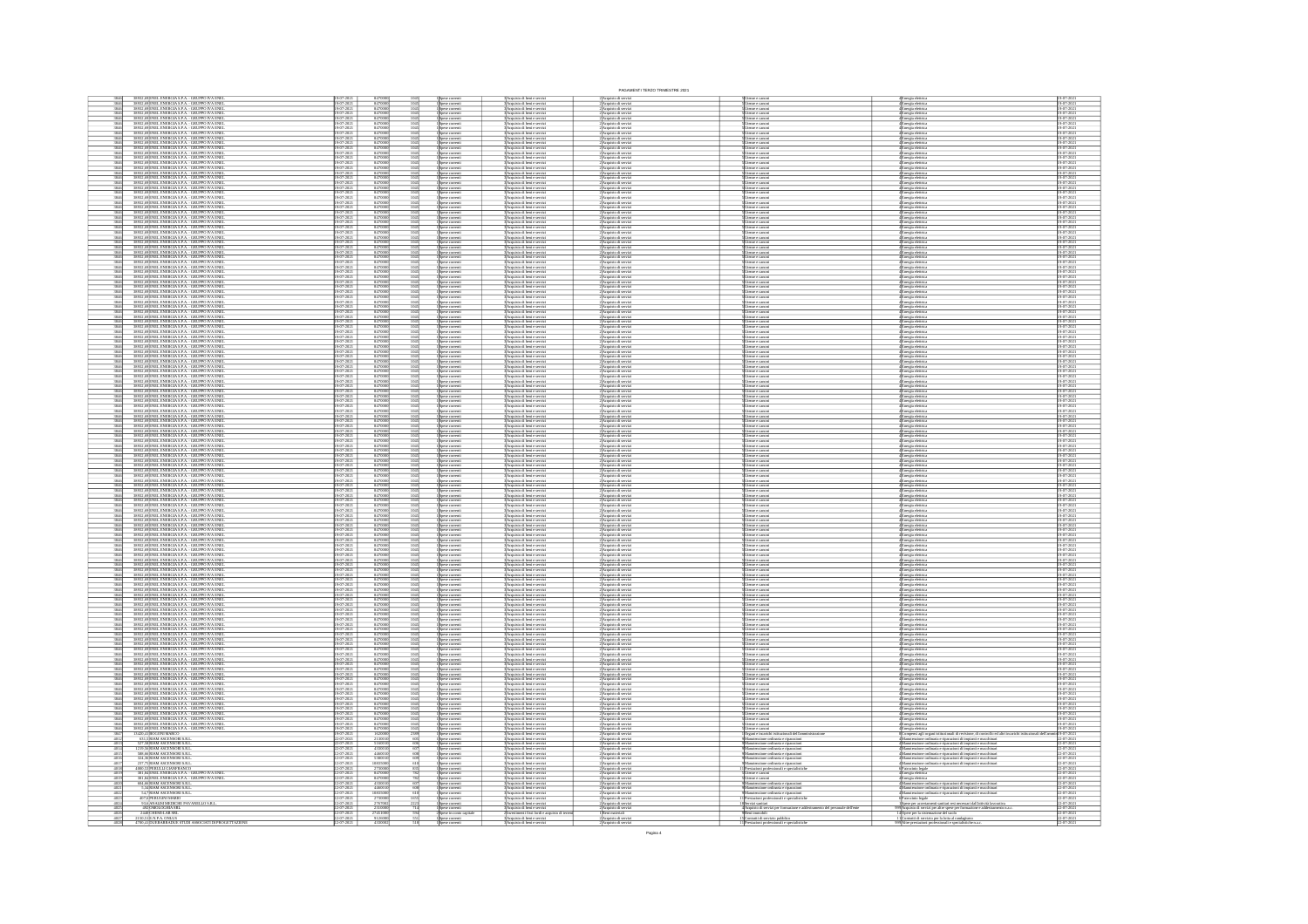|                                                                                                                                                                                                                                                                                                                                                                  |                         |                                                                                          |                                                                                                                                  |                                                                                                                                                                                   | PAGAMENTI TERZO TRIMESTRE 2021                                                                                                                     |                                                                                   |                                                                                                                                                                                                                  |                                                          |
|------------------------------------------------------------------------------------------------------------------------------------------------------------------------------------------------------------------------------------------------------------------------------------------------------------------------------------------------------------------|-------------------------|------------------------------------------------------------------------------------------|----------------------------------------------------------------------------------------------------------------------------------|-----------------------------------------------------------------------------------------------------------------------------------------------------------------------------------|----------------------------------------------------------------------------------------------------------------------------------------------------|-----------------------------------------------------------------------------------|------------------------------------------------------------------------------------------------------------------------------------------------------------------------------------------------------------------|----------------------------------------------------------|
| 38932,69 ENEL ENERGIA S.P.A. - GRUPPO IVA ENE<br>38932,69 ENEL ENERGIA S.P.A. - GRUPPO IVA ENE                                                                                                                                                                                                                                                                   |                         | 84700                                                                                    |                                                                                                                                  | Acquisto di beni e servi<br>Acquisto di beni e servi                                                                                                                              | : Acquisto di servi:<br>: Acquisto di servi:                                                                                                       |                                                                                   | 4 Energia eletrica<br>4 Energia eletrica<br>4 Energia eletrica<br>4 Energia eletrica                                                                                                                             |                                                          |
| 3846<br>3846<br>38932,69 ENEL ENERGIA S.P.A. - GRUPPO IVA ENEL<br>38932,69 ENEL ENERGIA S.P.A. - GRUPPO IVA ENEL                                                                                                                                                                                                                                                 |                         | 847000                                                                                   | Spese corrent.<br>Spese corrent<br>1045<br>1045                                                                                  | Acquisto di beni e serviz<br>Acquisto di beni e serviz                                                                                                                            | :<br>Acquisto di servia<br>: Acquisto di servia                                                                                                    | enze e canoni<br>enze e canoni                                                    |                                                                                                                                                                                                                  | 19-07-2021<br>19-07-2021                                 |
| 38932,69 ENEL ENERGIA S.P.A. - GRUPPO IVA ENEL<br>38932,69 ENEL ENERGIA S.P.A. - GRUPPO IVA ENEL                                                                                                                                                                                                                                                                 |                         | 847000                                                                                   | 1045<br>1045<br>Spese corrent<br>Spese corrent                                                                                   | Acquisto di beni e serviz<br>Acquisto di beni e serviz                                                                                                                            | Acquisto di servizi<br>Acquisto di servizi                                                                                                         | enze e canoni<br>enze e canoni                                                    | Energia elettrici<br>Energia elettrici                                                                                                                                                                           | 19-07-2021<br>19-07-2021                                 |
| 38932,69 ENEL ENERGIA S.P.A. - GRUPPO IVA ENEL<br>38932,69 ENEL ENERGIA S.P.A. - GRUPPO IVA ENEL                                                                                                                                                                                                                                                                 |                         | 847000                                                                                   | $\frac{1045}{1045}$<br>.<br>Spese corrent<br>Snese corrent                                                                       | Acquisto di beni e serviz<br>Acquisto di beni e serviz                                                                                                                            | :<br>:Acquisto di servia<br>:Acquisto di servia                                                                                                    | enze e canoe<br>enze e canoe                                                      |                                                                                                                                                                                                                  | 19-07-2021<br>19-07-2021                                 |
| 38932,69 ENEL ENERGIA S.P.A. - GRUPPO IVA ENEL<br>38932,69 ENEL ENERGIA S.P.A. - GRUPPO IVA ENEL                                                                                                                                                                                                                                                                 | $-2021$                 | 847000                                                                                   | Spese correnti<br>Spese correnti<br>Spese correnti<br>Spese correnti<br>1045<br>1045                                             | :<br>:Acquisto di beni e serviz<br>:Acquisto di beni e serviz                                                                                                                     | 2)<br>2) Acquisto di serviz<br>2) Acquisto di serviz<br>2) Acquisto di serviz                                                                      | enze e canor<br>enze e canor<br>enze e canor                                      | 4 Energia eletrica<br>4 Energia eletrica<br>4 Energia eletrica<br>4 Energia eletrica<br>4 Energia eletrica<br>4 Energia eletrica                                                                                 | 19-07-2021<br>19-07-2021                                 |
| 38932,69 ENEL ENERGIA S.P.A. - GRUPPO IVA ENEL<br>38932,69 ENEL ENERGIA S.P.A. - GRUPPO IVA ENEL<br>38932<br><b>SPENEL ENERGIA S.P.A. - GRUPPO IVA ENE</b>                                                                                                                                                                                                       |                         | 8470001                                                                                  | $\frac{1045}{1045}$<br>.<br>pese corrent<br>1045                                                                                 | :<br>:Acquisto di beni e serviz<br>:Acquisto di beni e serviz                                                                                                                     |                                                                                                                                                    | tenze e canoe<br>reze e canoe                                                     |                                                                                                                                                                                                                  | 19-07-2021<br>19-07-2021                                 |
| 38932<br>ENEL ENERGIA S.P.A. - GRUPPO IVA ENEI<br>ENEL ENERGIA S.P.A. - GRUPPO IVA ENEI                                                                                                                                                                                                                                                                          |                         | 847000<br>847000<br>847000                                                               | 1045<br>1045                                                                                                                     | :<br> Acquisto di beri e serviz<br>! Acquisto di beri e serviz<br>! Acquisto di beri e serviz                                                                                     | 2)<br>Acquisto di serviz<br>2) Acquisto di serviz<br>2) Acquisto di serviz                                                                         | mze e canoe<br>mze e canoe                                                        | 4<br>Energia eletrica<br>4 Energia eletrica<br>4 Energia eletrica                                                                                                                                                | 19-07-2021<br>19-07-2021<br>19-07-2021                   |
| ,69 ENEL ENERGIA S.P.A. - GRUPPO IVA ENE<br>,69 ENEL ENERGIA S.P.A. - GRUPPO IVA ENE                                                                                                                                                                                                                                                                             |                         | 84700                                                                                    | Spese corrent<br>Spese corrent                                                                                                   | .<br>Acquisto di beni e serviz<br>Acquisto di beni e serviz                                                                                                                       | .<br>Acquisto di servia<br>Acquisto di servia                                                                                                      | nze e canor<br>nze e canor                                                        | .<br>Inergia elettric<br>Inergia elettric                                                                                                                                                                        | 19-07-2021<br>19-07-2021                                 |
| 38932,69 ENEL ENERGIA S.P.A. - GRUPPO IVA ENEL<br>38932,69 ENEL ENERGIA S.P.A. - GRUPPO IVA ENEL                                                                                                                                                                                                                                                                 |                         | 847000                                                                                   | 1045<br>1045<br>.<br>Spese correnti<br>Spese correnti                                                                            | Acquisto di beni e serviz<br>Acquisto di beni e serviz                                                                                                                            | 2<br>Acquisto di servizi<br>2 Acquisto di servizi<br>2 Acquisto di servizi                                                                         | enze e canoni<br>enze e canoni                                                    | 4<br>Energia elettrica<br>4 Energia elettrica<br>4 Energia elettrica<br>4 Energia elettrica<br>4 Energia elettrica<br>4 Energia elettrica                                                                        | 19-07-2021<br>19-07-2021                                 |
| 38932,69 ENEL ENERGIA S.P.A. - GRUPPO IVA ENEL<br>38932,69 ENEL ENERGIA S.P.A. - GRUPPO IVA ENEL                                                                                                                                                                                                                                                                 | $-202$                  | 8470001                                                                                  | $\frac{1045}{1045}$<br>Spese correnti<br>Spese correnti                                                                          | Acquisto di beni e serviz<br>Acquisto di beni e serviz                                                                                                                            |                                                                                                                                                    | enze e canoni<br>enze e canoni                                                    |                                                                                                                                                                                                                  | 19-07-2021<br>19-07-2021                                 |
| 38932,69 ENEL ENERGIA S.P.A. - GRUPPO IVA ENEL<br>38932,69 ENEL ENERGIA S.P.A. - GRUPPO IVA ENEL                                                                                                                                                                                                                                                                 |                         | 847000                                                                                   | Spese correnti<br>Spese correnti<br>$\frac{1045}{1045}$                                                                          | Acquisto di beni e serviz<br>Acquisto di beni e serviz                                                                                                                            | :<br>Acquisto di serviz<br>: Acquisto di serviz                                                                                                    | imbe e cambri<br>Imbe e cambri                                                    |                                                                                                                                                                                                                  | 19-07-2021<br>19-07-2021                                 |
| NEL ENERGIA S.P.A. - GRUPPO IVA ENE<br>NEL ENERGIA S.P.A. - GRUPPO IVA ENE                                                                                                                                                                                                                                                                                       |                         | 84700                                                                                    | Spese corrent<br>Spese corrent                                                                                                   | Acquisto di beni e serviz<br>Acquisto di beni e serviz                                                                                                                            | Acquisto di servi<br>Acquisto di servi                                                                                                             | enze e canoe<br>enze e canoe                                                      | .<br>Energia elettric<br>Energia elettric                                                                                                                                                                        | 19-07-2021<br>19-07-2021                                 |
| 38932,69 ENEL ENERGIA S.P.A. - GRUPPO IVA ENEL<br>38932,69 ENEL ENERGIA S.P.A. - GRUPPO IVA ENEL                                                                                                                                                                                                                                                                 |                         | 84700                                                                                    | 1045<br>Spase correnti<br>Spase correnti<br>Spase correnti<br>Spase correnti<br>Spase correnti                                   | Acquisto di beni e serviz<br>Acquisto di beni e serviz                                                                                                                            | ://wapassorde.secvizi<br>2.Acquisto.di servizi<br>2.Acquisto.di servizi<br>2.Acquisto.di servizi<br>2.Acquisto.di servizi<br>2.Acquisto.di servizi | enze e canoni<br>enze e canoni                                                    | e<br>Linergia elettrica<br>Energia elettrica<br>Energia elettrica<br>Energia elettrica<br>Energia elettrica<br>Energia elettrica                                                                                 | 19-07-2021<br>19-07-2021                                 |
| 38932,69 ENEL ENERGIA S.P.A. - GRUPPO IVA ENEL<br>38932,69 ENEL ENERGIA S.P.A. - GRUPPO IVA ENEL                                                                                                                                                                                                                                                                 |                         | $\begin{array}{r} 847000 \\ 847000 \\ 847000 \\ 847000 \\ \hline \end{array}$            | 1045<br>1045                                                                                                                     | :<br> Acquisto di beni e serviz<br> Acquisto di beni e serviz                                                                                                                     |                                                                                                                                                    | esse e canoni<br>esse e canoni<br>esse e canoni<br>esse e canoni                  |                                                                                                                                                                                                                  | 19-07-2021<br>19-07-2021                                 |
| 38932<br>38932<br>ENEL ENERGIA S.P.A. - GRUPPO IVA ENE<br>ENEL ENERGIA S.P.A. - GRUPPO IVA ENE<br>ENEL ENERGIA S.P.A. - GRUPPO IVA ENE<br>38932                                                                                                                                                                                                                  |                         |                                                                                          | 1045<br>1045<br>Spese corrent                                                                                                    | Acquisto di beni e serviz<br>Acquisto di beni e serviz                                                                                                                            |                                                                                                                                                    |                                                                                   |                                                                                                                                                                                                                  | 19-07-202<br>19-07-202                                   |
| 3893<br>ENEL ENERGIA S.P.A. - GRUPPO IVA ENEI<br>ENEL ENERGIA S.P.A. - GRUPPO IVA ENEI                                                                                                                                                                                                                                                                           |                         | 84700<br>84700<br>84700                                                                  | 1045<br>1045                                                                                                                     | :<br>: Acquisto di beni e serviz<br>: Acquisto di beni e serviz<br>: Acquisto di beni e serviz                                                                                    | 2) Acquisto di servia<br>2) Acquisto di servia<br>2) Acquisto di servia                                                                            | enze e canoni<br>enze e canoni<br>enze e canoni                                   | Energia elettrica<br>Energia elettrica<br>Energia elettrica                                                                                                                                                      | 19-07-2021<br>19-07-2021<br>19-07-2021                   |
| 38932,69 ENEL ENERGIA S.P.A. - GRUPPO IVA ENE<br>38932,69 ENEL ENERGIA S.P.A. - GRUPPO IVA ENE                                                                                                                                                                                                                                                                   |                         | 84700                                                                                    | 1045<br>1045<br>Spese corrent<br>Spese corrent                                                                                   | Acquisto di beri e serviz<br>Acquisto di beri e serviz                                                                                                                            | Acquisto di servia<br>Acquisto di servia                                                                                                           | enze e canoe<br>enze e canoe                                                      | Energia elettrici<br>Energia elettrici                                                                                                                                                                           | 19-07-2021<br>19-07-2021                                 |
| 38932, 69<br>ENEL ENERGIA S.P.A. - GRUPPO IVA ENEL<br>38932, 69<br>ENEL ENERGIA S.P.A. - GRUPPO IVA ENEL<br>38932, 69<br>ENEL ENERGIA S.P.A. - GRUPPO IVA ENEL                                                                                                                                                                                                   |                         | 847000<br>847000<br>847000                                                               | 1045<br>1045<br>1045<br>Spese corrent                                                                                            | :<br> Acquisto di beri e serviz<br> Acquisto di beri e serviz<br> Acquisto di beri e serviz                                                                                       | 2)<br>Acquisto di serviz<br>2)Acquisto di serviz<br>2)Acquisto di serviz                                                                           | iteme e canoni<br>Iteme e canoni<br>Iteme e canoni                                | Energia elettrica<br>Energia elettrica                                                                                                                                                                           | 19-07-2021<br>19-07-2021<br>19-07-2021                   |
| 38932,69 ENEL ENERGIA S.P.A. - GRUPPO IVA ENE                                                                                                                                                                                                                                                                                                                    |                         | 8470                                                                                     | зрање соглуги.<br>Spase correnti                                                                                                 |                                                                                                                                                                                   |                                                                                                                                                    |                                                                                   | inergia elettrica<br>Inergia elettrica                                                                                                                                                                           | 9-07-202                                                 |
| 38932,69 ENEL ENERGIA S.P.A. - GRUPPO IVA ENEL<br>38932,69 ENEL ENERGIA S.P.A. - GRUPPO IVA ENEL                                                                                                                                                                                                                                                                 |                         | 847000                                                                                   | Spese correnti<br>I Spese correnti<br>I Spese correnti<br>$\frac{1045}{1045}$                                                    | :<br>BAcquisto di beri e serviz<br>BAcquisto di beri e serviz<br>BAcquisto di beri e serviz                                                                                       | 2)<br>Acquisto di serviz<br>2)<br>Acquisto di serviz                                                                                               | tenze e canoni<br>tenze e canoni<br>tenze e canoni                                | 4<br>Energia eletrica<br>4<br>Energia eletrica                                                                                                                                                                   | 19-07-2021<br>19-07-2021                                 |
| 38932,69 ENEL ENERGIA S.P.A. - GRUPPO IVA ENE<br>38932,69 ENEL ENERGIA S.P.A. - GRUPPO IVA ENE                                                                                                                                                                                                                                                                   |                         | 847000                                                                                   | Spese correnti<br>Spese correnti<br>1045<br>1045                                                                                 | Acquisto di beni e serviz<br>Acquisto di beni e serviz                                                                                                                            | :<br>: Acquisto di servia<br>: Acquisto di servia                                                                                                  | enze e canoni<br>enze e canoni                                                    | :<br>Enryja eletrica<br>Enryja eletrica                                                                                                                                                                          | 19-07-2021<br>19-07-2021                                 |
| 38932,69 ENEL ENERGIA S.P.A. - GRUPPO IVA ENEL<br>38932,69 ENEL ENERGIA S.P.A. - GRUPPO IVA ENEL                                                                                                                                                                                                                                                                 |                         | 847000                                                                                   | $\frac{1045}{1045}$<br>Spese comenti<br>Spese comenti<br>Spese comenti<br>Spese comenti                                          | Acquisto di beni e serviz<br>Acquisto di beni e serviz                                                                                                                            |                                                                                                                                                    | enze e canoni<br>enze e canoni                                                    |                                                                                                                                                                                                                  | 19-07-2021<br>19-07-2021                                 |
| 38932,69 ENEL ENERGIA S.P.A. - GRUPPO IVA ENEL<br>38932,69 ENEL ENERGIA S.P.A. - GRUPPO IVA ENEL                                                                                                                                                                                                                                                                 |                         | 847000<br>847000                                                                         | 1045<br>1045                                                                                                                     | : Acquisto di beni e serviz<br>: Acquisto di beni e serviz                                                                                                                        | 2 Acquisto di servizi<br>2 Acquisto di servizi<br>2 Acquisto di servizi<br>2 Acquisto di servizi                                                   | reze e canoni<br>reze e canoni                                                    | $\begin{array}{c} \textbf{4} \textbf{Enrgia eletrica} \\ \textbf{Enrgia eletrica} \\ \textbf{Enrgia eletrica} \\ \textbf{Enrgia eletrica} \\ \textbf{Energia eletrica} \end{array}$                              | 19-07-2021<br>19-07-2021                                 |
| 38932,69 ENEL ENERGIA S.P.A. - GRUPPO IVA ENE<br>38932,69 ENEL ENERGIA S.P.A. - GRUPPO IVA ENE                                                                                                                                                                                                                                                                   |                         | 847000                                                                                   | Spese correnti<br>Spese correnti<br>1045<br>1045<br>1045                                                                         | :<br>: Acquisto di beri e serviz<br>: Acquisto di beri e serviz                                                                                                                   | : Acquisto di serviz<br>! Acquisto di serviz                                                                                                       | esze e canoni<br>esze e canoni                                                    | (Energia eletrica<br>(Energia eletrica                                                                                                                                                                           | 19-07-2021<br>19-07-2021                                 |
| <b>SENEL ENERGIA S.P.A. - GRUPPO IVA ENEL<br/>SENEL ENERGIA S.P.A. - GRUPPO IVA ENEL<br/>SENEL ENERGIA S.P.A. - GRUPPO IVA ENEL<br/>SENEL ENERGIA S.P.A. - GRUPPO IVA ENEL</b><br>3893.<br>3893.<br>3893.                                                                                                                                                        |                         | 847000<br>847000<br>847000<br>847000                                                     | Spise correnti<br>Spise correnti<br>Spise correnti<br>Spise correnti<br>Spise correnti<br>Spise correnti<br>1045<br>1045<br>1045 | :<br>Acquisto di beni e servizi<br>: Acquisto di beni e servizi<br>: Acquisto di beni e servizi<br>: Acquisto di beni e servizi                                                   | 2)<br>Acquisto di servizi<br>2)<br>Acquisto di servizi<br>2)<br>Acquisto di servizi<br>2)<br>Acquisto di servizi<br>2)<br>Acquisto di servizi      | ence e cinoni<br>ence e cinoni<br>ence e cinoni<br>ence e cinoni<br>ence e cinoni | 4<br>Energia eletrica<br>4 Energia eletrica<br>4 Energia eletrica<br>4 Energia eletrica<br>4 Energia eletrica<br>4 Energia eletrica                                                                              | 19-07-2021<br>19-07-2021<br>19-07-2021<br>19-07-2021     |
|                                                                                                                                                                                                                                                                                                                                                                  |                         |                                                                                          |                                                                                                                                  |                                                                                                                                                                                   |                                                                                                                                                    |                                                                                   |                                                                                                                                                                                                                  |                                                          |
| 38932,69 ENEL ENERGIA S.P.A. - GRUPPO IVA ENEL<br>38932,69 ENEL ENERGIA S.P.A. - GRUPPO IVA ENEL                                                                                                                                                                                                                                                                 |                         | 847000                                                                                   | 1045<br>1045                                                                                                                     | : Acquisto di beni e serviz<br> Acquisto di beni e serviz                                                                                                                         |                                                                                                                                                    |                                                                                   |                                                                                                                                                                                                                  | 19-07-2021<br>19-07-2021                                 |
| ENEL ENERGIA S.P.A. - GRUPPO IVA ENEL<br>ENEL ENERGIA S.P.A. - GRUPPO IVA ENEL<br>ENEL ENERGIA S.P.A. - GRUPPO IVA ENEL<br>38932<br>38932                                                                                                                                                                                                                        |                         | $\begin{array}{r} 84700 \\ 84700 \\ 84700 \\ 84700 \\ \hline 84700 \\ 84700 \end{array}$ | 1045<br>1045<br>1045<br>Spese correnti<br>Spese correnti                                                                         | Acquisto di beni e serviz<br>Acquisto di beni e serviz<br>Acquisto di beni e servi                                                                                                | : Acquisto di servi<br>: Acquisto di servi                                                                                                         | enze e canoni<br>enze e canoni                                                    | Inergia elettrica<br>Inergia elettrica                                                                                                                                                                           | 19-07-2021<br>19-07-2021<br>19-07-2021                   |
| 38932,69 ENEL ENERGIA S.P.A. - GRUPPO IVA ENE<br>38932,69 ENEL ENERGIA S.P.A. - GRUPPO IVA ENE                                                                                                                                                                                                                                                                   |                         |                                                                                          | Spese correnti<br>Spese correnti<br>Spese correnti                                                                               | Acquisto di beni e serviz<br>Acquisto di beni e serviz                                                                                                                            | .<br>2) Acquisto di serviz<br>2) Acquisto di serviz                                                                                                | enze e cimoni<br>enze e cimoni<br>enze e cimoni                                   | Energia eletrica<br>Energia eletrica<br>Energia eletrica                                                                                                                                                         | 19-07-202<br>19-07-202                                   |
| 38932,69 ENEL ENERGIA S.P.A. - GRUPPO IVA ENEI<br>38932,69 ENEL ENERGIA S.P.A. - GRUPPO IVA ENEI                                                                                                                                                                                                                                                                 |                         | 84700                                                                                    | Spese correnti<br>Spese correnti                                                                                                 | Acquisto di beni e servizi<br>Acquisto di beni e servizi                                                                                                                          | Acquisto di serviz<br>Acquisto di serviz                                                                                                           | enze e canoni<br>enze e canoni                                                    | Energia elettrica<br>Energia elettrica                                                                                                                                                                           | 19-07-2021<br>19-07-2021                                 |
| 38932,69 ENEL ENERGIA S.P.A. - GRUPPO IVA ENEI<br>38932,69 ENEL ENERGIA S.P.A. - GRUPPO IVA ENEI                                                                                                                                                                                                                                                                 |                         | 847000                                                                                   | 1045<br>Spese correnti<br>Spese correnti<br>Spese correnti<br>Spese correnti                                                     | 3 Acquisto di beni e servizi<br>3 Acquisto di beni e servizi<br>3 Acquisto di beni e servizi<br>3 Acquisto di beni e servizi                                                      | 2) Acquisto di servizi<br>2) Acquisto di servizi<br>2) Acquisto di servizi<br>2) Acquisto di servizi                                               | tenze e canoni<br>tenze e canoni<br>tenze e canoni<br>tenze e canoni              | 4 Energia elettrica<br>4 Energia elettrica<br>4 Energia elettrica<br>4 Energia elettrica                                                                                                                         | 19-07-2021<br>19-07-2021                                 |
| 38932,69 ENEL ENERGIA S.P.A. - GRUPPO IVA ENEL<br>38932,69 ENEL ENERGIA S.P.A. - GRUPPO IVA ENEL                                                                                                                                                                                                                                                                 |                         | 847000<br>847000                                                                         | 1045<br>1045                                                                                                                     |                                                                                                                                                                                   |                                                                                                                                                    |                                                                                   |                                                                                                                                                                                                                  | 19-07-2021<br>19-07-2021                                 |
| 38932,69 ENEL ENERGIA S.P.A. - GRUPPO IVA ENE<br>38932,69 ENEL ENERGIA S.P.A. - GRUPPO IVA ENE                                                                                                                                                                                                                                                                   |                         | 84700                                                                                    | Spese correnti<br>Spese correnti                                                                                                 | Acquisto di beni e serviz<br>Acquisto di beni e serviz                                                                                                                            | : Acquisto di servi<br>! Acquisto di servi                                                                                                         | enze e canoni<br>enze e canoni                                                    | Energia elettrici<br>Energia elettrici                                                                                                                                                                           | 19-07-2021<br>19-07-2021                                 |
| 38932,69 ENEL ENERGIA S.P.A. - GRUPPO IVA ENEL<br>38932,69 ENEL ENERGIA S.P.A. - GRUPPO IVA ENEL                                                                                                                                                                                                                                                                 |                         | 84700                                                                                    | 1045<br>Spese correnti<br>Spese correnti                                                                                         | Acquisto di beni e servizi<br>Acquisto di beni e servizi                                                                                                                          | Acquisto di serviz<br>Acquisto di serviz                                                                                                           | enze e canoni<br>enze e canoni                                                    | <b>Energia eletrica<br/>Energia eletrica<br/>Energia eletrica<br/>Energia eletrica</b>                                                                                                                           | 19-07-2021<br>19-07-2021                                 |
| 3846<br>3846<br>3846<br>3846<br>3846<br>3846<br>38932,69 ENEL ENERGIA S.P.A. - GRUPPO IVA ENE<br><br>38932,69 ENEL ENERGIA S.P.A. - GRUPPO IVA ENE                                                                                                                                                                                                               |                         | 847000                                                                                   | Spese correnti<br>Spese correnti<br>$\frac{1045}{1045}$                                                                          | : Acquisto di beni e serviz<br>: Acquisto di beni e serviz                                                                                                                        | Acquisto di servia<br>Acquisto di servia                                                                                                           | enze e canoni<br>enze e canoni                                                    |                                                                                                                                                                                                                  | 19-07-2021<br>19-07-2021                                 |
| 38932,69 ENEL ENERGIA S.P.A. - GRUPPO IVA ENEL<br>38932,69 ENEL ENERGIA S.P.A. - GRUPPO IVA ENEL                                                                                                                                                                                                                                                                 |                         | 847000<br>847000                                                                         | 1045<br>1045<br>Spese correnti<br>Spese correnti                                                                                 | : Acquisto di beni e servizi<br> Acquisto di beni e servizi                                                                                                                       | 2 Acquisto di serviz<br>2 Acquisto di serviz<br>: Acquisto di serviz<br>! Acquisto di serviz                                                       | reze e cimoni<br>reze e cimoni                                                    | i<br>Energia eletrica<br>Energia eletrica                                                                                                                                                                        | 19-07-2021<br>19-07-2021                                 |
| ENEL ENERGIA S.P.A. - GRUPPO IVA ENE<br>ENEL ENERGIA S.P.A. - GRUPPO IVA ENE<br>9 ENEL ENERGIA S.P.A. - GRUPPO IVA ENE                                                                                                                                                                                                                                           |                         | 84700<br>8470                                                                            | pese correnti<br>pese correnti<br>1045<br>Spese corrent                                                                          | Acquisto di beri e serviz<br>Acquisto di beri e serviz<br>Acquisto di beni e serviz                                                                                               | Acquisto di serviz                                                                                                                                 | mze e canoni<br>mze e canoni<br>enze e canoe                                      | Inergia elettrica<br>Inergia elettrica                                                                                                                                                                           | 19-07-2021<br>19-07-2021<br>19-07-2021                   |
| 38932,69 ENEL ENERGIA S.P.A. - GRUPPO IVA ENE<br>38932,69 ENEL ENERGIA S.P.A. - GRUPPO IVA ENE                                                                                                                                                                                                                                                                   |                         | 84700                                                                                    | Spese correnti<br>Spese correnti<br>1045<br>1045                                                                                 | Acquisto di beni e servizi<br>Acquisto di beni e servizi                                                                                                                          | :<br>:Acquisto di serviz<br>:Acquisto di serviz                                                                                                    | enze e canoni<br>enze e canoni                                                    | Energia eletrica<br>Energia eletrica                                                                                                                                                                             | 19-07-2021<br>19-07-2021                                 |
| 3846<br>3846<br>3846<br>3846<br>3846<br>3846<br>3846<br>3846<br>38932,69 ENEL ENERGIA S.P.A. - GRUPPO IVA ENEI<br>38932,69 ENEL ENERGIA S.P.A. - GRUPPO IVA ENEI                                                                                                                                                                                                 |                         | 847000                                                                                   | 1045<br>1045<br>Spese correnti<br>Spese correnti                                                                                 | Acquisto di beni e servizi<br>Acquisto di beni e servizi                                                                                                                          | Acquisto di serviz<br>Acquisto di serviz                                                                                                           | enze e canoni<br>enze e canoni                                                    | Energia elettrica<br>Energia elettrica                                                                                                                                                                           | 19-07-2021<br>19-07-2021                                 |
| 38932,69 ENEL ENERGIA S.P.A. - GRUPPO IVA ENEL<br>38932,69 ENEL ENERGIA S.P.A. - GRUPPO IVA ENEL                                                                                                                                                                                                                                                                 | $7 - 202$               | 847000                                                                                   | 1045<br>Spese correnti                                                                                                           | 3<br>Acquisto di beni e servizi<br>3 Acquisto di beni e servizi<br>3 Acquisto di beni e servizi                                                                                   | 2)<br>Acquisto di servizi<br>2)<br>Acquisto di servizi<br>2)<br>Acquisto di servizi                                                                | tenze e canoni<br>esse e canoni<br>esse e canoni                                  | 4 Energia elettrica<br>4 Energia elettrica<br>4 Energia elettrica<br>4 Energia elettrica                                                                                                                         | 19-07-2021<br>19-07-2021                                 |
| 38932,69 ENEL ENERGIA S.P.A. - GRUPPO IVA ENEL<br>38932,69 ENEL ENERGIA S.P.A. - GRUPPO IVA ENEL                                                                                                                                                                                                                                                                 |                         | 847000                                                                                   | Spese correnti<br>Spese correnti<br>Spese correnti<br>$\frac{1045}{1045}$                                                        |                                                                                                                                                                                   |                                                                                                                                                    |                                                                                   |                                                                                                                                                                                                                  | 19-07-2021<br>19-07-2021                                 |
| 38932,69 ENEL ENERGIA S.P.A. - GRUPPO IVA ENE<br>38932,69 ENEL ENERGIA S.P.A. - GRUPPO IVA ENE                                                                                                                                                                                                                                                                   |                         | 847000                                                                                   | Spese correnti<br>Spese correnti<br>1045<br>1045                                                                                 | Acquisto di beni e serviz<br>Acquisto di beni e serviz                                                                                                                            | : Acquisto di serviz<br>! Acquisto di serviz                                                                                                       | enze e canoni<br>enze e canoni                                                    | Energia elettrica<br>Energia elettrica                                                                                                                                                                           | 19-07-2021<br>19-07-2021                                 |
| 38932,69 ENEL ENERGIA S.P.A. - GRUPPO IVA ENEL<br>38932,69 ENEL ENERGIA S.P.A. - GRUPPO IVA ENEL                                                                                                                                                                                                                                                                 |                         | 847000                                                                                   | 1045<br>Spese correnti<br>Spese correnti                                                                                         | :<br> Acquisto di beni e servizi<br> Acquisto di beni e servizi                                                                                                                   | Acquisto di serviz<br>Acquisto di serviz                                                                                                           | enze e canoni<br>enze e canoni                                                    | Energia elettrici<br>Energia elettrici                                                                                                                                                                           | 19-07-2021<br>19-07-2021                                 |
| 38932,69 ENEL ENERGIA S.P.A. - GRUPPO IVA ENEL<br>38932,69 ENEL ENERGIA S.P.A. - GRUPPO IVA ENEL                                                                                                                                                                                                                                                                 |                         | 847000                                                                                   | $\frac{1045}{1045}$<br>Spese correnti<br>Spese correnti                                                                          | : Acquisto di beni e servizi<br> Acquisto di beni e servizi                                                                                                                       | 2)Acquisto di serviz<br>2)Acquisto di serviz                                                                                                       | esse e canoni<br>esse e canoni                                                    | 4 Energia eletrica<br>4 Energia eletrica<br>4 Energia eletrica<br>4 Energia eletrica                                                                                                                             | 19-07-2021<br>19-07-2021                                 |
| 38932,69 ENEL ENERGIA S.P.A. - GRUPPO IVA ENEL<br>38932,69 ENEL ENERGIA S.P.A. - GRUPPO IVA ENEL                                                                                                                                                                                                                                                                 |                         | 847000                                                                                   | 1045<br>1045<br>Spese correnti<br>Spese correnti<br>Spese corrent<br>Spese corrent                                               | : Acquisto di beni e serviz<br> Acquisto di beni e serviz<br>Acquisto di beni e serviz<br>Acquisto di beni e serviz                                                               | 2)Acquisto di serviz<br>2)Acquisto di serviz<br>: Acquisto di serviz<br>! Acquisto di serviz                                                       | enze e canoni<br>enze e canoni<br>esze e canoni<br>esze e canoni                  |                                                                                                                                                                                                                  | 19-07-2021<br>19-07-2021                                 |
| $\frac{38932,69}{38932,69} \texttt{ENELENERGIA S.P.A. - GRUPPO IVA ENENET} \cdot \frac{38932,69}{38932,69} \texttt{ENELENERGIA S.P.A. - GRUPPO IVA ENENET}$                                                                                                                                                                                                      |                         | 847000<br>847000<br>847000                                                               | Spese corrent                                                                                                                    | Acquisto di beri e serviz                                                                                                                                                         | Acquisto di serviz                                                                                                                                 | reze e canor                                                                      | Energia elettrici<br>Energia elettrici<br>nergia elettrici                                                                                                                                                       | 19-07-2021<br>19-07-2021<br>19-07-2021                   |
| 38932,69 ENEL ENERGIA S.P.A. - GRUPPO IVA ENE<br>38932,69 ENEL ENERGIA S.P.A. - GRUPPO IVA ENE                                                                                                                                                                                                                                                                   |                         | 84700                                                                                    | Spese correnti<br>Spese correnti<br>1045<br>1045                                                                                 | :<br>: Acquisto di beni e servizi<br>: Acquisto di beni e servizi                                                                                                                 | 2)Acquisto di serviz<br>2)Acquisto di serviz                                                                                                       | benze e canoni<br>benze e canoni                                                  | :<br>Energia eletrica<br>Energia eletrica                                                                                                                                                                        | 19-07-2021<br>19-07-2021                                 |
| 38932,69 ENEL ENERGIA S.P.A. - GRUPPO IVA ENEI<br>38932,69 ENEL ENERGIA S.P.A. - GRUPPO IVA ENEI                                                                                                                                                                                                                                                                 |                         | 847000                                                                                   | 1045<br>Spase correnti                                                                                                           | :<br> Acquisto di beni e servizi<br> Acquisto di beni e servizi                                                                                                                   | 2)<br>Acquisto di servizi<br>2)<br>Acquisto di servizi<br>2)<br>Acquisto di servizi                                                                | tenze e canoni<br>tenze e canoni                                                  | s<br>Energia elettrica<br>«Energia elettrica<br>«Energia elettrica<br>«Energia elettrica<br>«Energia elettrica<br>«Energia elettrica                                                                             | 19-07-2021<br>19-07-2021                                 |
| 38932,69 ENEL ENERGIA S.P.A. - GRUPPO IVA ENEL<br>38932,69 ENEL ENERGIA S.P.A. - GRUPPO IVA ENEL                                                                                                                                                                                                                                                                 |                         | 847000                                                                                   | Spese correnti<br>Spese correnti<br>Spese correnti<br>1045<br>1045                                                               | :<br> Acquisto di beni e servizi<br> Acquisto di beni e servizi                                                                                                                   |                                                                                                                                                    | tenze e canoni<br>tenze e canoni                                                  |                                                                                                                                                                                                                  | 19-07-2021<br>19-07-2021                                 |
| 38932,69 ENEL ENERGIA S.P.A. - GRUPPO IVA ENEL<br>38932,69 ENEL ENERGIA S.P.A. - GRUPPO IVA ENEL                                                                                                                                                                                                                                                                 |                         | 847000<br>847000                                                                         | $\frac{1045}{1045}$<br>Spese correnti<br>Spese correnti                                                                          | l'Acquisto di beni e servizi<br>l'Acquisto di beni e servizi                                                                                                                      | 2)Acquisto di servizi<br>2)Acquisto di servizi                                                                                                     | tenze e canoni<br>tenze e canoni                                                  |                                                                                                                                                                                                                  | 19-07-2021<br>19-07-2021                                 |
| 38932,69 ENEL ENERGIA S.P.A. - GRUPPO IVA ENE<br>38932,69 ENEL ENERGIA S.P.A. - GRUPPO IVA ENE                                                                                                                                                                                                                                                                   |                         | 84700                                                                                    | Spese correnti<br>Spese correnti<br>1045<br>1045                                                                                 | :<br>: Acquisto di beni e servizi<br>: Acquisto di beni e servizi                                                                                                                 | 2)Acquisto di serviz<br>2)Acquisto di serviz                                                                                                       | benze e camoni<br>benze e camoni                                                  | i<br>Energia eletrica<br>Energia eletrica                                                                                                                                                                        | 19-07-2021<br>19-07-2021                                 |
| 38932,69 ENEL ENERGIA S.P.A. - GRUPPO IVA ENE<br>38932,69 ENEL ENERGIA S.P.A. - GRUPPO IVA ENE                                                                                                                                                                                                                                                                   |                         | 84700<br>847000                                                                          | $\frac{1045}{1045}$<br>.<br>Spese correnti<br>Spese correnti<br>1045<br>1045<br>Spese correnti<br>Spese correnti                 | :<br> Acquisto di beni e servizi<br> Acquisto di beni e servizi                                                                                                                   | 2)Acquisto di serviz<br>2)Acquisto di serviz                                                                                                       | enze e canoni<br>enze e canoni                                                    | 4 Energia eletrica<br>4 Energia eletrica<br>4 Energia eletrica<br>4 Energia eletrica                                                                                                                             | 19-07-2021<br>19-07-2021                                 |
|                                                                                                                                                                                                                                                                                                                                                                  |                         | 847000                                                                                   | 1045<br>1045<br>Spese correnti<br>Spese correnti                                                                                 | : Acquisto di beni e serviz<br> Acquisto di beni e serviz<br>: Acquisto di beni e serviz<br> Acquisto di beni e serviz                                                            | 2)Acquisto di serviz<br>2)Acquisto di serviz<br>2)Acquisto di serviz<br>2)Acquisto di serviz                                                       | esse e canoni<br>esse e canoni<br>esse e canoni<br>esse e canoni                  | i Energia eletrica<br>i Energia eletrica                                                                                                                                                                         | 19-07-2021<br>19-07-2021<br>19-07-2021<br>19-07-2021     |
| 38932,69 ENEL ENERGIA S.P.A. - GRUPPO IVA ENEL<br>38932,69 ENEL ENERGIA S.P.A. - GRUPPO IVA ENEL<br>38932,69 ENEL ENERGIA S.P.A. - GRUPPO IVA ENEL<br>38932,69 ENEL ENERGIA S.P.A. - GRUPPO IVA ENEL<br>38932,69 ENEL ENERGIA S.P.A. - GRU                                                                                                                       |                         | 8470                                                                                     |                                                                                                                                  | Acquisto di beri e serviz                                                                                                                                                         |                                                                                                                                                    | esse e canoni<br>esse e canoni                                                    |                                                                                                                                                                                                                  |                                                          |
| 38932,69 ENEL ENERGIA S.P.A. - GRUPPO IVA ENEL<br>38932,69 ENEL ENERGIA S.P.A. - GRUPPO IVA ENEL                                                                                                                                                                                                                                                                 |                         | 847000                                                                                   | Spese comenti<br>I Spese comenti<br>I Spese comenti<br>$\frac{1045}{1045}$                                                       | :<br>: Acquisto di beni e servizi<br>: Acquisto di beni e servizi                                                                                                                 | 2) Acquisto di serviz<br>2) Acquisto di serviz<br>2) Acquisto di serviz                                                                            |                                                                                   | i<br>Energia eletrica<br>Energia eletrica<br>Energia eletrica                                                                                                                                                    | 19-07-2021<br>19-07-2021<br>19-07-2021                   |
| 38932,69 ENEL ENERGIA S.P.A. - GRUPPO IVA ENE<br>38932,69 ENEL ENERGIA S.P.A. - GRUPPO IVA ENE                                                                                                                                                                                                                                                                   |                         | 847000                                                                                   | 1045<br>1045<br>Spese correnti<br>Spese correnti                                                                                 | :<br>: Acquisto di beni e servizi<br>: Acquisto di beni e servizi                                                                                                                 | 2)Acquisto di serviz<br>2)Acquisto di serviz                                                                                                       | tenze e canoni<br>tenze e canoni                                                  | Energia elettrica<br>Energia elettrica                                                                                                                                                                           | 19-07-2021<br>19-07-2021                                 |
| 38932,69<br>ENEL ENEL ENERGIA S.P.A. - GRUPPO IVA ENEL<br>38932,69<br>ENEL ENERGIA S.P.A. - GRUPPO IVA ENEL<br>38932,69<br>ENEL ENERGIA S.P.A. - GRUPPO IVA ENEL                                                                                                                                                                                                 | $7 - 201$               | $\begin{array}{r} 847000 \\ 847000 \\ 847000 \\ 847000 \end{array}$                      | 1045<br>Spese correnti                                                                                                           | :<br>:}Acquisto di beni e servizi<br>:}Acquisto di beni e servizi<br>:?Acquisto di beni e servizi                                                                                 | 2 Acquisto di servizi<br>2 Acquisto di servizi<br>2 Acquisto di servizi                                                                            | fenze e canoni                                                                    | Energia eletric                                                                                                                                                                                                  | 19-07-2021<br>19-07-2021<br>19-07-2021<br>19-07-2021     |
|                                                                                                                                                                                                                                                                                                                                                                  |                         |                                                                                          |                                                                                                                                  | Acquisto di beri e serviz                                                                                                                                                         | Acquisto di servi                                                                                                                                  | sze e canor                                                                       | 4 Energia elettrica<br>4 Energia elettrica<br>4 Energia elettrica<br>4 Energia elettrica<br>4 Energia elettrica                                                                                                  |                                                          |
| 38932,69 ENEL ENERGIA S.P.A. - GRUPPO IVA ENEL<br>38932,69 ENEL ENERGIA S.P.A. - GRUPPO IVA ENEL                                                                                                                                                                                                                                                                 |                         | 847000                                                                                   | 1045<br>1045<br>Spese correnti<br>Spese correnti                                                                                 | :<br>: Acquisto di beni e servizi<br>: Acquisto di beni e servizi                                                                                                                 | 2) Acquisto di serviz<br>2) Acquisto di serviz                                                                                                     | tenze e canoni<br>tenze e canoni                                                  |                                                                                                                                                                                                                  | 19-07-2021<br>19-07-2021                                 |
| 38932,69 ENEL ENERGIA S.P.A. - GRUPPO IVA ENE<br>38932,69 ENEL ENERGIA S.P.A. - GRUPPO IVA ENE                                                                                                                                                                                                                                                                   |                         | 847000<br>847000                                                                         | 1045<br>Spese correnti<br>Spese correnti<br>$\frac{1045}{1045}$                                                                  | :<br>: Acquisto di beni e servizi<br>: Acquisto di beni e servizi                                                                                                                 | 2)Acquisto di serviz<br>2)Acquisto di serviz                                                                                                       | ltenze e canoni<br>ltenze e canoni<br>tenze e canoni                              | i<br>Energia eletrica<br>Energia eletrica<br>Energia elettrica<br>Energia elettrica                                                                                                                              | 9-07-2021<br>9-07-2021<br>$-07 - 2021$                   |
| 38932,69 ENEL ENERGIA S.P.A. - GRUPPO IVA ENEI<br>38932,69 ENEL ENERGIA S.P.A. - GRUPPO IVA ENEI<br>13420,41 BOGONI MARCO<br>631,5 RIAM ASCENSORI S.R.L.                                                                                                                                                                                                         |                         | 162000<br>213001                                                                         | Spese correnti<br>Spese correnti<br>$\frac{2389}{605}$<br>Spese correnti<br>Spese correnti                                       | :<br> Acquisto di beni e servizi<br> Acquisto di beni e servizi<br>:<br>: Acquisto di beni e servizi<br>: Acquisto di beni e servizi                                              | 2)Acquisto di serviz<br>2)Acquisto di serviz<br>2 Acquisto di serviz<br>2 Acquisto di serviz                                                       | nali dell'am<br>Organi e incarichi                                                | .<br>Compresi agli organi istituzionali di revisione, di controllo ed altri incarichi istituzionali dell'an<br>Manatenzione ordinaria e riparazioni di impianti e macchinari                                     | -07-2021<br>-07-2021                                     |
|                                                                                                                                                                                                                                                                                                                                                                  |                         | 516001<br>433001                                                                         | Spese corrent<br>Soese corrent                                                                                                   | :<br>: Acquisto di beni e serviz<br>: Acquisto di beni e serviz                                                                                                                   | :<br>: Acquisto di servia<br>: Acquisto di servia                                                                                                  | stenzione ordinaria e riparazioni<br>stenzione ordinaria e rinarazioni            | Matutenzione ordinaria e riparazioni di impianti e macchinar<br>Matutenzione ordinaria e riparazioni di impianti e macchinar                                                                                     |                                                          |
| 4013<br>4014<br>4015<br>97, SORIAM ASCENSORI S.R.I.<br>527, SORIAM ASCENSORI S.R.I.<br>528, 66 RIAM ASCENSORI S.R.I.<br>588, 66 RIAM ASCENSORI S.R.I.<br>237, 75 RIAM ASCENSORI S.R.I.                                                                                                                                                                           |                         |                                                                                          | Spese corrent                                                                                                                    | Acquisto di beni e servizi                                                                                                                                                        | Acquisto di servizi                                                                                                                                | tenzione ordinaria e riparazioni                                                  | tenzione ordinaria e riparazioni di impianti e macchinar                                                                                                                                                         | 17-2021<br>17-2021<br>17-2021<br>17-2021<br>7-2021       |
| 4016<br>4017                                                                                                                                                                                                                                                                                                                                                     |                         | $\frac{\frac{446001}{538001}}{108350}$                                                   | Spese correnti<br>Spese correnti                                                                                                 | : Acquisto di beni e servizi<br>: Acquisto di beni e servizi                                                                                                                      | Acquisto di serviz<br>Acquisto di servizi                                                                                                          | tenzione ordinaria e riparazioni<br>tenzione ordinaria e riparazioni              | utenzione ordinaria e riparazioni di impianti e macchinari<br>utenzione ordinaria e riparazioni di impianti e macchinari                                                                                         |                                                          |
|                                                                                                                                                                                                                                                                                                                                                                  |                         | 27300<br>84700                                                                           | Spese correnti                                                                                                                   | :<br>3 Acquisto di beni e servizi<br>3 Acquisto di beni e servizi<br>3 Acquisto di beni e servizi                                                                                 | .<br>2 Acquisto di servizi<br>2 Acquisto di servizi<br>2 Acquisto di servizi                                                                       | stazioni professionali e specialistich<br>enze e canoni<br>canoni<br>canoni       | 6<br>Patrocinio legale<br>4 Energia elettrica<br>4 Energia elettrica                                                                                                                                             |                                                          |
| $\begin{array}{r} 4018 \\ 4019 \\ 4019 \\ 4020 \\ \hline 4021 \\ \hline 4021 \\ \hline 4022 \\ \hline \end{array}$<br>4001; SPIRMALIC GANS RANCO<br>300, SSPERULLI GANS RANCO<br>381, SePENEL ENERGIA S.P.A. - GRUPPO IVA ENE<br>531, SePENEL ENERGIA S.P.A. - GRUPPO IVA ENE<br>64.7 (SERMA ASCENSORI S.R.L.<br>54.7 (RIAM ASCENSORI S.R.L.<br>54.7 (RIAM ASCEN |                         | 43300<br>44600<br>108350                                                                 | Spine corrent<br>Some corrent                                                                                                    | Acquisto di beni e serviz<br>Acquisto di beni e serviz                                                                                                                            | Acquisto di servi<br>Acquisto di servi                                                                                                             | anutenzione ordinaria e riparazioni<br>anutenzione ordinaria e rinarazioni        | tenzione ordinaria e riparazioni di impianti e macchina:<br>tenzione codinaria e rinarazioni di impianti e macchina:                                                                                             | -07-2021<br>-07-2021<br>-07-2021<br>-07-2021<br>-07-2021 |
|                                                                                                                                                                                                                                                                                                                                                                  |                         |                                                                                          | Spese correnti                                                                                                                   | Acquisto di beni e serviz                                                                                                                                                         | Acquisto di serviz                                                                                                                                 | eusione ordinaria e riparazion<br>Prestazioni professionali e specialistich       | one ordinaria e riparazioni di impianti e macchinari<br>Patrocirio legale                                                                                                                                        |                                                          |
| 407, SPERUGINI MARIO<br>93, SANALISI MEDICHE PAVANELLO S.R.L.<br>$\frac{4023}{4024}$<br>492 OMOLOGHIA SRL<br>2440 CHEMI-LAB SRL                                                                                                                                                                                                                                  | $\frac{2021}{222021}$   | $\frac{27300}{27670}$<br>231000                                                          |                                                                                                                                  | :<br>: Acquisto di beni e servizi<br>: Acquisto di beni e servizi<br>-Acquisto di beri e servizi<br> Acquisto di beri e servizi<br><sup> </sup> Googlessifissi lordi e acquisto ( | 2)Acquisto di serviz<br>2)Acquisto di serviz<br>Acquisto di servizi<br>Regimento di                                                                | cquisto di servizi per formazione e addestramento del personale dell'ente         | menti sanitari resi necessari dall'attività lavorativa<br>xse per acı                                                                                                                                            | $\frac{07-2021}{07-2021}$<br>$-07 - 2021$                |
| $\begin{array}{r} 4025 \\ \hline 4026 \\ \hline 4027 \\ \hline 4023 \end{array}$<br>2150,51 E.N.P.A. ONLUS<br>4700,41 DUEBARRADUE STUDI ASSOCIATI DI PROGETTAZIONE                                                                                                                                                                                               | $\frac{7.2021}{7.2021}$ | 912600                                                                                   | Spese correnti<br>Spese in como capitalı<br>Spese correnti                                                                       | :<br>: Acquisto di beni e servizi<br>: Acquisto di beni e servizi                                                                                                                 | :<br>:Acquisto di serviz<br>:Acquisto di serviz                                                                                                    | etratti di servizio pubblico<br>estazioni professionali e sp                      | )]Acquisto di servizi per altre spese per formazione e addestramento n.a.c<br>  Opere per la sistemazione del suolo<br>atti di servizio per la lotta al randagismo<br>prestazioni professionali e specialistiche | $-07 - 2021$                                             |
|                                                                                                                                                                                                                                                                                                                                                                  |                         |                                                                                          |                                                                                                                                  |                                                                                                                                                                                   |                                                                                                                                                    |                                                                                   |                                                                                                                                                                                                                  |                                                          |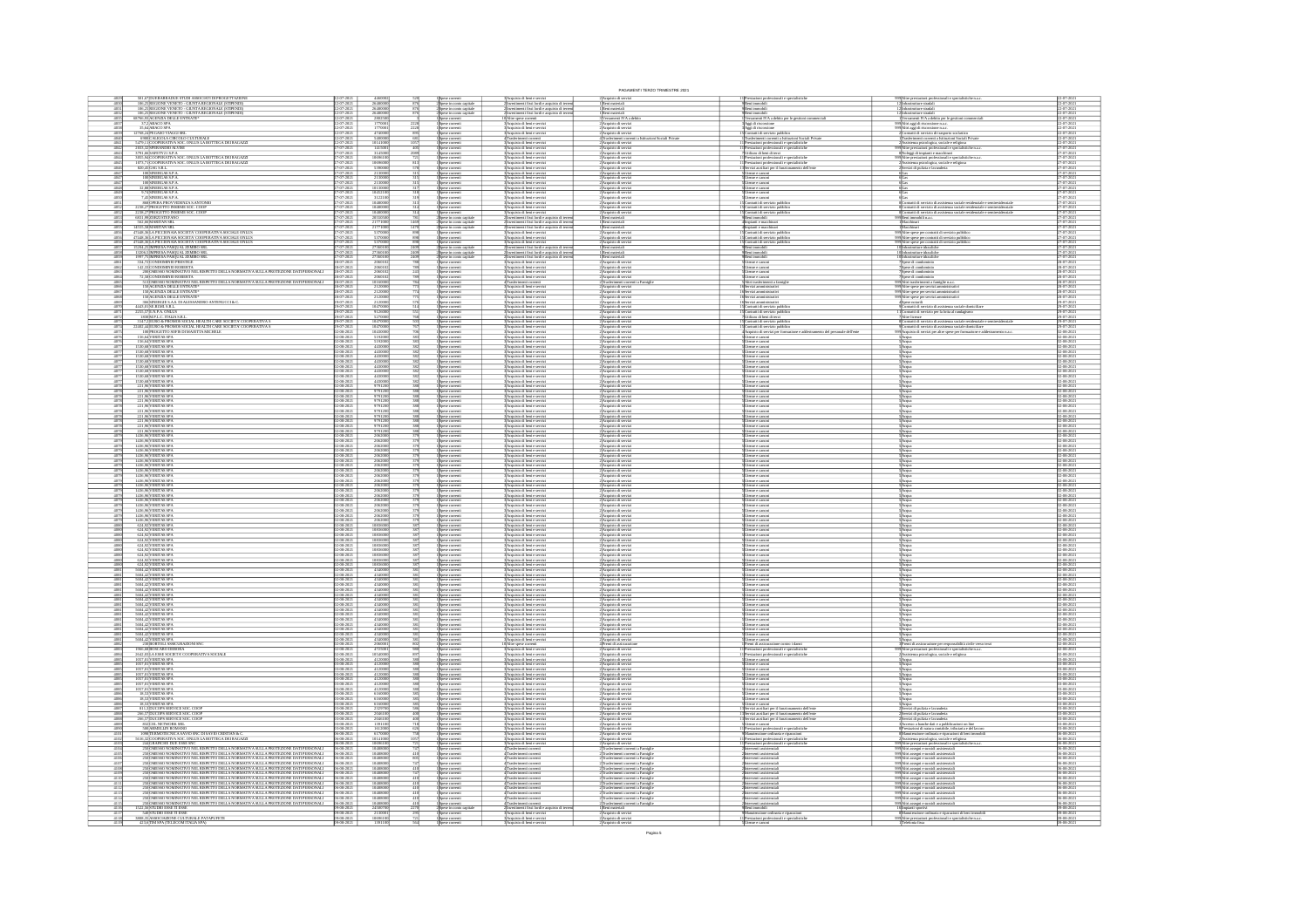|                                                                                                                                                                                      |                                                                                                                                                                                                                                               |                                               |                                                                                                                                                  |                                      |                                                                                                                                                               |                                                                                                                                                                                                                              | PAGAMENTI TERZO TRIMESTRE 2021                                                                                                                                                                                                                                                                                                                                                                                                                                                                                                                                                       |                                                                                                                                                      |                                                                                                                                                                                                             |                                                                                     |
|--------------------------------------------------------------------------------------------------------------------------------------------------------------------------------------|-----------------------------------------------------------------------------------------------------------------------------------------------------------------------------------------------------------------------------------------------|-----------------------------------------------|--------------------------------------------------------------------------------------------------------------------------------------------------|--------------------------------------|---------------------------------------------------------------------------------------------------------------------------------------------------------------|------------------------------------------------------------------------------------------------------------------------------------------------------------------------------------------------------------------------------|--------------------------------------------------------------------------------------------------------------------------------------------------------------------------------------------------------------------------------------------------------------------------------------------------------------------------------------------------------------------------------------------------------------------------------------------------------------------------------------------------------------------------------------------------------------------------------------|------------------------------------------------------------------------------------------------------------------------------------------------------|-------------------------------------------------------------------------------------------------------------------------------------------------------------------------------------------------------------|-------------------------------------------------------------------------------------|
|                                                                                                                                                                                      | 501,67 DUEBARRADUE STUDI ASSOCIATI DI PROGETTAZION<br>106,25 REGIONE VENETO - GIUNTA REGIONALE (STIPENDI)                                                                                                                                     |                                               | $\begin{array}{r} 4460001 \\ 26480000 \\ 26480000 \\ 26480000 \end{array}$                                                                       |                                      | l Spese correnti<br>2 Spese in como capitale<br>2 Spese in como capitale<br>2 Spese in como capitale                                                          | Acquisto di beni e servizi<br>Investimenti fissi lordi e acquisto di tene<br>Investimenti fissi lordi e acquisto di tene<br>Investimenti fissi lordi e acquisto di tene                                                      | 2)Acquisto di servizi<br>I Beni materiali                                                                                                                                                                                                                                                                                                                                                                                                                                                                                                                                            | uli e specialis                                                                                                                                      | 99∫Altre prestazioni profe<br>121mfrastrutture stradali<br>nuli e specialistiche n.a.                                                                                                                       | $\frac{2-07-202}{2-07-202}$                                                         |
| 4031<br>4032                                                                                                                                                                         | 106,25 REGIONE VENETO - GIUNTA REGIONALE (STIPENDI)<br>106,25 REGIONE VENETO - GIUNTA REGIONALE (STIPENDI)                                                                                                                                    |                                               |                                                                                                                                                  |                                      |                                                                                                                                                               |                                                                                                                                                                                                                              | 1 Beni materiali<br>1 Beni materiali                                                                                                                                                                                                                                                                                                                                                                                                                                                                                                                                                 | Beni immobili<br>Beni immobili                                                                                                                       | strutture stradali<br>strutture stradali                                                                                                                                                                    | -07-2021<br>-07-2021                                                                |
| $\frac{403}{403}$                                                                                                                                                                    | 68766,93 AGENZIA DELLE ENTRATE*<br>37,2 ABACO SPA                                                                                                                                                                                             |                                               | 280250                                                                                                                                           |                                      | Spese correnti<br>Spese correnti                                                                                                                              | Altre spese correnti<br>Acquisto di beni e servizi                                                                                                                                                                           | :<br>Nesamenti IVA a di<br>: Acquisto di servizi                                                                                                                                                                                                                                                                                                                                                                                                                                                                                                                                     | .<br>Versamenti IVA a debito per le gestioni commerciali<br>Aggi di riscossione                                                                      | .<br>Versamenti IVA a debito per le gestioni come<br>Altri aggi di riscossione n.a.c.                                                                                                                       | 1-07-202<br>1-07-202                                                                |
| 4038<br>4039                                                                                                                                                                         | 35,64 ABACO SPA<br>12768,24 PEGASO VIAGGI SRL                                                                                                                                                                                                 | $\frac{7.2021}{7.2021}$<br>7-202)<br>7-202)   | 177000<br>5400000<br>10141000                                                                                                                    |                                      |                                                                                                                                                               | Acquisto di beni e serviz<br>Acquisto di beni e serviz<br>Trasferimenti correnti<br>Acquisto di beni e serviz                                                                                                                | Acquisto di serviz<br>Acquisto di serviz<br>eri Sociali Private                                                                                                                                                                                                                                                                                                                                                                                                                                                                                                                      | lggi di riscossione<br>l'ontratti di servizio pubblic<br>enti correnti a bititazioni Sociali Private                                                 | 999 Altri aggi di riscossione n.a.c.<br>- 2 Contratti di servizio di trasporto scolastico<br>- 1 Trasferimenti correnti a Istituzioni Sociali Private                                                       | 2-07-202<br>2-07-202<br>:2-07-2021<br>:2-07-2021                                    |
|                                                                                                                                                                                      |                                                                                                                                                                                                                                               |                                               | 1415001<br>3145000                                                                                                                               | 405                                  | Spise correnti<br>Spise correnti<br>Spise correnti<br>Spise correnti<br>Spise correnti<br>Spise correnti                                                      | :<br>:Acquisto di beni e serviz<br>:Acquisto di beni e serviz                                                                                                                                                                | 4 Trasferimenti com<br>2 Acquisto di serviz<br>2 Acquisto di serviz<br>2 Acquisto di serviz                                                                                                                                                                                                                                                                                                                                                                                                                                                                                          | restazioni professionali e specialistiche<br>trestazioni professionali e specialistiche<br>Julizzo di beni di terzi                                  | rasmennen vormar a successe "sociale e religiosa<br>"ssistema psicologica, sociale e religiosa<br>"ltre prestazioni professionali e specialistiche n.a.»<br>Joleggi di impianti e macchinari                | 7-07-202<br>7-07-202                                                                |
| $\begin{array}{r} 4040 \\ 4041 \\ 4042 \\ 4043 \\ 4044 \\ 4045 \\ 4046 \end{array}$                                                                                                  | 12708/APPLASSO VAIGGISBL<br>1990/CALICOLA CIRCOLO CULTURALE<br>1979, 11 COOPERATIVA SOC. ONLUS LA BOTTEGA DEI RAGAZZI<br>2031, 2023/PREANDIO ALVISE<br>2035, 94 COOPERATIVA SOC. ONLUS LA BOTTEGA DEI RAGAZZI<br>2035, 94 COOPERATIVA SOC. ON |                                               | 10696101<br>10696001<br>5390001                                                                                                                  |                                      |                                                                                                                                                               | 3 Acquisto di beri e serviz<br>3 Acquisto di beri e serviz<br>3 Acquisto di beri e serviz                                                                                                                                    | :<br> Acquisto di servi<br> Acquisto di servi                                                                                                                                                                                                                                                                                                                                                                                                                                                                                                                                        | stazioni professionali e speci<br>stazioni professionali e speci<br>vizi ausiliari per il funzionan                                                  | rre prestacioni professionali e specialistiche n.a.<br>sistenza psicologica, sociale e religiosa<br>vvizi di pulizia e lavanderia                                                                           | 07-20                                                                               |
|                                                                                                                                                                                      | 1073,71 COOPERATIVA SOC: ONLUS LA BOTTEGA DEI RAGAZZI 820,45 GSG S.R.L.                                                                                                                                                                       |                                               |                                                                                                                                                  |                                      |                                                                                                                                                               |                                                                                                                                                                                                                              |                                                                                                                                                                                                                                                                                                                                                                                                                                                                                                                                                                                      | dell'em                                                                                                                                              |                                                                                                                                                                                                             |                                                                                     |
| $\frac{4047}{4047}$                                                                                                                                                                  | 100 SINERGAS S.P.A.<br>100 SINERGAS S.P.A.                                                                                                                                                                                                    | 7-2021                                        | 2130001                                                                                                                                          |                                      | Spese correnti<br>Spese correnti                                                                                                                              | .<br>Acquisto di beni e serviz<br>Acquisto di beni e serviz                                                                                                                                                                  | .<br>cquisto di servi<br>.cquisto di servi                                                                                                                                                                                                                                                                                                                                                                                                                                                                                                                                           | Jienze e canoni<br>Jienze e canoni                                                                                                                   |                                                                                                                                                                                                             | $7-07-202$                                                                          |
| $\frac{4047}{4048}$<br>4049                                                                                                                                                          | 100 SINERGAS S.P.A.<br>22,88 SINERGAS S.P.A.<br>9,74 SINERGAS S.P.A.<br>7,45 SINERGAS S.P.A.                                                                                                                                                  | 7-202)<br>7-202)                              | 2130000                                                                                                                                          |                                      | .<br>Spese correnti<br>Spese correnti                                                                                                                         | Acquisto di beni e serviz<br>Acquisto di beni e serviz<br>Acquisto di beni e serviz<br>Acquisto di beni e serviz                                                                                                             | 2)<br>Acquisto di serviz<br>2)<br>Acquisto di serviz<br>2)<br>Acquisto di serviz<br>2)<br>Acquisto di serviz<br>2)<br>Acquisto di serviz                                                                                                                                                                                                                                                                                                                                                                                                                                             | Utenze e canoni<br>Utenze e canoni<br>Utenze e canoni<br>Utenze e canoni                                                                             |                                                                                                                                                                                                             | 7-07-202<br>:7-07-202<br>:7-07-202                                                  |
| $\frac{4051}{4052}$                                                                                                                                                                  |                                                                                                                                                                                                                                               |                                               | $\begin{array}{r} 1013000\\ 10452100\\ 3122100\\ 10480000\\ 10480000\\ 20550500 \end{array}$                                                     |                                      | Spese comenti<br>Spese comenti<br>Spese comenti                                                                                                               | :<br>:Acquisto di beni e serviz<br>:Acquisto di beni e serviz                                                                                                                                                                |                                                                                                                                                                                                                                                                                                                                                                                                                                                                                                                                                                                      | Contratti di servizio<br>Contratti di servizio                                                                                                       | .<br>Contratti di servizio di assistenza sociale residenziale e semiresidenziale<br>Contratti di servizio di assistenza sociale residenziale e semiresidenziale                                             | 7-07-202<br>7-07-202:                                                               |
| $\frac{405}{405}$                                                                                                                                                                    | FREE BOOKING STATES ANTONIC RESIDERATION CONTRACTOR SECOND PROGRAM SOC. COOP<br>2238,27 PROGETTO INSIEME SOC. COOP<br>6831,99 PORZI STEFANO                                                                                                   |                                               |                                                                                                                                                  |                                      | .<br>Spese correnti<br>Spese in como capital                                                                                                                  | Acquisto di beri e servizi<br>Investimenti fissi lordi e acquisto di ter                                                                                                                                                     | :<br>Acquisto di servi<br>. Beni materiali                                                                                                                                                                                                                                                                                                                                                                                                                                                                                                                                           | .<br>Contratti di servizio :<br>Soni immobili                                                                                                        | etratti di servizio di ass<br>ni immobili n.a.c.                                                                                                                                                            | $^{7-07-201}$                                                                       |
| $\frac{4054}{4055}$                                                                                                                                                                  | $562,66$ MARITAN SRL<br>14555,58 MARITAN SRL                                                                                                                                                                                                  | $7 - 202$                                     | 2177100                                                                                                                                          |                                      | Spese in como capital<br>Spese in como capital<br>Spese in como capital<br>Spese correeri<br>Spese correeri<br>Spese in como capital<br>Spese in como capital | lrvestimenti fissi lordi e acquisto di terre<br>Investimenti fissi lordi e acquisto di terre                                                                                                                                 | r Dent materiali<br>1 Dent materiali<br>2 Acquisto di servi<br>2 Acquisto di servi<br>2 Acquisto di servi<br>1 Dent materiali<br>1 Dent materiali<br>1 Dent materiali<br>1 Dent materiali<br>2 Acquisto di servi                                                                                                                                                                                                                                                                                                                                                                     | Impianti e macchina                                                                                                                                  | Macchinari<br>Macchinari                                                                                                                                                                                    | $^{7-07-202}$                                                                       |
| 4056<br>4056                                                                                                                                                                         |                                                                                                                                                                                                                                               | 7-202)<br>7-202)                              | 5370000                                                                                                                                          | $rac{898}{898}$                      |                                                                                                                                                               | Acquisto di beni e servizi<br>Acquisto di beni e servizi                                                                                                                                                                     |                                                                                                                                                                                                                                                                                                                                                                                                                                                                                                                                                                                      | Contratti di servizio pub<br>Contratti di servizio pub                                                                                               |                                                                                                                                                                                                             | :7-07-2021<br>:7-07-2021                                                            |
| 4056                                                                                                                                                                                 | 1655, SOARITAN SICIETA COOPERATIVA SOCIALE ONLIS<br>6768, SALA PICCONAIA SOCIETA COOPERATIVA SOCIALE ONLIS<br>6768, SALA PICCONAIA SOCIETA COOPERATIVA SOCIALE ONLIS<br>6768, SALA PICCONAIA SOCIETA COOPERATIVA SOCIALE ONLIS<br>1530-CSM    |                                               | 537000<br>2736010                                                                                                                                |                                      |                                                                                                                                                               | Acquisto di beri e servizi<br>Ilinvestimenti fissi lordi e acq                                                                                                                                                               |                                                                                                                                                                                                                                                                                                                                                                                                                                                                                                                                                                                      | Contratti di servizio :<br>Seni immobili                                                                                                             | -<br>1999/Altre sprise per contratti di servizio pubblico<br>1999/Altre sprise per contratti di servizio pubblico<br>1999/Altre sprise per contratti di servizio pubblico<br>10 defrastratture idrauliche   |                                                                                     |
| $\frac{405}{406}$                                                                                                                                                                    |                                                                                                                                                                                                                                               |                                               | 273601<br>273601<br>20601                                                                                                                        |                                      | Spese in como capital<br>Spese in como capital<br>Spese correnti                                                                                              | timenti fissi lordi e acquisto di te<br>lnvestimenti fissi lordi e acqu<br>Acquisto di beni e servizi<br>isto di ta                                                                                                          |                                                                                                                                                                                                                                                                                                                                                                                                                                                                                                                                                                                      | ilidomni insk<br>kommi insk                                                                                                                          | inascutture idrauliche<br>ifrastrutture idrauliche<br>pese di condominio                                                                                                                                    |                                                                                     |
| $\frac{4062}{4063}$                                                                                                                                                                  | $142,\!38\!$ CONDOMINIO ROBERTA<br>$200\!/\!000\!$ ESSO NOMINATIVO NEL RISPETTO DELLA NORMATIVA SULLA PROTEZIONE DATI PERSONALI                                                                                                               |                                               | 20601                                                                                                                                            |                                      | s<br>Spese correnti<br>Spese correnti                                                                                                                         | Acquisto di beni e serviz<br>Acquisto di beni e serviz                                                                                                                                                                       | Acquisto di servi<br>Acquisto di servi                                                                                                                                                                                                                                                                                                                                                                                                                                                                                                                                               | sze e canor<br>ltenze e canoni<br>ltenze e canoni                                                                                                    | .<br>Spese di condominio<br>Spese di condominio                                                                                                                                                             | 8407-202                                                                            |
|                                                                                                                                                                                      |                                                                                                                                                                                                                                               | $7 - 202$                                     | $\begin{array}{r}\n 200010 \\  \hline\n 206010 \\  \hline\n 10160000 \\  \hline\n 212000 \\  \hline\n 212000 \\  \hline\n 2120000\n \end{array}$ |                                      | ipese comenti<br>ipese comenti<br>ipese comenti                                                                                                               | Acquisto di beri e serviz                                                                                                                                                                                                    | Acquisto di servizi                                                                                                                                                                                                                                                                                                                                                                                                                                                                                                                                                                  | Utenze e canoni<br>Altri trasferimenti a<br>Servizi amministrati                                                                                     | Spese di condominio<br>Altri trasferimenti a famiglie n.a.<br>Altre spese per servizi amministr.                                                                                                            | 8-07-202                                                                            |
| 4064<br>4065<br>4066<br>4068<br>4069                                                                                                                                                 |                                                                                                                                                                                                                                               |                                               |                                                                                                                                                  |                                      | Spese correnti<br>Spese correnti                                                                                                                              | e i norevimenti conventi<br>Acquisto di beni e serviz                                                                                                                                                                        | <b>TERNYTHERICE</b><br>Acquisto di serv                                                                                                                                                                                                                                                                                                                                                                                                                                                                                                                                              | iervizi amministrativ<br>iervizi amministrativ                                                                                                       |                                                                                                                                                                                                             | 8-07-202<br>8-07-202                                                                |
|                                                                                                                                                                                      |                                                                                                                                                                                                                                               |                                               |                                                                                                                                                  |                                      |                                                                                                                                                               | 3 Acquisto di beni e serviz<br>3 Acquisto di beni e serviz<br>3 Acquisto di beni e serviz                                                                                                                                    | <b>2)Acquisto di serviz</b><br>2)Acquisto di serviz<br>2)Acquisto di serviz                                                                                                                                                                                                                                                                                                                                                                                                                                                                                                          |                                                                                                                                                      | 999 Altre spese per servizi amn<br>999 Altre spese per servizi amn<br>4 Spese notarili                                                                                                                      | s<br>9-07-202                                                                       |
| $\frac{4070}{4071}$                                                                                                                                                                  |                                                                                                                                                                                                                                               |                                               | 1047000                                                                                                                                          |                                      | s<br>Spese correnti<br>Spese correnti                                                                                                                         | :<br> Acquisto di beni e serviz<br> Acquisto di beni e serviz                                                                                                                                                                | :<br>: Acquisto di servia<br>: Acquisto di servia                                                                                                                                                                                                                                                                                                                                                                                                                                                                                                                                    | Contratti di servizio pub<br>Contratti di servizio pub                                                                                               | .<br>contratti di servizio di assistenza sociale domiciliare<br>contratti di servizio per la lotta al randagismo                                                                                            | $0.07 - 20.202$                                                                     |
| 4072<br>4073                                                                                                                                                                         | 1830 M.P.L.C. ITALIA S.R.L.<br>3147,2 EURO & PROMOS SOCIAL HEALTH CARE SOCIETA' COOPERATIVA:                                                                                                                                                  | $7 - 202$                                     | 5270001                                                                                                                                          |                                      | Spese correnti<br>Spese correnti<br>Spese correnti<br>Spese correnti<br>Spese correnti<br>Spese correnti                                                      | 3)<br>Acquisto di beri e servizi<br>3)<br>Acquisto di beri e servizi<br>3)<br>Acquisto di beri e servizi<br>3)<br>Acquisto di beri e servizi                                                                                 | 2 Acquisto di servizi<br>2 Acquisto di servizi<br>2 Acquisto di servizi<br>2 Acquisto di servizi                                                                                                                                                                                                                                                                                                                                                                                                                                                                                     | Utilizzo di beni di terzi<br>Contratti di servizio pub<br>Contratti di servizio pub<br>Acquisto di servizi per fo                                    | Altre licenze<br>Contratti di servizio di assistenza sociale residenziale e sem                                                                                                                             | 0-07-202                                                                            |
| $\frac{4074}{4075}$                                                                                                                                                                  |                                                                                                                                                                                                                                               | 17-2021<br>18-2021                            | 10470000                                                                                                                                         |                                      |                                                                                                                                                               |                                                                                                                                                                                                                              |                                                                                                                                                                                                                                                                                                                                                                                                                                                                                                                                                                                      | addestramento del personale dell'ente                                                                                                                | Contratti di servizio di assistenza sociale domiciliare<br>Acquisto di servizi per altre spese per formazione e addestra                                                                                    | :9-07-202<br>(2-08-202)                                                             |
| 4076<br>4076<br>4077                                                                                                                                                                 |                                                                                                                                                                                                                                               | $8 - 201$                                     |                                                                                                                                                  |                                      |                                                                                                                                                               | :<br>: Acquisto di beni e serviz<br>: Acquisto di beni e serviz                                                                                                                                                              | 2)Acquisto di servi<br>2)Acquisto di servi                                                                                                                                                                                                                                                                                                                                                                                                                                                                                                                                           | Jienze e canoni<br>Jienze e canoni                                                                                                                   |                                                                                                                                                                                                             | $\frac{2-08-202}{2-08-202}$<br>$-08 - 20$                                           |
| $\frac{407}{407}$                                                                                                                                                                    | 1530,68 VERITAS SPA<br>1530,68 VERITAS SPA<br>1530,68 VERITAS SPA<br>1530,68 VERITAS SPA<br>1530,68 VERITAS SPA<br>1530,68 VERITAS SPA<br>1530,68 VERITAS SPA<br>1530,68 VERITAS SPA                                                          |                                               | $\begin{array}{r} 519200 \\ 519200 \\ 443000 \\ 443000 \\ 443000 \\ 443000 \\ \end{array}$                                                       |                                      | pese correnti<br>pese correnti                                                                                                                                | "Spagnisto di beri e servizi<br>"SAcquisto di beri e servizi<br>"SAcquisto di beri e servizi<br>"SAcquisto di beri e servizi<br>"SAcquisto di beri e servizi<br>"SAcquisto di beri e servizi<br>"SAcquisto di beri e servizi | 2)<br>Acquisto di servizi<br>2)<br>Acquisto di servizi<br>2)<br>Acquisto di servizi<br>2)<br>Acquisto di servizi<br>2)<br>Acquisto di servizi                                                                                                                                                                                                                                                                                                                                                                                                                                        | L'henze e canoni<br>L'henze e canoni<br>L'henze e canoni<br>L'henze e canoni<br>L'henze e canoni<br>L'henze e canoni                                 |                                                                                                                                                                                                             | $2 - 08 - 20$                                                                       |
| $\frac{4077}{4077}$                                                                                                                                                                  |                                                                                                                                                                                                                                               | 18-2021<br>18-2021                            | 4430001                                                                                                                                          |                                      | Spese correnti<br>Spese correnti<br>Spese correnti<br>Spese correnti                                                                                          |                                                                                                                                                                                                                              |                                                                                                                                                                                                                                                                                                                                                                                                                                                                                                                                                                                      |                                                                                                                                                      |                                                                                                                                                                                                             | (2-08-202)<br>(2-08-202)                                                            |
|                                                                                                                                                                                      |                                                                                                                                                                                                                                               |                                               |                                                                                                                                                  |                                      | pese correnti<br>pese correnti                                                                                                                                | :<br>: Acquisto di beni e serviz<br>: Acquisto di beni e serviz                                                                                                                                                              | 2)Acquisto di servi<br>2)Acquisto di servi                                                                                                                                                                                                                                                                                                                                                                                                                                                                                                                                           | ltenze e canoni<br>ltenze e canoni                                                                                                                   |                                                                                                                                                                                                             | 2-08-202<br>2-08-202                                                                |
|                                                                                                                                                                                      | 1530,68 VERITAS SPA<br>1530,68 VERITAS SPA<br>221,96 VERITAS SPA<br>221,96 VERITAS SPA<br>221,96 VERITAS SPA<br>221,96 VERITAS SPA                                                                                                            | $8 - 202$                                     | 4430001<br>4430001<br>9791201<br>9791201                                                                                                         |                                      | Spese correnti<br>Spese correnti<br>Spese correnti                                                                                                            | Acquisto di beni e serviz                                                                                                                                                                                                    | .<br>2 Acquisto di serviz<br>2 Acquisto di serviz                                                                                                                                                                                                                                                                                                                                                                                                                                                                                                                                    | enze e canoni                                                                                                                                        |                                                                                                                                                                                                             | $-08 - 20$                                                                          |
|                                                                                                                                                                                      |                                                                                                                                                                                                                                               | $\frac{-08-201}{-08-201}$<br>48-2021          |                                                                                                                                                  |                                      |                                                                                                                                                               | <b>Acquisto di beni e serviz</b><br>Acquisto di beni e serviz                                                                                                                                                                |                                                                                                                                                                                                                                                                                                                                                                                                                                                                                                                                                                                      | .<br>Jienze e canoni                                                                                                                                 |                                                                                                                                                                                                             | 12-08-202<br>12-08-202<br>$2-08-202$<br>$2-08-202$                                  |
| 4078<br>4078                                                                                                                                                                         | 221,96 VERITAS SPA<br>221,96 VERITAS SPA<br>221,96 VERITAS SPA<br>221,96 VERITAS SPA                                                                                                                                                          | $\frac{46-2021}{22}$                          | 9791200<br>9791200<br>9791200<br>9791200                                                                                                         |                                      | ipese correnti<br>ipese correnti                                                                                                                              | :<br>: Acquisto di beni e serviz<br>: Acquisto di beni e serviz                                                                                                                                                              | 2)Acquisto di serviz<br>2)Acquisto di serviz                                                                                                                                                                                                                                                                                                                                                                                                                                                                                                                                         | Jienze e canoni<br>Jienze e canoni                                                                                                                   |                                                                                                                                                                                                             | 02-08-202                                                                           |
| 4078                                                                                                                                                                                 | 221,96 VERITAS SPA<br>221,96 VERITAS SPA                                                                                                                                                                                                      | -08-2021<br>-08-2021                          | 9791200                                                                                                                                          |                                      | Spine comments<br>Spine comments<br>Spine comments<br>Spine comments<br>Spine comments                                                                        | 3)<br>Acquisto di beni e servizi<br>3)<br>Acquisto di beni e servizi<br>3)<br>Acquisto di beni e servizi                                                                                                                     | 2 Acquisto di servizi<br>2 Acquisto di servizi<br>2 Acquisto di servizi<br>2 Acquisto di servizi                                                                                                                                                                                                                                                                                                                                                                                                                                                                                     | Utenze e canoni<br>Utenze e canoni<br>Utenze e canoni<br>Utenze e canoni                                                                             |                                                                                                                                                                                                             | 02-08-2021<br>02-08-2021                                                            |
|                                                                                                                                                                                      | 221,96 VERITAS SP<br>1436,96 VERITAS SP                                                                                                                                                                                                       | $-08 - 202$<br>$-08 - 202$                    | 979120<br>206200                                                                                                                                 |                                      |                                                                                                                                                               | :<br>: Acquisto di beni e serviz<br>: Acquisto di beni e serviz                                                                                                                                                              | : Acquisto di servi<br>! Acquisto di servi                                                                                                                                                                                                                                                                                                                                                                                                                                                                                                                                           | Jienze e canoni<br>Jienze e canoni                                                                                                                   | Acqua<br>Acres                                                                                                                                                                                              | 12-08-202<br>12-08-202                                                              |
| 4078<br>4079<br>4079<br>4079                                                                                                                                                         | 1436,96 VERITAS SPA<br>1436,96 VERITAS SPA                                                                                                                                                                                                    | 18-2021<br>18-2021                            | 2062000                                                                                                                                          |                                      | ipese correnti<br>ipese correnti                                                                                                                              | 3 Acquisto di beni e serviz<br>3 Acquisto di beni e serviz                                                                                                                                                                   | 2)Acquisto di serviz<br>2)Acquisto di serviz                                                                                                                                                                                                                                                                                                                                                                                                                                                                                                                                         | Jienne e canoni<br>Jienne e canoni                                                                                                                   |                                                                                                                                                                                                             | (2-08-202<br>(2-08-202                                                              |
| 4079                                                                                                                                                                                 | 1436,96 VERITAS SPA<br>1436,96 VERITAS SPA                                                                                                                                                                                                    | 48-2021<br>48-2021                            | 2062000                                                                                                                                          |                                      | s<br>Spese correnti<br>Spese correnti<br>Spese correnti                                                                                                       | 3)<br>Acquisto di beni e servizi<br>3)<br>Acquisto di beni e servizi<br>3)<br>Acquisto di beni e servizi                                                                                                                     | 2) Acquisto di servizi<br>2) Acquisto di servizi<br>2) Acquisto di servizi<br>2) Acquisto di servizi                                                                                                                                                                                                                                                                                                                                                                                                                                                                                 | Usenze e canoni<br>Usenze e canoni<br>Usenze e canoni<br>Usenze e canoni                                                                             | SAcqua<br>SAcqua                                                                                                                                                                                            | $\frac{02 - 08 - 202}{02 - 08 - 202}$                                               |
| 4079                                                                                                                                                                                 | 1436,96 VERITAS SPA<br>1436,96 VERITAS SPA                                                                                                                                                                                                    | 18-2021<br>18-2021                            | 2062000                                                                                                                                          |                                      |                                                                                                                                                               |                                                                                                                                                                                                                              |                                                                                                                                                                                                                                                                                                                                                                                                                                                                                                                                                                                      |                                                                                                                                                      |                                                                                                                                                                                                             | $2-08-202$<br>$2-08-202$                                                            |
|                                                                                                                                                                                      | 1436,96 VERITAS SPA<br>1436,96 VERITAS SPA<br>1436,96 VERITAS SPA<br>1436,96 VERITAS SPA<br>1436,96 VERITAS SPA                                                                                                                               | 8-202                                         | 206200<br>206200<br>206200                                                                                                                       |                                      | pese correnti<br>pese correnti                                                                                                                                | l Acquisto di beri e serviz<br>! Acquisto di beri e serviz<br>Acquisto di beni e serviz                                                                                                                                      | 2)Acquisto di servi<br>2)Acquisto di servi                                                                                                                                                                                                                                                                                                                                                                                                                                                                                                                                           | ltenze e canoni<br>ltenze e canoni                                                                                                                   |                                                                                                                                                                                                             | $2-08-20$<br>$2-08-20$<br>$08 - 20$                                                 |
|                                                                                                                                                                                      |                                                                                                                                                                                                                                               | $\frac{46.201}{48.201}$                       | 2062001<br>2062001                                                                                                                               |                                      | Spese correnti<br>Spese correnti<br>Spese correnti                                                                                                            | :<br>: Acquisto di beni e serviz<br>: Acquisto di beni e serviz                                                                                                                                                              | 2) Acquisto di serviz<br>2) Acquisto di serviz<br>2) Acquisto di serviz                                                                                                                                                                                                                                                                                                                                                                                                                                                                                                              | benze e canoni<br>Jienze e canoni<br>Jienze e canoni                                                                                                 |                                                                                                                                                                                                             | 02-08-202<br>02-08-202                                                              |
|                                                                                                                                                                                      | 1436,96 VERITAS SPA<br>1436,96 VERITAS SPA                                                                                                                                                                                                    | $\frac{48-202}{22}$                           | 2062000                                                                                                                                          |                                      | ipese correnti<br>ipese correnti                                                                                                                              | :<br>: Acquisto di beni e serviz<br>: Acquisto di beni e serviz                                                                                                                                                              | 2)Acquisto di servizi<br>2)Acquisto di servizi                                                                                                                                                                                                                                                                                                                                                                                                                                                                                                                                       | Jienze e canoni<br>Jienze e canoni                                                                                                                   |                                                                                                                                                                                                             | $2-08-202$<br>$2-08-202$                                                            |
| 4079                                                                                                                                                                                 | 1436,96 VERITAS SPA<br>1436,96 VERITAS SPA                                                                                                                                                                                                    | (8.202)                                       | 2062000                                                                                                                                          |                                      | Spese correnti<br>Spese correnti<br>Spese correnti<br>Spese correnti                                                                                          | 3)<br>Acquisto di beni e servizi<br>3)<br>Acquisto di beni e servizi<br>3)<br>Acquisto di beni e servizi                                                                                                                     | $\begin{array}{l} \textcolor{red}{2}\textcolor{blue}{\lambda}\textcolor{red}{equis} \textcolor{red}{no}\ \textcolor{red}{d}\ \textcolor{red}{servizi}\\ \textcolor{red}{2}\textcolor{blue}{\lambda}\textcolor{red}{cquis} \textcolor{red}{to}\ \textcolor{red}{d}\ \textcolor{red}{servizi}\\ \textcolor{red}{2}\textcolor{blue}{\lambda}\textcolor{red}{cquis} \textcolor{red}{to}\ \textcolor{red}{d}\ \textcolor{red}{servizi}\\ \textcolor{red}{2}\textcolor{blue}{\lambda}\textcolor{red}{cquis} \textcolor{red}{to}\ \textcolor{red}{d}\ \textcolor{red}{servizi} \end{array}$ | Llienze e canoni<br>Llienze e canoni<br>Llienze e canoni<br>Llienze e canoni                                                                         |                                                                                                                                                                                                             | 12-08-202                                                                           |
| 4079<br>4079                                                                                                                                                                         | 1436,96 VERITAS SPA<br>1436,96 VERITAS SPA                                                                                                                                                                                                    | 48-2021<br>48-2021                            | 2062000                                                                                                                                          |                                      |                                                                                                                                                               |                                                                                                                                                                                                                              |                                                                                                                                                                                                                                                                                                                                                                                                                                                                                                                                                                                      |                                                                                                                                                      | 5 Асераа<br>5 Асераа                                                                                                                                                                                        | 12-08-2021<br>12-08-2021                                                            |
| 408<br>408<br>408<br>408                                                                                                                                                             | 624,92 VERITAS SP/<br>624,92 VERITAS SP/                                                                                                                                                                                                      | $\frac{-08-20}{72}$                           | 10836001                                                                                                                                         |                                      | ipese correnti<br>ipese correnti                                                                                                                              | 3 Acquisto di beri e serviz<br>3 Acquisto di beri e serviz                                                                                                                                                                   | 2)Acquisto di serviz<br>2)Acquisto di serviz                                                                                                                                                                                                                                                                                                                                                                                                                                                                                                                                         | Jienze e canoni<br>Jienze e canoni                                                                                                                   | Acqua                                                                                                                                                                                                       | 12-08-202<br>12-08-202                                                              |
|                                                                                                                                                                                      | 624,92 VERITAS SPA<br>624,92 VERITAS SPA                                                                                                                                                                                                      | 18-2021<br>RCM321                             | 10836000                                                                                                                                         |                                      | Spese correnti<br>Spese correnti                                                                                                                              | :<br>: Acquisto di beni e serviz<br>: Acquisto di beni e serviz                                                                                                                                                              | 2)Acquisto di serviz<br>2)Acquisto di serviz                                                                                                                                                                                                                                                                                                                                                                                                                                                                                                                                         | Jienze e canoni<br>Jienze e canoni                                                                                                                   | Acqua                                                                                                                                                                                                       | $\frac{12-08-202}{12\cdot 08\cdot 202}$                                             |
| 4080                                                                                                                                                                                 | 624,92 VERITAS SPA<br>624,92 VERITAS SPA                                                                                                                                                                                                      |                                               | 10836000                                                                                                                                         |                                      | Spese correnti<br>Spese correnti                                                                                                                              | 3 Acquisto di beni e serviz<br>3 Acquisto di beni e serviz                                                                                                                                                                   | 2)Acquisto di servizi<br>2)Acquisto di servizi                                                                                                                                                                                                                                                                                                                                                                                                                                                                                                                                       | Joenne e camoni<br>Joenne e camoni                                                                                                                   | 5 Асераа<br>5 Асераа                                                                                                                                                                                        | 12-08-202<br>12-08-202                                                              |
| $\frac{4080}{4080}$                                                                                                                                                                  | 624,92 VERITAS SPA<br>624,92 VERITAS SPA                                                                                                                                                                                                      |                                               | 10335001                                                                                                                                         |                                      | Spese correnti<br>Spese correnti<br>ipese correnti<br>ipese correnti                                                                                          | 3 Acquisto di beni e serviz<br>3 Acquisto di beni e serviz<br>3 Acquisto di beri e serviz<br>3 Acquisto di beri e serviz                                                                                                     | 2)Acquisto di servizi<br>2)Acquisto di servizi<br>2)Acquisto di servia<br>2)Acquisto di servia                                                                                                                                                                                                                                                                                                                                                                                                                                                                                       | Jienze e canoni<br>Jienze e canoni<br>Jienze e canoni<br>Jienze e canoni                                                                             | 5 Асераа<br>5 Асераа                                                                                                                                                                                        | 12-08-202<br>12-08-202                                                              |
|                                                                                                                                                                                      | 624,92 VERITAS SPA<br>5604,42 VERITAS SPA<br>5604,42 VERITAS SPA                                                                                                                                                                              | $8 - 201$                                     | 1083600<br>434000<br>434000                                                                                                                      |                                      | Spase correnti                                                                                                                                                | Acquisto di beni e serviz                                                                                                                                                                                                    | 2 Acquisto di serviz                                                                                                                                                                                                                                                                                                                                                                                                                                                                                                                                                                 | tenze e canoni                                                                                                                                       |                                                                                                                                                                                                             | $\begin{array}{r} \textbf{2-08-201} \\ \textbf{2-08-201} \end{array}$<br>$08 - 202$ |
| $\begin{array}{r}\n4080 \\ \hline\n4081 \\ \hline\n4081 \\ \hline\n4081 \\ \hline\n4081 \\ \hline\n4081 \\ \hline\n4081 \\ \hline\n4081\n\end{array}$                                | 5604,42 VERITAS SP                                                                                                                                                                                                                            | $\frac{48.202}{48.202}$                       | 434000<br>434000                                                                                                                                 |                                      | Spese correnti<br>Spese correnti                                                                                                                              | :<br>: Acquisto di beni e serviz<br>: Acquisto di beni e serviz                                                                                                                                                              | 2)Acquisto di serviz<br>2)Acquisto di serviz                                                                                                                                                                                                                                                                                                                                                                                                                                                                                                                                         | Jienze e canoni<br>Jienze e canoni                                                                                                                   |                                                                                                                                                                                                             | 02-08-202<br>02-08-202                                                              |
|                                                                                                                                                                                      | 5604,42 VERITAS SPA<br>5604,42 VERITAS SPA                                                                                                                                                                                                    | $08 - 2021$<br>$(8-202)$                      | 434000                                                                                                                                           |                                      | Spese correnti<br>Spese correnti<br>Spese correnti                                                                                                            | Spagnisto di beri e servizi<br>3 Acquisto di beri e servizi<br>3 Acquisto di beri e servizi<br>3 Acquisto di beri e servizi<br>3 Acquisto di beri e servizi<br>3 Acquisto di beri e servizi<br>3 Acquisto di beri e servizi  | 2)Acquisto di servizi<br>2)Acquisto di servizi                                                                                                                                                                                                                                                                                                                                                                                                                                                                                                                                       | Jienne e camoni<br>Jienne e camoni                                                                                                                   |                                                                                                                                                                                                             | $2-08-202$<br>$2-08-202$                                                            |
| $\frac{4081}{4081}$                                                                                                                                                                  | 5604,42 VERITAS SPA<br>5604,42 VERITAS SPA                                                                                                                                                                                                    |                                               | 4340001                                                                                                                                          | $\frac{381}{291}$<br>$rac{381}{381}$ | Spese correnti<br>Spese correnti<br>Spese correnti                                                                                                            |                                                                                                                                                                                                                              | 2)Acquisto di servizi<br>2)Acquisto di servizi                                                                                                                                                                                                                                                                                                                                                                                                                                                                                                                                       | Utenze e canoni<br>Utenze e canoni<br>Utenze e canoni<br>Utenze e canoni                                                                             | 5 Асераа<br>5 Асераа                                                                                                                                                                                        | 02-08-2021<br>02-08-2021                                                            |
| $\frac{4081}{4081}$                                                                                                                                                                  | 5604,42 VERITAS SPA<br>5604,42 VERITAS SPA<br>5604,42 VERITAS SP/<br>5604,42 VERITAS SP/                                                                                                                                                      | 48-2021<br>48-2021<br>$\frac{48.202}{48.202}$ | 4340000<br>4340001<br>4340001                                                                                                                    |                                      | Spese correnti<br>Spese correnti                                                                                                                              | 3 Acquisto di beri e serviz<br>3 Acquisto di beri e serviz                                                                                                                                                                   | 2) Acquisto di servizi<br>2) Acquisto di servizi<br>2)Acquisto di servizi<br>2)Acquisto di servizi                                                                                                                                                                                                                                                                                                                                                                                                                                                                                   | Utenze e canoni<br>Utenze e canoni                                                                                                                   | 5 Асераа<br>5 Асераа<br>Асераа<br>Асераа                                                                                                                                                                    | 02-08-2021<br>02-08-2021<br>12-08-202<br>12-08-202                                  |
| $\begin{array}{r} 4081 \\ 4081 \\ \hline 4081 \\ \hline 4081 \end{array}$                                                                                                            | 5604,42 VERITAS SPA<br>5604,42 VERITAS SPA                                                                                                                                                                                                    | 48-2021                                       | 434000<br>434000                                                                                                                                 |                                      | Spese correnti<br>Spese correnti                                                                                                                              | 3 Acquisto di beni e serviz<br>3 Acquisto di beni e serviz                                                                                                                                                                   | 2 Acquisto di servizi<br>2 Acquisto di servizi                                                                                                                                                                                                                                                                                                                                                                                                                                                                                                                                       | Jienne e canoni<br>Jienne e canoni                                                                                                                   | Acqua                                                                                                                                                                                                       | $2-08-202$<br>$2-08-202$                                                            |
| $\frac{4081}{4082}$                                                                                                                                                                  | 5604,42 VERITAS SPA<br>230 BORTOLI ASSICURAZIONI SN                                                                                                                                                                                           | 18-2021<br>18-2021                            | 434000                                                                                                                                           |                                      | Spese correnti<br>Spese correnti                                                                                                                              |                                                                                                                                                                                                                              | 2)Acquisto di servizi<br>4)Premi di assicurazi                                                                                                                                                                                                                                                                                                                                                                                                                                                                                                                                       | Jienne e canoni<br>tremi di assicura<br>etro i darr                                                                                                  | Acqua<br>Premi di assicunazione per responsabilità civile verso terzi                                                                                                                                       | 12-08-202<br>12-08-202                                                              |
| 4083<br>4084                                                                                                                                                                         | 1966,68 BOSCARO DEBORA<br>2642,03 LA ESSE SOCIETA COOPERATIVA SOCIALE                                                                                                                                                                         | 18-2021<br>18-2021                            | 472500                                                                                                                                           | 980<br>897                           | Spese correnti<br>Spese correnti                                                                                                                              | 3)<br>Acquisto di beri e servizi<br>0)<br>Altre spese corretti<br>3)<br>Acquisto di beri e servizi<br>3)<br>Acquisto di beri e servizi                                                                                       | 2 Acquisto di servizi<br>2 Acquisto di servizi                                                                                                                                                                                                                                                                                                                                                                                                                                                                                                                                       | restazioni profe<br>restazioni profe<br>uli e specialistiche<br>uli e specialistiche                                                                 | cioni professionali e specialistiche n.a.c.<br>sicologica, sociale e religiosa<br>09 Altre prestazion<br>2 Assistenza psico                                                                                 | 12-08-202<br>12-08-202                                                              |
|                                                                                                                                                                                      | 01 VERITAS SPA<br>01 VERITAS SPA<br>01 VERITAS SPA                                                                                                                                                                                            |                                               | 4120                                                                                                                                             |                                      | l Spese correnti<br>I Spese correnti<br>I Spese correnti                                                                                                      | 3 Acquisto di beni e servizi<br>3 Acquisto di beni e servizi<br>3 Acquisto di beni e servizi                                                                                                                                 | 2) Acquisto di servizi<br>2) Acquisto di servizi<br>2) Acquisto di servizi                                                                                                                                                                                                                                                                                                                                                                                                                                                                                                           | fenze e canor<br>Jienze e canoni                                                                                                                     | 5 Асераа<br>5 Асераа<br>5 Асераа                                                                                                                                                                            |                                                                                     |
| $\begin{array}{r} 4085 \\ \hline 4085 \\ \hline 4085 \\ \hline 4085 \\ \hline 4085 \\ \hline 4085 \\ \hline 4085 \\ \hline 4085 \\ \hline 4085 \\ \hline 4086 \\ \hline \end{array}$ | 1057,01 VERITAS SPA<br>1057,01 VERITAS SPA                                                                                                                                                                                                    | 48-202                                        | 4120001<br>4120001<br>412000                                                                                                                     |                                      | Spese correnti<br>Spese correnti                                                                                                                              | :<br>: Acquisto di beri e serviz<br>: Acquisto di beri e serviz                                                                                                                                                              | 2)Acquisto di servizi<br>2)Acquisto di servizi                                                                                                                                                                                                                                                                                                                                                                                                                                                                                                                                       | sze e canoni<br>Jienze e canoni<br>Jienze e canoni                                                                                                   |                                                                                                                                                                                                             | 13-08-202<br>13-08-202<br>13-08-202<br>13-08-202                                    |
|                                                                                                                                                                                      |                                                                                                                                                                                                                                               | $18 - 2021$                                   |                                                                                                                                                  |                                      |                                                                                                                                                               |                                                                                                                                                                                                                              |                                                                                                                                                                                                                                                                                                                                                                                                                                                                                                                                                                                      |                                                                                                                                                      | Асена                                                                                                                                                                                                       | 13-08-202                                                                           |
|                                                                                                                                                                                      | $\begin{array}{c} \textbf{1057,01} \textbf{VERITAS SPA} \\ \textbf{1057,01} \textbf{VERITAS SPA} \\ \textbf{18,53} \textbf{PERITAS SPA} \\ \textbf{18,53} \textbf{PERITAS SPA} \\ \textbf{18,53} \textbf{VERITAS SPA} \end{array}$            |                                               | $\begin{array}{r} 412000 \\ 412000 \\ \hline 616000 \\ \hline 616000 \\ \hline \end{array}$                                                      |                                      | Spese comenti<br>  Spese comenti<br>  Spese comenti                                                                                                           | :<br>:}Acquisto di beri e serviz<br>:}Acquisto di beri e serviz<br>:?Acquisto di beri e serviz<br>Acquisto di beri e serviz                                                                                                  | 2)<br>Acquisto di servizi<br>2)<br>Acquisto di servizi                                                                                                                                                                                                                                                                                                                                                                                                                                                                                                                               | L'ornze e canoni<br>L'ornze e canoni<br>L'ornze e canoni                                                                                             |                                                                                                                                                                                                             | 3-08-207<br>3-08-207                                                                |
| 4086<br>4087                                                                                                                                                                         | 18,53 VERITAS SPA<br>811,3 DUCOPS SERVICE SOC. COOP                                                                                                                                                                                           | 48-2021<br>48-2021                            | 6160000                                                                                                                                          | $\frac{385}{196}$                    | pese corrent<br>Spese correnti<br>Spese correnti                                                                                                              | 3 Acquisto di beni e servizi<br>3 Acquisto di beni e servizi                                                                                                                                                                 | 2 Acquisto di serviz<br>2)Acquisto di servizi<br>2)Acquisto di servizi                                                                                                                                                                                                                                                                                                                                                                                                                                                                                                               | rnze e canoni<br>Utenze e canoni<br>Servizi ausiliari per il                                                                                         | izi di pulizia e lavar                                                                                                                                                                                      | 03-08-2021<br>03-08-2021                                                            |
| 4088<br>4088<br>4089<br>4090                                                                                                                                                         | <b>MESORIA SERVICE SOCIOLOGICAL DE SERVICE SOCIOLOGICAL DE SERVICE SOCIOLOGICAL DE SERVICE SOCIOLOGICAL DE SERVICE EN SOCIOLOGICAL DE SOCIOLOGICAL DE SOCIOLOGICAL DE SOCIOLOGICAL DE SOCIOLOGICAL DE SOCIOLOGICAL DE SOCIOLOGIC</b>          | $\frac{48.202}{48.202}$                       | 2046101<br>2046101                                                                                                                               |                                      | Spese correnti<br>Spese correnti                                                                                                                              | 3 Acquisto di beri e serviz<br>3 Acquisto di beri e serviz                                                                                                                                                                   | 2 Acquisto di servizi<br>2 Acquisto di servizi                                                                                                                                                                                                                                                                                                                                                                                                                                                                                                                                       | Servizi ausiliari per il funzionamento dell'ente<br>Servizi ausiliari per il funzionamento dell'ente                                                 | Servizi di pulizia e lavanderia<br>Servizi di pulizia e lavanderia                                                                                                                                          | 13-08-202<br>13-08-202                                                              |
|                                                                                                                                                                                      |                                                                                                                                                                                                                                               | 48-2021                                       | 1391101                                                                                                                                          |                                      | Spese correnti<br>Spese correnti                                                                                                                              | :<br>: Acquisto di beni e serviz<br>: Acquisto di beni e serviz                                                                                                                                                              | 2)Acquisto di servizi<br>2)Acquisto di servizi                                                                                                                                                                                                                                                                                                                                                                                                                                                                                                                                       |                                                                                                                                                      |                                                                                                                                                                                                             | 3-08-202<br>3-08-202                                                                |
| 4101<br>4102                                                                                                                                                                         |                                                                                                                                                                                                                                               |                                               | 6170000<br>10141000                                                                                                                              |                                      | Spese correnti<br>Spese correnti                                                                                                                              | : Acquisto di beni e serviz<br> Acquisto di beni e serviz                                                                                                                                                                    | 2)Acquisto di servizi<br>2)Acquisto di servizi                                                                                                                                                                                                                                                                                                                                                                                                                                                                                                                                       | Usenze e canoni<br>Prestazioni professionali e specialistiche<br>Manuterozione ordinaria e riparazioni<br>Prestazioni professionali e specialistiche | ccesso a banche dati e a pubblicazioni on line<br>restazioni di natura combile, tributaria e del lavore<br>farutenzione ordinaria e riparazioni di beni immobi<br>ssistema psicologica, sociale e religiosa | 6-08-202<br>6-08-202                                                                |
| $\frac{410}{410}$                                                                                                                                                                    | <b>AN ARTICULAR DE CONSTANT DE LA REGION DE LA REGION DE LA REGION DE LA REGION DE LA REGION DE LA REGION DE LA REGION DE LA REGION DE LA REGION DE LA REGION DE LA REGION DE LA REGION DE LA REGION DE LA REGION DE LA REGION </b>           | 16-08-2021<br>16-08-2021                      | 106961<br>104880<br>104880                                                                                                                       |                                      | ipese correnti<br>ipese correnti                                                                                                                              | 3 Acquisto di beri e serviz<br>4 Trasferimenti correnti                                                                                                                                                                      | 2)Acquisto di servizi<br>2)Trasferimenti come                                                                                                                                                                                                                                                                                                                                                                                                                                                                                                                                        | tazioni professionali e specialistiche<br>venti assistenziali                                                                                        | ltre prestazioni professionali e specialistiche n.a.s<br>Itri assegni e sussidi assistenziali                                                                                                               | 06-08-202<br>06-08-202                                                              |
| $\frac{4106}{4107}$                                                                                                                                                                  |                                                                                                                                                                                                                                               | $08 - 202$<br>16-08-2021<br>16-08-2021        | 104880                                                                                                                                           |                                      | pese corrent<br>ipese correnti<br>ipese correnti                                                                                                              | Trasferimenti correnti<br>4 Trasferimenti correnti<br>4 Trasferimenti correnti                                                                                                                                               | Trasferimenti correnti a Famigli<br>Trasferimenti correnti a Famiglie<br>Trasferimenti correnti a Famiglie                                                                                                                                                                                                                                                                                                                                                                                                                                                                           | venti assistenzia<br>nterventi assistenzia<br>verti assistenzi                                                                                       | tri assegni e sussidi assistenzial<br>999 Altri assegni e sussidi assistenziali<br>999 Altri assegni e sussidi assistenziali                                                                                | $-08 - 20$<br>06-08-202<br>06-08-202                                                |
| $\frac{4108}{4109}$                                                                                                                                                                  |                                                                                                                                                                                                                                               | 06-08-2021<br>06-08-2021<br>06-08-2021        | 1048800<br>1048800<br>1048800                                                                                                                    |                                      | Spese correnti<br>Spese correnti<br>Spese correnti                                                                                                            | $\begin{array}{c} \textbf{4} \text{Trasferimerti corerati}\\ \textbf{4} \text{Tsasferimesti corerati}\\ \textbf{4} \text{Tsasferimesti corerati} \end{array}$                                                                | :<br>Trasferimenti correnti a Famiglie<br>:Trasferimenti correnti a Famiglie<br>:Trasferimenti correnti a Famiglie                                                                                                                                                                                                                                                                                                                                                                                                                                                                   | :<br> Interventi assisteroia<br> Interventi assisteroia<br> Interventi assisteroia                                                                   | klri assegni e sussidi assistenziali<br>klri assegni e sussidi assistenziali<br>klri assegni e sussidi assistenziali                                                                                        | 06-08-202<br>06-08-202<br>06-08-202                                                 |
|                                                                                                                                                                                      |                                                                                                                                                                                                                                               |                                               |                                                                                                                                                  |                                      |                                                                                                                                                               |                                                                                                                                                                                                                              |                                                                                                                                                                                                                                                                                                                                                                                                                                                                                                                                                                                      |                                                                                                                                                      |                                                                                                                                                                                                             |                                                                                     |
|                                                                                                                                                                                      |                                                                                                                                                                                                                                               |                                               | 104661<br>104881<br>104881<br>104881                                                                                                             |                                      | sese corrent                                                                                                                                                  | Frasferimenti correnti<br>Frasferimenti correnti<br>Frasferimenti correnti                                                                                                                                                   | lusderimenti converti a Famigli<br>Iusderimenti converti a Famigli<br>rimenti correnti a Famigli                                                                                                                                                                                                                                                                                                                                                                                                                                                                                     | <b>ATEL ASSISTED</b><br>enti assistena                                                                                                               | tri assegni e sussidi assistenzi<br>tri assegni e sussidi assistenzi<br>tri assegni e sussidi assisti                                                                                                       | 16-08-20.<br>16-08-20.<br>6-08-202                                                  |
| $\frac{4114}{4115}$                                                                                                                                                                  | 250 OMESSO NOMINATIVO NEL RISPETTO DELLA NORMATIVA SULLA PROTEZIONE DATI PERSONALI 250 OMESSO NOMINATIVO NEL RISPETTO DELLA NORMATIVA SULLA PROTEZIONE DATI PERSONALI                                                                         | 16-08-2021<br>16-08-2021                      | 1048800                                                                                                                                          |                                      | Spese correnti                                                                                                                                                | 4 Trasferimenti correnti                                                                                                                                                                                                     | :Trasferimenti correnti a Famiglie<br>:Trasferimenti correnti a Famiglie                                                                                                                                                                                                                                                                                                                                                                                                                                                                                                             | venti assistenzia                                                                                                                                    | 999)Altri assegni e sussidi assistenziali<br>999)Altri assegni e sussidi assistenziali                                                                                                                      | 6-08-202                                                                            |
| $\frac{4116}{4117}$                                                                                                                                                                  | 1522,56 STUDIO ESSE TI ESSE<br>540 STUDIO ESSE TI ESSE                                                                                                                                                                                        | 148-2021<br>MR-2021                           | 24500700                                                                                                                                         |                                      | Spese in como capitale<br>Spese correnti                                                                                                                      | lnvestimenti fissi lordi e acquisto di terr<br>Acquisto di beni e servizi                                                                                                                                                    | Beni materiali<br>Nequisto di serv                                                                                                                                                                                                                                                                                                                                                                                                                                                                                                                                                   | Beni immobili                                                                                                                                        | 16 Inspiranti sportivi<br>16 Inspiranti sportivi<br>18 Manutenzione ordinaria e riparazioni di beni                                                                                                         | 19-08-202                                                                           |
| $\frac{4118}{4119}$                                                                                                                                                                  | 3808,35 ASSOCIAZIONE CULTURALE PATAPUFETE<br>423.6 TIM SPA (TELECOM ITALIA SPA)                                                                                                                                                               | 9-08-2021<br>9-08-2021                        | 10696100                                                                                                                                         |                                      | Spese correnti<br>Snese correnti                                                                                                                              | :<br>: Acquisto di beri e servizi<br>: Acquisto di beri e servizi                                                                                                                                                            | 2)Acquisto di servizi<br>2)Acquisto di servizi                                                                                                                                                                                                                                                                                                                                                                                                                                                                                                                                       | Prestazioni professionali e specialistiche                                                                                                           | 999 Altre prestazioni professionali e specialistiche n.a.c.<br>1 l'Ieleforzia fissa                                                                                                                         | 19-08-202                                                                           |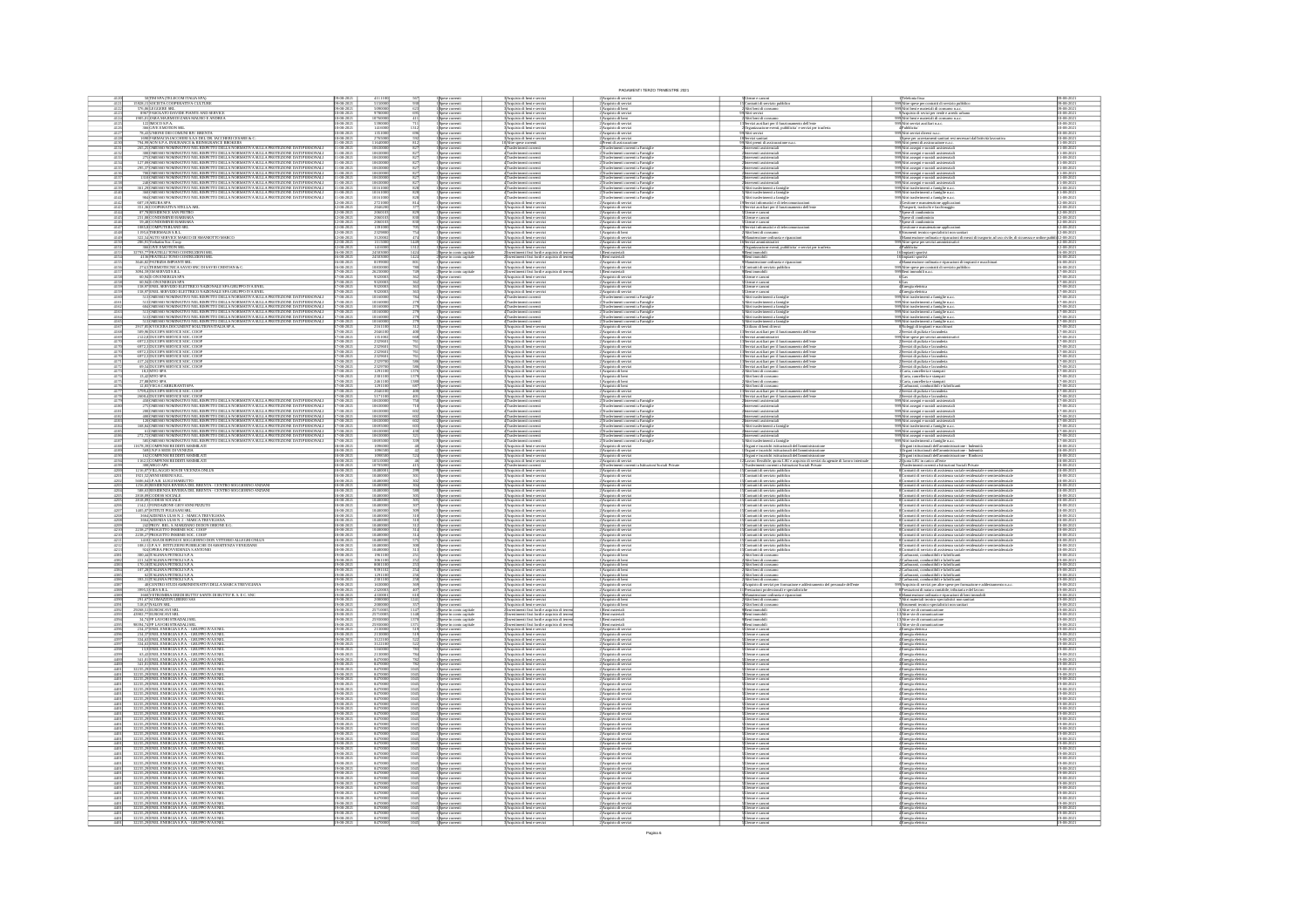|                   |                                            |                                                                                                                                                                                                                                                                                                                                                                                                                         |                                               |                                                                                                                                                                      |                                                                                                             |                                                                                                                                                                                                                                                                | PAGAMENTI TERZO TRIMESTRE 2021                                                                                                            |                                                                                                                                                                                                                                            |                                                                                                                                                                                                                                                                                                                                                                                                   |                                                    |
|-------------------|--------------------------------------------|-------------------------------------------------------------------------------------------------------------------------------------------------------------------------------------------------------------------------------------------------------------------------------------------------------------------------------------------------------------------------------------------------------------------------|-----------------------------------------------|----------------------------------------------------------------------------------------------------------------------------------------------------------------------|-------------------------------------------------------------------------------------------------------------|----------------------------------------------------------------------------------------------------------------------------------------------------------------------------------------------------------------------------------------------------------------|-------------------------------------------------------------------------------------------------------------------------------------------|--------------------------------------------------------------------------------------------------------------------------------------------------------------------------------------------------------------------------------------------|---------------------------------------------------------------------------------------------------------------------------------------------------------------------------------------------------------------------------------------------------------------------------------------------------------------------------------------------------------------------------------------------------|----------------------------------------------------|
|                   |                                            | 50 TIM SPA (TELECOM ITALIA SPA)<br>15928,15 SOCIETA COOPERATIVA CULTURE                                                                                                                                                                                                                                                                                                                                                 |                                               |                                                                                                                                                                      |                                                                                                             |                                                                                                                                                                                                                                                                | 2) Acquisto di servizi<br>2) Acquisto di servizi<br>1) Acquisto di beni<br>2) Acquisto di servizi                                         | Altri beni di cora                                                                                                                                                                                                                         | - Traussena rasa<br>299 Altre speie per contratti di servizio pubblico<br>299 Altri beni e materiali di consumo n.a.c.<br>- 9 Acquisto di sevizi per verde e arredo urbano                                                                                                                                                                                                                        | r9-08-20<br>r9-08-20                               |
|                   |                                            | 576,06 LEGGERE SRL<br>8967 FASOLATO DAVIDE PIANTE AND SERVICE                                                                                                                                                                                                                                                                                                                                                           | $08 - 202$                                    | 509000                                                                                                                                                               |                                                                                                             | Acquisto di beni e serviz<br>Acquisto di beni e serviz                                                                                                                                                                                                         |                                                                                                                                           |                                                                                                                                                                                                                                            |                                                                                                                                                                                                                                                                                                                                                                                                   | 09-08-2021<br>10-08-2021                           |
| 412               |                                            | $1905{,}01$ ZARA MARMI DI ZARA MAURO E ANDREA $122\texttt{\texttt{[MOCO S.P.A.}}}$<br>366 GIVE EMOTION SRL<br>78,43 UNIONE DEI COMUNI RIV. BRENTA                                                                                                                                                                                                                                                                       | 18-2021<br>18-2021<br>18-2021<br>18-2021      | 1076000                                                                                                                                                              | Spese correnti<br>Spese correnti                                                                            | Acquisto di beri e serviz<br>Acquisto di beri e serviz                                                                                                                                                                                                         | l Acquisto di beni<br>? Acquisto di serviz                                                                                                | .<br>Ntri beni di consumo<br>Servizi ausiliari per il fun<br>mento dell'ente<br>enti, pubblicita' e servizi per trasfert                                                                                                                   | .<br>Altri beni e materiali di consumo n.a.c<br>Altri servizi ausiliari n.a.c.                                                                                                                                                                                                                                                                                                                    | 10-08-202<br>10-08-202                             |
|                   |                                            |                                                                                                                                                                                                                                                                                                                                                                                                                         | $08 - 202$                                    | 141600<br>$\frac{276500}{116400}$                                                                                                                                    |                                                                                                             | .<br>Acquisto di beni e serviz<br>Acquisto di beni e serviz                                                                                                                                                                                                    | :<br>: Acquisto di servizi<br>: Acquisto di servizi                                                                                       |                                                                                                                                                                                                                                            | spubblicita'<br>SAltri sevizi divesi na c                                                                                                                                                                                                                                                                                                                                                         | 10-08-202<br>10-08-202<br>10-08-2021<br>11-08-2021 |
|                   | $\frac{4131}{4132}$                        | % AQUINONE DE COMUNIRY AS BRETA<br>1600) ARMACA LOCCHERIS AS DEL DR. UCCHERI CESARE & C.<br>794/9/400 N. S.P. ANSULANCE & REPRUSIVATE BROKERS<br>265, 25 DAESSO NOMINATIVO NEL BESPETTO DELLA NOBALTIVA SULLA PROTEZIONE DATI PERSO                                                                                                                                                                                     | $-08 - 2021$<br>$(8 - 202)$                   | 1063000                                                                                                                                                              | Spese correnti<br>Spese correnti<br>Spese correnti<br>Spese correnti<br>Spese correnti                      | 3 Acquisto di beri e servizi<br>10 Altre spose corretti<br>4 Trasferimenti correnti<br>4 Trasferimenti correnti                                                                                                                                                | 2 Acquisto di servizi<br>4 Premi di assicurazione<br>2 Trasferimenti correnti a Famigli<br>Trasferimenti correnti a Famig                 | Vitri preemi di ass<br>.<br>NYEE 2552                                                                                                                                                                                                      | $\begin{array}{l} \displaystyle -\frac{1}{2} \sum_{i=1}^{\infty} \frac{1}{2} \sum_{i=1}^{\infty} \frac{1}{2} \sum_{i=1}^{\infty} \frac{1}{2} \sum_{i=1}^{\infty} \frac{1}{2} \sum_{i=1}^{\infty} \frac{1}{2} \sum_{i=1}^{\infty} \frac{1}{2} \sum_{i=1}^{\infty} \frac{1}{2} \sum_{i=1}^{\infty} \frac{1}{2} \sum_{i=1}^{\infty} \frac{1}{2} \sum_{i=1}^{\infty} \frac{1}{2} \sum_{i=1}^{\infty}$ | 11-08-2021<br>11-08-2021                           |
|                   | 413                                        |                                                                                                                                                                                                                                                                                                                                                                                                                         | 08-2021                                       | 106300                                                                                                                                                               | .<br>Spese correnti                                                                                         | <b>4 Trasferimenti corrent</b>                                                                                                                                                                                                                                 | Trasferimenti correnti a Famigli                                                                                                          | rterverti assistenzia                                                                                                                                                                                                                      | .<br>999 Abri assegni e sussidi assistenzial<br>999 Abri assegni e sussidi assistenzial<br>999 Abri assegni e sussidi assistenzial                                                                                                                                                                                                                                                                | 11-08-202                                          |
|                   | $\frac{4134}{4135}$<br>$\frac{413}{413}$   | 127,09 [OMESSO NOMINATIVO NEL RISPETTO DELLA NORMATIVA SULLA PROTEZIONE DATI PERSONALI 295,37 [OMESSO NOMINATIVO NEL RISPETTO DELLA NORMATIVA SULLA PROTEZIONE DATI PERSONALI<br>700 DMESSO NOMINATIVO NEL RISPETTO DELLA NORMATIVA SULLA PROTEZIONE DATI PERSONALI<br>1310 JOMESSO NOMINATIVO NEL RISPETTO DELLA NORMATIVA SULLA PROTEZIONE DATI PERSONALI                                                             | 08-2021<br>08-2021<br>$\frac{48-202}{48-202}$ | 1063000<br>106300                                                                                                                                                    | ese correnti<br>ese correnti<br>Spese correnti<br>Spese correnti                                            | 4<br>Trasferimenti corren<br>4 Trasferimenti corren<br>Trasferimenti corrent<br>Trasferimenti corrent                                                                                                                                                          | oventi a Famigli<br>oventi a Famigli                                                                                                      | rterverti assistenzial<br>rterverti assistenzial                                                                                                                                                                                           | 09 <mark>Altri assegri e sussidi assistenzial</mark><br>09Altri assegri e sussidi assistenzial                                                                                                                                                                                                                                                                                                    | 1-08-202<br>1-08-202<br>11-08-202<br>11-08-202     |
|                   |                                            |                                                                                                                                                                                                                                                                                                                                                                                                                         | 18-2021<br>18-2021                            | 1063000                                                                                                                                                              | Spese correnti<br>Spese correnti                                                                            |                                                                                                                                                                                                                                                                | Trasferimenti correnti a Famigli<br>Trasferimenti correnti a Famigli                                                                      |                                                                                                                                                                                                                                            |                                                                                                                                                                                                                                                                                                                                                                                                   | 1-08-202<br>1-08-202                               |
|                   | $\frac{4140}{4141}$                        | $2400\text{MESSO NOMINATION NEL RISPETTO DELA NORMATIVE A SLLLA PROTEZIONE DAN TIBRSONIAL361,290\text{MESSO NOMINATION NEL RISPETTO DELLA NORMATIVE A SULLAPROTEZONE DAN TERSCONAL3600\text{MESSO NOMINATIVE NEL RISPETTO DELLA NORMATIVE A SLLLA PROTEZIONE DAT PERSONAL3940\text{MESSO NOMINATWO NEL RISPETTO DELLA NORMATN A SULLA PROTEZIONE DAN TERSONAL$                                                          | 48-2021<br>48-2021                            | 10161001<br>$rac{828}{828}$                                                                                                                                          | Spese correnti<br>Spese correnti                                                                            | $\begin{array}{c} \textbf{4} \text{ {Trasferimesti }\text{coerenti}}\\ \textbf{4} \text{ {Trasferimesti }\text{coerenti}}\\ \textbf{4} \text{ {Trasferimesti }\text{coerenti}}\\ \textbf{4} \text{ {Trasferimesti }\text{coerenti}} \end{array}$               | Trasferimenti correnti a Famigl                                                                                                           | Interventi assistenziali<br>Altri trasferimenti a famigli<br>Altri trasferimenti a famigli<br>trasferimenti a fam                                                                                                                          | 999 Altri assegni e sussidi assistenziali<br>999 Altri trasferimenti a famiglie n.a.c.<br>999 Altri trasferimenti a famiglie n.a.c.<br>999 Altri trasferimenti a famiglie n.a.c.                                                                                                                                                                                                                  | 11-08-2021<br>11-08-2021                           |
|                   | $\frac{4142}{4143}$                        | 607,19 ARUBA SPA<br>351,36 COOPERATIVA STELLA ARL                                                                                                                                                                                                                                                                                                                                                                       | 18-2021<br>18-2021                            | 2721000<br>814                                                                                                                                                       | Spese correnti<br>Spese correnti<br>Spese correnti<br>Spese correnti                                        | :<br>: Acquisto di beni e serviz<br>: Acquisto di beni e serviz                                                                                                                                                                                                | :<br>: Acquisto di servizi<br>: Acquisto di servizi                                                                                       | evizi informatici e di t<br>ausiliari per i                                                                                                                                                                                                | tione e manuteroione applicar<br>porti, traslochi e facchinaggio                                                                                                                                                                                                                                                                                                                                  | 12-08-2021<br>12-08-2021                           |
|                   |                                            | 87,78 RESIDENCE SAN PIETRO<br>231,08 CONDOMINIO BARBARA                                                                                                                                                                                                                                                                                                                                                                 | 48-202<br>48-202                              | 206010<br>206010                                                                                                                                                     |                                                                                                             | Acquisto di beri e serviz<br>Acquisto di beri e serviz                                                                                                                                                                                                         | Acquisto di servia<br>Acquisto di servia                                                                                                  | Jienze e canoni<br>Jienze e canoni                                                                                                                                                                                                         | .<br>Spese di condominio<br>Spese di condominio                                                                                                                                                                                                                                                                                                                                                   | 12-08-202<br>12-08-202                             |
|                   |                                            | 59,48 CONDOMINIO BARBARA<br>1085,8 COMPUTERLAND SRL                                                                                                                                                                                                                                                                                                                                                                     | 18-2021<br>18-2021                            | 206010                                                                                                                                                               | Spese correnti<br>Spese correnti<br>Spese correnti<br>Spese correnti<br>Spese correnti<br>Spese correnti    | Acquisto di beni e serviz<br>Acquisto di beni e serviz                                                                                                                                                                                                         | 2<br>2 Acquisto di servizi<br>2 Acquisto di servizi<br>1 Acquisto di servizi<br>2 Acquisto di servizi                                     | interese e camoni<br>Joenze e camoni<br>Jervizi informatici e di te<br>.<br>Altri beni di consum                                                                                                                                           | Spese di condominio                                                                                                                                                                                                                                                                                                                                                                               | 2-08-202                                           |
|                   | $\frac{4148}{4149}$                        | 1195.6 THERMALIS S.R.L.<br>322,54 AUTO SERVICE MARCO DI SMANIOTTO MARCO                                                                                                                                                                                                                                                                                                                                                 | 48-2021<br>48-2021                            | 2329800<br>3120002<br>1449                                                                                                                                           |                                                                                                             | :<br>:Acquisto di beni e serviz<br>:Acquisto di beni e serviz                                                                                                                                                                                                  |                                                                                                                                           | ruione ordinaria e ripar                                                                                                                                                                                                                   |                                                                                                                                                                                                                                                                                                                                                                                                   | 12-08-2021<br>12-08-2021                           |
|                   | $\frac{4150}{4151}$                        | 322, SUPERVIOUS SERVERE NORTH MARKET<br>285, 91 (Verhatin Sec. Coop<br>386 (GIVE EMOTION SRL<br>32793, 77 (FRATELLI TONO COSTRUZIONI SRL<br>4136 (FRATELLI TONO COSTRUZIONI SRL<br>366, 82 (PATRIZIA IMPIANTI SRL<br>366, 82 (PATRIZIA IMP                                                                                                                                                                              | 18-2021<br>18-2021<br>$8 - 202$               | 11150<br>14160                                                                                                                                                       | s<br><br>Spese in como capital                                                                              | Acquisto di beni e serviz<br>Acquisto di beni e serviz<br>imenti fissi lordi e acquisto di ten                                                                                                                                                                 | 2 Acquisto di serviz<br>2 Acquisto di serviz<br>2 Acquisto di serviz<br>1 Beni materiali<br>2 Acquisto di serviz                          | vamostoarom oranam e raparazona<br>Servizi amministrativi<br>Beni immobili<br>Beni immobili                                                                                                                                                | )<br>Altre spese per servizi am<br>IPabblicita                                                                                                                                                                                                                                                                                                                                                    |                                                    |
|                   |                                            |                                                                                                                                                                                                                                                                                                                                                                                                                         | $18 - 202$<br>$8 - 202$                       | 245030                                                                                                                                                               | pese in como ca                                                                                             | enti fissi lordi e ac<br>sto di ten<br>Acquisto di beni e servi                                                                                                                                                                                                |                                                                                                                                           | eni immobili                                                                                                                                                                                                                               | :<br> 6 Impianti sportivi<br> 6 Impianti sportivi<br> 4 Manatenzione ordinaria e riparazioni di impianti e macchinari                                                                                                                                                                                                                                                                             | 6-08-202<br>6-08-202                               |
| 415               |                                            | 274.S TERMOTECNICA SAVIO SNC DI SAVIO CRISTIAN & C<br>3094,59 SM SERVIZI S.R.L.                                                                                                                                                                                                                                                                                                                                         | 18-202<br>18-202<br>$\frac{18-2021}{10}$      | 108300                                                                                                                                                               | Spese correnti<br>Spese in como capitale                                                                    | .<br>Acquisto di beri e servizi<br>Investimenti fissi lordi e acquisto di ten<br>Acquisto di beri e serviz                                                                                                                                                     | Acquisto di servia<br>Beni materiali<br>Acquisto di servi                                                                                 | .<br>Contratti di servizio p<br>Seni immobili                                                                                                                                                                                              | )<br>Altre spese per contratti di servizio pubbl<br>)Beni immobili n.a.c.<br>6 <sub>cos</sub>                                                                                                                                                                                                                                                                                                     | 6-08-202<br>7-08-202                               |
|                   |                                            |                                                                                                                                                                                                                                                                                                                                                                                                                         |                                               | $\frac{932000}{932000}$                                                                                                                                              | Spese correnti<br>France commenti<br>Spese correnti<br>Spese correnti                                       | Acquisto di beni e servi<br>Acquisto di beni e servi                                                                                                                                                                                                           | Acquisto di serviz<br>Acquisto di serviz                                                                                                  | <u>Utenze e canoni</u><br>Utenze e canoni<br>Utenze e canoni                                                                                                                                                                               |                                                                                                                                                                                                                                                                                                                                                                                                   | $\frac{17-08-202}{17-08-202}$                      |
|                   | $\frac{4160}{4161}$                        | <b>20.000 STORIC STATES (STATES) AND A CONTRACT STATES (STATES) AND A CONTRACT STATES (STATES) AND A CONTRACT SUBMISSION CONTRACT SUBMISSION CONTRACT SUBMISSION CONTRACT SUBMISSION CONTRACT SUBMISSION CONTRACT SUBMISSION CON</b>                                                                                                                                                                                    | $08 - 202$                                    | 101600                                                                                                                                                               | Spese correnti<br>Spese correnti                                                                            | Acquisto di beri e servi:<br>Trasferimenti correnti                                                                                                                                                                                                            | l'Acquisto di servizi<br>l'Trasferimenti correnti                                                                                         | Jienze e canoni<br>Vitri trasferimenti a famigli                                                                                                                                                                                           | - 6(Gas<br>- «Emergia elettrica<br>- «Emergia elettrica<br>- 2020/Abri trasferimenti a farrigile n.a.c.<br>- 2020/Abri trasferimenti a farrigile n.a.c.<br>- 2020/Abri trasferimenti a farrigile n.a.c.<br>- 2020/Abri trasferimenti a farrigile                                                                                                                                                  | 7-08-202<br>7-08-2021<br>7-08-2021                 |
|                   |                                            |                                                                                                                                                                                                                                                                                                                                                                                                                         | 18-202<br>18-202                              | 101601                                                                                                                                                               | Spese correnti<br>Spese correnti                                                                            | 4<br>Trasferimenti correnti<br>4 Trasferimenti correnti                                                                                                                                                                                                        | .<br>Itasferimenti correnti a Famiglie<br>Itasferimenti correnti a Famiglie                                                               | .<br>Vitri trasferimenti a famiglio<br>Vitri trasferimenti a famiglio                                                                                                                                                                      |                                                                                                                                                                                                                                                                                                                                                                                                   | 7-08-202<br>7-08-202                               |
|                   | $rac{4164}{4165}$                          | $\frac{\text{513} \text{OMESO NOMBAINO NEL RSEFTO DELA NORMANA SLLLA PROTEZONED AN PERONALI}}{\text{513} \text{DMESO NOMBAINO NEL SSEFTO DELA NORMANA SLLLA PROTEZONED AN PERONALI}}\\ \text{501} \text{96} \text{NUCERA DCCLMENT SULTNOS TALIA SRA} \\ \text{501} \text{96} \text{DUCOPS SEWCE SCC COO} \\ \text{521} \text{NSEVCE SCC OOD} \\ \text{533} \text{96} \text{DUCOPS SEWCE SCC COO} \\ \text{544} \text{N$ | $\frac{16.2021}{10.333}$                      | 101600                                                                                                                                                               | Spese comerii<br>Spese comerii<br>Spese comerii<br>Spese comerii                                            | 4 Trasferimenti correnti                                                                                                                                                                                                                                       | Trasferimenti correnti a Famiglie                                                                                                         | .<br>Vitri trasferimenti a famiglio<br>Vitri trasferimenti a famiglio                                                                                                                                                                      | 999 Altri trasferimenti a farrighe n.a.c<br>999 Altri trasferimenti a farrighe n.a.c<br>8 Noleggi di impianti e macchinari<br>2 Servizi di pulizia e lavanderia                                                                                                                                                                                                                                   | 17-08-202<br>17-08-202                             |
|                   | $\frac{4167}{4168}$                        |                                                                                                                                                                                                                                                                                                                                                                                                                         | 18-2021<br>18-2021                            | 2161100<br>2046100                                                                                                                                                   |                                                                                                             | s transmission corrent<br>3 Acquisto di beri e serviz<br>3 Acquisto di beri e serviz                                                                                                                                                                           | :<br>Acquisto di servizi<br>: Acquisto di servizi                                                                                         | tilizzo di beni di terzi<br>to dell'em-<br>i ausiliari per il fun                                                                                                                                                                          |                                                                                                                                                                                                                                                                                                                                                                                                   | 7-08-2021<br>7-08-2021                             |
|                   |                                            | 2122,8 DUCOPS SERVICE SOC. COOP<br>6972,3 DUCOPS SERVICE SOC. COOP<br>6972,3 DUCOPS SERVICE SOC. COOP                                                                                                                                                                                                                                                                                                                   | 18-202<br>18-202<br>$18 - 202$                | 13510<br>23296                                                                                                                                                       | Spese correnti<br>Spese correnti                                                                            | 3 Acquisto di beni e servi<br>3 Acquisto di beni e servi<br>Acquisto di beni e serviz                                                                                                                                                                          | l'Acquisto di serviz<br>l'Acquisto di serviz                                                                                              | lervizi amministrativi<br>lervizi ausiliari per il funzionamento dell'ente                                                                                                                                                                 | 99 Altre spese per servizi amminist<br>- 2 Servizi di pulizia e lavanderia                                                                                                                                                                                                                                                                                                                        | 7-08-202<br>7-08-202<br>7-08-202                   |
|                   |                                            | 872, SIDUCOPS SERVICE SOC. COOP<br>6972, SIDUCOPS SERVICE SOC. COOP<br>6972, SIDUCOPS SERVICE SOC. COOP<br>417, SIDUCOPS SERVICE SOC. COOP<br>112, SINYO SPA<br>18, SINYO SPA<br>18, SINYO SPA                                                                                                                                                                                                                          | $18 - 202$<br>18-202<br>18-202                | 232960<br>232960<br>232960<br>232970                                                                                                                                 | Spese correnti<br>Spese correnti<br>Spese correnti<br>Spese correnti<br>Spese correnti                      | :<br>Acquisto di beni e servi<br>:<br>Acquisto di beni e servi                                                                                                                                                                                                 | 2 Acquisto di servizi<br>2 Acquisto di servizi<br>2 Acquisto di servizi<br>2 Acquisto di servizi                                          | possiva annitari per il funzionamento dell'ente<br>Servizi ansiliari per il funzionamento dell'ente<br>Servizi ansiliari per il funzionamento dell'ente<br>Servizi ansiliari per il funzionamento dell'ente<br>Servizi ansiliari per il fu | converte di pulluta e lavarderia<br>Servizi di pulluta e lavarderia<br>Servizi di pulluta e lavarderia<br>Servizi di pulluta e lavarderia<br>Servizi di pulluta e lavarderia<br>Servizi di pulluta e lavarderia<br>Carta, cancelleria e stampati                                                                                                                                                  | $\frac{17 - 08 - 202}{17 - 08 - 202}$              |
|                   | $\frac{4172}{4173}$                        |                                                                                                                                                                                                                                                                                                                                                                                                                         | 18-2021<br>18-2021                            | 2329700<br>1291100                                                                                                                                                   |                                                                                                             | : Acquisto di beni e serviz<br>: Acquisto di beni e serviz                                                                                                                                                                                                     | : Acquisto di servizi<br>! Acquisto di beni                                                                                               |                                                                                                                                                                                                                                            |                                                                                                                                                                                                                                                                                                                                                                                                   | 17-08-2021<br>17-08-2021                           |
|                   |                                            | 13,42MYO SPA<br>27,88MYO SPA<br>12,83VEGA CARBURANTI SPA                                                                                                                                                                                                                                                                                                                                                                | 18-2021<br>18-2021                            | 2301101<br>2461101<br>1291101                                                                                                                                        | Spese correnti<br>Spese correnti                                                                            | l'Acquisto di beri e servi:<br>l'Acquisto di beri e servi:                                                                                                                                                                                                     | 1 Acquisto di beni<br>1 Acquisto di beni                                                                                                  | Altri beni di consumo<br>Altri beni di consumo                                                                                                                                                                                             | Carta, cancelleria e stampati<br>Carta, cancelleria e stampati                                                                                                                                                                                                                                                                                                                                    | 7-08-202<br>7-08-202                               |
|                   | 417                                        | 5799,4 DUCOPS SERVICE SOC. COOP<br>2600,4 DUCOPS SERVICE SOC. COOP                                                                                                                                                                                                                                                                                                                                                      | $8 - 202$<br>$\frac{48-202}{48-202}$          | 204610<br>517110                                                                                                                                                     | se corrent<br>Spese correnti<br>Spese correnti                                                              | Acquisto di beri e serviz<br>Acquisto di beni e serviz<br>Acquisto di beni e serviz                                                                                                                                                                            | 1 Acquisto di beni<br>:<br>: Acquisto di servizi<br>: Acquisto di servizi                                                                 | Altri beni di consurr<br>Servizi ausiliari per il fun<br>Servizi ausiliari per il fun<br>ionamento dell'ente<br>ionamento dell'ente                                                                                                        | Carburanti, combustibili e lubrifi<br>Servizi di pulizia e lavanderia<br>Servizi di pulizia e lavanderia                                                                                                                                                                                                                                                                                          | 7-08-202<br>17-08-202<br>17-08-202                 |
|                   |                                            | MODARESSO NOMINATIVO NEL RESPETTO DELLA NORMATIVA SULLA PROTEZIONE DATI PERSONALI 275 OMESSO NOMINATIVO NEL RESPETTO DELLA NORMATIVA SULLA PROTEZIONE DATI PERSONALI                                                                                                                                                                                                                                                    | $\frac{48-202}{48-202}$                       | 106300                                                                                                                                                               | Spese correnti<br>Spese correnti                                                                            | Trasferimenti correnti<br>Trasferimenti correnti                                                                                                                                                                                                               | lusferimenti correnti a Famigli<br>Iusferimenti correnti a Famigli                                                                        | rterverti assistenzial<br>rterverti assistenzial                                                                                                                                                                                           | 99 <mark>Ahri assegni e sussidi assistenzia</mark><br>99 <mark>Ahri assegni e sussidi assistenzia</mark>                                                                                                                                                                                                                                                                                          | 7-08-202                                           |
|                   | 4181                                       |                                                                                                                                                                                                                                                                                                                                                                                                                         | 18-2021<br>18-2021                            | 1063000                                                                                                                                                              | Spese correnti<br>Spese correnti<br>Spese correnti                                                          | 4 Trasferimenti correnti                                                                                                                                                                                                                                       | :<br>?Trasferimenti correnti a Famiglie<br>?Trasferimenti correnti a Famiglie<br>?Trasferimenti correnti a Famiglie                       | rterverti assistenzial                                                                                                                                                                                                                     |                                                                                                                                                                                                                                                                                                                                                                                                   | 17-08-2021<br>17-08-2021                           |
|                   | $\frac{4183}{4184}$                        | 200 DMESSO NOMINATIVO NEL RESPETTO DELLA NORMATIVA SULLA PROTEZIONE DATI PERSONALI 4000 NESSO NOMINATIVO NEL RESPETTO DELLA NORMATIVA SULLA PROTEZIONE DATI PERSONALI 1120 DMESSO NOMINATIVO NEL RESPETTO DELLA NORMATIVA SUL                                                                                                                                                                                           | -08-2021<br>-08-2021                          | 10630001                                                                                                                                                             |                                                                                                             | $\begin{array}{c} \textbf{4} \text{Trasferimetti correlation} \\ \textbf{4} \text{Trasferimesti correlation} \\ \textbf{4} \text{Trasferimesti correction} \end{array}$                                                                                        | Trasferimenti correnti a Famigli                                                                                                          | Interventi assistenziali<br>Interventi assistenziali<br>Veri trasferimenti a famigli                                                                                                                                                       | 999 Altri assegri e sussidi assistenziali<br>999 Altri assegri e sussidi assistenziali<br>999 Altri assegri e sussidi assistenziali<br>999 Altri trasferimenti a famiglie n.a.c.                                                                                                                                                                                                                  | 17-08-2021<br>17-08-2021                           |
|                   | $\frac{4185}{4186}$                        | $61$ [OMESSO NOMINATIVO NEL RISPETTO DELLA NORMATIVA SULLA PROTEZIONE DATI PERSONALI $272,\!72\! \!0\mathrm{MESSO}$ NOMINATIVO NEL RISPETTO DELLA NORMATIVA SULLA PROTEZIONE DATI PERSONALI                                                                                                                                                                                                                             | 18-202<br>18-202                              | 1063000<br>1063000                                                                                                                                                   | Spine comenti<br>Spine comenti<br>Spine comenti                                                             | l<br>Trasferimenti correnti<br>l'Trasferimenti correnti                                                                                                                                                                                                        |                                                                                                                                           | rterverti assistenzial<br>rterverti assistenzial                                                                                                                                                                                           | 19 Altri assegni e sussidi assistenzial<br>19 Altri assegni e sussidi assistenzial                                                                                                                                                                                                                                                                                                                | 7-08-20                                            |
|                   |                                            | SIS]<br>OMESSO NOMINATIVO NEL RISPETTO DELLA NORMATIVA SULLA PROTEZIONE DATI PERSONALI 11678,39]<br>COMPENSI REDDITI ASSIMILATI                                                                                                                                                                                                                                                                                         | 18-2021<br>18-2021                            | 106950                                                                                                                                                               | Spese correnti<br>Spese correnti                                                                            | Trasferimenti correnti<br>Acquisto di beni e servi                                                                                                                                                                                                             | Trasferimenti correnti a Famiglie<br>Acquisto di servizi                                                                                  | Vitri trasferimenti a famiglie<br>Organi e incarichi istituzionali dell'                                                                                                                                                                   | 09 Abri trasferimenti a famiglie n.a.c.<br>1 Organi istituzionali dell'amministrazione - Inde                                                                                                                                                                                                                                                                                                     | 17-08-202<br>18-08-202                             |
|                   |                                            |                                                                                                                                                                                                                                                                                                                                                                                                                         |                                               |                                                                                                                                                                      |                                                                                                             |                                                                                                                                                                                                                                                                |                                                                                                                                           |                                                                                                                                                                                                                                            |                                                                                                                                                                                                                                                                                                                                                                                                   |                                                    |
|                   | $\frac{4189}{4190}$                        |                                                                                                                                                                                                                                                                                                                                                                                                                         | 18-2021<br>18-2021                            | 109650                                                                                                                                                               |                                                                                                             |                                                                                                                                                                                                                                                                |                                                                                                                                           |                                                                                                                                                                                                                                            |                                                                                                                                                                                                                                                                                                                                                                                                   | 18-08-202<br>18-08-202                             |
|                   | $\frac{4194}{4199}$                        |                                                                                                                                                                                                                                                                                                                                                                                                                         | 18-2021<br>18-2021                            | 105100                                                                                                                                                               | Spese correnti<br>Spese correnti<br>Spese correnti<br>Spese correnti                                        | 3 Acquisto di beni e servizi<br>3 Acquisto di beni e servizi<br>3 Acquisto di beni e servizi<br>4 Trasferimenti correnti                                                                                                                                       | $2$ Acquisto di servizi<br>$2$ Acquisto di servizi<br>$2$ Acquisto di servizi<br>$4$ Trasferimenti converti a Istituzioni Sociali Private | Organi e incarichi istituzionali dell'amministrazione<br>Organi e incarichi istituzionali dell'amministrazione<br>L'avero finssibile, quota LSU e acquisto di servizi da agenzie di lavoro interinale<br>Trasferimenti correnti a britu    | Organi istituzionali dell'amministrazione - Indemità<br>Organi istituzionali dell'amministrazione - Rimborsi<br>Opota LSU in carico all'este<br>Trasferimenti correnti a Istituzioni Sociali Private<br>seniresideusia<br>seniresideusia                                                                                                                                                          | 18-08-202<br>18-08-202                             |
|                   |                                            | 11678, SOLUMENSI NEMBERI ANG MARILATI<br>1620, SOLUND S SEDE DI VENEZIA<br>1620, SOLUND S SEDE DI VENEZIA<br>1620, SOLUND S SEDE DI VENEZIA<br>1732, SOLUND SEDENTI ANSIMILATI<br>1735, SOLUND SERENTA SERENTA SERENTA SERENTA SERENTA DEL 17                                                                                                                                                                           | $8 - 202$                                     | 104800<br>104800<br>104800                                                                                                                                           | Spese correnti<br>Spese correnti                                                                            | l Acquisto di beri e servi<br>l'Acquisto di beri e servi<br>Acquisto di beri e servi                                                                                                                                                                           | 2)Acquisto di servizi<br>2)Acquisto di servizi                                                                                            | Contratti di servizio pubblic<br>Contratti di servizio pubblic<br>Contratti di servizio pubbli                                                                                                                                             | ontratti di servizio di assistenza sociale residenziale e<br>ontratti di servizio di assistenza sociale residenziale e                                                                                                                                                                                                                                                                            | 18-08-20<br>18-08-20<br>18-08-202                  |
|                   |                                            | 1256,85 RESIDENZA RIVIERA DEL BRENTA - CENTRO SOGGIORNO ANZIAN<br>588,63 RESIDENZA RIVIERA DEL BRENTA - CENTRO SOGGIORNO ANZIAN                                                                                                                                                                                                                                                                                         | 18-202<br>18-202                              | 10480<br>10480                                                                                                                                                       | Spese correnti<br>Spese correnti<br>Spese correnti                                                          | :<br>: Acquisto di beni e serviz<br>: Acquisto di beni e serviz                                                                                                                                                                                                | <b>2 Acquisto di servizi<br/>2 Acquisto di servizi<br/>2 Acquisto di servizi</b>                                                          | Contratti di servizio pubbli<br>Contratti di servizio pubbli                                                                                                                                                                               | Contratti di servizio di assistenza sociale residenziale e semiresidenziale<br>Contratti di servizio di assistenza sociale residenziale e semiresidenziale<br>Contratti di servizio di assistenza sociale residenziale e semiresiden                                                                                                                                                              | 18-08-202<br>18-08-202                             |
|                   | 4205<br>$\frac{4206}{4202}$                | 2818,09 CODESS SOCIALE<br>2818,09 CODESS SOCIALE                                                                                                                                                                                                                                                                                                                                                                        | 18-2021<br>18-2021<br>48-2021                 | 10480<br>10480<br>$\frac{104800}{104800}$                                                                                                                            | Spese correnti<br>Spese correnti                                                                            | :<br>: Acquisto di beni e servizi<br>: Acquisto di beni e servizi                                                                                                                                                                                              | 2)Acquisto di servizi<br>2)Acquisto di servizi                                                                                            | Contratti di servizio pubblic<br>Contratti di servizio pubblic<br>Contratti di servizio pubblico<br>Contratti di servizio pubblico                                                                                                         | Contratti di servizio di assistenza sociale residenziale e semiresidenziale<br>Contratti di servizio di assistenza sociale residenziale e semiresidenziale                                                                                                                                                                                                                                        | 18-08-202<br>18-08-202<br>18-08-2021<br>18-08-2021 |
|                   | $\frac{4208}{4208}$                        | $2142,1$ FONDAZIONE GIOVANNI PIZZUTO $1405,\!07$ ISTITUTI POLESANI SRL                                                                                                                                                                                                                                                                                                                                                  | 18-2021<br>18-2021                            |                                                                                                                                                                      |                                                                                                             | :<br>: Acquisto di beni e serviz<br>: Acquisto di beni e serviz<br>:<br> Acquisto di beni e serviz<br> Acquisto di beni e serviz                                                                                                                               | 2)Acquisto di servizi<br>2)Acquisto di servizi<br>2 Acquisto di servizi<br>2 Acquisto di servizi                                          | Contratti di servizio pubblic<br>Contratti di servizio pubblic<br>Contratti di servizio pubblic                                                                                                                                            |                                                                                                                                                                                                                                                                                                                                                                                                   | 18-08-2021<br>18-08-2021                           |
|                   |                                            |                                                                                                                                                                                                                                                                                                                                                                                                                         | 18-202<br>18-202                              | $\frac{10480}{104800}$<br>104800                                                                                                                                     | Spese correnti<br>Spese correnti<br>Spese correnti<br>Spese correnti<br>Spese correnti<br>Spese correnti    | 3 Acquisto di beri e serviz<br>3 Acquisto di beri e serviz                                                                                                                                                                                                     | 2)Acquisto di serviz<br>2)Acquisto di serviz                                                                                              | Contratti di servizio pubbli<br>Contratti di servizio pubbli                                                                                                                                                                               | oft-communist metrics of ansistents sociale residentiale e semi-reidentiale<br>information of sections of assistents sociale residentiale e semi-reidentiale<br>differential servicio di assistents sociale residentiale e semi-reid                                                                                                                                                              | 18-08-202<br>18-08-202                             |
|                   | $\frac{4210}{4211}$                        | ARRAIGEMENT POLISSANI SHL<br>3664 AZIENDA ULSS N. 2 - MARCA TREVIGIANA<br>3664 AZIENDA ULSS N. 2 - MARCA TREVIGIANA<br>242<br>PROV. REL S. MARZIANO DI DON ORIONE E.C<br>2238, 27<br>BROGETTO INSIGNIE SOC. COOP<br>238, 27<br>BROGETTO INSIGNIE                                                                                                                                                                        | 18-2021<br>18-2021                            | 104800                                                                                                                                                               | Spese correnti<br>Spese correnti                                                                            | :<br>: Acquisto di beni e serviz<br>: Acquisto di beni e serviz                                                                                                                                                                                                | 2)Acquisto di servizi<br>2)Acquisto di servizi                                                                                            | Contratti di servizio pubblic<br>Contratti di servizio pubblic                                                                                                                                                                             |                                                                                                                                                                                                                                                                                                                                                                                                   | 18-08-202<br>18-08-202                             |
|                   | $\frac{4212}{4213}$                        |                                                                                                                                                                                                                                                                                                                                                                                                                         | -08-2021<br>-08-2021                          |                                                                                                                                                                      | Spese correnti<br>Spese correnti                                                                            | : <br> Acquisto di beni e serviz<br> Acquisto di beni e serviz                                                                                                                                                                                                 | 2)Acquisto di serviz<br>2)Acquisto di serviz                                                                                              | Contratti di servizio pubblic<br>Contratti di servizio pubblic                                                                                                                                                                             |                                                                                                                                                                                                                                                                                                                                                                                                   | 18-08-202<br>18-08-202                             |
|                   | $\frac{4381}{4382}$                        |                                                                                                                                                                                                                                                                                                                                                                                                                         | 18-2021<br>18-2021                            | $\frac{1048000}{1048000}$ $\frac{1961100}{3061100}$                                                                                                                  | Spese correnti<br>Spese correnti                                                                            | : <br> Acquisto di beni e serviz<br> Acquisto di beni e serviz                                                                                                                                                                                                 | 1 Acquisto di beni<br>1 Acquisto di beni                                                                                                  | Altri beni di consumo<br>Altri beni di consumo                                                                                                                                                                                             | Assumant an estados de assistemas noclas existemas en anteroxidentale<br>Contratti di servizio di assistema sociale residentale e semiresidentale<br>Contratti di servizio di assistema sociale residentale e semiresidentale<br>Contra                                                                                                                                                           | 19-08-2021<br>19-08-2021                           |
|                   |                                            | 170,18 TALIANA PETROLI S.P.A<br>107,28 TALIANA PETROLI S.P.A<br>2 TALIANA PETROLI S.P.A                                                                                                                                                                                                                                                                                                                                 | 18-202<br>18-202<br>$8 - 202$                 | $\frac{908110}{939110}$                                                                                                                                              | Spese correnti<br>Spese correnti<br>Spese correnti                                                          | Acquisto di beri e servi:<br>Acquisto di beri e servi:<br>Acquisto di beri e serviz                                                                                                                                                                            | 1 Acquisto di beni<br>1 Acquisto di beni<br>1 Acquisto di beni                                                                            | Altri beni di consumo<br>Altri beni di consumo<br>Altri beni di consum:                                                                                                                                                                    | Carburanti, combustibili e lubrificanti<br>Carburanti, combustibili e lubrificanti<br>Carburanti, combustibili e lubrificanti                                                                                                                                                                                                                                                                     | 19-08-202<br>19-08-202<br>19-08-202                |
| $\frac{438}{438}$ |                                            | 393,31 ITALIANA PETROLI S.P.A.<br>40 CENTRO STUDI AMMINISTRATIVI DELLA MARCA TREVIGIANA                                                                                                                                                                                                                                                                                                                                 | $\frac{48.202}{48.202}$                       | 23011                                                                                                                                                                | Spese correnti<br>Spese correnti                                                                            | :<br>: Acquisto di beni e serviz<br>: Acquisto di beni e serviz                                                                                                                                                                                                | 1 Acquisto di beni<br>2)Acquisto di serv                                                                                                  | Altri beni di consumo<br>Acquisto di servizi per !<br>zione e addestramento del personale dell'ente                                                                                                                                        | ione e addestramento n.a.c                                                                                                                                                                                                                                                                                                                                                                        | 19-08-202<br>19-08-202                             |
|                   | $\frac{4390}{4391}$                        | 3995.5 CIES S.R.L.<br>3660 VETROMIRA EREDI BUTTO' SANTE DI BUTTO' R. S. E.C. SNC                                                                                                                                                                                                                                                                                                                                        | 48-202                                        | 232000<br>433000<br>1241                                                                                                                                             |                                                                                                             | :<br>: Acquisto di beni e servizi<br>: Acquisto di beni e servizi                                                                                                                                                                                              | 2)Acquisto di serviz<br>2)Acquisto di serviz                                                                                              | restazioni professionali e specialistiche<br>Aanatenzione ordinaria e riparazioni                                                                                                                                                          |                                                                                                                                                                                                                                                                                                                                                                                                   | 19-08-202                                          |
|                   | $\frac{4392}{4393}$                        |                                                                                                                                                                                                                                                                                                                                                                                                                         | -08-2021<br>-08-2021<br>-08-2021<br>-08-2021  | 20000<br>25710005<br>25710005<br>$\frac{1147}{1148}$                                                                                                                 | l Spese correnti<br>1 Spese correnti<br>1 Spese correnti<br>1 Spese correnti                                |                                                                                                                                                                                                                                                                | 1 Acquisto di beni<br>1 Acquisto di beni                                                                                                  | .<br>Altri beni di consumo<br>Altri beni di consumo<br>Beni immobili<br>Beni immobili                                                                                                                                                      |                                                                                                                                                                                                                                                                                                                                                                                                   | 19-08-202<br>19-08-202<br>19-08-2021<br>19-08-2021 |
|                   | $\frac{4394}{4300}$                        | 291,67<br>SCOMAZZON LIBERO SAS<br>518,67<br>NALON SRL<br>2902,77<br>EUROSCAVI SRL<br>43902,77<br>EUROSCAVI SRL<br>34,74 FP LAVORI STRADALI SI<br>98394,74 FP LAVORI STRADALI SI                                                                                                                                                                                                                                         | (48-202)                                      | 259300<br>259300                                                                                                                                                     | :<br>Spese in como capitale<br>: Spese in como capitale<br>Spese in como capitals<br>Spese in como capitals | 3 Acquisto di beni e servizi<br>3 Acquisto di beni e servizi<br>2 Investimenti fissi lordi e acquisto di teme<br>2 Investimenti fissi lordi e acquisto di teme<br>lavestimenti fissi lordi e acquisto di terre<br>lavestimenti fissi lordi e acquisto di terre | 1 Beni materiali<br>1 Beni materiali<br>l Beni materiali<br>1 Beni materiali                                                              | Beni immobili<br>Beni immobili                                                                                                                                                                                                             | $\frac{\partial_2 A}{\partial x}$ activation, constantinal e luminalism<br>$\frac{\partial_2 A}{\partial x}$ activation di secondar per altre quese per formatione e add<br>gly-papirato di secondar per altre perse per formatione e add<br>gly-materiation e diverse co<br>s<br>Altre vie di comunicazione<br>spatre vie di comunicazione                                                       | 19-08-20                                           |
|                   |                                            | $\frac{234,37}{234,37} \text{ENEL ENERGIA S.P.A. - GRUPRO~IVA ENE 234,37} \text{ENEL ENERGIA S.P.A. - GRUPRO~IVA ENE RGE 234,37}$                                                                                                                                                                                                                                                                                       | 48-202                                        | 213000<br>213000                                                                                                                                                     | Spese correnti<br>Spese correnti                                                                            | :<br>: Acquisto di beni e serviz<br>: Acquisto di beni e serviz                                                                                                                                                                                                | 2)Acquisto di serv<br>2)Acquisto di serv                                                                                                  | Jonze e canon<br>Jonze e canon                                                                                                                                                                                                             |                                                                                                                                                                                                                                                                                                                                                                                                   | 19-08-202<br>19-08-202                             |
|                   | $\frac{4397}{4397}$                        | 334,63 ENEL ENERGIA S.P.A. - GRUPPO IVA ENEL<br>334,63 ENEL ENERGIA S.P.A. - GRUPPO IVA ENEL                                                                                                                                                                                                                                                                                                                            | -08-2021<br>-08-2021                          | 3122100<br>3122100                                                                                                                                                   | Spese correnti<br>Spese correnti                                                                            | : <br> Acquisto di beni e serviz<br> Acquisto di beni e serviz                                                                                                                                                                                                 | 2)Acquisto di servia<br>2)Acquisto di servia                                                                                              | Jonze e canon<br>Jonze e canon                                                                                                                                                                                                             | l Energia elettrica<br>l Energia elettrica<br>l Energia elettrica<br>l Energia elettrica                                                                                                                                                                                                                                                                                                          | 19-08-202<br>19-08-202                             |
|                   | $\frac{4398}{4360}$                        | $\begin{array}{c} \texttt{13.9} \texttt{ENE} \texttt{ENERGIA} \texttt{S.P.A.} \texttt{-GRUPPO NA ENE} \\ \texttt{63.43} \texttt{ENEE ENERGIA} \texttt{S.P.A.} \texttt{-GRUPPO NA ENE} \\ \texttt{341.01} \texttt{ENEE. ENERGIA} \texttt{S.P.A.} \texttt{-GRUPPO INA ENE} \end{array}$                                                                                                                                   | -08-2021<br>-08-2021<br>$18 - 202$            | 5160001<br>2130001<br>8470                                                                                                                                           | Spese correnti<br>Spese correnti                                                                            | : Acquisto di beni e serviz<br> Acquisto di beni e serviz                                                                                                                                                                                                      | 2 Acquisto di servizi<br>2 Acquisto di servizi                                                                                            | Jienze e canoni<br>Jienze e canoni                                                                                                                                                                                                         | Energia elettrica<br>Energia elettrica                                                                                                                                                                                                                                                                                                                                                            | 19-08-202<br>19-08-202                             |
|                   | $\frac{4400}{4401}$                        | 341,01 ENEL ENERGIA S.P.A. - GRUPPO IVA ENE<br>32235,29 ENEL ENERGIA S.P.A. - GRUPPO IVA ENE                                                                                                                                                                                                                                                                                                                            | -08-202<br>-08-202                            | 847000                                                                                                                                                               | Spese comenti<br>I Spese comenti<br>I Spese comenti                                                         | :<br>:<br>:}Acquisto di beri e serviz<br>:}Acquisto di beri e serviz                                                                                                                                                                                           | 2 Acquisto di servizi<br>2 Acquisto di servizi<br>2 Acquisto di servizi                                                                   | Utenze e canoni<br>Utenze e canoni<br>Utenze e canoni                                                                                                                                                                                      | i<br>Energia elettrica<br>Energia elettrica<br>Energia elettrica                                                                                                                                                                                                                                                                                                                                  | 19-08-202<br>19-08-202<br>19-08-202                |
|                   | $\frac{4401}{4401}$                        | 32235,29 ENEL ENERGIA S.P.A. - GRUPPO IVA ENE<br>32235,29 ENEL ENERGIA S.P.A. - GRUPPO IVA ENE                                                                                                                                                                                                                                                                                                                          | 08-202                                        | 84700<br>84700<br>$\frac{1045}{1045}$                                                                                                                                | Spese correnti<br>Spese correnti                                                                            | 3 Acquisto di beri e serviz<br>3 Acquisto di beri e serviz                                                                                                                                                                                                     | 2)Acquisto di servizi<br>2)Acquisto di servizi                                                                                            | Jienze e canoni<br>Jienze e canoni<br>Utenze e canoni                                                                                                                                                                                      | Energia elettrica<br>Energia elettrica                                                                                                                                                                                                                                                                                                                                                            | 19-08-202<br>19-08-202                             |
|                   | 4401                                       |                                                                                                                                                                                                                                                                                                                                                                                                                         | $08 - 202$                                    |                                                                                                                                                                      | Spese correnti                                                                                              | Acquisto di beni e servizi<br>Acquisto di beri e servi<br>Acquisto di beri e servi                                                                                                                                                                             | 2 Acquisto di servizi<br>Acquisto di servi<br>Acquisto di servi                                                                           |                                                                                                                                                                                                                                            |                                                                                                                                                                                                                                                                                                                                                                                                   | 19-08-2021<br>19-08-2021                           |
|                   | $\frac{4401}{4401}$                        |                                                                                                                                                                                                                                                                                                                                                                                                                         |                                               | $\begin{array}{r} 847000 \\ 847000 \\ 847000 \\ 847000 \end{array}$<br>$\begin{array}{r}\n 1045 \\  \hline\n 1045 \\  \hline\n 1045 \\  \hline\n 1045\n \end{array}$ |                                                                                                             | Acquisto di beri e servi                                                                                                                                                                                                                                       | Acquisto di serviz                                                                                                                        | ze e canor                                                                                                                                                                                                                                 |                                                                                                                                                                                                                                                                                                                                                                                                   | 19-08-202<br>19-08-202<br>19-08-202                |
|                   |                                            | 31235, 20ENEL ENERGIA SPA – GRUPPO IVA ENEL<br>3225, 20ENEL ENERGIA SPA – GRUPPO IVA ENEL<br>3225, 20ENEL ENERGIA SPA – GRUPPO IVA ENEL<br>3225, 20ENEL ENERGIA SPA – GRUPPO IVA ENEL<br>3225, 20ENEL ENERGIA SPA – GRUPPO IVA ENEL<br>3225,<br>32235,29 ENEL ENERGIA S.P.A. - GRUPPO IVA ENE<br>32235,29 ENEL ENERGIA S.P.A. - GRUPPO IVA ENE                                                                          | 08-202<br>08-202<br>18-202<br>18-202          | 847000<br>$\frac{1045}{1045}$<br>84700<br>$\frac{1045}{1045}$                                                                                                        | Spese correnti<br>Spese correnti<br>Spese correnti<br>Spese correnti                                        | : Acquisto di beni e serviz<br>: Acquisto di beni e serviz<br>3 Acquisto di beri e serviz<br>3 Acquisto di beri e serviz                                                                                                                                       | 2)Acquisto di servizi<br>2)Acquisto di servizi<br>2)Acquisto di servizi<br>2)Acquisto di servizi                                          | Jienze e canoni<br>Jienze e canoni<br>Jienze e canoni<br>Jienze e canoni                                                                                                                                                                   | Enrygia elettrica<br>Enrygia elettrica<br>Enrygia elettrica<br>Enrygia elettrica<br>Enrygia elettrica<br>Enrygia elettrica<br>Enrygia elettrica<br>.<br>Energia elettrica<br>Energia elettrica                                                                                                                                                                                                    | 19-08-202<br>19-08-202<br>19-08-202<br>19-08-202   |
|                   | 4401                                       | 32235,29 ENEL ENERGIA S.P.A. - GRUPPO IVA ENE<br>32235,29 ENEL ENERGIA S.P.A. - GRUPPO IVA ENE                                                                                                                                                                                                                                                                                                                          | 48-202                                        | 84700<br>$\frac{1045}{1045}$                                                                                                                                         | Spese correnti<br>Spese correnti                                                                            | 3 Acquisto di beri e serviz<br>3 Acquisto di beri e serviz                                                                                                                                                                                                     | 2)Acquisto di servizi<br>2)Acquisto di servizi                                                                                            | henze e canoni                                                                                                                                                                                                                             |                                                                                                                                                                                                                                                                                                                                                                                                   | 19-08-202                                          |
|                   | $\frac{4401}{4401}$                        | 32235,29 ENEL ENERGIA S.P.A. - GRUPPO IVA ENEL<br>32235,29 ENEL ENERGIA S.P.A. - GRUPPO IVA ENEL                                                                                                                                                                                                                                                                                                                        | -08-2021<br>-08-2021                          | 847000<br>1045<br>1045                                                                                                                                               | Spese correnti<br>Spese correnti                                                                            | :<br>: Acquisto di beri e serviz<br>: Acquisto di beri e serviz                                                                                                                                                                                                | 2 Acquisto di servizi<br>2 Acquisto di servizi                                                                                            | Jienze e canoni<br>Jienze e canoni                                                                                                                                                                                                         | :<br>Energia elettrica<br>Energia elettrica<br>Energia elettrica<br>Energia elettrica                                                                                                                                                                                                                                                                                                             | 19-08-2021<br>19-08-2021                           |
|                   | $\frac{4401}{4401}$                        |                                                                                                                                                                                                                                                                                                                                                                                                                         | 18-202<br>18-202<br>$8 - 202$                 |                                                                                                                                                                      | Spese correnti<br>Spese correnti<br>Spese correnti                                                          | :<br>:Acquisto di beni e serviz<br>:Acquisto di beni e serviz<br>Acquisto di beri e serviz                                                                                                                                                                     | 2)Acquisto di serviz<br>2)Acquisto di serviz<br>2 Acquisto di servizi                                                                     | Jienze e canon<br>Jienze e canon<br>tenze e canon                                                                                                                                                                                          | Energia elettric<br>Energia elettric                                                                                                                                                                                                                                                                                                                                                              | 19-08-202<br>19-08-202<br>19-08-202                |
|                   | $\frac{4401}{4401}$                        | <b>ARRISTS AND RESERVE ARRIVE OF A CONDUCT AND ARRIVE OF A CRUPPO IVA ENEL 322 S. 29 ENEL ENERGIA S.P.A. - GRUPPO IVA ENEL 322 S. 29 ENEL ENERGIA S.P.A. - GRUPPO IVA ENEL 322 S. 29 ENEL ENERGIA S.P.A. - GRUPPO IVA ENEL 322 S</b>                                                                                                                                                                                    | $08 - 202$                                    | 84701<br>84701<br>84701<br>1045<br>1045<br>1045<br>84700<br>$\frac{1045}{1045}$                                                                                      | Spese correnti<br>Spese correnti                                                                            | 3 Acquisto di beni e serviz<br>3 Acquisto di beni e serviz                                                                                                                                                                                                     | 2 Acquisto di servizi<br>2 Acquisto di servizi                                                                                            | Jonze e canoni<br>Jonze e canoni                                                                                                                                                                                                           | Energia elettrica<br>Energia elettrica<br>Energia elettrica                                                                                                                                                                                                                                                                                                                                       | 19-08-2021<br>19-08-2021                           |
|                   | $\frac{4401}{4401}$                        |                                                                                                                                                                                                                                                                                                                                                                                                                         | 48-202                                        | 84700<br>84700<br>84700<br>$\frac{1045}{1045}$                                                                                                                       | l<br>Spese correnti<br>I Spese correnti                                                                     |                                                                                                                                                                                                                                                                |                                                                                                                                           | Utenze e canoni<br>Utenze e canoni<br>Utenze e canoni                                                                                                                                                                                      |                                                                                                                                                                                                                                                                                                                                                                                                   | 19-08-202<br>19-08-202<br>19-08-202                |
|                   |                                            |                                                                                                                                                                                                                                                                                                                                                                                                                         | 16-202<br>16-202                              |                                                                                                                                                                      | Spese correnti<br>Spese correnti                                                                            | 3<br>Acquisto di beni e serviz<br>3 Acquisto di beni e serviz<br>3 Acquisto di beni e serviz<br>Acquisto di beni e servi<br>Acquisto di beni e servi                                                                                                           | 2) Acquisto di servizi<br>2) Acquisto di servizi<br>2) Acquisto di servizi<br>l'Acquisto di servia<br>l'Acquisto di servia                | Jonze e canon<br>Jonze e canon                                                                                                                                                                                                             | :<br>Energia elettrica<br>Energia elettrica<br>Energia elettrica                                                                                                                                                                                                                                                                                                                                  |                                                    |
|                   |                                            | 31235, 29 PRIL ENERGIA S.P.A. - GRUPPO IVA ENERGY<br>322 S., 29 PRIL ENERGIA S.P.A. - GRUPPO IVA ENERGY<br>322 S., 29 PRIL ENERGIA S.P.A. - GRUPPO IVA ENERGY<br>322 S., 29 PRIL ENERGIA S.P.A. - GRUPPO IVA ENERGY<br>322 S., 29 PRIL                                                                                                                                                                                  |                                               | 84701<br>84701<br>84701                                                                                                                                              | se corrent                                                                                                  | Acquisto di beri e servi                                                                                                                                                                                                                                       | 2 Acquisto di serviz                                                                                                                      | mze e canor<br><b>Jierze e canoni</b>                                                                                                                                                                                                      | Energia elettrica<br>Energia elettrica<br>Energia elettrica                                                                                                                                                                                                                                                                                                                                       | 19-08-202<br>19-08-202<br>19-08-202                |
|                   | $\frac{4401}{4401}$<br>$\frac{4401}{4401}$ | 32235,29 ENEL ENERGIA S.P.A. - GRUPPO IVA ENE<br>32235,29 ENEL ENERGIA S.P.A. - GRUPPO IVA ENE<br>32235,29 ENEL ENERGIA S.P.A. - GRUPPO IVA ENE<br>32235,29 ENEL ENERGIA S.P.A. - GRUPPO IVA ENE                                                                                                                                                                                                                        | $-08 - 2021$<br>$-08 - 2021$<br>08-202        | 84700<br>$\frac{1045}{1045}$<br>84700<br>$\frac{1045}{1045}$<br>847000<br>$\frac{1045}{1045}$                                                                        | Spese correnti<br>Spese correnti<br>Spase correnti<br>Spase correnti<br>Spese correnti<br>Spese comerci     | 3 Acquisto di beri e serviz<br>3 Acquisto di beri e serviz<br>:<br>:Acquisto di beri e serviz<br>:Acquisto di beri e serviz                                                                                                                                    | 2)Acquisto di servizi<br>2)Acquisto di servizi<br>2)Acquisto di servizi<br>2)Acquisto di servizi                                          | Jonze e canoni<br>Jonze e canoni<br>Joenne e camoni                                                                                                                                                                                        | Energia elettrica<br>Energia elettrica<br>Energia elettrica<br>Energia elettrica                                                                                                                                                                                                                                                                                                                  | 19-08-202<br>19-08-202<br>19-08-202<br>19-08-202   |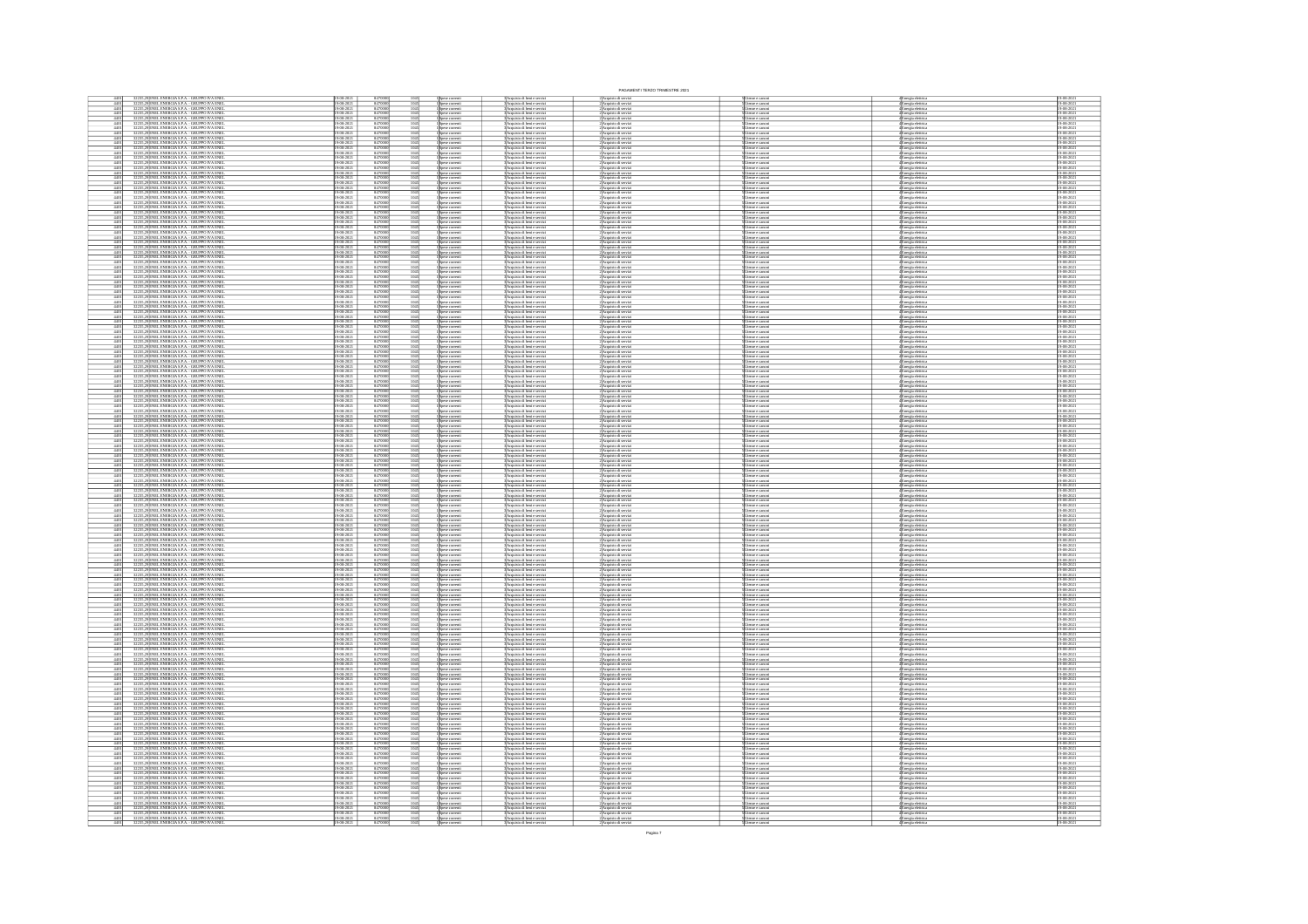|                                                                                                                                                                                                                                                                                                   |                                   |                                                                 |                              |                                                                                        |                                                                                                                               | PAGAMENTI TERZO TRIMESTRE 2021                                                                                                           |                                                                                                                                      |                                                                                                                                     |                                        |
|---------------------------------------------------------------------------------------------------------------------------------------------------------------------------------------------------------------------------------------------------------------------------------------------------|-----------------------------------|-----------------------------------------------------------------|------------------------------|----------------------------------------------------------------------------------------|-------------------------------------------------------------------------------------------------------------------------------|------------------------------------------------------------------------------------------------------------------------------------------|--------------------------------------------------------------------------------------------------------------------------------------|-------------------------------------------------------------------------------------------------------------------------------------|----------------------------------------|
| 235,29 ENEL ENERGIA S.P.A. - GRUPPO IVA ENE<br>235,29 ENEL ENERGIA S.P.A. - GRUPPO IVA ENE                                                                                                                                                                                                        |                                   | 847000                                                          |                              | l Spese corrent<br>I Spese corrent<br>I Spese corrent                                  | Acquisto di beni e servi<br>Acquisto di beni e servi                                                                          | :)Acquisto di serviz<br>:)Acquisto di serviz                                                                                             |                                                                                                                                      | (Energia elettrica<br>(Energia elettrica<br>(Energia elettrica<br>(Energia elettrica                                                |                                        |
| $\frac{4401}{4401}$<br>5,29 ENEL ENERGIA S.P.A. - GRUPPO IVA ENEI<br>5,29 ENEL ENERGIA S.P.A. - GRUPPO IVA ENEI                                                                                                                                                                                   | $-08 - 2021$                      | 847000                                                          | 1045                         |                                                                                        | .<br>Acquisto di beni e serviz<br>Acquisto di beni e serviz                                                                   | :<br>: Acquisto di serviz<br>: Acquisto di serviz                                                                                        | Jiemze e canon<br>Jiemze e canon                                                                                                     |                                                                                                                                     | 19-08-2021<br>19-08-2021               |
| $\frac{4401}{4401}$<br>5,29 ENEL ENERGIA S.P.A. - GRUPPO IVA ENE<br>5,29 ENEL ENERGIA S.P.A. - GRUPPO IVA ENE                                                                                                                                                                                     | 9-08-2021<br>9-08-2021            | 84700                                                           |                              | pese correnti<br>pese correnti                                                         | Acquisto di beri e serviz<br>Acquisto di beri e serviz                                                                        | :<br>Acquisto di serviz<br>: Acquisto di serviz                                                                                          | ltenze e canon<br>ltenze e canon                                                                                                     | Inergia elettrica<br>Inergia elettrica                                                                                              | 19-08-2021<br>19-08-2021               |
| $\frac{4401}{4401}$<br>32235, 29 ENEL ENERGIA S.P.A. - GRUPPO IVA ENE<br>32235, 29 ENEL ENERGIA S.P.A. - GRUPPO IVA ENE                                                                                                                                                                           | $\frac{9-08-2021}{0.02-2021}$     | 84700                                                           | $\frac{1045}{1045}$          | pese correnti<br>pese correnti                                                         | Acquisto di beni e serviz<br>Acquisto di beni e serviz                                                                        | :<br>Acquisto di servi<br>: Acquisto di servi                                                                                            | ltenze e canon<br>ltenze e canon                                                                                                     | Inergia elettric<br>Inergia elettric                                                                                                | 19-08-2021<br>19-08-2021               |
| $\frac{4401}{4401}$<br>,29 ENEL ENERGIA S.P.A. - GRUPPO IVA ENE<br>,29 ENEL ENERGIA S.P.A. - GRUPPO IVA ENE                                                                                                                                                                                       | $-08 - 2021$                      | 847000                                                          | 1045<br>1045                 |                                                                                        | Acquisto di beni e serviz<br>Acquisto di beni e serviz                                                                        |                                                                                                                                          |                                                                                                                                      |                                                                                                                                     | 19-08-2021<br>19-08-2021               |
| 3223                                                                                                                                                                                                                                                                                              | $8 - 202$                         |                                                                 |                              | ipese correnti<br>ipese correnti                                                       |                                                                                                                               | 2 Acquisto di serviz<br>2 Acquisto di serviz<br>2 Acquisto di serviz<br>2 Acquisto di serviz                                             | Utenze e canon<br>Utenze e canon<br>Utenze e canon<br>Utenze e canon                                                                 | s<br>Energia eletrica<br>Energia eletrica<br>Energia eletrica<br>Energia eletrica                                                   |                                        |
| $\frac{4401}{4401}$<br>29 ENEL ENERGIA S.P.A. - GRUPPO IVA ENE<br>29 ENEL ENERGIA S.P.A. - GRUPPO IVA ENE<br>4401<br><b>ENEL ENERGIA S.P.A. - GRUPPO IVA ENE</b>                                                                                                                                  | -08-2021<br>-08-2021              | 847000                                                          | 1045<br>1045                 | quise corrent<br>.<br>pese correnti                                                    | Acquisto di beni e serviz<br>Acquisto di beni e serviz                                                                        |                                                                                                                                          | henze e canor                                                                                                                        |                                                                                                                                     | 19-08-2021<br>19-08-2021               |
| $\frac{4401}{4401}$<br>NEL ENERGIA S.P.A. - GRUPPO IVA ENE<br>NEL ENERGIA S.P.A. - GRUPPO IVA ENE                                                                                                                                                                                                 | $8-2021$                          | 847000<br>847000<br>847000                                      | 1045                         |                                                                                        | 3<br>3 Acquisto di beri e serviz<br>3 Acquisto di beri e serviz<br>3 Acquisto di beri e serviz                                | 2)<br>Acquisto di serviz<br>2)<br>Acquisto di serviz                                                                                     | enze e canos<br>enze e canos                                                                                                         | Energia eletrica<br>Energia eletrica<br>Energia eletrica                                                                            | 19-08-2021<br>19-08-2021<br>19-08-2021 |
| $\frac{4401}{4401}$<br>NEL ENERGIA S.P.A. - GRUPPO IVA ENE<br>NEL ENERGIA S.P.A. - GRUPPO IVA ENE                                                                                                                                                                                                 |                                   | 84700                                                           |                              |                                                                                        | Acquisto di beni e serviz<br>Acquisto di beni e serviz                                                                        | .<br>Acquisto di servi<br>Acquisto di servi                                                                                              | tenze e cimon<br>tenze e cimon                                                                                                       | nergia elettric<br>nergia elettric                                                                                                  | 19-08-2021<br>19-08-2021               |
| $\frac{4401}{4401}$                                                                                                                                                                                                                                                                               | $-08 - 2021$                      | 84700                                                           |                              |                                                                                        |                                                                                                                               |                                                                                                                                          |                                                                                                                                      |                                                                                                                                     | 19-08-2021<br>19-08-2021               |
| ENEL ENERGIA S.P.A. - GRUPPO IVA ENE<br>ENEL ENERGIA S.P.A. - GRUPPO IVA ENE                                                                                                                                                                                                                      |                                   |                                                                 |                              | pese correnti<br>pese correnti                                                         | Acquisto di beni e serviz<br>Acquisto di beni e serviz                                                                        | :<br>: Acquisto di serviz<br>: Acquisto di serviz                                                                                        | ltenze e canon<br>ltenze e canon                                                                                                     | Liergia eletrica<br>Energia eletrica<br>Energia eletrica<br>Energia eletrica<br>Energia eletrica<br>Energia eletrica                |                                        |
| $\frac{4401}{4401}$<br>ENEL ENERGIA S.P.A. - GRUPPO IVA ENEI<br>ENEL ENERGIA S.P.A. - GRUPPO IVA ENEI<br>$\frac{3223}{3223}$                                                                                                                                                                      | -08-2021<br>-08-2021              | 847000                                                          | 1045<br>1045                 | .<br>pese correnti<br>pese correnti                                                    | Acquisto di beni e serviz<br>Acquisto di beni e serviz                                                                        | :<br>: Acquisto di serviz<br>: Acquisto di serviz                                                                                        | Jienze e canon<br>Jienze e canon                                                                                                     |                                                                                                                                     | 19-08-2021<br>19-08-2021               |
| $\frac{4401}{4401}$<br>ENEL ENERGIA S.P.A. - GRUPPO IVA ENE<br>ENEL ENERGIA S.P.A. - GRUPPO IVA ENE                                                                                                                                                                                               | -08-2021<br>-08-2021              | 847000                                                          | 1045<br>1045                 | .<br>pese correnti<br>pese correnti                                                    | Acquisto di beni e servizi<br>Acquisto di beni e servizi                                                                      | :<br>: Acquisto di serviz<br>: Acquisto di serviz                                                                                        | ltenze e canon<br>ltenze e canon                                                                                                     |                                                                                                                                     | 19-08-2021<br>19-08-2021               |
| NEL ENERGIA S.P.A. - GRUPPO IVA ENE<br>NEL ENERGIA S.P.A. - GRUPPO IVA ENE<br>$\frac{440}{440}$                                                                                                                                                                                                   |                                   | 84700                                                           |                              | .<br>pese correnti<br>one correnti                                                     | Acquisto di beni e servi<br>Acquisto di beni e servi                                                                          | :<br>Acquisto di servi<br>: Acquisto di servi                                                                                            | ltenze e canon<br>ltenze e canon                                                                                                     | :<br>:nergia elettric<br>:nergia elettric                                                                                           | 9-08-2021<br>9-08-2021                 |
| $\frac{4401}{4401}$<br>ENEL ENERGIA S.P.A. - GRUPPO IVA ENE<br>ENEL ENERGIA S.P.A. - GRUPPO IVA ENE                                                                                                                                                                                               | 08-2021                           | 84700                                                           |                              | ipese comeni<br>ipese comeni<br>ipese comeni<br>ipese comeni<br>ipese comeni           | :<br> Acquisto di beri e servizi<br> Acquisto di beri e servizi<br> Acquisto di beri e servizi<br> Acquisto di beri e servizi | 2)<br>Sepasion di serviz<br>2)<br>Acquisto di serviz<br>2)<br>Acquisto di serviz<br>2)<br>Acquisto di serviz<br>2)<br>Acquisto di serviz | <i>Stemme &amp; Cancer</i><br><i>Joemne &amp; Cancer</i><br>Joemne & Cancer<br>Joemne & Cancer<br>Joemne & Cancer<br>Joemne & Cancer | Energia eletrica<br>Energia eletrica<br>Energia eletrica<br>Energia eletrica<br>Energia eletrica<br>Energia eletrica                | 9-08-2021<br>9-08-2021                 |
| $\frac{4401}{4401}$<br>ENEL ENERGIA S.P.A. - GRUPPO IVA ENE<br>ENEL ENERGIA S.P.A. - GRUPPO IVA ENE<br>$\frac{3223}{3223}$                                                                                                                                                                        | -08-2021<br>-08-2021              | 847000<br>847000<br>847000<br>847000                            | 1045<br>1045                 |                                                                                        |                                                                                                                               |                                                                                                                                          |                                                                                                                                      |                                                                                                                                     | 19-08-2021<br>19-08-2021               |
| 4401<br>4401<br>NEL ENERGIA S.P.A. - GRUPPO IVA ENE<br>NEL ENERGIA S.P.A. - GRUPPO IVA ENE                                                                                                                                                                                                        |                                   |                                                                 |                              |                                                                                        | Acquisto di beni e serviz<br>Acquisto di beni e serviz                                                                        |                                                                                                                                          |                                                                                                                                      |                                                                                                                                     | 19-08-2021<br>19-08-2021               |
| 4401<br>NEL ENERGIA S.P.A. - GRUPPO IVA ENE                                                                                                                                                                                                                                                       |                                   |                                                                 |                              | xese corrent                                                                           |                                                                                                                               |                                                                                                                                          |                                                                                                                                      |                                                                                                                                     |                                        |
| $\frac{4401}{4401}$<br>NEL ENERGIA S.P.A. - GRUPPO IVA ENE<br>NEL ENERGIA S.P.A. - GRUPPO IVA ENE                                                                                                                                                                                                 |                                   | 84700<br>84700<br>84700                                         |                              | wie comm                                                                               | 3 Acquisto di beri e serviz<br>3 Acquisto di beri e serviz<br>3 Acquisto di beri e serviz                                     | 2)<br>Acquisto di servi<br>2) Acquisto di servi<br>2) Acquisto di servi                                                                  | lemne e camon<br>lemne e camon<br>lemne e camon                                                                                      | Energia elettrica<br>Energia elettrica<br>Energia elettrica                                                                         | 19-08-2021<br>19-08-2021<br>19-08-2021 |
| ENEL ENERGIA S.P.A. - GRUPPO IVA ENE<br>ENEL ENERGIA S.P.A. - GRUPPO IVA ENE<br>$\frac{4401}{4401}$                                                                                                                                                                                               |                                   | 84700                                                           |                              | pese correnti<br>pese correnti                                                         | <b>Acquisto di beni e serviz</b><br>Acquisto di beni e serviz                                                                 | :<br>Acquisto di servi<br>: Acquisto di servi                                                                                            | ltenze e canon<br>ltenze e canon                                                                                                     | Energia elettric<br>Energia elettric                                                                                                | 19-08-2021<br>19-08-2021               |
| $\frac{4401}{4401}$<br>32235, 29 ENEL ENERGIA S.P.A. - GRUPPO IVA ENE<br>32235, 29 ENEL ENERGIA S.P.A. - GRUPPO IVA ENE<br>32235, 29 ENEL ENERGIA S.P.A. - GRUPPO IVA ENE                                                                                                                         | $-08 - 2021$                      | $\frac{847000}{847000}$                                         | 1045                         | ipese comenti<br>ipese comenti<br>ipese comenti                                        | Acquisto di beri e serviz<br>Acquisto di beri e serviz<br>Acquisto di beri e serviz                                           | 2)<br>Acquisto di serviz<br>2)<br>Acquisto di serviz<br>2)<br>Acquisto di serviz                                                         | Utenze e canoni<br>Utenze e canoni<br>Utenze e canoni                                                                                | Energia elettrica<br>Energia elettrica<br>Energia elettrica                                                                         | 19-08-2021<br>19-08-2021<br>19-08-2021 |
|                                                                                                                                                                                                                                                                                                   |                                   |                                                                 |                              |                                                                                        |                                                                                                                               |                                                                                                                                          |                                                                                                                                      |                                                                                                                                     |                                        |
| 29 ENEL ENERGIA S.P.A. - GRUPPO IVA ENE<br>$\frac{4401}{4401}$<br>32235,29 ENEL ENERGIA S.P.A. - GRUPPO IVA ENE<br>32235,29 ENEL ENERGIA S.P.A. - GRUPPO IVA ENE                                                                                                                                  | $-08 - 2021$                      | 847000                                                          | 1045<br>1045                 | Spese correnti<br>Spese correnti                                                       | :<br>BAcquisto di beri e serviz<br>BAcquisto di beri e serviz<br>BAcquisto di beri e serviz                                   | 2) Acquisto di serviz<br>2) Acquisto di serviz<br>2) Acquisto di serviz                                                                  | Utenze e canon<br>Utenze e canon<br>Utenze e canon                                                                                   | 4<br>Energia eletrica<br>4 Energia eletrica<br>4 Energia eletrica                                                                   | 9-08-202<br>19-08-2021<br>19-08-2021   |
| 32235,29 ENEL ENERGIA S.P.A. - GRUPPO IVA ENE<br>32235,29 ENEL ENERGIA S.P.A. - GRUPPO IVA ENE<br>$\frac{4401}{4401}$                                                                                                                                                                             |                                   | 84700                                                           |                              | .<br>pese correnti<br>one correnti                                                     | Acquisto di beni e servizi<br>Acquisto di beni e servizi                                                                      | :<br>: Acquisto di serviz<br>: Acquisto di serviz                                                                                        | Jiemze e canon<br>Jiemze e canon                                                                                                     | Energia eletrici<br>Energia eletrici                                                                                                | 19-08-2021<br>19-08-2021               |
|                                                                                                                                                                                                                                                                                                   | 9-08-202<br>9-08-202<br>$08-2021$ |                                                                 |                              |                                                                                        |                                                                                                                               |                                                                                                                                          |                                                                                                                                      |                                                                                                                                     |                                        |
| $\frac{4401}{4401}$<br>32235,29 ENEL ENERGIA S.P.A. - GRUPPO IVA ENE<br>32235,29 ENEL ENERGIA S.P.A. - GRUPPO IVA ENE                                                                                                                                                                             |                                   | 84700                                                           |                              | Spese correnti<br>Spese correnti<br>Spese correnti                                     | Acquisto di beni e servizi<br>Acquisto di beni e servizi                                                                      | :<br>: Acquisto di serviz<br>: Acquisto di serviz                                                                                        | ltenze e canoni<br>ltenze e canoni                                                                                                   | Energia eletrici<br>Energia eletrici                                                                                                | 19-08-2021<br>19-08-2021               |
| $\frac{4401}{4401}$<br>32235,29 ENEL ENERGIA S.P.A. - GRUPPO IVA ENEL<br>32235,29 ENEL ENERGIA S.P.A. - GRUPPO IVA ENEL                                                                                                                                                                           | -08-2021<br>-08-2021              | 847000                                                          | 1045<br>1045                 |                                                                                        | Acquisto di beni e servizi<br>Acquisto di beni e servizi                                                                      | :<br>: Acquisto di serviz<br>: Acquisto di serviz                                                                                        | ltenze e canoni<br>ltenze e canoni                                                                                                   | .<br>Energia eletrica<br>Energia eletrica                                                                                           | 19-08-2021<br>19-08-2021               |
| ENEL ENERGIA S.P.A. - GRUPPO IVA ENE<br> ENEL ENERGIA S.P.A. - GRUPPO IVA ENE                                                                                                                                                                                                                     |                                   |                                                                 |                              | pese correnti<br>pese correnti                                                         | Acquisto di beni e servizi<br>Acquisto di beni e servizi                                                                      | l'Acquisto di serviz<br>l'Acquisto di serviz                                                                                             | ltenze e canoni<br>ltenze e canoni                                                                                                   | Energia eletrici<br>Energia eletrici                                                                                                | 19-08-2021<br>19-08-2021               |
| $\begin{array}{r} 4401 \\ \hline 4401 \\ \hline 4401 \\ \hline 4401 \\ \hline 4401 \\ \hline 4401 \\ \hline 4401 \end{array}$<br>ENEL ENERGIA S.P.A. - GRUPPO IVA ENEL<br>ENEL ENERGIA S.P.A. - GRUPPO IVA ENEL<br>ENEL ENERGIA S.P.A. - GRUPPO IVA ENEL<br>ENEL ENERGIA S.P.A. - GRUPPO IVA ENEL |                                   | 84700<br>84700<br>84700<br>84700<br>84700<br>84700              |                              | Spise correnti<br>Spise correnti<br>Spise correnti<br>Spise correnti<br>Spise correnti | Acquisto di beni e servizi<br>Acquisto di beni e servizi<br>Acquisto di beni e servizi<br>Acquisto di beni e servizi          | 2 Acquisto di serviz<br>2 Acquisto di serviz<br>2 Acquisto di serviz<br>2 Acquisto di serviz                                             | Fonne e canoni<br>Jienne e canoni<br>Jienne e canoni<br>Jienne e canoni<br>Jienne e canoni                                           | 4<br>Energia eletrica<br>4 Energia eletrica<br>4 Energia eletrica<br>4 Energia eletrica<br>4 Energia eletrica<br>4 Energia eletrica | 9-08-202                               |
|                                                                                                                                                                                                                                                                                                   |                                   |                                                                 | 1045<br>1045<br>1045         |                                                                                        |                                                                                                                               |                                                                                                                                          |                                                                                                                                      |                                                                                                                                     | $\frac{19.08 - 2021}{19.08 - 2021}$    |
| $\frac{4401}{4401}$<br>9 ENEL ENERGIA S.P.A. - GRUPPO IVA ENE<br>9 ENEL ENERGIA S.P.A. - GRUPPO IVA ENE<br>3223                                                                                                                                                                                   | 18-2021<br>18-2021                | 84700                                                           | 1045<br>1045                 |                                                                                        | Acquisto di beni e serviz<br>Acquisto di beni e serviz                                                                        | l'Acquisto di serviz<br>l'Acquisto di serviz                                                                                             |                                                                                                                                      |                                                                                                                                     | 19-08-2021<br>19-08-2021               |
| 3223                                                                                                                                                                                                                                                                                              |                                   |                                                                 |                              | xise corrent<br>ese correnti<br>ese correnti                                           | Acquisto di beni e serviz<br>Acquisto di beni e serviz                                                                        | l'Acquisto di servi<br>l'Acquisto di servi                                                                                               | tenze e cimon<br>tenze e cimon                                                                                                       | Inergia eletric<br>Inergia eletric                                                                                                  | 19-08-2021<br>19-08-2021               |
| 19<br>19 ENEL ENERGIA S.P.A. - GRUPPO IVA ENE<br>19 ENEL ENERGIA S.P.A. - GRUPPO IVA ENE                                                                                                                                                                                                          |                                   | 84700<br>84700<br>84700<br>84700<br>84700                       |                              |                                                                                        |                                                                                                                               |                                                                                                                                          |                                                                                                                                      |                                                                                                                                     | 9-08-2021                              |
| $\frac{440}{440}$<br>ENEL ENERGIA S.P.A. - GRUPPO IVA ENE<br>ENEL ENERGIA S.P.A. - GRUPPO IVA ENE                                                                                                                                                                                                 |                                   |                                                                 |                              | .<br>Spese correnti<br>Spese correnti                                                  | :<br>3 Acquisto di beni e serviz<br>3 Acquisto di beni e serviz<br>3 Acquisto di beni e serviz                                | <b>2 Acquisto di servi<br/>2 Acquisto di servi<br/>2 Acquisto di servi</b>                                                               | Jienze e canon<br>Jienze e canon<br>Jienze e canon                                                                                   | Energia eletrica<br>Energia eletrica<br>Energia eletrica                                                                            | 19-08-2021<br>19-08-2021               |
| 32235,29 ENEL ENERGIA S.P.A. - GRUPPO IVA ENE<br>32235,29 ENEL ENERGIA S.P.A. - GRUPPO IVA ENE                                                                                                                                                                                                    | $\frac{18-202}{19-202}$           | 84700<br>84700                                                  |                              | pese correnti<br>pese correnti                                                         | Acquisto di beri e servizi<br>Acquisto di beri e servizi                                                                      | : Acquisto di serviz<br>: Acquisto di serviz                                                                                             | ltenze e canoni<br>ltenze e canoni                                                                                                   | Energia elettrica<br>Energia elettrica                                                                                              | 9-08-2021<br>9-08-2021                 |
| $\frac{4401}{4401}$<br>32235,29 ENEL ENERGIA S.P.A. - GRUPPO IVA ENE<br>32235,29 ENEL ENERGIA S.P.A. - GRUPPO IVA ENE                                                                                                                                                                             | $\frac{48.2021}{69.2021}$         | 84700                                                           | $\frac{1045}{1045}$          |                                                                                        |                                                                                                                               |                                                                                                                                          |                                                                                                                                      |                                                                                                                                     | 19-08-2021                             |
|                                                                                                                                                                                                                                                                                                   |                                   |                                                                 |                              | ipese correnti<br>ipese correnti<br>ipese correnti<br>ipese correnti                   | 3 Acquisto di beni e servizi<br>3 Acquisto di beni e servizi<br>3 Acquisto di beni e servizi<br>3 Acquisto di beni e servizi  | 2 Acquisto di servizi<br>2 Acquisto di servizi<br>2 Acquisto di servizi<br>2 Acquisto di servizi                                         | Utenze e canoni<br>Utenze e canoni<br>Utenze e canoni<br>Utenze e canoni                                                             | Energia elettrica<br>Energia elettrica<br>Energia elettrica<br>Energia elettrica                                                    |                                        |
| $\frac{4401}{4401}$<br>32235,29 ENEL ENERGIA S.P.A. - GRUPPO IVA ENE<br>32235,29 ENEL ENERGIA S.P.A. - GRUPPO IVA ENE                                                                                                                                                                             | 08-2021<br>08-2021                | 847000                                                          | 1045<br>1045                 |                                                                                        |                                                                                                                               |                                                                                                                                          |                                                                                                                                      |                                                                                                                                     | 19-08-2021<br>19-08-2021               |
| 9 ENEL ENERGIA S.P.A. - GRUPPO IVA ENE<br>9 ENEL ENERGIA S.P.A. - GRUPPO IVA ENE<br>$\frac{4401}{4401}$                                                                                                                                                                                           |                                   | 84700                                                           |                              | pese correnti<br>pese correnti                                                         | Acquisto di beni e serviz<br>Acquisto di beni e serviz                                                                        | l'Acquisto di servi<br>l'Acquisto di servi                                                                                               | fenze e canon<br>fenze e canon                                                                                                       | Energia elettric<br>Energia elettric                                                                                                | 19-08-2021<br>19-08-2021               |
| 32235,29 ENEL ENERGIA S.P.A. - GRUPPO IVA ENE<br>32235,29 ENEL ENERGIA S.P.A. - GRUPPO IVA ENE<br>$\frac{4401}{4401}$                                                                                                                                                                             | $\frac{18-2021}{18-2021}$         | 84700                                                           |                              | sese correnti<br>sese correnti                                                         | Acquisto di beni e servizi<br>Acquisto di beni e servizi                                                                      | : Acquisto di serviz<br>: Acquisto di serviz                                                                                             | ltenze e canoni<br>ltenze e canoni                                                                                                   | Inergia elettrici<br>Inergia elettrici                                                                                              | 19-08-2021<br>19-08-2021               |
| $\frac{4401}{4401}$                                                                                                                                                                                                                                                                               | 08-2021                           | 84700                                                           | $\frac{1045}{1045}$          | pese correnti<br>pese correnti                                                         | Acquisto di beni e servizi<br>Acquisto di beni e servizi                                                                      | l'Acquisto di serviz<br>l'Acquisto di serviz                                                                                             | Jienze e canoni<br>Jienze e canoni                                                                                                   | Energia eletrica<br>Energia eletrica                                                                                                | 19-08-2021<br>19-08-2021               |
| 32235, 29 ENEL ENERGIA S.P.A. - GRUPPO IVA ENEL<br>32235, 29 ENEL ENERGIA S.P.A. - GRUPPO IVA ENEL<br>32235, 29 ENEL ENERGIA S.P.A. - GRUPPO IVA ENEL<br>32235, 29 ENEL ENERGIA S.P.A. - GRUPPO IVA ENEL<br>$\frac{4401}{4401}$                                                                   | 18-2021<br>18-2021                | 847000                                                          | 1045<br>1045                 | pese correnti<br>pese correnti                                                         | Acquisto di beni e servizi<br>Acquisto di beni e servizi                                                                      | l'Acquisto di serviz<br>l'Acquisto di serviz                                                                                             | Jienze e canoni<br>Jienze e canoni                                                                                                   | Energia eletrica<br>Energia eletrica                                                                                                | 19-08-2021<br>19-08-2021               |
| ENEL ENERGIA S.P.A. - GRUPPO IVA ENE<br>ENEL ENERGIA S.P.A. - GRUPPO IVA ENE<br>4401<br>4401                                                                                                                                                                                                      |                                   | 84700<br>84700<br>84700                                         |                              | xese correnti<br>xese correnti                                                         | Acquisto di beri e serviz<br>Acquisto di beri e serviz                                                                        | l'Acquisto di servi<br>l'Acquisto di servi                                                                                               | lenze e canoni<br>lenze e canoni                                                                                                     | Inergia eletrici<br>Inergia eletrici                                                                                                | 19-08-2021<br>19-08-2021               |
| ENEL ENERGIA S.P.A. - GRUPPO IVA ENE                                                                                                                                                                                                                                                              |                                   |                                                                 |                              | xese corrent                                                                           | Acquisto di beni e serviz                                                                                                     | Acquisto di servi                                                                                                                        | ltenze e canon                                                                                                                       | Inergia elettric                                                                                                                    | 9-08-202                               |
| 32235,29 ENEL ENERGIA S.P.A. - GRUPPO IVA ENE<br>32235,29 ENEL ENERGIA S.P.A. - GRUPPO IVA ENE<br>$\frac{4401}{4401}$                                                                                                                                                                             |                                   | 84700                                                           |                              | pese correnti<br>pese correnti                                                         | Acquisto di beri e servizi<br>Acquisto di beri e servizi                                                                      | :)Acquisto di serviz<br>:)Acquisto di serviz                                                                                             | ltenze e canoni<br>ltenze e canoni                                                                                                   | Energia elettrica<br>Energia elettrica                                                                                              | 19-08-202<br>19-08-202                 |
| 32235,29 ENEL ENERGIA S.P.A. - GRUPPO IVA ENE<br>32235,29 ENEL ENERGIA S.P.A. - GRUPPO IVA ENE<br>$\frac{4401}{4401}$                                                                                                                                                                             | $\frac{18-20}{2}$                 | 84700                                                           |                              | pese correnti<br>pese correnti                                                         | Acquisto di beri e servizi<br>Acquisto di beri e servizi                                                                      | : Acquisto di serviz<br>: Acquisto di serviz                                                                                             | ltenze e canoni<br>ltenze e canoni                                                                                                   | Energia elettrica<br>Energia elettrica                                                                                              | 19-08-2021<br>19-08-2021               |
| $\frac{4401}{4401}$<br>32235,29 ENEL ENERGIA S.P.A. - GRUPPO IVA ENE<br>32235,29 ENEL ENERGIA S.P.A. - GRUPPO IVA ENE                                                                                                                                                                             | 08-2021                           | 847000                                                          | $\frac{1045}{1045}$          | Spese comeni<br>Spese comeni<br>Spese comeni                                           | 3 Acquisto di beni e servizi<br>3 Acquisto di beni e servizi<br>3 Acquisto di beni e servizi<br>3 Acquisto di beni e servizi  | 2)Acquisto di servizi<br>2)Acquisto di servizi                                                                                           | Utenze e canoni<br>Utenze e canoni<br>Utenze e canoni<br>Utenze e canoni                                                             | 4 Energia eletrica<br>4 Energia eletrica<br>4 Energia eletrica<br>4 Energia eletrica                                                | 19-08-2021<br>19-08-2021               |
| $\frac{4401}{4401}$<br>32235,29 ENEL ENERGIA S.P.A. - GRUPPO IVA ENEL<br>32235,29 ENEL ENERGIA S.P.A. - GRUPPO IVA ENEL                                                                                                                                                                           | 08-2021<br>08-2021                | 847000                                                          | $\frac{1045}{1045}$          |                                                                                        |                                                                                                                               | 2) Acquisto di servizi<br>2) Acquisto di servizi                                                                                         |                                                                                                                                      |                                                                                                                                     | 19-08-2021<br>19-08-2021               |
| 32235,29 ENEL ENERGIA S.P.A. - GRUPPO IVA ENE<br>32235,29 ENEL ENERGIA S.P.A. - GRUPPO IVA ENE<br>$\frac{4401}{4401}$                                                                                                                                                                             | $\frac{-08-20}{10}$               | 84700                                                           | 1045<br>1045                 | pese correnti<br>pese correnti                                                         | Acquisto di beni e servizi<br>Acquisto di beni e servizi                                                                      | l'Acquisto di serviz<br>l'Acquisto di serviz                                                                                             | ltenze e canoni<br>ltenze e canoni                                                                                                   | Energia elettrica<br>Energia elettrica                                                                                              | 19-08-2021<br>19-08-2021               |
|                                                                                                                                                                                                                                                                                                   | 08-2021                           |                                                                 | 1045<br>1045                 |                                                                                        |                                                                                                                               |                                                                                                                                          |                                                                                                                                      |                                                                                                                                     |                                        |
| $\frac{4401}{4401}$<br>32235,29 ENEL ENERGIA S.P.A. - GRUPPO IVA ENE<br>32235,29 ENEL ENERGIA S.P.A. - GRUPPO IVA ENE                                                                                                                                                                             |                                   | 84700                                                           |                              | ipese correnti<br>ipese correnti                                                       | Acquisto di beni e servizi<br>Acquisto di beni e servizi                                                                      | : Acquisto di serviz<br>: Acquisto di serviz                                                                                             | Jienze e canoni<br>Jienze e canoni                                                                                                   | Energia elettrica<br>Energia elettrica                                                                                              | 19-08-2021<br>19-08-2021               |
| 3228, 29<br>ENEL ENERGIA SP.A. - GRUPPO IVA ENE<br>3228, 29<br>ENEL ENERGIA SP.A. - GRUPPO IVA ENE<br>3228, 29<br>ENEL ENERGIA SP.A. - GRUPPO IVA ENE<br>3228, 29<br>ENEL ENERGIA SP.A. - GRUPPO IVA ENE<br>$\frac{4401}{4401}$                                                                   | 18-2021<br>18-2021                | 84700                                                           | $\frac{1045}{1045}$          | ipese correnti<br>ipese correnti                                                       | 3 Acquisto di beni e servizi<br>3 Acquisto di beni e servizi                                                                  | l'Acquisto di serviz<br>l'Acquisto di serviz                                                                                             | Utenze e canoni<br>Utenze e canoni<br>Utenze e canoni<br>Utenze e canoni                                                             | Energia eletrica<br>Energia eletrica                                                                                                | 19-08-2021<br>19-08-2021               |
| $\frac{4401}{4401}$                                                                                                                                                                                                                                                                               |                                   | 84700<br>84700<br>84700<br>84700<br>84700                       | 1045<br>1045                 | pese correnti<br>pese correnti                                                         | 3 Acquisto di beni e serviz<br>3 Acquisto di beni e serviz                                                                    | 2)Acquisto di serviz<br>2)Acquisto di serviz                                                                                             |                                                                                                                                      | Energia eletrica<br>Energia eletrica                                                                                                | 19-08-2021<br>19-08-2021               |
| 32235, 29 ENEL ENERGIA S.P.A. - GRUPPO IVA ENE<br>32235, 29 ENEL ENERGIA S.P.A. - GRUPPO IVA ENE<br>32235, 29 ENEL ENERGIA S.P.A. - GRUPPO IVA ENE<br>$\frac{4401}{4401}$<br>$\frac{4401}{4401}$                                                                                                  |                                   |                                                                 |                              | ipese correnti<br>ipese correnti                                                       | Acquisto di beni e serviz<br>Acquisto di beni e serviz                                                                        | l'Acquisto di servi<br>l'Acquisto di servi                                                                                               | Jienze e canon<br>Jienze e canon                                                                                                     | Energia elettric<br>Energia elettric                                                                                                | 19-08-2021<br>19-08-2021               |
|                                                                                                                                                                                                                                                                                                   |                                   |                                                                 |                              | quese correnti                                                                         | Acquisto di beri e servizi                                                                                                    | Acquisto di servi                                                                                                                        | lesze e canon                                                                                                                        | Inergia elettric                                                                                                                    | 9-08-2021                              |
| $\frac{4401}{4401}$<br>32235,29 ENEL ENERGIA S.P.A. - GRUPPO IVA ENE<br>32235,29 ENEL ENERGIA S.P.A. - GRUPPO IVA ENE                                                                                                                                                                             |                                   | 84700                                                           | 1045<br>1045                 | ipese correnti.<br>ipese correnti                                                      | Acquisto di beri e servizi<br>Acquisto di beri e servizi                                                                      | 2)Acquisto di serviz<br>2)Acquisto di serviz                                                                                             | Jienze e canoni<br>Jienze e canoni                                                                                                   | Energia elettrica<br>Energia elettrica                                                                                              | 19-08-2021<br>19-08-2021               |
| $\frac{4401}{4401}$<br>32235,29 ENEL ENERGIA S.P.A. - GRUPPO IVA ENE<br>32235,29 ENEL ENERGIA S.P.A. - GRUPPO IVA ENE                                                                                                                                                                             | $8 - 2021$                        | 84700                                                           | $\frac{1045}{1045}$          | quese correnti                                                                         | 3 Acquisto di beni e servizi<br>3 Acquisto di beni e servizi<br>3 Acquisto di beni e servizi<br>3 Acquisto di beni e servizi  | 2)Acquisto di serviz<br>2)Acquisto di serviz                                                                                             | Jienze e canoni<br>Jienze e canoni                                                                                                   | Energia elettrica<br>Energia elettrica<br>Energia elettrica<br>Energia elettrica                                                    | 19-08-2021<br>19-08-2021               |
| $\frac{4401}{4401}$<br>32235, 29 ENEL ENERGIA S.P.A. - GRUPPO IVA ENEL<br>32235, 29 ENEL ENERGIA S.P.A. - GRUPPO IVA ENEL<br>32235, 29 ENEL ENERGIA S.P.A. - GRUPPO IVA ENEL<br>32235, 29 ENEL ENERGIA S.P.A. - GRUPPO IVA ENEL                                                                   | 08-2021<br>08-2021                | 84700                                                           | 1045<br>1045                 | Spese correnti<br>Spese correnti<br>Spese correnti                                     |                                                                                                                               | :<br>: Acquisto di serviz<br>: Acquisto di serviz                                                                                        | Jienze e canoni<br>Jienze e canoni                                                                                                   |                                                                                                                                     | 19-08-2021<br>19-08-2021               |
| $\frac{4401}{4401}$                                                                                                                                                                                                                                                                               | 18-2021                           | 847000                                                          | $\frac{1045}{1045}$          | Spese correnti<br>Spese correnti                                                       | 3 Acquisto di beni e servizi<br>3 Acquisto di beni e servizi                                                                  | l'Acquisto di servizi<br>l'Acquisto di servizi                                                                                           | Utenze e canoni<br>Utenze e canoni                                                                                                   | Energia eletrica<br>Energia eletrica                                                                                                | 19-08-2021<br>19-08-2021               |
| 32235,29 ENEL ENERGIA S.P.A. - GRUPPO IVA ENE<br>32235,29 ENEL ENERGIA S.P.A. - GRUPPO IVA ENE<br>$\frac{4401}{4401}$                                                                                                                                                                             |                                   | 84700                                                           |                              | ipese correnti<br>ipese correnti                                                       | 3 Acquisto di beni e servizi<br>3 Acquisto di beni e servizi                                                                  | 2)Acquisto di serviz<br>2)Acquisto di serviz                                                                                             | Jienze e canoni<br>Jienze e canoni                                                                                                   | .<br>Energia elettrica<br>Energia elettrica                                                                                         | 19-08-2021<br>19-08-2021               |
| $\frac{4401}{4401}$<br>32235,29 ENEL ENERGIA S.P.A. - GRUPPO IVA ENE<br>32235,29 ENEL ENERGIA S.P.A. - GRUPPO IVA ENE                                                                                                                                                                             | 8-2021                            | 84700                                                           | $\frac{1045}{1045}$          | pese correnti<br>pese correnti                                                         | Acquisto di beni e servizi<br>Acquisto di beni e servizi                                                                      | : Acquisto di serviz<br>: Acquisto di serviz                                                                                             | ltenze e canoni<br>ltenze e canoni                                                                                                   | Energia elettrica<br>Energia elettrica                                                                                              | 19-08-2021<br>19-08-2021               |
| $\frac{4401}{4401}$<br>29 ENEL ENERGIA S.P.A. - GRUPPO IVA ENEL<br>29 ENEL ENERGIA S.P.A. - GRUPPO IVA ENEL<br>29 ENEL ENERGIA S.P.A. - GRUPPO IVA ENEL<br>29 ENEL ENERGIA S.P.A. - GRUPPO IVA ENEL                                                                                               | 18-2021<br>18-2021                | 84700                                                           | 1045<br>1045                 | ipese correnti<br>ipese correnti                                                       | Acquisto di beni e serviz<br>Acquisto di beni e serviz                                                                        | l'Acquisto di serviz<br>l'Acquisto di serviz                                                                                             | Joenne e canoni<br>Joenne e canoni                                                                                                   | .<br>Energia eletrici<br>Energia eletrici                                                                                           | 19-08-2021<br>19-08-2021               |
| $\frac{4401}{4401}$                                                                                                                                                                                                                                                                               | 8-2021<br>8-2021                  |                                                                 | 1045<br>1045                 | ipese correnti<br>ipese correnti                                                       | Acquisto di beni e servizi<br>Acquisto di beni e servizi                                                                      | l'Acquisto di serviz<br>l'Acquisto di serviz                                                                                             | ltenze e canoni<br>ltenze e canoni                                                                                                   | Energia eletrici<br>Energia eletrici                                                                                                | 19-08-2021<br>19-08-2021               |
| NEL ENERGIA S.P.A. - GRUPPO IVA ENI                                                                                                                                                                                                                                                               |                                   |                                                                 |                              |                                                                                        |                                                                                                                               |                                                                                                                                          |                                                                                                                                      |                                                                                                                                     |                                        |
| $\frac{4401}{4401}$<br>NEL ENERGIA S.P.A. - GRUPPO IVA ENE<br>NEL ENERGIA S.P.A. - GRUPPO IVA ENE                                                                                                                                                                                                 | 8-202                             | 84700                                                           | 1045<br>1045                 | Spese correnti<br>Spese correnti<br>pese corren                                        | 3 Acquisto di beni e servizi<br>3 Acquisto di beni e servizi<br>3 Acquisto di beni e servizi                                  | 2) Acquisto di serviz<br>2) Acquisto di serviz<br>2) Acquisto di serviz                                                                  | Jienze e canoni<br>Jienze e canoni<br>Jienze e canoni                                                                                | 4<br>Energia eletrica<br>4 Energia eletrica<br>4 Energia eletrica                                                                   | 19-08-2021<br>19-08-2021<br>19-08-2021 |
| 32235,29 ENEL ENERGIA S.P.A. - GRUPPO IVA ENE<br>32235,29 ENEL ENERGIA S.P.A. - GRUPPO IVA ENE<br>$\frac{4401}{4401}$                                                                                                                                                                             |                                   | 84700                                                           | 1045<br>1045                 | Spese correnti<br>Spese correnti                                                       | Acquisto di beni e servizi<br>Acquisto di beni e servizi                                                                      | :)Acquisto di serviz<br>:)Acquisto di serviz                                                                                             | Jienze e canoni<br>Jienze e canoni                                                                                                   | Energia elettrici<br>Energia elettrici                                                                                              | 19-08-2021<br>19-08-2021               |
| $\frac{4401}{4401}$                                                                                                                                                                                                                                                                               | 18-2021                           |                                                                 |                              | Spese correnti                                                                         |                                                                                                                               |                                                                                                                                          |                                                                                                                                      | Energia eletrica                                                                                                                    | 19-08-2021                             |
| <b>3228, 2008EL ENERGAS PA - GRUPO INA ENERGY SERVED RESP.</b><br>2228, 2008EL ENERGAS PA - GRUPO INA ENERGY<br>3228, 2008EL ENERGAS PA - GRUPO INA ENERGY<br>3228, 2008EL ENERGIAS PA - GRUPO INA ENERGY<br>2228, 2008EL ENERGIAS PA - GRUPO I                                                   |                                   | $\begin{array}{r} 84700 \\ 84700 \\ 84700 \\ 84700 \end{array}$ | 1045<br>1045<br>1045<br>1045 |                                                                                        | :<br>:<br>:}Acquisto di beni e servizi<br>:!Acquisto di beni e servizi                                                        | 2)<br>Acquisto di servizi<br>2)<br>Acquisto di servizi                                                                                   | Utenze e canoni<br>Utenze e canoni<br>Utenze e canoni                                                                                |                                                                                                                                     | 19-08-2021<br>19-08-2021<br>19-08-2021 |
|                                                                                                                                                                                                                                                                                                   |                                   |                                                                 |                              | Spese correnti<br>Spese correnti                                                       | Acquisto di beri e serviz                                                                                                     | Acquisto di servi                                                                                                                        | state e carace                                                                                                                       | 4<br>Energia eletrica<br>4 Energia eletrica<br>4 Energia eletrica                                                                   |                                        |
| $\frac{4401}{4401}$                                                                                                                                                                                                                                                                               | 08-2021<br>08-2021                | 84700                                                           | $\frac{1045}{1045}$          |                                                                                        | 3 Acquisto di beri e servizi<br>3 Acquisto di beri e servizi                                                                  | 2)Acquisto di serviz<br>2)Acquisto di serviz                                                                                             | Utenze e canoni<br>Utenze e canoni                                                                                                   |                                                                                                                                     | 19-08-2021<br>19-08-2021               |
| 32235,29 ENEL ENERGIA S.P.A. - GRUPPO IVA ENE<br>32235,29 ENEL ENERGIA S.P.A. - GRUPPO IVA ENE<br>$\frac{4401}{4401}$                                                                                                                                                                             | $\frac{18-202}{2}$                | 84700                                                           | 1045<br>1045                 | Spese correnti<br>Spese correnti                                                       | Acquisto di beri e servizi<br>Acquisto di beri e servizi                                                                      | :)Acquisto di serviz<br>:)Acquisto di serviz                                                                                             | Jienze e canoni<br>Jienze e canoni                                                                                                   | Energia elettrica<br>Energia elettrica                                                                                              | 19-08-2021<br>19-08-2021               |
| $\frac{4401}{4401}$<br>32235,29 ENEL ENERGIA S.P.A. - GRUPPO IVA ENE<br>32235,29 ENEL ENERGIA S.P.A. - GRUPPO IVA ENE                                                                                                                                                                             | $\frac{8-2021}{2}$                | 84700                                                           | 1045<br>1045                 | Spese correnti<br>Spese correnti                                                       | Acquisto di beri e servizi<br>Acquisto di beri e servizi                                                                      | 2)Acquisto di serviz<br>2)Acquisto di serviz                                                                                             | Jienze e canoni<br>Jienze e canoni                                                                                                   | Energia elettrica<br>Energia elettrica                                                                                              | 19-08-2021<br>19-08-2021               |
| $\frac{4401}{4401}$<br>32235,29 ENEL ENERGIA S.P.A. - GRUPPO IVA ENE<br>32235,29 ENEL ENERGIA S.P.A. - GRUPPO IVA ENE                                                                                                                                                                             | 18-2021<br>18-2021                | 84700                                                           | 1045                         | Spese correnti<br>Spese correnti                                                       | 3 Acquisto di beni e servizi<br>3 Acquisto di beni e servizi                                                                  | 2)Acquisto di serviz<br>2)Acquisto di serviz                                                                                             | ltenze e canoni<br>ltenze e canoni                                                                                                   | Energia elettrica<br>Energia elettrica                                                                                              | 19-08-2021<br>19-08-2021               |
| 32255, 29 ENEL ENERGIA S.P.A. - GRUPPO IVA ENEL<br>3225, 29 ENEL ENERGIA S.P.A. - GRUPPO IVA ENEL<br>3225, 29 ENEL ENERGIA S.P.A. - GRUPPO IVA ENEL<br>3225, 29 ENEL ENERGIA S.P.A. - GRUPPO IVA ENEL<br>3225, 29 ENEL ENERGIA S.P.A. - GR                                                        | $\frac{1}{2}$                     |                                                                 |                              | ipese correnti<br>ipese correnti                                                       | Acquisto di beri e servizi<br>Acquisto di beri e servizi                                                                      | : Acquisto di serviz<br>! Acquisto di serviz                                                                                             | Jienze e canoni<br>Jienze e canoni                                                                                                   | Energia elettric<br>Energia elettric                                                                                                | 19-08-2021<br>19-08-2021               |
| $\begin{array}{r} 4401 \\ 4401 \\ \hline 4401 \\ \hline 4401 \\ \hline 4401 \\ \hline 4401 \end{array}$                                                                                                                                                                                           |                                   | 84700<br>84700<br>84700<br>84700<br>84700                       |                              | pese correnti                                                                          | Acquisto di beri e servizi                                                                                                    | Acquisto di serviz                                                                                                                       | tenze e canoni                                                                                                                       |                                                                                                                                     | 19-08-2021                             |
|                                                                                                                                                                                                                                                                                                   |                                   |                                                                 | 1045<br>1045                 | Spese correnti<br>Spese correnti                                                       | 3 Acquisto di beni e servizi<br>3 Acquisto di beni e servizi                                                                  | l'Acquisto di serviz<br>l'Acquisto di serviz                                                                                             | Jonze e canoni<br>Jonze e canoni                                                                                                     | Energia elettrica<br>Energia elettrica<br>Energia elettrica                                                                         | 19-08-2021<br>19-08-2021               |
| $\frac{4401}{4401}$                                                                                                                                                                                                                                                                               |                                   | 84700<br>84700<br>84700                                         | 1045<br>1045<br>1045         | Spese comeni<br>Spese comeni                                                           | :<br>3 Acquisto di beni e servizi<br>3 Acquisto di beni e servizi<br>3 Acquisto di beni e servizi                             | 2) Acquisto di serviz<br>2) Acquisto di serviz<br>2) Acquisto di serviz                                                                  | Utenze e canoni<br>Utenze e canoni<br>Utenze e canoni                                                                                | Energia elettrica<br>Energia elettrica                                                                                              | 19-08-2021<br>19-08-2021<br>19-08-2021 |
| 3223, 200 ME ENRIGIA SEA - GRUPO DA ENEL<br>3223, 200 ME ENRIGIA SEA - GRUPO DA ENEL<br>3223, 200 ME ENRIGIA SEA - GRUPO DA ENEL<br>3223, 200 ME ENRIGIA SEA - GRUPO DA ENEL<br>3223, 200 ME ENRIGIA SEA - GRUPO DA ENEL<br>3223, 200 ME ENRI                                                     |                                   |                                                                 |                              |                                                                                        |                                                                                                                               |                                                                                                                                          |                                                                                                                                      | pa errar<br>62 abord                                                                                                                |                                        |
| $\begin{array}{r} 4401 \\ 4401 \\ 4401 \\ 4401 \end{array}$                                                                                                                                                                                                                                       |                                   | 84701                                                           |                              | pese corrent<br>pese corrent<br>sese corrent                                           | Acquisto di beri e serviz<br>Acquisto di beri e serviz                                                                        | :)Acquisto di servi<br>:)Acquisto di servi                                                                                               | Jierre e canon<br>Jierre e canon                                                                                                     | înergia elettris<br>Înergia elettris                                                                                                | 19-08-2021<br>19-08-2021<br>19-08-2021 |
| $\frac{4401}{4401}$                                                                                                                                                                                                                                                                               | 8-2021<br>8-2021                  | 84701                                                           | 1045<br>1045                 | Spese correnti<br>Spese correnti                                                       | Acquisto di bera e serviz<br>3 Acquisto di beni e servizi<br>3 Acquisto di beni e servizi                                     | Acquisto di servi<br>2)Acquisto di serviz<br>2)Acquisto di serviz                                                                        | esze e canor<br>Utenze e canoni<br>Utenze e canoni                                                                                   | nergia elettric<br>Energia elettrica<br>Energia elettrica                                                                           | 19-08-2021<br>19-08-2021               |
| 32235,29 ENEL ENERGIA S.P.A. - GRUPPO IVA ENE<br>32235,29 ENEL ENERGIA S.P.A. - GRUPPO IVA ENE<br>$\frac{4401}{4401}$                                                                                                                                                                             | 8-2021<br>8-2021                  | 84700                                                           | 1045<br>1045<br>1045<br>1045 | pese comenti                                                                           | Acquisto di beni e servizi<br>Acmuisto di beni e servizi                                                                      | 2)Acquisto di servizi<br>2)Acquisto di servizi                                                                                           | ltesze e canoni<br>ltesze e canoni                                                                                                   | <mark>Energia elettrica</mark><br>Frentia elettrica                                                                                 | 19-08-2021<br>19-08-2021               |
|                                                                                                                                                                                                                                                                                                   |                                   |                                                                 |                              |                                                                                        |                                                                                                                               |                                                                                                                                          |                                                                                                                                      |                                                                                                                                     |                                        |
| $\frac{4401}{4401}$<br>32235,29 ENEL ENERGIA S.P.A. - GRUPPO IVA ENE<br>32235,29 ENEL ENERGIA S.P.A. - GRUPPO IVA ENE                                                                                                                                                                             | 18-2021                           | 84700                                                           |                              | xese correnti                                                                          | Acquisto di beri e servizi<br>Acquisto di beri e servizi                                                                      | 2)Acquisto di servizi<br>2)Acquisto di servizi                                                                                           | <b>Jierze e canoni</b><br>Itema e canoni                                                                                             | :<br>Inergia elettrica                                                                                                              | 19-08-2021<br>19-08-2021               |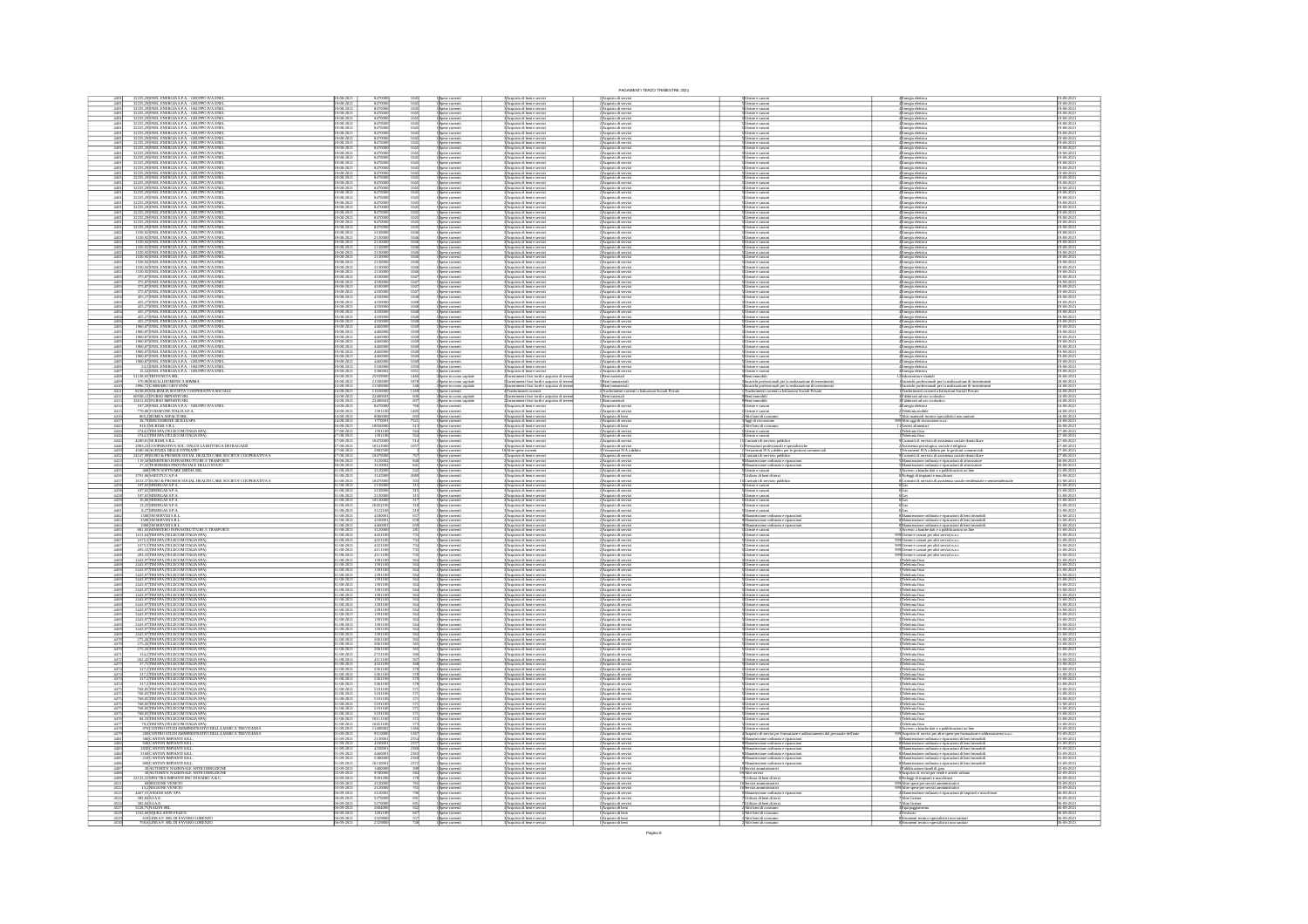|                                                                                                                                                                                                                                                                                                                            |                                                                                                                                                                                                          |                                                                                                                                   |                                                                                                                                                                                                                                                     | PAGAMENTI TERZO TRIMESTRE 2023                                                                                                                                                                                               |                                                                                                                                                |                                                                                                                                                                                                                                                                                                                    |                                                                                                                                |
|----------------------------------------------------------------------------------------------------------------------------------------------------------------------------------------------------------------------------------------------------------------------------------------------------------------------------|----------------------------------------------------------------------------------------------------------------------------------------------------------------------------------------------------------|-----------------------------------------------------------------------------------------------------------------------------------|-----------------------------------------------------------------------------------------------------------------------------------------------------------------------------------------------------------------------------------------------------|------------------------------------------------------------------------------------------------------------------------------------------------------------------------------------------------------------------------------|------------------------------------------------------------------------------------------------------------------------------------------------|--------------------------------------------------------------------------------------------------------------------------------------------------------------------------------------------------------------------------------------------------------------------------------------------------------------------|--------------------------------------------------------------------------------------------------------------------------------|
| $\frac{4401}{4401}$<br>32235,29 ENEL ENERGIA S.P.A. - GRUPPO IVA ENE<br>32235,29 ENEL ENERGIA S.P.A. - GRUPPO IVA ENE                                                                                                                                                                                                      | 19-08-2021<br>19-08-2021<br>8470000                                                                                                                                                                      | $\frac{1045}{1045}$<br>1 Spese correnti                                                                                           | 3 Acquisto di beni e servizi<br>3 Acquisto di beni e servizi<br>3 Acquisto di beni e servizi<br>3 Acquisto di beni e servizi                                                                                                                        | 2 Acquisto di servizi                                                                                                                                                                                                        | Usenze e camoni                                                                                                                                | 4 Energia eletrica<br>4 Energia eletrica<br>4 Energia eletrica<br>4 Energia eletrica                                                                                                                                                                                                                               | 19-08-202<br>19-08-202                                                                                                         |
| 32235,29 ENEL ENERGIA S.P.A. - GRUPPO IVA ENE<br>32235,29 ENEL ENERGIA S.P.A. - GRUPPO IVA ENE<br>$\frac{4401}{4401}$                                                                                                                                                                                                      | 8470000<br>9-08-202                                                                                                                                                                                      | $\frac{1045}{1045}$<br>Spese correnti<br>Spese correnti                                                                           |                                                                                                                                                                                                                                                     | l'Acquisto di serviz<br>l'Acquisto di serviz                                                                                                                                                                                 | lenze e canoni<br>lenze e canoni                                                                                                               |                                                                                                                                                                                                                                                                                                                    | $5-08-202$                                                                                                                     |
| .<br>12235, 29 ENEL ENERGIA S.P.A. - GRUPPO IVA ENE<br>12235, 29 ENEL ENERGIA S.P.A. - GRUPPO IVA ENE                                                                                                                                                                                                                      | 8470000                                                                                                                                                                                                  | $\frac{104}{104}$                                                                                                                 |                                                                                                                                                                                                                                                     |                                                                                                                                                                                                                              |                                                                                                                                                |                                                                                                                                                                                                                                                                                                                    | 9-08-202                                                                                                                       |
| $\frac{4401}{4401}$                                                                                                                                                                                                                                                                                                        | 19-08-202<br>19-08-202                                                                                                                                                                                   | Spese correnti<br>Spese correnti                                                                                                  | Acquisto di beri e servizi<br>Acquisto di beri e servizi                                                                                                                                                                                            | Acquisto di serviz<br>Acquisto di serviz                                                                                                                                                                                     | tenze e canon<br>tenza e canon                                                                                                                 | Energia elettric<br>Energia elettric                                                                                                                                                                                                                                                                               |                                                                                                                                |
| 32235, 29 ENEL ENERGIA S.P.A. - GRUPPO IVA ENE<br>32235, 29 ENEL ENERGIA S.P.A. - GRUPPO IVA ENE<br>$\frac{4401}{4401}$                                                                                                                                                                                                    | 8470000<br>19-08-2021<br>19-08-2021                                                                                                                                                                      | $\frac{1045}{1045}$<br>Spese correnti<br>Spese correnti                                                                           | Acquisto di beni e servizi<br>Acquisto di beni e servizi                                                                                                                                                                                            | l'Acquisto di serviz<br>l'Acquisto di serviz                                                                                                                                                                                 | enze e canoni                                                                                                                                  | Inergia eletric<br>Inergia eletric                                                                                                                                                                                                                                                                                 | 19-08-202<br>19-08-202                                                                                                         |
| 32235,29 ENEL ENERGIA S.P.A. - GRUPPO IVA ENE<br>32235,29 ENEL ENERGIA S.P.A. - GRUPPO IVA ENE<br>$\frac{4401}{4401}$                                                                                                                                                                                                      | 8470000<br>19-08-2021<br>19-08-2021                                                                                                                                                                      |                                                                                                                                   | soccupato ai bent e servizi<br>3 Acquisto di bent e servizi<br>3 Acquisto di bent e servizi<br>3 Acquisto di bent e servizi<br>3 Acquisto di bent e servizi<br>3 Acquisto di bent e servizi<br>3 Acquisto di bent e servizi<br>3 Acquisto di bent e | 2)Acquisto di serviz<br>2)Acquisto di serviz                                                                                                                                                                                 | lenze e cimoni<br>lenze e cimoni                                                                                                               | Energia elettric<br>Energia elettric                                                                                                                                                                                                                                                                               | 19-08-202<br>19-08-202                                                                                                         |
| , 29 ENEL ENERGIA SPA – GRUPPO IVA ENE<br>29 ENEL ENERGIA SPA – GRUPPO IVA ENERGIA<br>29 ENEL ENERGIA SPA – GRUPPO IVA ENERGIA<br>29 ENEL ENERGIA SPA – GRUPPO IVA ENERGIA<br>29 ENEL ENERGIA SPA – GRUPPO IVA ENERGIA                                                                                                     | $\begin{array}{r}\n 8470000 \\  \hline\n 8470000 \\  \hline\n 8470000 \\  \hline\n 8470000 \\  \hline\n 8470000 \\  \hline\n 8470000 \\  \hline\n 9470000 \\  \hline\n 0470000 \\  \hline\n \end{array}$ | 1045<br>1045<br>1045<br>1045<br>1045<br>1045                                                                                      |                                                                                                                                                                                                                                                     |                                                                                                                                                                                                                              |                                                                                                                                                |                                                                                                                                                                                                                                                                                                                    |                                                                                                                                |
| $\frac{4401}{4401}$                                                                                                                                                                                                                                                                                                        | 19-08-202<br>19-08-202                                                                                                                                                                                   |                                                                                                                                   |                                                                                                                                                                                                                                                     | Acquisto di servia<br>Acquisto di servia                                                                                                                                                                                     | lesze e cimon<br>lesze e cimon                                                                                                                 | (Energia elettric<br>(Energia elettric                                                                                                                                                                                                                                                                             | 19-08-202<br>19-08-202<br>19-08-202<br>19-08-202<br>19-08-202                                                                  |
|                                                                                                                                                                                                                                                                                                                            |                                                                                                                                                                                                          | 1 Spese correnti<br>1 Spese correnti<br>1 Spese correnti                                                                          |                                                                                                                                                                                                                                                     | 2)Acquisto di serviz<br>2)Acquisto di serviz<br>2)Acquisto di serviz                                                                                                                                                         | tenze e canon                                                                                                                                  | Energia eletrica<br>Energia eletrica<br>Energia eletrica                                                                                                                                                                                                                                                           |                                                                                                                                |
| $\frac{4401}{4401}$                                                                                                                                                                                                                                                                                                        | 9-08-2021<br>9-08-2021                                                                                                                                                                                   |                                                                                                                                   |                                                                                                                                                                                                                                                     |                                                                                                                                                                                                                              | tenze e canoni<br>tenze e canoni                                                                                                               |                                                                                                                                                                                                                                                                                                                    |                                                                                                                                |
| $\frac{4401}{4401}$<br>,29 ENEL ENERGIA S.P.A. - GRUPPO IVA ENE<br>,29 ENEL ENERGIA S.P.A. - GRUPPO IVA ENE                                                                                                                                                                                                                | 847000<br>19-08-2021<br>19-08-2021                                                                                                                                                                       | 1 Spese correnti<br>1 Spese correnti                                                                                              | :<br>: Acquisto di beni e servizi<br>: Acquisto di beni e servizi                                                                                                                                                                                   | 2 Acquisto di servizi<br>2 Acquisto di servizi                                                                                                                                                                               | .<br>Utenze e canoni<br>Utenze e canoni                                                                                                        | 4 <mark>Energia eletrica</mark><br>4Energia eletrica                                                                                                                                                                                                                                                               | 19-08-202<br>19-08-202                                                                                                         |
| $\frac{4401}{4401}$<br>32235,29 ENEL ENERGIA S.P.A. - GRUPPO IVA ENE<br>32235,29 ENEL ENERGIA S.P.A. - GRUPPO IVA ENE                                                                                                                                                                                                      | 19-08-2021<br>19-08-2021<br>8470001                                                                                                                                                                      | l Spese correnti<br>1 Spese correnti                                                                                              | :<br>: Acquisto di beni e servizi<br>: Acquisto di beni e servizi                                                                                                                                                                                   | 2) Acquisto di serviz<br>2) Acquisto di servizi                                                                                                                                                                              | <u>Utenze e canoni</u><br>Utenze e canoni                                                                                                      | Energia eletrica<br>Energia eletrica                                                                                                                                                                                                                                                                               | 19-08-2021<br>19-08-2021                                                                                                       |
|                                                                                                                                                                                                                                                                                                                            |                                                                                                                                                                                                          |                                                                                                                                   |                                                                                                                                                                                                                                                     |                                                                                                                                                                                                                              |                                                                                                                                                |                                                                                                                                                                                                                                                                                                                    |                                                                                                                                |
| $\frac{4401}{4401}$<br>32235,29 ENEL ENERGIA S.P.A. - GRUPPO IVA ENEL<br>32235,29 ENEL ENERGIA S.P.A. - GRUPPO IVA ENEL<br>32235,29 ENEL ENERGIA S.P.A. - GRUPPO IVA ENEL<br>32235,29 ENEL ENERGIA S.P.A. - GRUPPO IVA ENEL                                                                                                | 8470000<br>19-08-2021<br>19-08-2021                                                                                                                                                                      | 1045<br>1045<br>1045<br>l Spese comeni<br>1 Spese comeni                                                                          | l'Acquisto di beni e servizi<br>l'Acquisto di beni e servizi                                                                                                                                                                                        | 2 Acquisto di servizi<br>2 Acquisto di servizi                                                                                                                                                                               | Utenze e canoni<br>Utenze e canoni                                                                                                             | 4<br>Energia eletrici<br>4 Energia eletrici                                                                                                                                                                                                                                                                        | 19-08-2021<br>19-08-2021                                                                                                       |
| $\frac{4401}{4401}$                                                                                                                                                                                                                                                                                                        | 8470000<br>19-08-2021<br>19-08-2021                                                                                                                                                                      | 1 Spese correnti<br>1 Spese correnti                                                                                              | 3 Acquisto di beni e servizi<br>3 Acquisto di beni e servizi                                                                                                                                                                                        | 2) Acquisto di servizi<br>2) Acquisto di servizi                                                                                                                                                                             | Utenze e canoni<br>Utenze e canoni                                                                                                             | 4 <mark>Energia eletrica</mark><br>4 <mark>Energia eletrica</mark>                                                                                                                                                                                                                                                 | 19-08-2021<br>19-08-2021                                                                                                       |
|                                                                                                                                                                                                                                                                                                                            |                                                                                                                                                                                                          |                                                                                                                                   |                                                                                                                                                                                                                                                     |                                                                                                                                                                                                                              |                                                                                                                                                |                                                                                                                                                                                                                                                                                                                    |                                                                                                                                |
| 32235,29 ENEL ENERGIA S.P.A. - GRUPPO IVA ENE<br>32235,29 ENEL ENERGIA S.P.A. - GRUPPO IVA ENE<br>$\frac{4401}{4401}$                                                                                                                                                                                                      | 8470001<br>9-08-202<br>9-08-202                                                                                                                                                                          | Spese correnti<br>Spese correnti                                                                                                  | 3 Acquisto di beni e servizi<br>3 Acquisto di beni e servizi                                                                                                                                                                                        | 2) Acquisto di serviz<br>2) Acquisto di serviz                                                                                                                                                                               | Jienze e canoni<br>Jienze e canoni                                                                                                             | 4 <mark>Energia elettrica</mark><br>4 <mark>Energia elettrica</mark>                                                                                                                                                                                                                                               | 19-08-202<br>19-08-202                                                                                                         |
| 32235,29 ENEL ENERGIA S.P.A. - GRUPPO IVA ENE<br>32235,29 ENEL ENERGIA S.P.A. - GRUPPO IVA ENE<br>$\frac{4401}{4401}$                                                                                                                                                                                                      | 8470001<br>8470001<br>19-08-2021                                                                                                                                                                         | 1045<br>1045<br>1045<br>1046<br>1046<br>Spese correnti<br>Spese correnti                                                          | Acquisto di beni e servizi<br>Acquisto di beni e servizi                                                                                                                                                                                            | 2 Acquisto di serviz<br>2 Acquisto di serviz                                                                                                                                                                                 | Utenze e canoni<br>Utenze e canoni<br>Utenze e canoni<br>Utenze e canoni                                                                       | 4 Energia eletrica<br>4 Energia eletrica<br>4 Energia eletrica<br>4 Energia eletrica                                                                                                                                                                                                                               | 19-08-2021<br>19-08-2021                                                                                                       |
| 1530,92 ENEL ENERGIA S.P.A. - GRUPPO IVA ENEL<br>1530,92 ENEL ENERGIA S.P.A. - GRUPPO IVA ENEL<br>$4402$<br>$4402$                                                                                                                                                                                                         | 2130000<br>2130000<br>19-08-2021<br>19-08-2021                                                                                                                                                           | I Spese correnti<br>I Spese correnti                                                                                              | :<br>:Acquisto di beni e servizi<br>:Acquisto di beni e servizi                                                                                                                                                                                     | 2 Acquisto di serviz<br>2 Acquisto di serviz                                                                                                                                                                                 |                                                                                                                                                |                                                                                                                                                                                                                                                                                                                    | 19-08-2021<br>19-08-2021                                                                                                       |
|                                                                                                                                                                                                                                                                                                                            |                                                                                                                                                                                                          |                                                                                                                                   |                                                                                                                                                                                                                                                     |                                                                                                                                                                                                                              |                                                                                                                                                |                                                                                                                                                                                                                                                                                                                    |                                                                                                                                |
| 1530,92 ENEL ENERGIA S.P.A. - GRUPPO IVA ENE<br>1530,92 ENEL ENERGIA S.P.A. - GRUPPO IVA ENE<br>$\frac{4402}{4402}$                                                                                                                                                                                                        | 2130000<br>9-08-2021<br>9-08-2021                                                                                                                                                                        | l Spese correnti<br>1 Spese correnti                                                                                              | : Acquisto di beni e servizi<br>! Acquisto di beni e servizi                                                                                                                                                                                        | 2 Acquisto di serviz<br>2 Acquisto di serviz                                                                                                                                                                                 | tenze e canoni<br>tenze e canoni                                                                                                               | Energia elettric<br>Energia elettric                                                                                                                                                                                                                                                                               | 19-08-202<br>19-08-202                                                                                                         |
| 4402                                                                                                                                                                                                                                                                                                                       | 9-08-202                                                                                                                                                                                                 |                                                                                                                                   |                                                                                                                                                                                                                                                     |                                                                                                                                                                                                                              |                                                                                                                                                |                                                                                                                                                                                                                                                                                                                    |                                                                                                                                |
| 1530, 92 ENEL ENERGIA S.P.A. - GRUPPO IVA ENE<br>1530, 92 ENEL ENERGIA S.P.A. - GRUPPO IVA ENE<br>1530, 92 ENEL ENERGIA S.P.A. - GRUPPO IVA ENE<br>$\frac{4402}{4402}$                                                                                                                                                     | 2130000<br>2130000<br>2130000<br>9-08-2021<br>9-08-2021                                                                                                                                                  | 1046<br>1046<br>1046<br>1046<br>1046<br>1 Spese correnti<br>1 Spese correnti<br>1 Spese correnti                                  | :<br>: Acquisto di beni e servizi<br>: Acquisto di beni e servizi<br>: Acquisto di beni e servizi                                                                                                                                                   | 2) Acquisto di serviz<br>2) Acquisto di serviz<br>2) Acquisto di serviz                                                                                                                                                      | tenze e canoni<br>tenze e canoni<br>tenze e canoni                                                                                             | Energia eletrica<br>Energia eletrica<br>Energia eletrica                                                                                                                                                                                                                                                           | 19-08-202<br>19-08-202<br>19-08-202                                                                                            |
| 1530,92 ENEL ENERGIA S.P.A. - GRUPPO IVA ENE<br>1530,92 ENEL ENERGIA S.P.A. - GRUPPO IVA ENE<br>$\frac{440}{440}$                                                                                                                                                                                                          | 213000<br>9-08-2021<br>9-08-2021                                                                                                                                                                         | s<br>Spese correnti<br>Spese correnti                                                                                             | icquisto di beni e serviz<br>icquisto di beni e serviz                                                                                                                                                                                              | Acquisto di servia<br>Acquisto di servia                                                                                                                                                                                     | enze e canoe<br>enze e canoe                                                                                                                   | nergia elettric<br>nergia elettric                                                                                                                                                                                                                                                                                 | 19-08-202<br>19-08-202                                                                                                         |
|                                                                                                                                                                                                                                                                                                                            | 9-08-2021                                                                                                                                                                                                |                                                                                                                                   |                                                                                                                                                                                                                                                     |                                                                                                                                                                                                                              |                                                                                                                                                |                                                                                                                                                                                                                                                                                                                    |                                                                                                                                |
| $\frac{4403}{4403}$<br>375,87<br>ENEL ENERGIA S.P.A. - GRUPPO IVA ENEL 375,87<br>ENEL ENERGIA S.P.A. - GRUPPO IVA ENEL 375,87<br>ENEL ENERGIA S.P.A. - GRUPPO IVA ENEL 375,87<br>ENEL ENERGIA S.P.A. - GRUPPO IVA ENEL 375,87<br>ENEL ENERGIA S.P.A. - GRUPPO IVA EN<br>4403                                               | $\frac{4100000}{4100000}$<br>19-08-2021                                                                                                                                                                  | $\begin{array}{r} 1047 \\ 1047 \\ 1047 \\ 1047 \\ 1048 \\ 1048 \\ \end{array}$<br>spese comenti<br>Spese comenti<br>Spese comenti | Acquisto di beni e servizi<br>Acquisto di beni e servizi<br>Acquisto di beni e servizi                                                                                                                                                              | 2)<br>Acquisto di serviz<br>2)Acquisto di serviz<br>2)Acquisto di serviz                                                                                                                                                     | tenze e canoni<br>tenze e canoni<br>tenze e canoni                                                                                             | Linegia eletrica<br>Energia eletrica<br>Energia eletrica<br>Energia eletrica<br>Energia eletrica<br>Energia eletrica                                                                                                                                                                                               | 19-08-2021<br>19-08-2021<br>19-08-2021<br>19-08-2021<br>19-08-2021                                                             |
| 440                                                                                                                                                                                                                                                                                                                        | 9-08-202<br>41000                                                                                                                                                                                        |                                                                                                                                   | uisto di beri e serviz                                                                                                                                                                                                                              | Acquisto di serviz                                                                                                                                                                                                           | reze e canon                                                                                                                                   |                                                                                                                                                                                                                                                                                                                    |                                                                                                                                |
| $\frac{4404}{4404}$<br>455,27 ENEL ENERGIA S.P.A. - GRUPPO IVA ENE<br>455,27 ENEL ENERGIA S.P.A. - GRUPPO IVA ENE                                                                                                                                                                                                          | 9-08-2021<br>9-08-2021<br>4330000                                                                                                                                                                        | Spese correnti<br>Spese correnti<br>Spese correnti                                                                                | sto di beri e servi<br>sto di beri e servi                                                                                                                                                                                                          | uisto di serv<br>uisto di serv                                                                                                                                                                                               |                                                                                                                                                |                                                                                                                                                                                                                                                                                                                    |                                                                                                                                |
|                                                                                                                                                                                                                                                                                                                            |                                                                                                                                                                                                          |                                                                                                                                   |                                                                                                                                                                                                                                                     |                                                                                                                                                                                                                              |                                                                                                                                                |                                                                                                                                                                                                                                                                                                                    |                                                                                                                                |
| 455,27 ENEL ENERGIA S.P.A. - GRUPPO IVA ENE<br>455,27 ENEL ENERGIA S.P.A. - GRUPPO IVA ENE<br>$\frac{4404}{4404}$                                                                                                                                                                                                          | 433000<br>19-08-2021<br>19-08-2021                                                                                                                                                                       | 1048<br>Spese correnti<br>Snese correnti                                                                                          | uisto di beni e servizi<br>uisto di beni e servizi                                                                                                                                                                                                  | Acquisto di serviz<br>Acquisto di serviz                                                                                                                                                                                     | tenze e canoni<br>tenze e cimoni                                                                                                               | Energia elettric<br>Energia elettric                                                                                                                                                                                                                                                                               | 19-08-202<br>19-08-202                                                                                                         |
| 455,27 ENEL ENERGIA S.P.A. - GRUPPO IVA ENE<br>455,27 ENEL ENERGIA S.P.A. - GRUPPO IVA ENE<br>$\frac{4404}{4404}$                                                                                                                                                                                                          | 433000<br>9-08-2021                                                                                                                                                                                      | $\frac{1048}{1048}$<br>Spese corret                                                                                               | isto di beni e servi:<br>isto di beni e servi:                                                                                                                                                                                                      |                                                                                                                                                                                                                              |                                                                                                                                                |                                                                                                                                                                                                                                                                                                                    | 19-08-202<br>19-08-202                                                                                                         |
| $\frac{4405}{4405}$<br>1960,87 ENEL ENERGIA S.P.A. - GRUPPO IVA ENEL<br>1960,87 ENEL ENERGIA S.P.A. - GRUPPO IVA ENEL                                                                                                                                                                                                      | 9-08-2021<br>9-08-2021<br>446000                                                                                                                                                                         | 1 Spese correnti<br>1 Spese correnti<br>1 Spese correnti<br>1049                                                                  | isto di beri e serviz<br>isto di beri e serviz                                                                                                                                                                                                      | :<br>: Acquisto di serviz<br>: Acquisto di serviz<br>: Acquisto di serviz<br>: Acquisto di serviz                                                                                                                            |                                                                                                                                                | Energia eletrica<br>Energia eletrica<br>Energia eletrica<br>Energia eletrica                                                                                                                                                                                                                                       | 19-08-202<br>19-08-202                                                                                                         |
|                                                                                                                                                                                                                                                                                                                            |                                                                                                                                                                                                          |                                                                                                                                   |                                                                                                                                                                                                                                                     |                                                                                                                                                                                                                              |                                                                                                                                                |                                                                                                                                                                                                                                                                                                                    |                                                                                                                                |
| 1960,87 ENEL ENERGIA S.P.A. - GRUPPO IVA ENEL<br>1960,87 ENEL ENERGIA S.P.A. - GRUPPO IVA ENEL<br>$\frac{4405}{4405}$                                                                                                                                                                                                      | 446000<br>19-08-2021<br>19-08-2021                                                                                                                                                                       | 1049<br>Spese correnti<br>Spese correnti                                                                                          | .<br>Acquisto di beni e servizi<br>Acquisto di beni e servizi                                                                                                                                                                                       | .<br>2)Acquisto di serviz<br>2)Acquisto di serviz                                                                                                                                                                            | Jienze e canoni<br>Jienze e canoni                                                                                                             | Energia eletrici<br>Energia eletrici                                                                                                                                                                                                                                                                               | 19-08-2021<br>19-08-2021                                                                                                       |
| 1960,87<br>ENEL ENERGIA S.P.A. - GRUPPO IVA ENEL<br>1960,87<br>ENEL ENERGIA S.P.A. - GRUPPO IVA ENEL<br>1960,87<br>ENEL ENERGIA S.P.A. - GRUPPO IVA ENEL<br>1960,87<br>ENEL ENERGIA S.P.A. - GRUPPO IVA ENEL<br>1960,87<br>ENEL ENERGIA S.P.A. -<br>$\frac{4405}{4405}$<br>$\frac{4405}{4405}$                             | 9-08-2021<br>$\frac{\frac{446000}{446000}}{\frac{446000}{446000}}$                                                                                                                                       | $\frac{1049}{1049}$ $\frac{1049}{1049}$<br>Spese correnti                                                                         | uisto di berit e servizi<br>uisto di beri e servizi<br>uisto di beri e servizi<br>uisto di beri e servizi                                                                                                                                           | 2/Acquisto di serviz<br>2/Acquisto di serviz<br>2/Acquisto di serviz<br>2/Acquisto di serviz<br>2/Acquisto di serviz<br>2/Acquisto di serviz<br>2/Acquisto di serviz<br>1/Beni muteriali<br>3/Beni immateriali               | Dienze e canoni<br>Dienze e canoni<br>Dienze e canoni<br>Dienze e canoni<br>Dienze e canoni<br>Dienze e canoni                                 | Enrya eletrica<br>Enrya eletrica<br>Enrya eletrica<br>Enrya eletrica<br>Enrya eletrica<br>Enrya eletrica<br>Enrya eletrica                                                                                                                                                                                         | 19-08-2021<br>19-08-2021<br>19-08-2021<br>19-08-2021                                                                           |
|                                                                                                                                                                                                                                                                                                                            |                                                                                                                                                                                                          | Spese correnti                                                                                                                    |                                                                                                                                                                                                                                                     |                                                                                                                                                                                                                              |                                                                                                                                                |                                                                                                                                                                                                                                                                                                                    |                                                                                                                                |
|                                                                                                                                                                                                                                                                                                                            | 9-08-2021<br>9-08-2021                                                                                                                                                                                   |                                                                                                                                   |                                                                                                                                                                                                                                                     |                                                                                                                                                                                                                              |                                                                                                                                                |                                                                                                                                                                                                                                                                                                                    |                                                                                                                                |
| $\frac{4406}{4407}$<br>24, SENEL ENERGIA S.P.A. - GRUPPO IVA ENEL<br>15, SAJENEL ENERGIA S.P.A. - GRUPPO IVA ENEL                                                                                                                                                                                                          | 9-08-2021<br>5160000<br>19-08-2021                                                                                                                                                                       | Spese correnti<br>Spese correnti<br>Spese correnti<br>Spese correnti<br>105                                                       | .<br>Acquisto di beni e serviz<br>Acquisto di beni e serviz                                                                                                                                                                                         |                                                                                                                                                                                                                              |                                                                                                                                                |                                                                                                                                                                                                                                                                                                                    | 19-08-2021<br>19-08-2021                                                                                                       |
| 51138,65 TRIVENETA SRL<br>570,96 RAULLI DOMENICA MIMMA<br>4408                                                                                                                                                                                                                                                             | 25939901<br>21500001<br>20-08-2021<br>20-08-2021                                                                                                                                                         | 1466<br>Spese in como capitals<br>Spese in como capitals                                                                          | .<br>Investimenti fissi lordi e acquisto di terren<br>Investimenti fissi lordi e acquisto di terren                                                                                                                                                 |                                                                                                                                                                                                                              | Seni immobili<br>ncarichi professionali per la realizzazione di investimenti                                                                   | Infrastrutture stradali<br>Incarichi professionali per la realizzazione di investimen                                                                                                                                                                                                                              | 20-08-2021<br>20-08-2021                                                                                                       |
|                                                                                                                                                                                                                                                                                                                            | 4.08.202                                                                                                                                                                                                 |                                                                                                                                   | imenti fissi lordi e acq                                                                                                                                                                                                                            |                                                                                                                                                                                                                              |                                                                                                                                                |                                                                                                                                                                                                                                                                                                                    |                                                                                                                                |
| 3996,72<br>CARRARO GIOVANNI<br>82 SI,05<br>SOLIDALIA SOCIETA: COOPERATIVA SOCIALE<br>609 SI,12<br>DURSO IMPIANTI SRL<br>$\frac{441}{441}$                                                                                                                                                                                  | $\frac{2150000}{1163000}$ $\frac{1163000}{2240060}$<br>24-08-2021<br>24-08-2021                                                                                                                          |                                                                                                                                   |                                                                                                                                                                                                                                                     | 3<br>Beni immateria<br>4 Trasferimenti c<br>1 Beni materiali                                                                                                                                                                 |                                                                                                                                                | l'asferimenti correnti a Istitu<br>Fabbricati ad uso scolastico                                                                                                                                                                                                                                                    | $\frac{24-08-202}{24-08-202}$                                                                                                  |
|                                                                                                                                                                                                                                                                                                                            |                                                                                                                                                                                                          | Spese correnti<br>Spese in como c                                                                                                 | Trasferimenti conventi<br>Investimenti fissi lordi e acquisto di terri                                                                                                                                                                              |                                                                                                                                                                                                                              |                                                                                                                                                |                                                                                                                                                                                                                                                                                                                    |                                                                                                                                |
| 32812,83 DURSO IMPIANTI SRL<br>187,29 ENEL ENERGIA S.P.A. - GRUPPO IVA ENEL<br>$\frac{441}{441}$                                                                                                                                                                                                                           | 4-08-2021<br>4-08-2021<br>2240060                                                                                                                                                                        | Spese in como capita                                                                                                              | rvestimenti fissi lordi e acquisto di ter<br>icquisto di beni e servizi                                                                                                                                                                             |                                                                                                                                                                                                                              | esi immobil<br>Iesze e cano                                                                                                                    | abbricati ad uso scolastico                                                                                                                                                                                                                                                                                        | $\frac{4-08-202}{4-08-202}$                                                                                                    |
| 770,06 VODAFONE ITALIA S.P.A.<br>805,2 ROMEA ASFALTI SRL                                                                                                                                                                                                                                                                   | 8470001<br>1391101<br>8060001<br>177000<br>10050001<br>1391101                                                                                                                                           | 1 Spese comenti<br>1 Spese comenti<br>1 Spese comenti<br>1 Spese comenti                                                          | Acquisto di beri e servizi<br>Acquisto di beri e servizi<br>Acquisto di beri e servizi<br>Acquisto di beri e servizi                                                                                                                                | 1 Beni materiali<br>2 Acquisto di serviz<br>2 Acquisto di serviz<br>2 Acquisto di beni<br>2 Acquisto di beni<br>2 Acquisto di beni                                                                                           | tenze e canoni<br>Itri beni di co                                                                                                              | arrgia elettrica<br>nefonia mobile<br>he veateriali ter                                                                                                                                                                                                                                                            | 4-08-202                                                                                                                       |
| $\frac{4417}{4443}$                                                                                                                                                                                                                                                                                                        | 4-08-2021                                                                                                                                                                                                |                                                                                                                                   |                                                                                                                                                                                                                                                     |                                                                                                                                                                                                                              | .<br>Aggi di riscossi<br>Altri beni di cor                                                                                                     | ARTI hummanı termini ayır.<br>Altri aggi di riscossione n.a.c.<br>Connel alimentari                                                                                                                                                                                                                                |                                                                                                                                |
| <b>905, 2000MEA ASP AIT ISIL</b><br>91, 2000MEA ASP AIT ISILA SPA<br>914, 2000MEA BAR AIT ISILA SPA<br>9244, 2000 SPA (TELECOM ITALIA SPA)<br>42, 2002, 23 COOPERATIVA SOC. ONLUS LA BOTTEGA DEI RAGAZZI<br>4200, 23 COOPERATIVA SOC. ONLUS LA BOT                                                                         |                                                                                                                                                                                                          |                                                                                                                                   |                                                                                                                                                                                                                                                     |                                                                                                                                                                                                                              |                                                                                                                                                |                                                                                                                                                                                                                                                                                                                    | 24-08-202<br>24-08-202<br>26-08-202<br>27-08-202                                                                               |
| $\frac{444}{444}$                                                                                                                                                                                                                                                                                                          | 27-08-2021                                                                                                                                                                                               | 1 Spese correnti<br>1 Spese correnti<br>1 Spese correnti<br>1 Spese correnti                                                      | :<br>Acquisto di beni e servizi<br>Acquisto di beni e servizi                                                                                                                                                                                       | 2) Acquisto di serviz<br>2) Acquisto di serviz                                                                                                                                                                               | tenze e canoni<br>tenze e canoni                                                                                                               | enen aurrettat:<br>elefonia fissa<br>elefonia fissa                                                                                                                                                                                                                                                                |                                                                                                                                |
|                                                                                                                                                                                                                                                                                                                            | 1047000<br>-08-2021<br>-08-2021                                                                                                                                                                          |                                                                                                                                   | Kopisan<br>Acquisto di beni e servi<br>Acquisto di beni e servi                                                                                                                                                                                     | :<br>: Acquisto di servi<br>: Acquisto di servi                                                                                                                                                                              | entratti di servizio                                                                                                                           | ntratti di servizio                                                                                                                                                                                                                                                                                                | 7-08-202                                                                                                                       |
| $\frac{4450}{4452}$                                                                                                                                                                                                                                                                                                        | $\frac{-08-202}{-08-202}$                                                                                                                                                                                |                                                                                                                                   |                                                                                                                                                                                                                                                     |                                                                                                                                                                                                                              | sumenti IVA a debito per le gestioni contratti di servizio pubblico                                                                            | ssistenza psicologica, sociale e religiosa<br>'ersamenti IVA a debito per le gestioni commen<br>'ontratti di servizio di assistenza sociale domicil                                                                                                                                                                |                                                                                                                                |
|                                                                                                                                                                                                                                                                                                                            |                                                                                                                                                                                                          | Spese correnti<br>Spese correnti                                                                                                  | Altre spese correnti<br>Acquisto di beni e s                                                                                                                                                                                                        | .<br>Versamenti IVA a<br>Acquisto di servia                                                                                                                                                                                  |                                                                                                                                                |                                                                                                                                                                                                                                                                                                                    |                                                                                                                                |
|                                                                                                                                                                                                                                                                                                                            |                                                                                                                                                                                                          |                                                                                                                                   |                                                                                                                                                                                                                                                     |                                                                                                                                                                                                                              |                                                                                                                                                |                                                                                                                                                                                                                                                                                                                    |                                                                                                                                |
|                                                                                                                                                                                                                                                                                                                            | 08-202                                                                                                                                                                                                   | $rac{84}{84}$                                                                                                                     |                                                                                                                                                                                                                                                     |                                                                                                                                                                                                                              |                                                                                                                                                |                                                                                                                                                                                                                                                                                                                    |                                                                                                                                |
| $\frac{4453}{4454}$                                                                                                                                                                                                                                                                                                        |                                                                                                                                                                                                          |                                                                                                                                   | Acquisto di beri e serv<br>Acquisto di beri e serv                                                                                                                                                                                                  | 2)Acquisto di servi<br>2)Acquisto di servi                                                                                                                                                                                   |                                                                                                                                                | azioni on line                                                                                                                                                                                                                                                                                                     |                                                                                                                                |
| 4455                                                                                                                                                                                                                                                                                                                       | $-08 - 202$                                                                                                                                                                                              |                                                                                                                                   | Acquisto di beri e servi:<br>Acquisto di beri e servi:                                                                                                                                                                                              |                                                                                                                                                                                                                              | tenze e canoni<br>tilizzo di beni di terzi                                                                                                     |                                                                                                                                                                                                                                                                                                                    |                                                                                                                                |
| 2633,37 EURO & PROMOS SOCIAL HEALTH CARE SOCIETA' COOPERATIVA S                                                                                                                                                                                                                                                            | $\begin{array}{r} 1014100 \\ 280250 \\ 1047000 \\ 312000 \\ 312000 \\ 312000 \\ 314500 \\ 1047000 \\ 10000 \\ 212000 \end{array}$                                                                        |                                                                                                                                   | Acquisto di beri e serviz                                                                                                                                                                                                                           | 2) Acquisto di servi<br>2) Acquisto di servi<br>2) Acquisto di servi                                                                                                                                                         | etratti di servizio pul                                                                                                                        | Accesso a banche dati e a pubblic<br>Voleggi di impianti e macchinari<br>Contratti di servizio di assistenza                                                                                                                                                                                                       |                                                                                                                                |
| $\frac{4458}{4458}$<br>107,65 SINERGAS S.P.A.<br>107,65 SINERGAS S.P.A.                                                                                                                                                                                                                                                    | $\frac{213000}{213000}$<br>1-08-202                                                                                                                                                                      | Spese correnti<br>Spese correnti                                                                                                  | uisto di beni e servizi<br>uisto di beni e servizi                                                                                                                                                                                                  | 2) Acquisto di serviz<br>2) Acquisto di serviz                                                                                                                                                                               | lenze e canoni<br>lenze e canoni                                                                                                               |                                                                                                                                                                                                                                                                                                                    | 27-08-202<br>27-08-202<br>27-08-202<br>30-08-202<br>31-08-202<br>31-08-202<br>31-08-202<br>31-08-202<br>31-08-202<br>31-08-202 |
| $\frac{4458}{4459}$                                                                                                                                                                                                                                                                                                        | 1-08-2021<br>$\frac{213000}{1013000}$                                                                                                                                                                    |                                                                                                                                   | Acquisto di beni e servizi<br>Acquisto di beni e servizi                                                                                                                                                                                            |                                                                                                                                                                                                                              |                                                                                                                                                |                                                                                                                                                                                                                                                                                                                    | 1-08-202<br>1-08-202                                                                                                           |
| 107,65 SINERGAS S.P.A.<br>16,86 SINERGAS S.P.A.                                                                                                                                                                                                                                                                            |                                                                                                                                                                                                          | Spese correnti<br>Spese correnti                                                                                                  |                                                                                                                                                                                                                                                     | 2 Acquisto di serviz<br>2 Acquisto di serviz                                                                                                                                                                                 | Jsenze e canoni<br>Jsenze e canoni                                                                                                             |                                                                                                                                                                                                                                                                                                                    |                                                                                                                                |
| 13,25 SINERGAS S.P.A.<br>$\frac{4460}{4461}$                                                                                                                                                                                                                                                                               | $\frac{1-08-202}{09-202}$<br>10452101                                                                                                                                                                    | Spese correnti<br>Spese correnti                                                                                                  | Acquisto di beni e servizi<br>Acquisto di beni e servizi                                                                                                                                                                                            | 2) Acquisto di serviz<br>2) Acquisto di servizi                                                                                                                                                                              | <u>Utenze e canoni</u><br>Utenze e canoni                                                                                                      |                                                                                                                                                                                                                                                                                                                    | i1-08-2021<br>i1-08-2021                                                                                                       |
| 1500 3M SERVIZI S.R.L.<br>3500 3M SERVIZI S.R.L.<br>$\frac{4462}{4463}$                                                                                                                                                                                                                                                    | $\frac{11-08-2021}{11-08-2027}$<br>4100001<br>4330001                                                                                                                                                    | l Spese correnti<br>1 Spese correnti                                                                                              | :<br>: Acquisto di beni e servizi<br>: Acquisto di beni e servizi                                                                                                                                                                                   | 2 Acquisto di serviz<br>2 Acquisto di serviz                                                                                                                                                                                 |                                                                                                                                                | ose ordinaria e riparazioni di beni immob<br>ose ordinaria e riparazioni di beni immob                                                                                                                                                                                                                             | 11-08-2021<br>11-08-2021                                                                                                       |
|                                                                                                                                                                                                                                                                                                                            |                                                                                                                                                                                                          |                                                                                                                                   |                                                                                                                                                                                                                                                     |                                                                                                                                                                                                                              |                                                                                                                                                |                                                                                                                                                                                                                                                                                                                    |                                                                                                                                |
| 1000 3M SERVIZI S.R.L.<br>881,83 MINISTERO INFRASTRUTTURE E TRASFORTI<br>$\frac{4464}{4465}$                                                                                                                                                                                                                               | 11-08-2021<br>11-08-2021<br>446000                                                                                                                                                                       | 1 Spese correnti<br>1 Spese correnti                                                                                              | :<br>: Acquisto di beni e serviz<br>: Acquisto di beni e serviz                                                                                                                                                                                     | 2 Acquisto di servi<br>2 Acquisto di servi                                                                                                                                                                                   | anuseruione<br>Tenze e canoe<br>Jonze e canoni                                                                                                 | tenzione ordinaria e riparazioni di beni<br>so a banche dati e a pubblicazioni on lis                                                                                                                                                                                                                              | 11-08-202<br>11-08-202                                                                                                         |
| 881,838MINISTERO INFRASTRUTTURE E<br>1411,64 TIM SPA (TELECOM ITALIA SPA)<br>1675,5 TIM SPA (TELECOM ITALIA SPA)<br>$\frac{4466}{4467}$                                                                                                                                                                                    | $\frac{1-08-202}{1-08-202}$<br>4451100<br>4321100                                                                                                                                                        | 1 Spese correnti<br>1 Spese correnti                                                                                              | :<br> Acquisto di beni e servizi<br> Acquisto di beni e servizi                                                                                                                                                                                     | 2 Acquisto di serviz<br>2 Acquisto di serviz                                                                                                                                                                                 |                                                                                                                                                | 9 (Uastas e canoni per altri servizi n.a.c.)<br>19 (Uastas e canoni per altri servizi n.a.c.)                                                                                                                                                                                                                      | 11-08-2021<br>11-08-2021                                                                                                       |
| $\frac{4467}{4468}$                                                                                                                                                                                                                                                                                                        |                                                                                                                                                                                                          |                                                                                                                                   |                                                                                                                                                                                                                                                     |                                                                                                                                                                                                                              |                                                                                                                                                |                                                                                                                                                                                                                                                                                                                    |                                                                                                                                |
|                                                                                                                                                                                                                                                                                                                            | 432110<br>411110<br>11-08-2021<br>11-08-2021                                                                                                                                                             |                                                                                                                                   |                                                                                                                                                                                                                                                     | 2)Acquisto di servi<br>2)Acquisto di servi                                                                                                                                                                                   |                                                                                                                                                |                                                                                                                                                                                                                                                                                                                    |                                                                                                                                |
| 1675, SITIM SPA (TELECOM ITALIA SPA)<br>493, 33 ITIM SPA (TELECOM ITALIA SPA)<br>493, 33 ITIM SPA (TELECOM ITALIA SPA)<br>2443, 97 ITIM SPA (TELECOM ITALIA SPA)<br>$\frac{4468}{4460}$                                                                                                                                    | 1-08-2021<br>1-08-2021<br>4111100<br>1391100                                                                                                                                                             | 1 Spese correnti<br>1 Spese correnti<br>1 Spese correnti<br>1 Spese correnti                                                      | 3 Acquisto di beni e servizi<br>3 Acquisto di beni e servizi<br>3 Acquisto di beni e servizi<br>3 Acquisto di beni e servizi                                                                                                                        | 2 Acquisto di serviz<br>2 Acquisto di serviz                                                                                                                                                                                 | Utenze e canoni<br>Utenze e canoni<br>Utenze e canoni<br>Utenze e canoni                                                                       | 999 Uavaze e canoni per altri servizi n.a.c.<br>999 Uavaze e canoni per altri servizi n.a.c.<br>999 Uavaze e canoni per altri servizi n.a.c.<br>1]Telefonia fissa                                                                                                                                                  | 31-08-2021<br>31-08-2021<br>31-08-2021<br>31-08-2021                                                                           |
| $\frac{4469}{4469}$                                                                                                                                                                                                                                                                                                        | 139110<br>139110<br>1-08-2021<br>1-08-2021                                                                                                                                                               | 1 Spese correnti<br>1 Spese correnti                                                                                              | 3 Acquisto di beri e servi:<br>3 Acquisto di beri e servi:                                                                                                                                                                                          | 2 Acquisto di servi<br>2 Acquisto di servi                                                                                                                                                                                   | benze e camor<br>benze e camor                                                                                                                 | Telefonia fissa<br>Telefonia fissa                                                                                                                                                                                                                                                                                 | 11-08-202<br>11-08-202                                                                                                         |
| 2443,97 IBM SPA (TELECOM ITALIA SPA)<br>2443,97 IBM SPA (TELECOM ITALIA SPA)<br>2443,97 IBM SPA (TELECOM ITALIA SPA)<br>4469                                                                                                                                                                                               | $-08 - 2021$<br>1391100                                                                                                                                                                                  | Spese correnti                                                                                                                    | Acquisto di beri e serviz                                                                                                                                                                                                                           | 2 Acquisto di serviz                                                                                                                                                                                                         | tenze e canon                                                                                                                                  | Feleforna fissa                                                                                                                                                                                                                                                                                                    | $1 - 08 - 202$                                                                                                                 |
| $\frac{4469}{4469}$<br>2443,97 TIM SPA (TELECOM ITALIA SPA<br>2443,97 TIM SPA (TELECOM ITALIA SPA                                                                                                                                                                                                                          | $\frac{139110}{139110}$<br>I1-08-2021<br>I1-08-2021                                                                                                                                                      |                                                                                                                                   | .<br>Acquisto di beni e servi<br>Acquisto di beni e servi                                                                                                                                                                                           | .<br>2) Acquisto di serv<br>2) Acquisto di serv                                                                                                                                                                              | tenze e canoe<br>tenze e canoe                                                                                                                 | elefonia fissa<br>elefonia fissa                                                                                                                                                                                                                                                                                   | i1-08-202<br>i1-08-202                                                                                                         |
|                                                                                                                                                                                                                                                                                                                            | 1-08-2021<br>1-08-2021<br>1391100                                                                                                                                                                        |                                                                                                                                   |                                                                                                                                                                                                                                                     |                                                                                                                                                                                                                              | tenze e canon<br>tenze e canon                                                                                                                 | .<br>Feleforria fissa<br>Feleforria fissa                                                                                                                                                                                                                                                                          |                                                                                                                                |
| $\frac{4469}{4469}$<br>2443,97 TIM SPA (TELECOM ITALIA SPA)<br>2443,97 TIM SPA (TELECOM ITALIA SPA)                                                                                                                                                                                                                        | $-08 - 2021$                                                                                                                                                                                             |                                                                                                                                   |                                                                                                                                                                                                                                                     | 2 Acquisto di serviz<br>2 Acquisto di serviz                                                                                                                                                                                 |                                                                                                                                                |                                                                                                                                                                                                                                                                                                                    | i1-08-202<br>i1-08-202                                                                                                         |
| 2443,97 TIM SPA (TELECOM ITALIA SPA)<br>2443,97 TIM SPA (TELECOM ITALIA SPA)<br>4469                                                                                                                                                                                                                                       | 1391101<br>1391101<br>$-08 - 202$                                                                                                                                                                        | Spese commi<br>Spese commi<br>Spese commi<br>Spese commi<br>Spese commi<br>Spese commi<br>Spese commi                             | :<br>Acquisto di beri e serviz<br>Acquisto di beri e serviz<br>Acquisto di beri e serviz<br>Acquisto di beri e serviz                                                                                                                               | 2 Acquisto di servi<br>2 Acquisto di servi                                                                                                                                                                                   | benze e camor<br>benze e camor                                                                                                                 | Feleforna fissa<br>Feleforna fissa                                                                                                                                                                                                                                                                                 | 1-08-202<br>11-08-202                                                                                                          |
| 4469<br>2443,97 IIM SPA (TELECOM ITALIA SPA)<br>2443,97 IIM SPA (TELECOM ITALIA SPA)                                                                                                                                                                                                                                       | 1-08-2021<br>1-08-2021<br>1391101<br>1391101                                                                                                                                                             | 564<br>564                                                                                                                        | .<br>Acquisto di beri e ser<br>Acquisto di beri e ser                                                                                                                                                                                               | 2)Acquisto di serv<br>2)Acquisto di serv                                                                                                                                                                                     | lesse e cano<br>lesse e cano                                                                                                                   | l'elefonia fissa<br>l'elefonia fissa                                                                                                                                                                                                                                                                               | i1-08-202<br>i1-08-202                                                                                                         |
|                                                                                                                                                                                                                                                                                                                            |                                                                                                                                                                                                          |                                                                                                                                   |                                                                                                                                                                                                                                                     |                                                                                                                                                                                                                              |                                                                                                                                                |                                                                                                                                                                                                                                                                                                                    |                                                                                                                                |
| 2443,97 IIM SPA (TELECOM ITALIA SPA)<br>2443,97 IIM SPA (TELECOM ITALIA SPA)<br>$\frac{4469}{4469}$                                                                                                                                                                                                                        | 1391101<br>31-08-2021<br>31-08-2021                                                                                                                                                                      | 564                                                                                                                               | Acquisto di beni e serviz<br>Acquisto di beni e serviz                                                                                                                                                                                              | 2) Acquisto di servi<br>2) Acquisto di servi                                                                                                                                                                                 | tenze e canor<br>tenze e canor                                                                                                                 | Felefonia fissa<br>Felefonia fissa                                                                                                                                                                                                                                                                                 | 31-08-202<br>31-08-202                                                                                                         |
| 2443,97 TIM SPA (TELECOM ITALIA SPA<br>2443,97 TIM SPA (TELECOM ITALIA SPA<br>$\frac{4469}{4469}$                                                                                                                                                                                                                          | 1-08-2021<br>1-08-2021<br>1391101                                                                                                                                                                        | l Spese correnti<br>1 Spese correnti<br>1 Spese correnti                                                                          | uisto di beri e ser<br>uisto di beri e serv                                                                                                                                                                                                         | 2)Acquisto di serv<br>2)Acquisto di serv                                                                                                                                                                                     | reze e can                                                                                                                                     | .<br>Feleforria fissa<br>Feleforria fissa                                                                                                                                                                                                                                                                          | 1-08-202<br>11-08-202                                                                                                          |
|                                                                                                                                                                                                                                                                                                                            | 1-08-2021<br>$1 - 08 - 2021$                                                                                                                                                                             | $rac{565}{565}$<br>Spese correnti<br>Spese correnti                                                                               |                                                                                                                                                                                                                                                     |                                                                                                                                                                                                                              | Jienze e cano<br>Jienze e cano                                                                                                                 |                                                                                                                                                                                                                                                                                                                    |                                                                                                                                |
| $\frac{4470}{4470}$<br>275,26 TIM SPA (TELECOM ITALIA SPA)<br>275,26 TIM SPA (TELECOM ITALIA SPA)                                                                                                                                                                                                                          | 2061100<br>2061100<br>1-08-2021                                                                                                                                                                          |                                                                                                                                   | Acquisto di beni e serv<br>Acquisto di beni e serv                                                                                                                                                                                                  | 2 Acquisto di servia<br>2 Acquisto di servia                                                                                                                                                                                 |                                                                                                                                                | Telefonia fissa<br>Telefonia fissa                                                                                                                                                                                                                                                                                 | 11-08-2021<br>11-08-2021                                                                                                       |
| $\frac{4470}{4471}$<br>275,26 TIM SPA (TELECOM ITALIA SPA)<br>134,2 TIM SPA (TELECOM ITALIA SPA)                                                                                                                                                                                                                           | 2061100<br>2721100<br>$1 - 08 - 2021$<br>$-08 - 2021$                                                                                                                                                    |                                                                                                                                   | Acquisto di beni e serv<br>Acquisto di beni e serv                                                                                                                                                                                                  | 2)Acquisto di servi<br>2)Acquisto di servi                                                                                                                                                                                   | benze e cano<br>benze e cano                                                                                                                   | Telefonia fissa<br>Telefonia fissa                                                                                                                                                                                                                                                                                 | 11-08-2021<br>11-08-2021                                                                                                       |
|                                                                                                                                                                                                                                                                                                                            |                                                                                                                                                                                                          | Spese cr                                                                                                                          |                                                                                                                                                                                                                                                     |                                                                                                                                                                                                                              |                                                                                                                                                |                                                                                                                                                                                                                                                                                                                    |                                                                                                                                |
| $\frac{4472}{4473}$<br>262,42 TIM SPA (TELECOM ITALIA SPA)<br>37,75 TIM SPA (TELECOM ITALIA SPA)<br>317,25 TIM SPA (TELECOM ITALIA SPA)                                                                                                                                                                                    | 411110<br>432110<br>536110<br>$\frac{1-08-202}{1-08-202}$                                                                                                                                                | Spese correnti<br>Spese correnti                                                                                                  | :<br>Acquisto di beni e serviz<br>Acquisto di beni e serviz                                                                                                                                                                                         | 2)<br>Acquisto di serviz<br>2)<br>Acquisto di serviz                                                                                                                                                                         | Jienze e canor<br>Jienze e canor<br>Jienze e canor                                                                                             | Felefonia fissa<br>Felefonia fissa<br>Felefonia fissa                                                                                                                                                                                                                                                              |                                                                                                                                |
| $\frac{4474}{4474}$<br>317,2 TIM SPA (TELECOM ITALIA SPA)<br>317,2 TIM SPA (TELECOM ITALIA SPA)                                                                                                                                                                                                                            | 536110<br>1-08-2021<br>11-08-2021                                                                                                                                                                        | Spese correnti                                                                                                                    | Acquisto di beni e servizi<br>Acquisto di beni e servizi                                                                                                                                                                                            | 2)Acquisto di serviz<br>2)Acquisto di serviz                                                                                                                                                                                 | Utenze e canon<br>Utenza e canon                                                                                                               | Felefonia fissa<br>Felefonia fissa                                                                                                                                                                                                                                                                                 | 31-08-202<br>31-08-202<br>31-08-202<br>31-08-202<br>31-08-202                                                                  |
|                                                                                                                                                                                                                                                                                                                            | $\frac{11-08-2021}{102-2021}$                                                                                                                                                                            | Spese correnti                                                                                                                    | Acquisto di beni e servizi<br>Acquisto di beni a consist                                                                                                                                                                                            | 2 Acquisto di serviz                                                                                                                                                                                                         | Jierze e canon                                                                                                                                 | <b>Telefonia</b> fissa                                                                                                                                                                                                                                                                                             |                                                                                                                                |
| $\frac{4474}{4475}$<br>$-447$                                                                                                                                                                                                                                                                                              | 1-08-202                                                                                                                                                                                                 | <b>Spanie COTTEEE</b><br>Sewan corrent                                                                                            | Acquisto di bera e serviz<br>(Acquisto di bera e serviz                                                                                                                                                                                             | 2)Acquisto di servi<br>2)Acquisto di servi                                                                                                                                                                                   | tenze e canoe<br>tenze e canoe                                                                                                                 | Letetorna fissa<br>Feleforna fissa                                                                                                                                                                                                                                                                                 | $\frac{31 - 08 - 202}{31 - 08 - 202}$                                                                                          |
| 317,2 IIM SPA (TELECOM ITALIA SPA)<br>769,05 IIM SPA (TELECOM ITALIA SPA)<br>769,05 IIM SPA (TELECOM ITALIA SPA)<br>769,05 IIM SPA (TELECOM ITALIA SPA)<br>4475                                                                                                                                                            | $\begin{array}{r} 3361100 \\ 5191100 \\ \hline 5191100 \\ \hline 5191100 \\ \hline 5191100 \\ \hline \end{array}$<br>1-08-2021                                                                           |                                                                                                                                   |                                                                                                                                                                                                                                                     |                                                                                                                                                                                                                              | tenze e canon                                                                                                                                  | Teleforia fissa                                                                                                                                                                                                                                                                                                    |                                                                                                                                |
| $\frac{4475}{4475}$<br>.<br>768,05 TIM SPA (TELECOM ITALIA SPA)<br>768,05 TIM SPA (TELECOM ITALIA SPA)                                                                                                                                                                                                                     | 5191100<br>1-08-2021<br>1-08-2021                                                                                                                                                                        |                                                                                                                                   | SAcquisto di beri e serviz<br>3 Acquisto di beri e serviz<br>3 Acquisto di beri e serviz<br>3 Acquisto di beri e serviz                                                                                                                             |                                                                                                                                                                                                                              | Jienze e canoni<br>Jienze e canoni                                                                                                             | .<br>Feleforia fissa<br>Feleforia fissa                                                                                                                                                                                                                                                                            | s1-08-2021<br>31-08-2021<br>31-08-2021                                                                                         |
|                                                                                                                                                                                                                                                                                                                            |                                                                                                                                                                                                          | Spese correnti<br>Spese correnti                                                                                                  |                                                                                                                                                                                                                                                     | 2) Acquisto di serviz<br>2) Acquisto di serviz<br>2) Acquisto di serviz                                                                                                                                                      |                                                                                                                                                |                                                                                                                                                                                                                                                                                                                    |                                                                                                                                |
| $\frac{4475}{4476}$<br><b>768,05 TIM SPA (TELECOM ITALIA SPA)</b><br>84.33 TIM SPA (TELECOM ITALIA SPA)                                                                                                                                                                                                                    | 519110<br>1-08-2021<br>1-08-2021                                                                                                                                                                         | Spese correnti<br>Spese correnti                                                                                                  | :<br>:Acquisto di beni e servizi<br>:Acquisto di beni e servizi                                                                                                                                                                                     | 2) Acquisto di servia<br>2) Acquisto di servia                                                                                                                                                                               | Jierze e canoni<br>Jierze e canoni                                                                                                             | .<br>Feleforna fissa<br>Feleforna fissa                                                                                                                                                                                                                                                                            | 1-08-202<br>11-08-202                                                                                                          |
| 79.3 TIM SPA (TELECOM ITALIA SPA)<br>976 CENTRO STUDI AMMINISTRATIVI DELLA MARCA TREVIGIANA<br>$\frac{4477}{4478}$                                                                                                                                                                                                         | 1468-2021<br>1045110                                                                                                                                                                                     |                                                                                                                                   |                                                                                                                                                                                                                                                     |                                                                                                                                                                                                                              | tenze e canoni                                                                                                                                 |                                                                                                                                                                                                                                                                                                                    | 1-08-202<br>11-09-202                                                                                                          |
| $\frac{4479}{4481}$<br>200 CENTRO STUDI AMMINISTRATIVI DELLA MARCA TREVIGIANA                                                                                                                                                                                                                                              | 9110000<br>1-09-2021<br>1-09-2021                                                                                                                                                                        |                                                                                                                                   |                                                                                                                                                                                                                                                     |                                                                                                                                                                                                                              |                                                                                                                                                |                                                                                                                                                                                                                                                                                                                    | 1-09-202<br>11-09-202                                                                                                          |
|                                                                                                                                                                                                                                                                                                                            |                                                                                                                                                                                                          | 1 Spese correnti<br>1 Spese correnti<br>1 Spese correnti<br>1 Spese correnti                                                      | s/acquisto di beri e servizi<br>: Acquisto di beri e servizi<br>: Acquisto di beri e servizi<br>: Acquisto di beri e servizi<br>: Acquisto di beri e servizi                                                                                        | $\begin{array}{l} \displaystyle 2 \lambda \text{cquisho d service}\\ \hline 2 \lambda \text{cquisho d service}\\ \hline 2 \lambda \text{cquisho d service}\\ \hline 2 \lambda \text{cquisho d service}\\ \hline \end{array}$ | setue +<br>scquisto di servizi per fi<br><sup>(L</sup> ensterazione ordinaria<br>nazione e addestramento del personale dell'ente<br>iparazioni | $\label{prop:2} \begin{cases} \text{Therefore, some}\\ \text{Theorem a barehe duit e a polylicazioni on line}\\ \text{Access o a barehe duit e a polylicazioni on line}\\ \text{Acquisio di servizi per altre space per formazioni in term}\\ \text{BMameterzione ordina- a subquazioni di beni immi} \end{cases}$ |                                                                                                                                |
| $\frac{4482}{4483}$<br>940 CANTON IMPIANTI S.R.I                                                                                                                                                                                                                                                                           | 1409-2021<br>1409-2021<br>4100001                                                                                                                                                                        | Spese correnti<br>Spese correnti                                                                                                  | Acquisto di beni e serviz<br>Acquisto di beni e serviz                                                                                                                                                                                              | .<br>2)Acquisto di servi<br>2)Acquisto di servi                                                                                                                                                                              | .<br>anzione ordinaria e riparazioni<br>tenzione ordinaria e riparazioni                                                                       | sione ordinaria e riparazioni di beni immobi<br>svicne ordinaria e riparazioni di beni immobi                                                                                                                                                                                                                      | 11-09-202<br>11-09-202                                                                                                         |
|                                                                                                                                                                                                                                                                                                                            |                                                                                                                                                                                                          | Spese correnti                                                                                                                    | Acquisto di beni e serviz                                                                                                                                                                                                                           | Acquisto di serviz                                                                                                                                                                                                           | sione ordinaria e riparazios                                                                                                                   | tione ordinaria e riparazioni di beni immo                                                                                                                                                                                                                                                                         |                                                                                                                                |
| $\frac{4484}{4485}$<br>1830CANTON IMPANITS.R.L.<br>2160CANTON IMPANITS.R.L.<br>600CANTON IMPANITS.R.L.                                                                                                                                                                                                                     | 4460001<br>5380000<br>0130001                                                                                                                                                                            | Spese correnti<br>Spese correnti                                                                                                  | Acquisto di beni e servizi<br>Acquisto di beni e servizi                                                                                                                                                                                            | l'Acquisto di serviz<br>l'Acquisto di serviz                                                                                                                                                                                 | usone ordinaria e riparazioni<br>usone ordinaria e riparazioni                                                                                 | tione ordinaria e riparazioni di beni imm<br>tione ordinaria e riparazioni di beni imm                                                                                                                                                                                                                             | $(1-09-202)$<br>$(1-09-202)$<br>$(1-09-202)$                                                                                   |
| $\frac{4487}{4488}$                                                                                                                                                                                                                                                                                                        | 2-09-2021<br>2-09-2021                                                                                                                                                                                   |                                                                                                                                   |                                                                                                                                                                                                                                                     |                                                                                                                                                                                                                              | nizi <i>amministrativi</i>                                                                                                                     |                                                                                                                                                                                                                                                                                                                    | $2-09-202$<br>$2-09-202$                                                                                                       |
| 2212                                                                                                                                                                                                                                                                                                                       | $\frac{140000}{9780000}$                                                                                                                                                                                 | Spese correnti<br>Spese correnti<br>Spese correnti                                                                                |                                                                                                                                                                                                                                                     | 2) Acquisto di serviz<br>2) Acquisto di serviz<br>2) Acquisto di serviz                                                                                                                                                      | lizzo di beni di serz                                                                                                                          | bblicazione bandi di gara<br>spisto di sevizi per verde e arredo urbano<br>sleggi di impianti e macchinari                                                                                                                                                                                                         |                                                                                                                                |
|                                                                                                                                                                                                                                                                                                                            | 12.09.201<br>$\frac{1}{21}$                                                                                                                                                                              |                                                                                                                                   |                                                                                                                                                                                                                                                     | Acquisto di servi<br>Acquisto di servi                                                                                                                                                                                       |                                                                                                                                                |                                                                                                                                                                                                                                                                                                                    | 2-09-202<br>3-09-202<br>3-09-202                                                                                               |
| <b>SOLUTORITA NAZIONALE ANTICORRUZIONE<br/> 30 AUTORITA NAZIONALE ANTICORRUZIONE<br/> 22/25/SPECTRA MIPIANI SNC DI RADIO A &amp; C.<br/> 22/25/SPECTRA MIPIANI SNC DI RADIO A &amp; C.<br/> 13.20/REGIONE VENETO</b><br>$\frac{4480}{4521}$ $\frac{4521}{4522}$ $\frac{4522}{4523}$<br>$\overline{100}$<br>AXIANS SAIV SPA | 12000                                                                                                                                                                                                    |                                                                                                                                   | :<br>Acquisto di beni e servizi<br>: Acquisto di beni e servizi<br>: Acquisto di beni e servizi<br>: Acquisto di beni e servizi<br>sto di beni e servi                                                                                              | Acquisto di serv                                                                                                                                                                                                             |                                                                                                                                                | (Altre spese per servizi amminist<br>(Altre spese per servizi amminist<br>ordinaria e riparazioni di impianti e macchina                                                                                                                                                                                           | 0.00120                                                                                                                        |
| $\frac{4524}{4524}$<br>$\frac{382,04}{382.04}$ SLA.E.                                                                                                                                                                                                                                                                      | 06-09-2021<br>06-09-2021<br>5270000                                                                                                                                                                      | Spese correnti<br>Spese correnti                                                                                                  |                                                                                                                                                                                                                                                     |                                                                                                                                                                                                                              |                                                                                                                                                | <b>Altre licenze</b><br>Altre licenze                                                                                                                                                                                                                                                                              | 6-09-202                                                                                                                       |
|                                                                                                                                                                                                                                                                                                                            |                                                                                                                                                                                                          |                                                                                                                                   | Acquisto di beni e servizi<br>Acquisto di beni e servizi                                                                                                                                                                                            | 2)Acquisto di serviz<br>2)Acquisto di serviz                                                                                                                                                                                 | tilizzo di beni di terzi<br>tilizzo di beni di terzi                                                                                           |                                                                                                                                                                                                                                                                                                                    |                                                                                                                                |
| 5228,75 NALON SRL<br>1162.66 SOUILLANTE FELICE<br>$\frac{4527}{4528}$<br>610 LINEA F. SRL DI FAVERO LORENZO<br>768,6 LINEA F. SRL DI FAVERO LORENZO<br>$\frac{4529}{4530}$                                                                                                                                                 | 2684000<br>06-09-2021<br>06-09-2021<br>06-09-2021<br>2329800<br>2329800                                                                                                                                  | Spese correnti<br>Spese correnti<br>Spese correnti<br>Spese correnti                                                              | uisto di beni e servizi<br>uisto di beni e servizi<br>Acquisto di beni e servizi<br>Acquisto di beni e servizi                                                                                                                                      | 1 Acquisto di beni<br>1 Acquisto di beni<br>1 Acquisto di beni<br>1 Acquisto di beni                                                                                                                                         | Altri beni di consumo<br>Altri beni di consumo<br>Altri beni di consumo<br>Altri beni di consumo                                               | Equipaggiamento<br>Venticolo<br>nenti tecnico-specialistici non sanitari<br>nenti tecnico-specialistici non sanitari                                                                                                                                                                                               | IS-09-202<br>IS-09-202<br>6-09-202                                                                                             |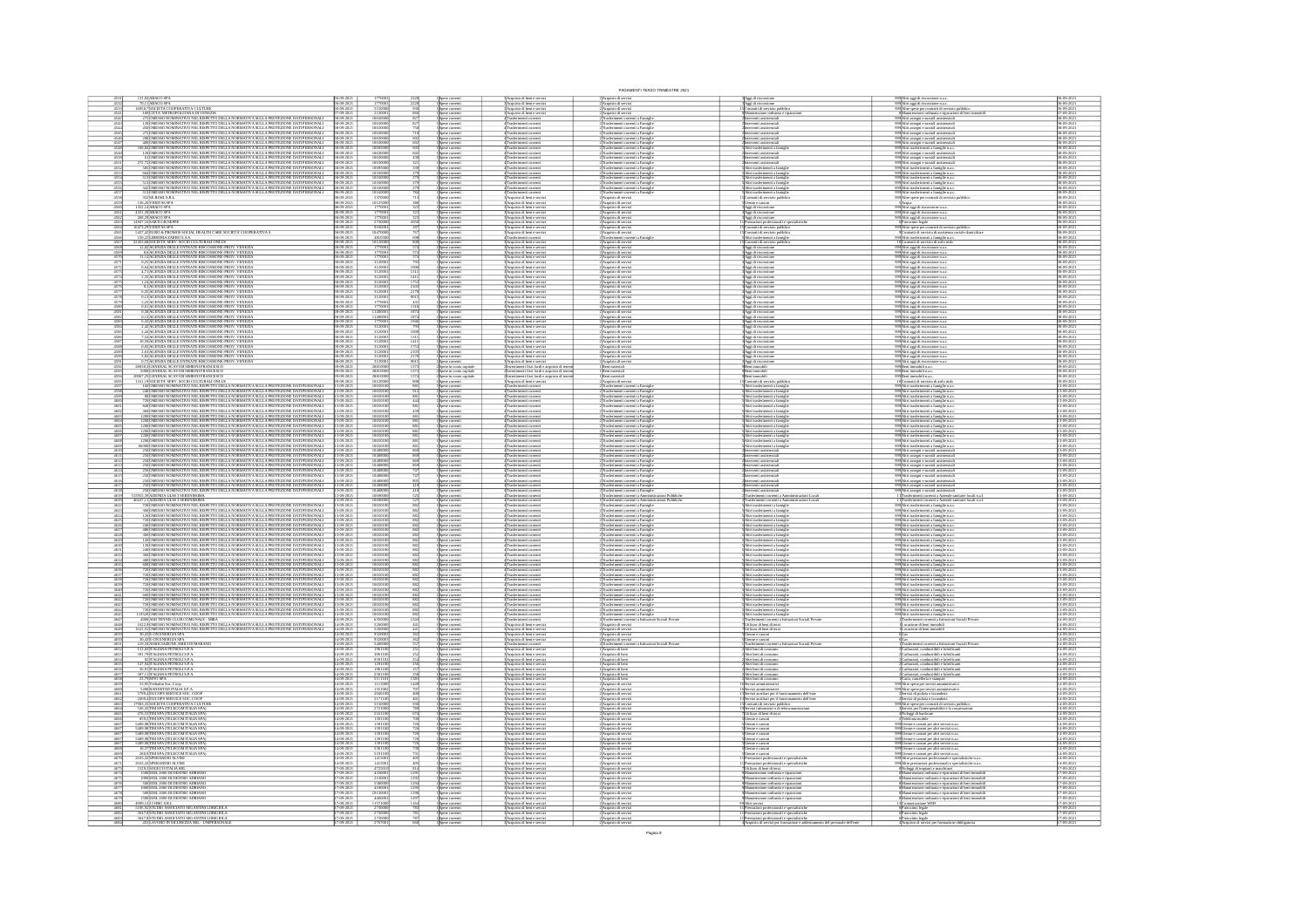|                                                                                               |                                                                                                                                                                                                                                                                                                                                                                                                                                 |                                                           |                                        |                   |                                                                                                                      |                                                                                                                                                                                                                                                    | PAGAMENTI TERZO TRIMESTRE 202                                                                                                                               |                                                                                                                                                                                                             |                                                                                                                                                                                                                                                                                                                                                                                                |                                                               |
|-----------------------------------------------------------------------------------------------|---------------------------------------------------------------------------------------------------------------------------------------------------------------------------------------------------------------------------------------------------------------------------------------------------------------------------------------------------------------------------------------------------------------------------------|-----------------------------------------------------------|----------------------------------------|-------------------|----------------------------------------------------------------------------------------------------------------------|----------------------------------------------------------------------------------------------------------------------------------------------------------------------------------------------------------------------------------------------------|-------------------------------------------------------------------------------------------------------------------------------------------------------------|-------------------------------------------------------------------------------------------------------------------------------------------------------------------------------------------------------------|------------------------------------------------------------------------------------------------------------------------------------------------------------------------------------------------------------------------------------------------------------------------------------------------------------------------------------------------------------------------------------------------|---------------------------------------------------------------|
|                                                                                               |                                                                                                                                                                                                                                                                                                                                                                                                                                 | $-09 - 202$                                               |                                        |                   | 1 Spese correnti<br>1 Spese correnti<br>1 Spese correnti<br>1 Spese correnti                                         | Acquisto di beri e sere<br>Acquisto di beri e sere                                                                                                                                                                                                 | :<br>: Acquisto di serviz<br>: Acquisto di serviz                                                                                                           | Aggi di riscossione<br>Aggi di riscossione<br>Contratti di servizio pu<br>Manuteratone ordinari                                                                                                             | 209 Altri aggi di riscossione n.a.c.<br>209 Altri aggi di riscossione n.a.c.<br>209 Altre spese per contratti di servizio pubb<br>8 Manutenzione ordinaria e riparazioni di                                                                                                                                                                                                                    |                                                               |
| $\frac{4542}{4543}$                                                                           | 16950,7 SOCIETA COOPERATIVA CULTURE<br>160 CITTA: METROPOLITANA DI VENEZIA<br>27SÌOMESSO NOMINATIVO NEL RISPETTO DELLA NORMATIVA SULLA PROTEZIONE DATI PERSONALI<br>120JOMESSO NOMINATIVO NEL RISPETTO DELLA NORMATIVA SULLA PROTEZIONE DATI PERSONALI                                                                                                                                                                          | $-09 - 2021$<br>$-09 - 2021$                              | 5150000<br>1063000                     |                   | Spese correnti<br>Spese correnti                                                                                     | :<br> Acquisto di beni e serviz<br> Acquisto di beni e serviz<br>Trasferimenti corrent<br>Trasferimenti corrent                                                                                                                                    | :<br>:Acquisto di servizi<br>: Acquisto di servizi<br>Trasferimenti correnti a Famig<br>Trasferimenti correnti a Famig                                      |                                                                                                                                                                                                             | 199∣Ahri assegri e sussidi assistenzia<br>199∫Ahri assegri e sussidi assistenzia                                                                                                                                                                                                                                                                                                               | 6-09-2021<br>7-09-2021<br>8-09-202<br>8-09-202                |
|                                                                                               | 450 OMESSO NOMINATIVO NEL RISPETTO DELLA NORMATIVA SULLA PROTEZIONE DATI PERSONALI<br>275 OMESSO NOMINATIVO NEL RISPETTO DELLA NORMATIVA SULLA PROTEZIONE DATI PERSONALI                                                                                                                                                                                                                                                        | 18-09-2021                                                | 1063000                                |                   | .<br>Spese correnti<br>Spese correnti                                                                                | 4 Trasferimenti corrent<br>4 Trasferimenti corrent                                                                                                                                                                                                 | .<br>Trasferimenti correnti a Famigl<br>Trasferimenti correnti a Famigl                                                                                     | rventi assistenzial<br>rventi assistenzial                                                                                                                                                                  | 99 <mark>Abri assegni e sussidi assistenzia</mark><br>99Abri assegni e sussidi assistenzia                                                                                                                                                                                                                                                                                                     | 8-09-202                                                      |
| 4546<br>4547                                                                                  |                                                                                                                                                                                                                                                                                                                                                                                                                                 | 8-09-2021                                                 | 1063000<br>1063000                     |                   | 1 Spese correnti<br>1 Spese correnti<br>1 Spese correnti<br>1 Spese correnti                                         | 4 Trasferimenti corrent<br>4 Trasferimenti corrent<br>4 Trasferimenti corrent                                                                                                                                                                      | Trasferimenti correnti a Famia                                                                                                                              | venti assist                                                                                                                                                                                                | 999 Altri assegri e sussidi assistenzia<br>999 Altri assegri e sussidi assistenzia                                                                                                                                                                                                                                                                                                             | 8-09-202<br>\$09-202                                          |
| 4548<br>4549                                                                                  | 27 DARSSON MARGINIV ORLIGSPETO DELLA NORMATIVA SULLA PROTEZONE DATI PERSONAL<br>200 DARSSON NARGATIVO NEL RESPETTO DELLA NORMATIVA SULLA PROTEZONE DATI PERSONAL<br>200 DARSSON NARGATIVO NEL RESPETTO DELLA NORMATIVA SULLA PROTEZO                                                                                                                                                                                            | 08-09-2021<br>8-09-2021                                   | 1069500                                |                   |                                                                                                                      | 4 Trasferimenti corren                                                                                                                                                                                                                             | <sup>2</sup> Trasferimenti correnti a Famig<br>Trasferimenti correnti a Famig                                                                               | rterventi assistenziali<br>Vizi trasferimenti a fami<br>rventi assiste                                                                                                                                      | 999 Altri trasferimenti a famiglie n.a.c<br>999 Altri assegni e sussidi assistenzial                                                                                                                                                                                                                                                                                                           | 38-09-2021<br>38-09-2021                                      |
|                                                                                               | $272,72\overline{\text{OMESSO}}$ NOMINATIVO NEL RISPETTO DELLA NORMATIVA SULLA PROTEZIONE DATI PERSONALI SIS OMESSO NOMINATIVO NEL RISPETTO DELLA NORMATIVA SULLA PROTEZIONE DATI PERSONALI                                                                                                                                                                                                                                     | 8-09-2021                                                 | 106300<br>1063000                      |                   | Spese comenti<br>  Spese comenti<br>  Spese comenti                                                                  | Trasferimenti corrent<br>4<br>Trasferimenti corrent<br>4 Trasferimenti corrent                                                                                                                                                                     | Trasferimenti correnti a Famigl<br>.<br>Trasferimenti converti a Famig<br>Trasferimenti converti a Famig                                                    | terverti assistenzial<br>menti a far                                                                                                                                                                        | 999 Altri assegni e sussidi assistenzial<br>999 Altri assegni e sussidi assistenzial<br>999 Altri trasferimenti a famiglie n.a.o                                                                                                                                                                                                                                                               | 38-09-202<br>8-09-2021<br>8-09-2021                           |
|                                                                                               | 694 OMESSO NOMINATIVO NEL RISPETTO DELLA NORMATIVA SULLA PROTEZIONE DATI PERSONALI<br>513 OMESSO NOMINATIVO NEL RISPETTO DELLA NORMATIVA SULLA PROTEZIONE DATI PERSONALI                                                                                                                                                                                                                                                        |                                                           | 101601                                 |                   |                                                                                                                      | Trasferimenti corrent<br>Trasferimenti corrent                                                                                                                                                                                                     |                                                                                                                                                             |                                                                                                                                                                                                             | 209 <mark>Altri trasferimenti a famiglie n.a.</mark><br>209Altri trasferimenti a famiglie n.a.                                                                                                                                                                                                                                                                                                 | 8-09-202                                                      |
|                                                                                               |                                                                                                                                                                                                                                                                                                                                                                                                                                 | 8-09-2021                                                 | 101600                                 |                   | Spese correnti<br>Spese correnti                                                                                     | 4 Trasferimenti corrent<br>4 Trasferimenti corrent                                                                                                                                                                                                 | Trasferimenti correnti a Famigli<br>Trasferimenti correnti a Famigli                                                                                        | Voi trasferimenti a fam                                                                                                                                                                                     | 199 <mark>Abri trasferimenti a famiglie n.a.c</mark><br>199 <mark>Abri trasferimenti a famiglie n.a.c</mark>                                                                                                                                                                                                                                                                                   | 8-09-202<br>8-09-202                                          |
| 4557<br>4559                                                                                  | $\frac{1}{2}$ (Spanish) Markovich de Robert Distanta Markovich Markovich de Robert Distance (Spanish) (Spanish) Markovich (Spanish) (Spanish) (Spanish) (Spanish) (Spanish) (Spanish) (Spanish) (Spanish) (Spanish) (Spanish) (Sp                                                                                                                                                                                               | 8-09-2021<br>8-09-2021<br>09-2021<br>09-2021              | 1016000<br>10125000                    |                   | 1 Spese correnti<br>1 Spese correnti<br>1 Spese correnti<br>1 Spese correnti                                         | 4 Trasferimenti correnti<br>3 Acquisto di beni e servi<br>Acquisto di beni e serviz<br>Acquisto di beni e serviz                                                                                                                                   | :<br>Trasferimenti correnti a Famiglie<br>: Acquisto di servizi<br>:<br>: Acquisto di servizi<br>: Acquisto di servizi                                      | etrati di servizio<br>Utenze e canoni<br>Aggi di riscossion                                                                                                                                                 | 999 Ahri trasferimenti a famiglie n.a.<br>999 Altre spese per contratti di serviz                                                                                                                                                                                                                                                                                                              | 08-09-2021<br>08-09-2021<br>8-09-202<br>8-09-202              |
|                                                                                               | 4331,39 ABACO SPA<br>268,29 ABACO SPA                                                                                                                                                                                                                                                                                                                                                                                           |                                                           |                                        |                   | Spese correnti<br>Spese correnti                                                                                     | Acquisto di beri e servi<br>Acquisto di beri e servi                                                                                                                                                                                               | :<br>Acquisto di servi<br>: Acquisto di servi                                                                                                               | .<br>Aggi di riscossione<br>Aggi di riscossione                                                                                                                                                             | SAcqua<br>39 Atri aggi di riscossione n.a.c<br>99 <mark>Altri aggi di riscossione n.a.s</mark><br>99 <mark>Altri aggi di riscossione n.a.s</mark>                                                                                                                                                                                                                                              | 8-09-202<br>8-09-202                                          |
| 4563                                                                                          | 14927,16 SARTI GIUSEPPE<br>10473,29 VERITAS SPA                                                                                                                                                                                                                                                                                                                                                                                 | $\frac{49.2021}{49.2021}$                                 | 273000                                 |                   |                                                                                                                      | :<br>3 Acquisto di beni e servizi<br>3 Acquisto di beni e servizi                                                                                                                                                                                  |                                                                                                                                                             | pagg ur menssons<br>Preszoint professionali e s<br>Contratti di servizio pubblic<br>Contratti di servizio pubblic<br>Altri trasferimenti a famiglia<br>Contratti di servizio pubblic<br>Aggi di riscossione | 29/buri aggi at ractossore n.a.c.<br>1974 de pose per contratti di servizio pubblico<br>29/blire spese per contratti di servizio pubblico<br>91/buri usaferimenti a farmiglie n.a.c.<br>29/buri austrinenti al servizio di asilo rido<br>10/C                                                                                                                                                  | 8-09-202                                                      |
| 4565<br>4566                                                                                  |                                                                                                                                                                                                                                                                                                                                                                                                                                 | -09-2021<br>-09-2021                                      | 10470000                               |                   | 1 Spese correnti<br>1 Spese correnti<br>1 Spese correnti<br>1 Spese correnti<br>1 Spese correnti<br>1 Spese correnti | :<br>:<br>: Trasferimenti correnti                                                                                                                                                                                                                 | 2)<br>Acquisto di servizi<br>2)<br>Acquisto di servizi<br>2)<br>Acquisto di servizi<br>2)<br>Acquisto di servizi<br>2)<br>Acquisto di servizi<br>a Famiglio |                                                                                                                                                                                                             |                                                                                                                                                                                                                                                                                                                                                                                                | 38-09-2021<br>38-09-2021                                      |
| 4567<br>4568                                                                                  |                                                                                                                                                                                                                                                                                                                                                                                                                                 |                                                           | 101200                                 |                   |                                                                                                                      | 4 Trasferimenti correnti<br>3 Acquisto di beni e serviz<br>3 Acquisto di beni e serviz                                                                                                                                                             |                                                                                                                                                             |                                                                                                                                                                                                             |                                                                                                                                                                                                                                                                                                                                                                                                | 8-09-2021<br>8-09-2021<br>8-09-202                            |
|                                                                                               | ARANGEMENT DELLE ENTRATE-RISCOSSIONE-PROV. VENEZIA<br>11,14 MGENZIA DELLE ENTRATE-RISCOSSIONE-PROV. VENEZIA<br>0,25 MGENZIA DELLE ENTRATE-RISCOSSIONE-PROV. VENEZIA                                                                                                                                                                                                                                                             |                                                           | 177000<br>312000                       |                   | Spese comenti<br>  Spese comenti<br>  Spese comenti                                                                  | 3 Acquisto di beri e serviz<br>3 Acquisto di beri e serviz<br>3 Acquisto di beri e serviz                                                                                                                                                          | 2)<br>Acquisto di servi<br>2)<br>Acquisto di servi                                                                                                          | 3 Aggi di riscossione<br>3 Aggi di riscossione<br>3 Aggi di riscossione                                                                                                                                     | 999 Altri aggi di riscossione n.a.c<br>999 Altri aggi di riscossione n.a.c<br>999 Altri aggi di riscossione n.a.c                                                                                                                                                                                                                                                                              | 609-202                                                       |
|                                                                                               | 0,64 AGENZIA DELLE ENTRATE-RISCOSSIONE-PROV. VENEZIA<br>4,71 AGENZIA DELLE ENTRATE-RISCOSSIONE-PROV. VENEZIA                                                                                                                                                                                                                                                                                                                    |                                                           | 31200                                  |                   | Spese correnti<br>Spese correnti                                                                                     | Acquisto di beni e serviz<br>Acquisto di beni e serviz                                                                                                                                                                                             | :<br> Acquisto di servi<br>! Acquisto di servi                                                                                                              | <b>Aggi di riscossione</b><br>Aggi di riscossione                                                                                                                                                           | 99 <mark>Altri aggi di riscossione n.a.s</mark><br>99 <b>Altri aggi di riscossione n.a.s</b>                                                                                                                                                                                                                                                                                                   | 8-09-202                                                      |
|                                                                                               | 4, INGENIA DELLE ENTRATE RECONSING-PROVI VEREZIA<br>1, 2, SALCENZIA DELLE ENTRATE RECONSING-PROV VENEZIA<br>6, 3, SALCENZIA DELLE ENTRATE RECONSING-PROV VENEZIA<br>6, SALCENZIA DELLE ENTRATE RECONSING-PROV VENEZIA<br>6, SALCENZIA DELL                                                                                                                                                                                      | $-09 - 202$                                               | $\frac{3120001}{3120001}$              |                   | Spese correnti<br>зром соглега<br>Spose correnti                                                                     | 3 Acquisto di beri e servizi<br>3 Acquisto di beri e servizi<br>3 Acquisto di beri e servizi                                                                                                                                                       | 2)<br>Acquisto di serviz<br>2)<br>Acquisto di serviz                                                                                                        | S<br>Aggi di riscossione<br>SAggi di riscossione<br>SAggi di riscossione                                                                                                                                    | 99 Altri aggi di riscossione n.a.<br>09 Altri aggi di riscossione n.a.<br>99 Altri aggi di riscossione n.a.                                                                                                                                                                                                                                                                                    | 38-09-202<br>38-09-202<br>38-09-202                           |
| 4578<br>4579                                                                                  |                                                                                                                                                                                                                                                                                                                                                                                                                                 | $-09 - 202$                                               | 31200<br>3120001                       | $\frac{901!}{42}$ | 1 Spese correnti<br>1 Spese correnti<br>1 Spese correnti                                                             | :<br>3 Acquisto di beni e servizi<br>3 Acquisto di beni e servizi<br>3 Acquisto di beni e servizi                                                                                                                                                  | 2) Acquisto di serviz<br>2) Acquisto di serviz<br>2) Acquisto di serviz                                                                                     | 3 Aggi di riscossione<br>3 Aggi di riscossione<br>3 Aggi di riscossione                                                                                                                                     | 999 Altri aggi di riscossione n.a.c<br>999 Altri aggi di riscossione n.a.c<br>999 Altri aggi di riscossione n.a.c                                                                                                                                                                                                                                                                              | 8-09-202<br>38-09-2021<br>38-09-2021                          |
| 4580                                                                                          | 0,01 AGENZIA DELLE ENTRATE-RISCOSSIONE-PROV. VENEZIA<br>0,38 AGENZIA DELLE ENTRATE-RISCOSSIONE-PROV. VENEZIA                                                                                                                                                                                                                                                                                                                    |                                                           | 17700                                  |                   | Spese correnti<br>Spese correnti                                                                                     | Acquisto di beri e servizi<br>Acquisto di beri e servizi                                                                                                                                                                                           | :<br>: Acquisto di serviz<br>: Acquisto di serviz                                                                                                           | <b>Aggi di riscossione</b><br>Aggi di riscossione                                                                                                                                                           | 999 Altri aggi di riscossione n.a.s<br>999 Altri aggi di riscossione n.a.s                                                                                                                                                                                                                                                                                                                     | 08-09-202                                                     |
| $\frac{4582}{4583}$                                                                           | 0,13 AGENZIA DELLE ENTRATE-RISCOSSIONE-PROV. VENEZIA<br>6,32 AGENZIA DELLE ENTRATE-RISCOSSIONE-PROV. VENEZIA                                                                                                                                                                                                                                                                                                                    | $\frac{-09-202}{20}$                                      | 1140000                                |                   | i<br>Spese correnti<br>i Spese correnti<br>i Spese correnti<br>i Spese correnti                                      | Acquisto di beni e servizi<br>Acquisto di beni e servizi                                                                                                                                                                                           | 2) Acquisto di serviz<br>2) Acquisto di serviz                                                                                                              | 3 Aggi di riscossione<br>3 Aggi di riscossione<br>3 Aggi di riscossione<br>3 Aggi di riscossione                                                                                                            | 199 <mark>. Altri aggi di riscossione n.a.s</mark><br>199. Altri aggi di riscossione n.a.s                                                                                                                                                                                                                                                                                                     | 8-09-2021<br>8-09-2021                                        |
| 4584<br>4585                                                                                  | 0,59<br>  ALANGERZIA DELLE ENTRATE-RISCOSSIONE-PROV. VENEZIA<br>  2,42<br>  ACCENZIA DELLE ENTRATE-RISCOSSIONE-PROV. VENEZIA<br>  7,54<br>  ACCENZIA DELLE ENTRATE-RISCOSSIONE-PROV. VENEZIA<br>  10,59   MGENZIA DELLE ENTRATE-RISCOSSIONE-PROV                                                                                                                                                                                | $-09 - 2021$                                              | 3120001<br>3120001                     |                   |                                                                                                                      | 3 Acquisto di beni e servizi<br>3 Acquisto di beni e servizi                                                                                                                                                                                       | 2)Acquisto di serviz<br>2)Acquisto di serviz                                                                                                                |                                                                                                                                                                                                             | 999 Altri aggi di riscossione n.a.s<br>999 Altri aggi di riscossione n.a.s                                                                                                                                                                                                                                                                                                                     | 38-09-2021<br>38-09-2021                                      |
|                                                                                               |                                                                                                                                                                                                                                                                                                                                                                                                                                 | 19-202                                                    | 312000                                 |                   | Spese correnti<br>Spese correnti                                                                                     | Acquisto di beri e servizi<br>Acquisto di beri e servizi                                                                                                                                                                                           | 2)Acquisto di serviz<br>2)Acquisto di serviz                                                                                                                | S <mark>Aggi di riscossione</mark><br>S <mark>Aggi di riscossione</mark>                                                                                                                                    | 999 Altri aggi di riscossione n.a.s<br>999 Altri aggi di riscossione n.a.s                                                                                                                                                                                                                                                                                                                     | 8-09-202<br>8-09-202<br>8-09-202                              |
|                                                                                               |                                                                                                                                                                                                                                                                                                                                                                                                                                 |                                                           | 312000<br>312000<br>312000<br>312000   |                   | Spese correnti<br>  Spese correnti<br>  Spese correnti<br>  Spese correnti                                           | 3 Acquisto di beni e servizi<br>3 Acquisto di beni e servizi<br>3 Acquisto di beni e servizi<br>3 Acquisto di beni e servizi                                                                                                                       | 2 Acquisto di servizi<br>2 Acquisto di servizi<br>2 Acquisto di servizi<br>2 Acquisto di servizi                                                            | s<br>Aggi di riscossione<br>SAggi di riscossione<br>SAggi di riscossione                                                                                                                                    | .<br>1994 Abri aggi di riscossione n.a.c<br>1994 Abri aggi di riscossione n.a.c<br>1994 Iri aggi di riscossione n.a.c<br>1994 Iri aggi di riscossione n.a.c                                                                                                                                                                                                                                    | $\frac{8.09 - 202}{8.09 - 202}$                               |
| 4592<br>4593                                                                                  |                                                                                                                                                                                                                                                                                                                                                                                                                                 | 09-2021<br>$9-2021$                                       | 288100                                 |                   | Spese in como capitale<br>Spese in como capitale                                                                     | .<br>vestimenti fissi lordi e acquisto di terre<br>vestimenti fissi lordi e acquisto di terre                                                                                                                                                      | l Beni materiali<br>I Beni materiali                                                                                                                        | Beni immobili<br>Beni immobili                                                                                                                                                                              | 199Beni immobili n.a.c.<br>199Beni immobili n.a.c.                                                                                                                                                                                                                                                                                                                                             | 9-09-202<br>9-09-202                                          |
|                                                                                               | IS MARINE IN THE INTERNATION FROM WEATHER AND A SUBSEX AND RELEASE OF A SUBSEX AND CONSULTED A SUBSEX AND CONSULTED A SUBSEX AND CONSULTED A SUBSEX AND CONSULTED A SUBSEX AND RELEASE OF A SUBSEX AND A SUBSEX AND THE UNIT                                                                                                                                                                                                    |                                                           | 288100<br>101200<br>106501             |                   | Spese in como capita<br>Spese correnti                                                                               | rvestimenti fissi lordi e acquisto di ten<br>cquisto di beni e servizi                                                                                                                                                                             | Beni materiali<br>: Acquisto di serviz                                                                                                                      | leni immobili<br>lontratti di servizio pu                                                                                                                                                                   | 19Beni immobili n.a.c.<br>10 <mark>Contratti di servizio di asilo nid</mark>                                                                                                                                                                                                                                                                                                                   |                                                               |
|                                                                                               |                                                                                                                                                                                                                                                                                                                                                                                                                                 | $6 - 2021$                                                | 10650                                  |                   | l Spese correnti<br>L'Spese correnti<br>L'Spese correnti                                                             | Trasferimenti corrent<br>Trasferimenti corrent                                                                                                                                                                                                     | nenti correnti a Famigl<br>-<br>Trasferimenti correnti a Famigli<br>Trasferimenti correnti a Famigli                                                        | tri trasferimenti a famigli<br>tri trasferimenti a famigli<br>tri trasferimenti a famigli                                                                                                                   | .<br>99 Altri trasferimenti a famiglie n.a.<br>99 Altri trasferimenti a famiglie n.a.<br>99 Altri trasferimenti a famiglie n.a.                                                                                                                                                                                                                                                                | 3-09-202<br>3-09-202<br>3-09-202                              |
|                                                                                               | 720 (OMESSO NOMINATIVO NEL RISPETTO DELLA NORMATIVA SULLA PROTEZIONE DATI PERSONALI<br>840 (OMESSO NOMINATIVO NEL RISPETTO DELLA NORMATIVA SULLA PROTEZIONE DATI PERSONALI                                                                                                                                                                                                                                                      | $\frac{49-2021}{49-2021}$                                 | 106501                                 |                   | Spese correnti<br>Spese correnti                                                                                     | Trasferimenti correnti<br>Trasferimenti correnti                                                                                                                                                                                                   | Trasferimenti correnti a Famiglie<br>Trasferimenti correnti a Famiglie                                                                                      | Vitri trasferimenti a famigl<br>Vitri trasferimenti a famigl                                                                                                                                                | 99 <mark>Abri trasferimenti a famiglie n.a.c</mark><br>99 <mark>Abri trasferimenti a famiglie n.a.c</mark>                                                                                                                                                                                                                                                                                     | 3-09-202                                                      |
| $\frac{460}{460}$                                                                             |                                                                                                                                                                                                                                                                                                                                                                                                                                 | $\frac{109-2021}{109-2021}$                               | 106501                                 |                   | l Spese correnti<br>1 Spese correnti<br>1 Spese correnti<br>1 Spese correnti                                         | $\begin{array}{c} 4 \textcolor{red}{\textbf{Trasferimetti coreenti}}\\ 4 \textcolor{red}{\textbf{Trasferimesti coreenti}}\\ 4 \textcolor{red}{\textbf{Trasferimesti coreenti}}\\ 4 \textcolor{red}{\textbf{Trasferimesti coreenti}}\\ \end{array}$ | Trasferimenti corrent a Famiglie<br>Trasferimenti correnti a Famiglie<br>Trasferimenti correnti a Famiglie<br>Trasferimenti correnti a Famiglie             | Altri trasferimenti a famigli<br>Altri trasferimenti a famigli<br>Altri trasferimenti a famigli<br>Altri trasferimenti a famigli                                                                            | 999)<br>Altri trasferimenti a farrigile n.a.c<br>999)<br>Altri trasferimenti a farrigile n.a.c<br>999)<br>Altri trasferimenti a farrigile n.a.c<br>999)<br>Altri trasferimenti a farrigile n.a.c                                                                                                                                                                                               | 3-09-202                                                      |
| 4604<br>4605                                                                                  |                                                                                                                                                                                                                                                                                                                                                                                                                                 | -09-2021<br>-09-2021                                      | 1065010<br>1065010<br>106501<br>106501 |                   | Spese correnti<br>Spese correnti                                                                                     | Trasferimenti corrent<br>Trasferimenti corrent                                                                                                                                                                                                     | Trasferimenti correnti a Famigli<br>Trasferimenti correnti a Famigli                                                                                        | .<br>Veri trasferimenti a famiș<br>Veri trasferimenti a famiș                                                                                                                                               | 999 Altri trasferimenti a famiglie n.a.c<br>999 Altri trasferimenti a famiglie n.a.c                                                                                                                                                                                                                                                                                                           | 3-09-202<br>3-09-202<br>3-09-202<br>3-09-202                  |
|                                                                                               |                                                                                                                                                                                                                                                                                                                                                                                                                                 | 09-2021<br>09-2021                                        | 106501                                 |                   | Spese correnti<br>Spese correnti                                                                                     | 4 Trasferimenti corrent<br>4 Trasferimenti corrent                                                                                                                                                                                                 | : Trasferimenti correnti a Famigli<br>: Trasferimenti correnti a Famigli                                                                                    | Vini trasferimenti a famij<br>Vini trasferimenti a famij                                                                                                                                                    | 299 Altri trasferimenti a famiglie n.a.c<br>299 Altri trasferimenti a famiglie n.a.c                                                                                                                                                                                                                                                                                                           | 3-09-202                                                      |
|                                                                                               |                                                                                                                                                                                                                                                                                                                                                                                                                                 | 3-09-2021<br>3-09-2021                                    | 104880                                 |                   | Spese correnti<br>Spese correnti                                                                                     | Trasferimenti corrent<br>Trasferimenti corrent                                                                                                                                                                                                     | : Trasferimenti correnti a Famigli<br>: Trasferimenti correnti a Famigli                                                                                    |                                                                                                                                                                                                             | 299 Altri assegni e sussidi assistenzia<br>299 Altri assegni e sussidi assistenzia                                                                                                                                                                                                                                                                                                             | 3-09-202                                                      |
| 4612<br>4613                                                                                  | $\begin{tabular}{ c c c c c c c c c c c c c c c} \hline \multicolumn{1}{ c }{\hline \multicolumn{1}{ c }{\hline \multicolumn{1}{ c }{\hline \multicolumn{1}{ c }{\hline \multicolumn{1}{ c }{\hline \multicolumn{1}{ c }{\hline \multicolumn{1}{ c }{\hline \multicolumn{1}{ c }{\hline \multicolumn{1}{ c }{\hline \multicolumn{1}{ c }{\hline \multicolumn{1}{ c }{\hline \multicolumn{1}{ c }{\hline \multicolumn{1}{ c }{\$ | 09-2021<br>09-2021                                        | 104880<br>104880                       |                   | Spese correnti<br>I Spese correnti                                                                                   | 4 Trasferimenti corrent<br>4 Trasferimenti corrent                                                                                                                                                                                                 | : Trasferimenti correnti a Famigli<br>: Trasferimenti correnti a Famigli                                                                                    | laterventi assistenzial<br>laterventi assistenzial<br>laterventi assistenzial<br>laterventi assistenzial                                                                                                    | 199 Altri assegni e sussidi assistenzial<br>199 Altri assegni e sussidi assistenzial                                                                                                                                                                                                                                                                                                           | 3-09-202<br>3-09-202                                          |
|                                                                                               | A SOMEONO NELLA ROBANI DI ANCHI A SULLA ROBANI A SULLA ROBANI DELL'ANCHI ANCHI ANCHI ANCHI ANCHI ANCHI ANCHI ANCHI ANCHI ANCHI ANCHI ANCHI ANCHI ANCHI ANCHI ANCHI ANCHI ANCHI ANCHI ANCHI ANCHI ANCHI ANCHI ANCHI ANCHI ANCHI                                                                                                                                                                                                  | 09-2021                                                   | 104880<br>104880<br>104880             |                   | Spese correnti<br>Spese correnti                                                                                     | Trasferimenti corrent<br>Trasferimenti corrent<br>4 Trasferimenti corrent                                                                                                                                                                          | Trasferimenti correnti a Famigli<br>Trasferimenti correnti a Famigli<br>Trasferimenti correnti a Famigl                                                     | rventi assistenzia<br>rventi assistenzia                                                                                                                                                                    | HAltri assegri e sussidi assistenzia<br>HAltri assegri e sussidi assistenzia<br>HAltri assegni e sussidi assistenzia                                                                                                                                                                                                                                                                           | 3-09-202<br>3-09-202<br>3-09-202                              |
|                                                                                               |                                                                                                                                                                                                                                                                                                                                                                                                                                 | $\frac{109-2021}{109-2021}$                               | 104880                                 |                   | Spese correnti<br>I Spese correnti<br>I Spese correnti                                                               | 4 Trasferimenti corrent<br>4 Trasferimenti corrent                                                                                                                                                                                                 | Trasferimenti correnti a Famiglie<br>Trasferimenti correnti a Famiglie                                                                                      | Interventi assistenzial<br>Interventi assistenzial<br>Interventi assistenzial                                                                                                                               | 99 <mark>Altri assegni e sussidi assistenzial</mark><br>99 <mark>Altri assegni e sussidi assistenzial</mark>                                                                                                                                                                                                                                                                                   | 3-09-202                                                      |
| $\frac{4619}{4620}$                                                                           | 315955,39 AZIENDA ULSS 3 SERENISSIMA<br>40437,11 AZIENDA ULSS 3 SERENISSIMA                                                                                                                                                                                                                                                                                                                                                     | 09-2021<br>09-2021                                        | 106900                                 |                   | Spese correnti<br>Spese correnti                                                                                     | Trasferimenti corrent<br>Trasferimenti corrent<br>4 Trasferimenti corrent                                                                                                                                                                          | Trasferimenti correnti a Ammin<br>Trasferimenti correnti a Ammin<br>oni Pubbliche<br>oni Pobbliche                                                          | asferimenti correnti a As<br>asferimenti correnti a As<br>ristrazioni Locali<br>sistematuri Locali                                                                                                          | Trasferimenti correnti a Aziende sanitarie locali n.a.f<br>Trasferimenti correnti a Aziende sanitarie locali n.a.f                                                                                                                                                                                                                                                                             | 3-09-2021<br>3-09-2021                                        |
| $\frac{4622}{4623}$<br>$\frac{4624}{4625}$                                                    | IF THE RESULTES THE REPORT OF LANGUARY ASSESSMENT AND RESULTING THE REPORT OF LANGUAGE AND REPORT OF LANGUAGE AND RESULTING THE RESULTING OF LANGUAGE AND REPORT OF LANGUAGE AND RESULTING THE REPORT OF LANGUAGE AND REPORT                                                                                                                                                                                                    | 109-2021<br>109-2021<br>109-2021                          | 1065010<br>1065010<br>1065010          |                   | 1 Spese correnti<br>1 Spese correnti<br>1 Spese correnti<br>1 Spese correnti                                         | 4 Trasferimenti correnti<br>4 Trasferimenti correnti<br>4 Trasferimenti correnti                                                                                                                                                                   | :<br>!Trasferimenti correnti a Famiglie<br>!Trasferimenti correnti a Famiglie<br>!Trasferimenti correnti a Famiglie<br>!Trasferimenti correnti a Famiglie   | s<br>Altri trasferimenti a famigli<br>SAltri trasferimenti a famigli<br>SAltri trasferimenti a famigli<br>SAltri trasferimenti a famigli                                                                    | 999)<br>Altri trasferimenti a farriglie n.a.c.<br>999)<br>Altri trasferimenti a farriglie n.a.c.<br>999)<br>Altri trasferimenti a farriglie n.a.c.<br>999)<br>Altri trasferimenti a farriglie n.a.c.                                                                                                                                                                                           | 3-09-202<br>3-09-2021<br>3-09-2021                            |
|                                                                                               |                                                                                                                                                                                                                                                                                                                                                                                                                                 | 3-09-2021<br>3-09-2021                                    | 106501                                 |                   | Spese correnti<br>Spese correnti                                                                                     | 4 Trasferimenti corrent<br>4 Trasferimenti corrent                                                                                                                                                                                                 | :<br>Trasferimenti correnti a Famiglie<br>: Trasferimenti correnti a Famiglie                                                                               | Altri trasferimenti a famigli<br>Altri trasferimenti a famigli                                                                                                                                              | 999 Altri trasferimenti a famiglie n.a.c<br>999 Altri trasferimenti a famiglie n.a.c                                                                                                                                                                                                                                                                                                           | 3-09-202<br>3-09-202                                          |
|                                                                                               |                                                                                                                                                                                                                                                                                                                                                                                                                                 | 3-09-2021<br>3-09-2021                                    | 106501                                 |                   | Spese correnti<br>I Spese correnti                                                                                   | 4 Trasferimenti corrent<br>4 Trasferimenti corrent                                                                                                                                                                                                 | : Trasferimenti correnti a Famigli<br>: Trasferimenti correnti a Famigli                                                                                    | Altri trasferimenti a famig<br>Altri trasferimenti a famig                                                                                                                                                  | 999 Abri trasferimenti a farriglie n.a.c<br>999 Abri trasferimenti a farriglie n.a.c                                                                                                                                                                                                                                                                                                           | 3-09-202<br>3-09-202                                          |
| 4630<br>4631                                                                                  |                                                                                                                                                                                                                                                                                                                                                                                                                                 | $-09 - 2021$<br>$-09 - 2021$                              | 106501                                 |                   | Spese correnti<br>I Spese correnti                                                                                   | 4 Trasferimenti corrent<br>4 Trasferimenti corrent                                                                                                                                                                                                 | : Trasferimenti correnti a Famigli<br>: Trasferimenti correnti a Famigli                                                                                    | Altri trasferimenti a famig<br>Altri trasferimenti a famig                                                                                                                                                  | 999 Altri trasferimenti a famiglie n.a.c<br>999 Altri trasferimenti a famiglie n.a.c                                                                                                                                                                                                                                                                                                           | 3-09-202<br>3-09-202                                          |
| 4633                                                                                          |                                                                                                                                                                                                                                                                                                                                                                                                                                 | -09-2021<br>-09-2021                                      | 106501<br>106501                       |                   | Spese correnti<br>I Spese correnti<br>Spese correnti<br>Spese correnti                                               | 4 Trasferimenti corrent<br>4 Trasferimenti corrent<br>Trasferimenti corrent<br>Trasferimenti corrent                                                                                                                                               | : Trasferimenti correnti a Famigli<br>: Trasferimenti correnti a Famigli<br>Trasferimenti correnti a Famigli<br>Trasferimenti correnti a Famigli            | .<br>Altri trasferimenti a famigl<br>Altri trasferimenti a famigl<br>Altri trasferimenti a famigli<br>Altri trasferimenti a famigli                                                                         | 999 Abri trasferimenti a famiglie n.a.c<br>999 Abri trasferimenti a famiglie n.a.c<br>999) Altri traserimon a recogno<br>999) Altri trasferimenti a famiglie n.a.c<br>999) Altri trasferimenti a famiglie n.a.c                                                                                                                                                                                | 3-09-202<br>3-09-202                                          |
| 4635<br>4636                                                                                  |                                                                                                                                                                                                                                                                                                                                                                                                                                 | 19-2021                                                   | $\frac{1065010}{1065010}$              |                   | Spese correnti                                                                                                       | Trasferimenti corrent                                                                                                                                                                                                                              | Trasferimenti correnti a Famigli                                                                                                                            | Vitri trasferimenti a famigl                                                                                                                                                                                | 299 Altri trasferimenti a farriglie n.a.o                                                                                                                                                                                                                                                                                                                                                      | 13-09-202<br>13-09-202<br>13-09-202                           |
| $\frac{4638}{4639}$                                                                           |                                                                                                                                                                                                                                                                                                                                                                                                                                 | $\frac{109-2021}{109-2021}$                               | 106501<br>106501                       |                   | Spese correnti<br>I Spese correnti                                                                                   | 4 Trasferimenti corrent<br>4 Trasferimenti corrent                                                                                                                                                                                                 | Trasferimenti correnti a Famigli<br>Trasferimenti correnti a Famigli                                                                                        | Altri trasferimenti a famigl<br>Altri trasferimenti a famigl<br>Altri trasferimenti a famigl                                                                                                                | 999 Abri trasferimenti a famiglie n.a.c<br>999 Abri trasferimenti a famiglie n.a.c                                                                                                                                                                                                                                                                                                             | 3-09-202                                                      |
| $\frac{4640}{4641}$<br>4642<br>4643                                                           |                                                                                                                                                                                                                                                                                                                                                                                                                                 | 49-2021<br>09-2021<br>09-2021                             | 106501<br>1065010<br>1065010           |                   | l Spese correnti<br>1 Spese correnti<br>1 Spese correnti<br>1 Spese correnti                                         | 4 Trasferimenti corrent<br>4 Trasferimenti corrent<br>4 Trasferimenti corrent                                                                                                                                                                      | Trasferimenti converti a Famiglie<br>Trasferimenti converti a Famiglie<br>Trasferimenti converti a Famiglie<br>Trasferimenti converti a Famiglie            | Spann trasserimenti a famigli<br>Spani trasferimenti a famigli<br>Spani trasferimenti a famigli<br>Spani trasferimenti a famigli<br>Spani trasferimenti a famigli<br>Spani trasferimenti a famigli          | $\frac{299 {\rm Arti}\ {\rm transformation\ in\ family} {\rm linear} }{299 {\rm Altri\ transformation\ in\ family} {\rm linear} }$ $\frac{299 {\rm Altri\ transformation\ in\ family} {\rm linear} }{299 {\rm Altri\ transformation\ in\ family} {\rm linear} }$ $\frac{299 {\rm Altri\ transformation\ in\ family} {\rm linear} }{299 {\rm Altri\ transformation\ in\ family} {\rm linear} }$ | 3-09-2021<br>3-09-2021<br>3-09-202<br>3-09-202                |
| $\frac{4644}{4645}$                                                                           |                                                                                                                                                                                                                                                                                                                                                                                                                                 | 09-2021                                                   | 106501                                 |                   | l Spese correnti<br>1 Spese correnti                                                                                 | 4 Trasferimenti correnti<br>4 Trasferimenti correnti                                                                                                                                                                                               | Trasferimenti correnti a Famiglie<br>Trasferimenti correnti a Famiglie                                                                                      |                                                                                                                                                                                                             |                                                                                                                                                                                                                                                                                                                                                                                                | 3-09-202                                                      |
| $\frac{4647}{4648}$                                                                           | 4000 (SD TENNS CLUB COMUNALE - MBA<br>1622/9 (MESSO NORTANTATIVO NEL RESPETTO DELLA NORMATIVA SULLA PROTEZIONE DATI PERSONALI 1622/9 (MESSO NOMINATIVO NEL RESPETTO DELLA NORMATIVA SULLA PROTEZIONE DATI PERSONALI 1622/91 (MES                                                                                                                                                                                                | $\frac{49-2021}{49-2021}$                                 | 63500                                  |                   | Spese correnti<br>Spese correnti                                                                                     | 4 Trasferimenti correnti<br>3 Acquisto di beni e serv                                                                                                                                                                                              | ioni Sociali Private<br>4 Trasferimenti correnti a Istit<br>2)Acquisto di servizi                                                                           | oni Sociali Private<br>asferimenti correnti a lsti<br>tilizzo di beni di terzi                                                                                                                              | l'assferimenti conventi a Istituzioni Sociali Priv<br>Locazione di beni immobili                                                                                                                                                                                                                                                                                                               | 14-09-202<br>14-09-202                                        |
| 4649                                                                                          |                                                                                                                                                                                                                                                                                                                                                                                                                                 | 09-2021                                                   | 526000                                 |                   | Spese correnti<br>Spese correnti                                                                                     | 3 Acquisto di beni e servizi<br>3 Acquisto di beni e servizi                                                                                                                                                                                       | 2)Acquisto di servizi<br>2)Acquisto di servizi                                                                                                              | tilizzo di beni di terzi                                                                                                                                                                                    | ocazione di beni immobili                                                                                                                                                                                                                                                                                                                                                                      | 14-09-202                                                     |
| 4650<br>4651<br>4652<br>4653                                                                  | $\begin{array}{l} 39,43\text{e-ON ENERGIA SPA}\\ \hline 39,43\text{e-ON ENERGIA SPA}\\ \hline 419,59] \text{ASSOCLAZIONE AMRCI IN MARANO}\\ \hline 153,03\text{ITMLIANA PETROLI S.P.A.}\\ \hline 391,79\text{ITALIANA PETROLI S.P.A.}\\ \hline \end{array}$                                                                                                                                                                     | -09-2021<br>-09-2021<br>4-09-2021<br>4-09-2021            | 932000<br>196110<br>306110             |                   | Spese correnti<br>Spese correnti<br>Spese correnti<br>Spese correnti                                                 | 3 Acquisto di beni e servizi<br>4 Trasferimenti correnti<br>3 Acquisto di beni e servizi<br>3 Acquisto di beni e servizi                                                                                                                           | 2 Acquisto di servizi<br>4 Trasferimenti com<br>erti a İstituzioni Sociali Private<br>a i rassecuntur co<br>1 Acquisto di beni<br>1 Acquisto di beni        | Jienze e canoni<br>Irasferimenti correnti a bitituzioni Sociali Private<br>Altri beni di consumo<br>Altri beni di consumo                                                                                   | Gas<br>Tras <u>ferimenti conventi a Istituzioni Sociali Privat</u><br>Carburanti, combustibili e lubrificanti<br>Carburanti, combustibili e lubrificanti                                                                                                                                                                                                                                       | 14-09-202<br>14-09-202<br>14-09-202<br>14-09-202              |
|                                                                                               | 82 TALIANA PETROLI S.P.A.                                                                                                                                                                                                                                                                                                                                                                                                       | $-09 - 2021$<br>$-09 - 2021$                              | 9391                                   |                   | 1 Spese correnti<br>1 Spese correnti<br>1 Spese correnti                                                             | 3 Acquisto di beni e servizi                                                                                                                                                                                                                       | 1 Acquisto di beni<br>1 Acquisto di beni<br>1 Acquisto di beni                                                                                              | Altri beni di consum:                                                                                                                                                                                       | :<br>Carburanti, combustibili e lubrificanti<br>: Carburanti, combustibili e lubrificanti<br>: Carburanti, combustibili e lubrificanti                                                                                                                                                                                                                                                         | 14-09-202<br>14-09-202<br>14-09-202                           |
| 4655<br>4656                                                                                  | $\frac{147,94}{56,91} \overline{ \text{ITALIANA PETROLISPA}} \\ \textcolor{red}{\text{56,91}} \overline{ \text{ITALIANA PETROLISPA}} \\$<br>307,11 ITALIANA PETROLI S.P.A.<br>23,79 MYO SPA                                                                                                                                                                                                                                     | 4-09-2021<br>4-09-2021                                    | $\frac{12911}{19611}$<br>23011         |                   | Spese correnti<br>I Spese correnti                                                                                   | 3 Acquisto di beni e servizi<br>3 Acquisto di beni e servizi<br>3 Acquisto di beri e servizi<br>3 Acquisto di beri e servizi                                                                                                                       | 1 Acquisto di beni<br>1 Acquisto di beni                                                                                                                    | Altri beni di consumo<br>Altri beni di consumo<br>Altri beni di consum:<br>Altri beni di consum;                                                                                                            | Carburanti, combustibili e lubrificanti<br>Carta, cancelleria e stampati                                                                                                                                                                                                                                                                                                                       | 14-09-202<br>14-09-202                                        |
| 4659                                                                                          |                                                                                                                                                                                                                                                                                                                                                                                                                                 | $-09 - 2021$                                              | 11150                                  | $\frac{144}{2}$   | Spese correnti                                                                                                       | Acquisto di beri e servizi                                                                                                                                                                                                                         | 2) Acquisto di servizi<br>2) Acquisto di servizi<br>2) Acquisto di servizi                                                                                  | ervizi amministrativ                                                                                                                                                                                        | Altre spese per servizi amminis                                                                                                                                                                                                                                                                                                                                                                | 14-09-202                                                     |
|                                                                                               | 23,95 Verbatin Soc. Cosp.<br>5490 RANDSTAD ITALIA S.P.A.<br>5799,4 DUCOPS SERVICE SOC. COOL<br>2600,4 DUCOPS SERVICE SOC. COOL                                                                                                                                                                                                                                                                                                  | $\frac{-0.05 - 20.2}{-0.05 - 20.2}$                       | 13511<br>2046:<br>5171:                |                   |                                                                                                                      | Acquisto di beni e servi<br>Acquisto di beni e servi<br>Acquisto di beni e serviz                                                                                                                                                                  | Acquisto di servi                                                                                                                                           | zi ausiliari per il<br>izi ausiliari per il fun<br>ento dell'ente                                                                                                                                           |                                                                                                                                                                                                                                                                                                                                                                                                | 14-09-202<br>14-09-202<br>14-09-202                           |
| 4663                                                                                          | $\begin{array}{c} \textbf{17983}, \textbf{35} \textbf{SOCIETA COOPERATIVA CULTURF}\\ \textbf{5.36}, \textbf{43} \textbf{TM SPA} \textbf{(TELECOMITALIA SPA)}\\ \textbf{4.76}, \textbf{53} \textbf{TM SPA} \textbf{(TELECOMITALIA SPA)}\\ \textbf{659}, \textbf{5} \textbf{TM SPA} \textbf{(TELECOMITALIA SPA)}\\ \end{array}$                                                                                                   | 4-09-2021<br>4-09-2021                                    | 515000<br>272100                       |                   | l Spese correnti<br>1 Spese correnti                                                                                 | 3 Acquisto di beni e servizi<br>3 Acquisto di beni e servizi                                                                                                                                                                                       | 2)Acquisto di servizi<br>2)Acquisto di servizi                                                                                                              | Contratti di servizio pubb                                                                                                                                                                                  | Altre spese per servizi amministrativi<br>Servizi di polizia e lavanderia<br>Servizi di polizia e lavanderia<br>Altre spese per contratti di servizio pubblico<br>Servizi per l'interoperabilità e la cooperazio                                                                                                                                                                               | 14-09-202<br>14-09-202                                        |
| $\frac{466}{466}$                                                                             |                                                                                                                                                                                                                                                                                                                                                                                                                                 | 4-09-2021<br>4-09-2021                                    | 216110<br>139110                       |                   | Spese correnti<br>I Spese correnti                                                                                   | 3 Acquisto di beni e servizi<br>3 Acquisto di beni e servizi                                                                                                                                                                                       | 2)Acquisto di serviz<br>2)Acquisto di serviz                                                                                                                | trilizzo di beni di terzi<br>tenze e canoni                                                                                                                                                                 | s<br>Noleggi di hardware<br>dTelefonia mobile                                                                                                                                                                                                                                                                                                                                                  | 14-09-202<br>14-09-202                                        |
| 4667<br>4667<br>4667                                                                          | 5489,98 TIM SPA (TELECOM ITALIA SPA)<br>5489,98 TIM SPA (TELECOM ITALIA SPA)                                                                                                                                                                                                                                                                                                                                                    | 4-09-2021<br>4-09-2021<br>4-09-2021<br>4-09-2021          | 139110<br>1391100                      |                   | Spese correnti<br>Spese correnti<br>l Spese correnti<br>1 Spese correnti                                             | 3 Acquisto di beni e servizi<br>3 Acquisto di beni e servizi<br>3 Acquisto di beri e servizi<br>3 Acquisto di beri e servizi                                                                                                                       | 2)Acquisto di servizi<br>2)Acquisto di servizi<br>2)Acquisto di servizi<br>2)Acquisto di servizi                                                            | Jienze e canoni<br>Jienze e canoni<br>Jonze e canoni<br>Jonze e canoni                                                                                                                                      | 299 Uavane e canoni per altri servizi n.a.c.<br>299 Uavane e canoni per altri servizi n.a.c.<br>999 Uavare e canoni per altri servizi n.a.c.<br>999 Uavare e canoni per altri servizi n.a.c.                                                                                                                                                                                                   | 4-09-202<br>14-09-202                                         |
|                                                                                               | 3-402, pull MPA (IELECOM ITALIA SPA)<br>5-402, pull MPA (IELECOM ITALIA SPA)<br>5-402, 90 TM SPA (IELECOM ITALIA SPA)<br>5-402, 90 TM SPA (IELECOM ITALIA SPA)<br>2003, 32 MPA (IELECOM ITALIA SPA)<br>2003, 32 MPER ANDIO ALVISE<br>2033, 32 MP                                                                                                                                                                                | 4-09-2021<br>4-09-2021                                    | 13911<br>53611<br>51911                |                   | Spese correnti<br>Spese correnti                                                                                     | 3 Acquisto di beni e servizi<br>3 Acquisto di beni e servizi                                                                                                                                                                                       | 2)Acquisto di serviz<br>2)Acquisto di serviz                                                                                                                | Jonze e canoni<br>Jonze e canoni                                                                                                                                                                            | 9 Unune e canoni per altri servizi n.a.c<br>9 Unune e canoni per altri servizi n.a.c                                                                                                                                                                                                                                                                                                           |                                                               |
| $\frac{4670}{4671}$                                                                           |                                                                                                                                                                                                                                                                                                                                                                                                                                 | 09-2021<br>$-09 - 2021$                                   | 141500<br>141500                       |                   | Spese correnti<br>l Spese comeni<br>1 Spese comeni                                                                   | Acquisto di beri e servizi<br>3 Acquisto di beni e servizi<br>3 Acquisto di beni e servizi                                                                                                                                                         | Acquisto di servizi<br>l'Acquisto di servizi<br>l'Acquisto di servizi                                                                                       | lette e canoni<br>estazioni profess<br>nali e specialistich                                                                                                                                                 | Janze e canoni per altri servizi n.a.c.<br>Altre prestazioni professionali e specialistiche n.a.c<br>Altre prestazioni professionali e specialistiche n.a.c                                                                                                                                                                                                                                    | 14-09-202<br>14-09-202<br>14-09-202<br>14-09-202              |
| $\frac{4673}{4674}$                                                                           |                                                                                                                                                                                                                                                                                                                                                                                                                                 | -09-2021<br>-09-2021<br>-09-2021                          | $\frac{47250}{433000}$                 |                   | 1 Spese correnti<br>1 Spese correnti<br>1 Spese correnti                                                             | 3 Acquisto di beni e servizi<br>3 Acquisto di beni e servizi<br>3 Acquisto di beni e servizi                                                                                                                                                       | 2) Acquisto di servizi<br>2) Acquisto di servizi<br>2) Acquisto di servizi                                                                                  | nuli e specialistichi<br>ikzo di beni di terzi                                                                                                                                                              | :<br>Noleggi di impianti e macchinari<br>Manutenzione ordinaria e riparazioni di beni<br>Manutenzione ordinaria e riparazioni di beni                                                                                                                                                                                                                                                          |                                                               |
|                                                                                               | 2002/2003 DISCRETE SERVES CONTRACTOR DE SAN ANGELET DE CONSUMERENT DE CONTRACTOR DE CONTRACTOR DE CONTRACTOR<br>TEN DE CONTRACTOR DE DE CONTRACTOR DE CONTRACTOR<br>TEN DE CONTRACTOR DE LA CONTRACTOR DE CONTRACTOR<br>TEN DE CONTR                                                                                                                                                                                            |                                                           | $\frac{13800}{53800}$                  |                   | Spese correnti<br>Spese correnti                                                                                     | Acquisto di beni e serviz<br>Acquisto di beni e serviz                                                                                                                                                                                             | : Acquisto di servi<br>: Acquisto di servi                                                                                                                  | Aanstenzione ordinaria e riparazion<br>Aanstenzione ordinaria e rinarazion                                                                                                                                  | zione ordinaria e riparazioni di beni immobi<br>zione ordinaria e riparazioni di beni immobi                                                                                                                                                                                                                                                                                                   | 17-09-202<br>17-09-202<br>17-09-202<br>17-09-202<br>17-09-202 |
|                                                                                               |                                                                                                                                                                                                                                                                                                                                                                                                                                 | 19-2021<br>19-2021<br>19-2021                             | 1013000                                |                   | Spese correnti                                                                                                       | Acquisto di beni e serviz                                                                                                                                                                                                                          | Acquisto di servi                                                                                                                                           | Manutenzione ordinaria e riparazioni                                                                                                                                                                        | one ordinaria e riparazioni di beni immob                                                                                                                                                                                                                                                                                                                                                      |                                                               |
| $\frac{4679}{4680}$                                                                           | 1500 EDIL 2000 DI DESTRO ADRIANO<br>4999,1222 HBG S.R.L.<br>5106,92<br>STUDIO ASSOCIATO SEGANTINI LORGIQUE 3647,8<br>STUDIO ASSOCIATO SEGANTINI LORGIQUE                                                                                                                                                                                                                                                                        | $-09 - 2021$<br>$-09 - 2021$<br>$\frac{49-2021}{49-2021}$ | 446000<br>273000                       |                   | l Spese correnti<br>1 Spese correnti<br>Spese correnti<br>Spese correnti                                             | 3 Acquisto di beni e servizi<br>3 Acquisto di beni e servizi<br>3 Acquisto di beni e servizi<br>3 Acquisto di beni e servizi                                                                                                                       | 2)Acquisto di serviz<br>2)Acquisto di serviz<br>:)Acquisto di servizi<br>:)Acquisto di servizi                                                              | tri servizi<br>stazioni professionali e specialistiche<br>stazioni maferimenti e regni distinhe                                                                                                             | tenzione ordinaria e riparazioni di beni immobi<br>micazione WEB<br><sup>9</sup> atrocinio legale<br><sup>9</sup> atrocinio legale                                                                                                                                                                                                                                                             | 7-09-202<br>7-09-202                                          |
| $\begin{array}{r}\n 4681 \\  \hline\n 4682 \\  \hline\n 4683 \\  \hline\n 4684\n \end{array}$ | 3647,8 STUDIO ASSOCIATO SEGANTINI LORIGIOLA<br>455 LAVORO IN SICUREZZA SRL - UNIPERSONAL                                                                                                                                                                                                                                                                                                                                        | 09-2021<br>09-2021                                        | 273000<br>276700                       |                   | Spese correnti<br>Spese correnti                                                                                     | 3 Acquisto di beni e servizi<br>3 Acquisto di beni e servizi                                                                                                                                                                                       | : Acquisto di servizi<br>: Acquisto di servizi                                                                                                              | Prestazioni professionali e specialistiche<br>Acquisto di servizi per formazione e adde                                                                                                                     | atrocinio legale<br>cquisto di servizi per for                                                                                                                                                                                                                                                                                                                                                 | 7-09-202                                                      |
|                                                                                               |                                                                                                                                                                                                                                                                                                                                                                                                                                 |                                                           |                                        |                   |                                                                                                                      |                                                                                                                                                                                                                                                    |                                                                                                                                                             |                                                                                                                                                                                                             |                                                                                                                                                                                                                                                                                                                                                                                                |                                                               |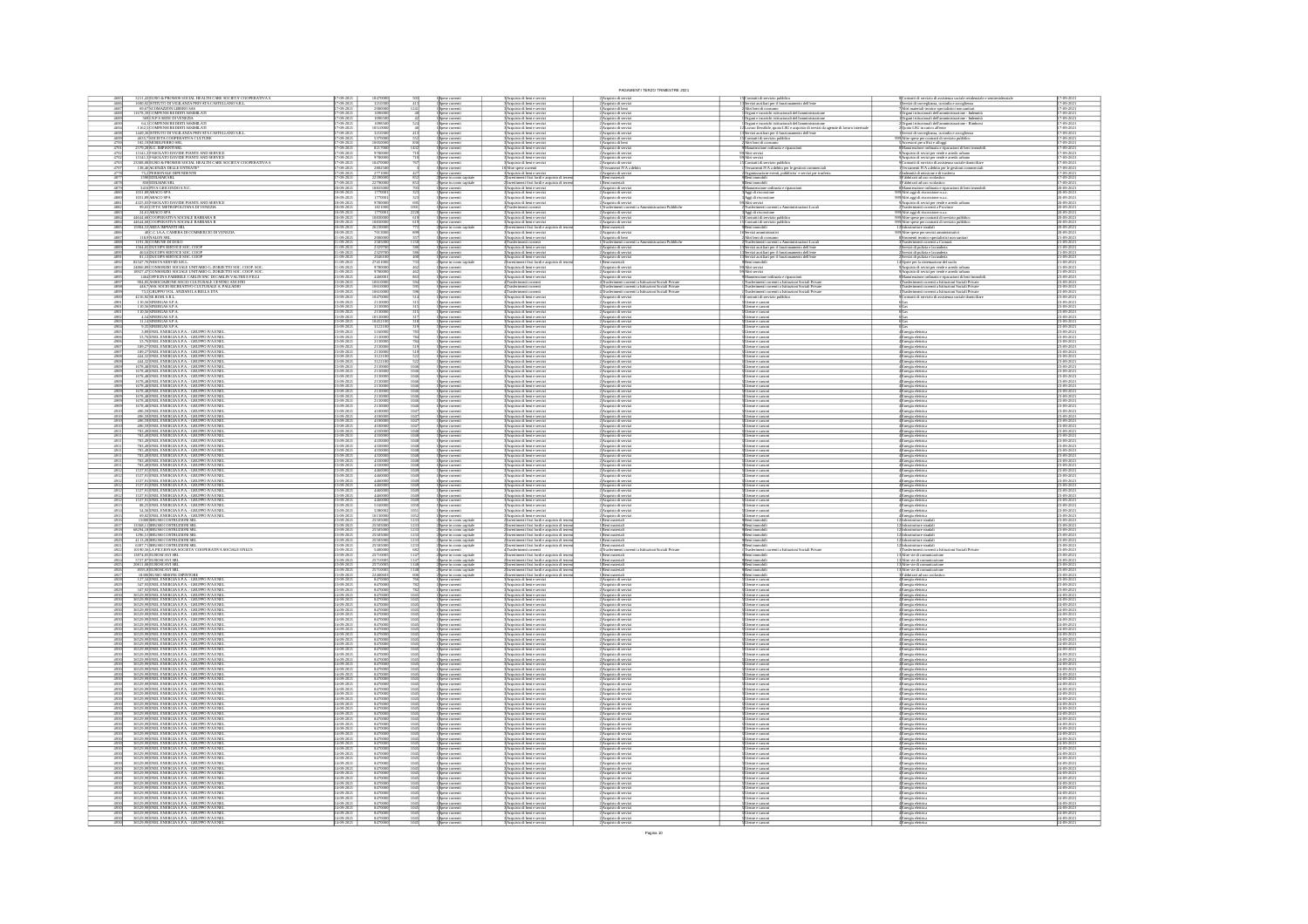|                                            |                                                                                                                                                                                                                                                                                                                                                  |                                             |                                                                                                                                                                                  |                                                                                                          |                                                                                                                                                                                                                            | PAGAMENTI TERZO TRIMESTRE 2021                                                                                                              |                                                                                                                                                                                                                                               |                                                                                                                                                                                                                                                                                                                                                                                                                     |                                                                                        |
|--------------------------------------------|--------------------------------------------------------------------------------------------------------------------------------------------------------------------------------------------------------------------------------------------------------------------------------------------------------------------------------------------------|---------------------------------------------|----------------------------------------------------------------------------------------------------------------------------------------------------------------------------------|----------------------------------------------------------------------------------------------------------|----------------------------------------------------------------------------------------------------------------------------------------------------------------------------------------------------------------------------|---------------------------------------------------------------------------------------------------------------------------------------------|-----------------------------------------------------------------------------------------------------------------------------------------------------------------------------------------------------------------------------------------------|---------------------------------------------------------------------------------------------------------------------------------------------------------------------------------------------------------------------------------------------------------------------------------------------------------------------------------------------------------------------------------------------------------------------|----------------------------------------------------------------------------------------|
|                                            | $3211,43\overline{\textrm{ELRO}}$ & PROMOS SOCIAL HEALTH CARE SOCIETA COOPERATIVA S $1659,92\overline{\textrm{STUUTO}}$ NVGILANZA PRIVATA CASTELLANO S.R.I.<br>$08,67\overline{\textrm{NCOMAZON}}$ LIBERO SAS $11678,39\overline{\textrm{COMPENS}}$ REDOITI ASSIMILATI                                                                           | $(9-20)$                                    |                                                                                                                                                                                  |                                                                                                          | Acquisto di beni e serviz<br>Acquisto di beni e serviz                                                                                                                                                                     | 2) Acquisto di servizi<br>2) Acquisto di servizi                                                                                            | Contratti di servizio pubblic<br>Servizi ausiliari per il funzio<br>nto dell'em-                                                                                                                                                              | Contratti di servizio di assistenza sociale residenziale e semi<br>Servizi di sorvegliarza, custodia e accoglienza<br>Altri materiali tecnico-specialistici non sanitari<br>Organi istituzionali dell'amministrazione - Indennità                                                                                                                                                                                   | 17-09-20<br>17-09-20                                                                   |
| 4687<br>4688                               | 569 N.P.S SEDE DI VENEZIA<br>64,1 COMPENSI REDDITI ASSIMILATI                                                                                                                                                                                                                                                                                    | 19-2021<br>19-2021                          | 200000<br>1096501                                                                                                                                                                | Spese correnti<br>Spese correnti                                                                         | Acquisto di beri e serviz<br>Acquisto di beri e serviz<br>Acquisto di beni e serviz<br>Acquisto di beni e serviz                                                                                                           | i<br>Acquisto di beni<br>2 Acquisto di serviz<br>:<br>: Acquisto di serviz<br>: Acquisto di serviz                                          | Vitri beni di consumo<br>Organi e incarichi istituz<br>ionali dell'<br>)rgani e incarichi istituzionali dell'amministrazione<br>)rgani e incarichi istituzionali dell'amministrazione                                                         | Organi istituzionali dell'amministrazione - Indenni<br>Organi istituzionali dell'amministrazione - Rimbo                                                                                                                                                                                                                                                                                                            | 7-09-202<br>7-09-202<br>7-09-202                                                       |
| 4694<br>4698                               | CALIFORNISSING INCORPORATION CONTINUES IN A REAL PROPERTY OF THE SUPERVISOR OF THE REAL PROPERTY OF THE REAL PROPERTY OF THE REAL PROPERTY OF THE REAL PROPERTY OF THE REAL PROPERTY OF THE REAL PROPERTY OF THE REAL PROPERT                                                                                                                    | 19-2021<br>19-2021                          |                                                                                                                                                                                  |                                                                                                          | .<br>Acquisto di beni e serviz<br>Acquisto di beni e serviz                                                                                                                                                                | :<br>: Acquisto di serviz<br>: Acquisto di serviz                                                                                           | .<br>aveco flessibile, quota LSU e acquisto di servizi da agenzie di lavoro in<br>ervizi ausiliari per il funzionamento dell'ente                                                                                                             |                                                                                                                                                                                                                                                                                                                                                                                                                     | 7-09-202                                                                               |
| 4699                                       |                                                                                                                                                                                                                                                                                                                                                  | 19-202                                      | $\begin{array}{r}\n 1051000 \\  \hline\n 321030 \\  \hline\n 537000 \\  \hline\n 1005000\n \end{array}$                                                                          | Spese correnti<br>Spese correnti<br>Spese correnti<br>Spese correnti<br>Spese correnti<br>Spese correnti | Acquisto di beni e serviz<br>Acquisto di beni e serviz<br>Acquisto di beni e serviz<br>Acquisto di beni e serviz                                                                                                           | 2)<br>2) Acquisto di serviz<br>1) Acquisto di serviz<br>2) Acquisto di serviz                                                               | Contratti di servizio pubblico<br>Altri beni di consumo<br>Manuterazione ordinaria e riparza<br>Manuterazione ordinaria e riparza                                                                                                             | ο Angara tantunonani osti arministranone – temna<br>(Questa LSU in carico all'erte<br>Mervin di sorveglaruz, custodia e accogliena<br>(Mervino ge uffici e alloggi<br>«Accessori per uffici e alloggi<br>«Accessori per uffici e alloggi<br>«Ac                                                                                                                                                                     | 7-09-202<br>7-09-202                                                                   |
| $\frac{4701}{4702}$                        |                                                                                                                                                                                                                                                                                                                                                  | 19-202<br>$0 - 202$<br>$9 - 202$            | 8217001<br>1431<br>978000                                                                                                                                                        | Spese correnti                                                                                           |                                                                                                                                                                                                                            | Acquisto di serviz                                                                                                                          | Altri servizi                                                                                                                                                                                                                                 |                                                                                                                                                                                                                                                                                                                                                                                                                     | 7-09-202<br>7-09-202<br>$7-09-20$                                                      |
| $\frac{4703}{4707}$                        |                                                                                                                                                                                                                                                                                                                                                  | 09-202<br>09-202                            | 1047000                                                                                                                                                                          | s<br>pese correnti<br>Spese correnti                                                                     | 3<br>3 Acquisto di beri e serviz<br>3 Acquisto di beri e serviz<br>0 Altre spese corretti                                                                                                                                  | Acquisto di servizi<br>Versamenti IVA a de                                                                                                  | .<br>Contratti di servizio pubblico<br>/ersamenti IVA a debito per le gestioni commerciali                                                                                                                                                    | Acquisto di sevizi per verde e arredo urbano<br>Contratti di servizio di assistenza sociale do<br>Versamenti IVA a debito per le gestioni com                                                                                                                                                                                                                                                                       | 7-09-202                                                                               |
|                                            | 75,2 PERSONALE DIPENDENTE                                                                                                                                                                                                                                                                                                                        | 09-202<br>09-202                            | 277100                                                                                                                                                                           | Spese correnti<br>Spese in como capi                                                                     | Acquisto di beri e servizi<br>Investimenti fissi lordi e acc                                                                                                                                                               | :<br>Acquisto di serv<br>Beni materiali                                                                                                     | Jeganizzazione e<br>Seni immobili<br>lidomni ins                                                                                                                                                                                              | Indennità di missione e di trasf<br>Fabbricati ad uso scolastico                                                                                                                                                                                                                                                                                                                                                    | 7-09-202<br>7-09-202                                                                   |
| 4878<br>4879<br>$\frac{4880}{4880}$        | $\begin{array}{c} 850 \text{EDI} \text{I} \text{MAR} \text{ SRL} \\ 3416 \text{PIVA} \text{GIO} \text{COND} \text{S.N.} \\ 1031, 89 \text{ABACO} \text{ SPA} \\ 1031, 89 \text{ABACO} \text{ SPA} \\ \end{array}$                                                                                                                                | $\frac{6-202}{6-202}$<br>$(9-20)$           | 2279000<br>1083500<br>177000                                                                                                                                                     | Spese in como cap<br>Spese correnti<br>Spese correnti<br>Spese correnti                                  | lrvestimenti fissi lordi e acquisto di terr<br>Acquisto di beni e servizi<br>Acquisto di beni e serviz<br>Acquisto di beni e serviz                                                                                        | l Beni materiali<br>? Acquisto di serv<br>:<br>Acquisto di servi<br>: Acquisto di servi                                                     | .<br>Aggi di riscossione<br>Aggi di riscossione                                                                                                                                                                                               | Fabbricati ad uso scolastico<br>Manutenzione ordinaria e riparazi<br>Altri aggi di riscossione n.a.c.<br>Altri aggi di riscossione n.a.c.                                                                                                                                                                                                                                                                           | 7-09-202<br>0-09-202<br>20-09-202<br>20-09-202                                         |
| $\frac{4881}{4882}$                        | 4325,03 FASOLATO DAVIDE PIANTE AND SERVICE<br>99,65 CITTA' METROPOLITANA DI VENEZIA                                                                                                                                                                                                                                                              | 09-2021<br>09-2021                          | 9780000<br>$rac{695}{1001}$                                                                                                                                                      | Spese correnti<br>Spese correnti                                                                         | Acquisto di beri e serviz<br>Trasferimenti correnti                                                                                                                                                                        | Acquisto di servizi<br>Trasferio<br>azioni Pubblich                                                                                         | us<br>Itri servizi<br>Irasferimenti correnti a Amministrazioni Locali                                                                                                                                                                         | Acquisto di sevizi per verde e arredo un<br>Trasferimenti correnti a Province                                                                                                                                                                                                                                                                                                                                       | 20-09-202<br>20-09-202:                                                                |
| 4883                                       | 24,61 ABACO SPA<br>44644,68 COOPERATIVA SOCIALE BARBARA B                                                                                                                                                                                                                                                                                        | 09-202<br>09-202                            | $\frac{17700}{108300}$                                                                                                                                                           | Spese correnti<br>Spese correnti                                                                         | Acquisto di beri e serviz<br>Acquisto di beri e serviz                                                                                                                                                                     | :<br>Acquisto di serviz<br>: Acquisto di serviz                                                                                             | Aggi di riscossione<br>Contratti di servizio pubblico                                                                                                                                                                                         | l9 Altri aggi di riscossione n.a.c.<br>l9 Altre spese per contratti di servizio pubblico                                                                                                                                                                                                                                                                                                                            | 20-09-202<br>20-09-202                                                                 |
| 4884<br>4885                               |                                                                                                                                                                                                                                                                                                                                                  | $\frac{19-202}{19-202}$                     | 108300                                                                                                                                                                           | pese correnti<br>pese in como ca                                                                         | Acquisto di beri e servizi<br>Investimenti fissi lordi e ac                                                                                                                                                                | 2<br>Acquisto di servizi<br>1 Beni materiali<br>2 Acquisto di servizi<br>1 Acquisto di beni                                                 | Contratti di servizio pubblico<br>Contratti di servizio pubblico<br>Servizi amministrativi<br>Altri beni di consumo                                                                                                                           | 9<br>Altre spese per contratti di servizio pubblico<br>2]Infrastrutture stradali                                                                                                                                                                                                                                                                                                                                    | 0-09-202<br>0-09-202                                                                   |
| 4886<br>4887                               |                                                                                                                                                                                                                                                                                                                                                  | 09-2021<br>09-2021<br>19-2021<br>19-2021    | 7013001<br>2000001<br>899                                                                                                                                                        |                                                                                                          | -<br>Acquisto di beni e servizi<br>Acquisto di beni e servizi<br>Trasferimenti correnti<br>Acquisto di beni e serviz                                                                                                       |                                                                                                                                             |                                                                                                                                                                                                                                               |                                                                                                                                                                                                                                                                                                                                                                                                                     | 20-09-202<br>21-09-202                                                                 |
|                                            | 4644,680 COFRANTVA SOCIALE BARBARA B<br>1996, SAMERA MUNICIPAL E RABBARA B<br>1996, SAMERA MUNICIPAL BARBARA B<br>1996, MONARCH AND REAL COMBERCIO IN VEREZA<br>1996, MONARCH SERVICE SCC.<br>COPER BARBARA SERVICE SCC.<br>1996, PRICINCI                                                                                                       |                                             | 258500<br>258500<br>232970<br>204610<br>2745100                                                                                                                                  | Spese correnti<br>Spese correnti<br>Spese correnti<br>Spese correnti<br>Spese correnti                   | :<br> Acquisto di beri e servizi<br> Acquisto di beri e servizi<br> Irvestimenti fissi lordi e acquisto di te                                                                                                              | 1 paramoni comen<br>1 Trasferimenti correnti<br>2 Acquisto di servizi<br>2 Acquisto di servizi<br>2 Acquisto di servizi<br>1 Beni materiali | ourn tourn en consumo<br>Trasferimenti correnti a Amministrazioni Locali<br>Servizi ansiliari per il funzionarmento dell'ente<br>Servizi ansiliari per il funzionarmento dell'ente<br>Servizi ansiliari per il funzionarmento dell'ente<br>Be | $\begin{tabular}{l c c } \textbf{1-2} \textbf{3} \textbf{3} \textbf{3} \textbf{3} \textbf{3} \textbf{3} \textbf{3} \textbf{3} \textbf{3} \textbf{3} \textbf{3} \textbf{3} \textbf{3} \textbf{3} \textbf{3} \textbf{3} \textbf{3} \textbf{3} \textbf{3} \textbf{3} \textbf{3} \textbf{3} \textbf{3} \textbf{3} \textbf{3} \textbf{3} \textbf{3} \textbf{3} \textbf{3} \textbf{3} \textbf{3} \textbf{3} \textbf{3} \$ | 21-09-202<br>21-09-202                                                                 |
| 4891<br>4892                               | 82347,7bJNEKTA SERVIZISTEL<br>24866,89JCONSORZIO SOCIALE UNITARIO G. ZORZETTO SOC. COOP. SOC<br>18927,47JCONSORZIO SOCIALE UNITARIO G. ZORZETTO SOC. COOP. SOC                                                                                                                                                                                   |                                             |                                                                                                                                                                                  | .<br>pese correnti<br>pese in como cap                                                                   | .<br>Acquisto di beni e serviz<br>Acquisto di beni e serviz                                                                                                                                                                | :<br> Acquisto di servi<br>! Acquisto di servi                                                                                              | ltri servizi<br>ltri servizi                                                                                                                                                                                                                  |                                                                                                                                                                                                                                                                                                                                                                                                                     | $-09 - 202 - 09 - 202$                                                                 |
|                                            |                                                                                                                                                                                                                                                                                                                                                  | $\frac{9-202}{9-202}$<br>$19 - 202$         | $\frac{97800}{97800}$                                                                                                                                                            | Spese comenti<br>Spese comenti<br>Spese comenti                                                          | Acquisto di beri e serviz                                                                                                                                                                                                  | Acquisto di servizi                                                                                                                         |                                                                                                                                                                                                                                               | enterzione ordinaria e riparazioni di beni inter<br>ssferimenti correnti a Istituzioni Sociali Private<br>ssferimenti correnti a Istituzioni Sociali Private                                                                                                                                                                                                                                                        | 1-09-202<br>1-09-202                                                                   |
| 4895<br>4897<br>4898                       |                                                                                                                                                                                                                                                                                                                                                  | 9-202<br>$0 - 202$                          | $\begin{array}{r}\n 446000 \\  +46000 \\  \hline\n 1061000 \\  \hline\n 1061000 \\  \hline\n 1047000 \\  \hline\n 213000\n \end{array}$                                          |                                                                                                          | Trasferimenti corrent<br>Trasferimenti corrent                                                                                                                                                                             | izioni Sociali Private<br>izioni Sociali Private<br>qansheimenti co<br>Trasferimenti co<br>mi Sociali Private                               | Mansterozione ordinaria e riparazioni<br>Trasferimenti correnti a bitituzioni Sociali Privat<br>Trasferimenti correnti a bitituzioni Sociali Privat<br>senti correnti a litituzioni Sociali Privat                                            |                                                                                                                                                                                                                                                                                                                                                                                                                     | $\frac{23.09 \cdot 202}{23.09 \cdot 202}$<br>$\frac{23.09 \cdot 202}{23.09 \cdot 202}$ |
| 4900<br>4901                               |                                                                                                                                                                                                                                                                                                                                                  | 19-202<br>19-202                            |                                                                                                                                                                                  | Spese correnti<br>Spese correnti<br>Spese correnti<br>Spese correnti<br>Spese correnti                   | 4 Trasferimenti correnti<br>3 Acquisto di beni e servi:<br>3 Acquisto di beni e servi:                                                                                                                                     | .<br>2) Acquisto di serviz<br>2) Acquisto di serviz                                                                                         | Contratti di servizio pubblico                                                                                                                                                                                                                | sferimenti correnti a Istituzioni Sociali Privat<br>stratti di servizio di assistenza sociale domicil                                                                                                                                                                                                                                                                                                               | 3-09-2021<br>3-09-2021                                                                 |
| 490                                        |                                                                                                                                                                                                                                                                                                                                                  | $\frac{6-202}{6-202}$<br>19-2021<br>19-2021 | $\frac{21300}{21300}$                                                                                                                                                            |                                                                                                          | Acquisto di beri e serviz<br>Acquisto di beri e serviz                                                                                                                                                                     | :<br>: Acquisto di servi<br>: Acquisto di servi                                                                                             | ltenze e canoni<br>ltenze e canoni                                                                                                                                                                                                            |                                                                                                                                                                                                                                                                                                                                                                                                                     | 3-09-202<br>3-09-202<br>3-09-2021<br>3-09-2021                                         |
| $\frac{4904}{4905}$                        | $\begin{array}{c} 4{,}54 \, \text{SNERCAS S.P.A.} \\ 11{,}14 \, \text{SNERCAS S.P.A.} \end{array}$<br>9,35 SINERGAS S.P.A.<br>3,89 ENEL ENERGIA S.P.A. - GRUPPO IVA ENE                                                                                                                                                                          | 19-2021<br>19-2021                          | $\frac{1013000}{1045210}$<br>3122100<br>5160000                                                                                                                                  |                                                                                                          | :<br> Acquisto di beri e servizi<br> Acquisto di beri e servizi<br> Acquisto di beri e servizi<br> Acquisto di beri e servizi                                                                                              | 2<br>2 Acquisto di servizi<br>2 Acquisto di servizi<br>2 Acquisto di servizi                                                                | Utenze e canoni<br>Utenze e canoni<br>Utenze e canoni<br>Utenze e canoni                                                                                                                                                                      |                                                                                                                                                                                                                                                                                                                                                                                                                     | 3-09-202<br>3-09-202                                                                   |
| 4906<br>4906                               | 3,76 ENEL ENERGIA S.P.A. - GRUPPO IVA ENE<br>3,76 ENEL ENERGIA S.P.A. - GRUPPO IVA ENE                                                                                                                                                                                                                                                           | 8-202<br>8-202                              | 21300<br>21300                                                                                                                                                                   | Spite content<br>Spite corrent<br>Spite corrent<br>Spite corrent<br>Spite corrent<br>Spite corrent       | Acquisto di beni e serviz<br>Acquisto di beni e serviz                                                                                                                                                                     | l'Acquisto di servi<br>l'Acquisto di servi                                                                                                  | ltenze e canoni<br>ltenze e canoni                                                                                                                                                                                                            | (Energia elettri<br>(Energia elettri                                                                                                                                                                                                                                                                                                                                                                                | 3-09-202<br>3-09-202                                                                   |
| 490<br>490                                 |                                                                                                                                                                                                                                                                                                                                                  | $0 - 202$<br>$19 - 202$                     | 2130                                                                                                                                                                             | Spese correnti<br>Spese correnti                                                                         |                                                                                                                                                                                                                            |                                                                                                                                             |                                                                                                                                                                                                                                               |                                                                                                                                                                                                                                                                                                                                                                                                                     | $-09 - 20$<br>$3-09-20$                                                                |
|                                            | 2010 - HALL ENERGIA S.P.A. - GRUPPO IVA ENE<br>189, 27 ENEL ENERGIA S.P.A. - GRUPPO IVA ENE<br>444, 20 ENEL ENERGIA S.P.A. - GRUPPO IVA ENE<br>444, 20 ENEL ENERGIA S.P.A. - GRUPPO IVA ENE<br>444, 20 ENEL ENERGIA S.P.A. - GRUPPO IV                                                                                                           | 9-202<br>9-202                              | 21300<br>312211<br>312211                                                                                                                                                        | Spese correnti<br>Spese correnti<br>Spese correnti<br>Spese correnti                                     | possagement di beri e servizi<br>BAcquisto di beri e servizi<br>BAcquisto di beri e servizi<br>BAcquisto di beri e servizi<br>BAcquisto di beri e servizi<br>BAcquisto di beri e servizi<br>BAcquisto di beri e servizi    | 2)<br>Acquisto di serviz<br>2)<br>Acquisto di serviz<br>2)<br>Acquisto di serviz<br>2)<br>Acquisto di serviz<br>2)<br>Acquisto di serviz    | Fonta e canoni<br>Jienze e canoni<br>Jienze e canoni<br>Jienze e canoni<br>Jienze e canoni<br>Jienze e canoni                                                                                                                                 | Energia eletrica<br>Energia eletrica<br>Energia eletrica<br>Energia eletrica<br>Energia eletrica<br>Energia eletrica                                                                                                                                                                                                                                                                                                |                                                                                        |
| 4909<br>4909                               | 1678,48 ENEL ENERGIA S.P.A. - GRUPPO IVA EN<br>1678,48 ENEL ENERGIA S.P.A. - GRUPPO IVA EN                                                                                                                                                                                                                                                       | 8-2021<br>8-2021                            | 21300<br>21300<br>1046<br>1046<br>1046<br>1046                                                                                                                                   | Spese correnti<br>Spese correnti                                                                         | Acquisto di beni e serviz<br>Acquisto di beni e serviz                                                                                                                                                                     | l'Acquisto di servi<br>l'Acquisto di servi                                                                                                  | ltenze e canoni<br>ltenze e canoni                                                                                                                                                                                                            | Energia elettrici<br>Energia elettrici                                                                                                                                                                                                                                                                                                                                                                              | 3-09-202<br>3-09-202<br>3-09-202<br>3-09-202                                           |
|                                            | 1678,48 ENEL ENERGIA S.P.A. - GRUPPO IVA ENE                                                                                                                                                                                                                                                                                                     | $9 - 202$                                   | 21300<br>21300<br>21300                                                                                                                                                          | Spese correnti<br>Spese correnti<br>Spese correnti                                                       | Acquisto di beri e serviz                                                                                                                                                                                                  | .<br>2) Acquisto di servi<br>2) Acquisto di servi                                                                                           | reze e canoni                                                                                                                                                                                                                                 | Energia elettrici<br>Energia elettrici<br>Energia elettrici                                                                                                                                                                                                                                                                                                                                                         | $09 - 20$<br>3-09-202<br>3-09-202                                                      |
|                                            | 1678,48 ENEL ENERGIA S.P.A. - GRUPPO IVA EN<br>1678,48 ENEL ENERGIA S.P.A. - GRUPPO IVA EN<br>1678,48 ENEL ENERGIA S.P.A. - GRUPPO IVA ENE<br>1678,48 ENEL ENERGIA S.P.A. - GRUPPO IVA ENE                                                                                                                                                       | $\frac{6-202}{6-202}$<br>19-202<br>19-202   | 21300<br>21300<br>21300<br>1046<br>1046                                                                                                                                          | pese correnti<br>pese correnti                                                                           | Acquisto di beri e serviz<br>Acquisto di beri e serviz<br>Acquisto di beni e serviz<br>Acquisto di beni e serviz                                                                                                           | : Acquisto di serviz<br>: Acquisto di serviz                                                                                                | .<br>Jienze e canoni<br>Jienze e canoni<br>Jienze e canoni                                                                                                                                                                                    | Inergia elettrica<br>Inergia elettrica                                                                                                                                                                                                                                                                                                                                                                              | 3-09-202                                                                               |
| $\frac{4910}{4910}$                        | 496,59 ENEL ENERGIA S.P.A. - GRUPPO IVA ENE<br>496,59 ENEL ENERGIA S.P.A. - GRUPPO IVA ENE                                                                                                                                                                                                                                                       | 19-2021<br>19-2021                          | $\frac{1047}{1047}$                                                                                                                                                              |                                                                                                          |                                                                                                                                                                                                                            |                                                                                                                                             |                                                                                                                                                                                                                                               |                                                                                                                                                                                                                                                                                                                                                                                                                     | 3-09-202                                                                               |
| $\frac{4910}{4910}$                        | 496,59 ENEL ENERGIA S.P.A. - GRUPPO IVA ENE<br>496,59 ENEL ENERGIA S.P.A. - GRUPPO IVA ENE                                                                                                                                                                                                                                                       | 19-2021<br>19-2021                          | $\begin{array}{r} 410000 \\ 410000 \\ 410000 \\ 410000 \end{array}$<br>$\frac{1047}{1047}$                                                                                       | Spese correnti<br>Spese correnti<br>Spese correnti<br>Spese correnti                                     | :<br>Acquisto di beni e servizi<br>: Acquisto di beni e servizi<br>: Acquisto di beni e servizi                                                                                                                            | 2)<br>Acquisto di servizi<br>2) Acquisto di servizi<br>2) Acquisto di servizi                                                               | Utenze e canoni<br>Utenze e canoni<br>Utenze e canoni<br>Utenze e canoni                                                                                                                                                                      | Energia elettrica<br>Energia elettrica<br>Energia elettrica<br>Energia elettrica<br>Energia elettrica<br>Energia elettrica                                                                                                                                                                                                                                                                                          | 3-09-202<br>3-09-202                                                                   |
| $\frac{491}{491}$                          | 783,49 ENEL ENERGIA S.P.A. - GRUPPO IVA EN<br>783,49 ENEL ENERGIA S.P.A. - GRUPPO IVA EN<br>783,49 ENEL ENERGIA S.P.A. - GRUPPO IVA ENE<br>783,49 ENEL ENERGIA S.P.A. - GRUPPO IVA ENE                                                                                                                                                           | 8-202<br>8-202<br>$\frac{6-202}{6-202}$     | $\frac{4330}{4330}$<br>43300<br>$\frac{1048}{1048}$                                                                                                                              | Spese correnti<br>Spese correnti                                                                         | :<br>:Acquisto di beni e serviz<br>:Acquisto di beni e serviz<br>Acquisto di beni e serviz<br>Acquisto di beni e serviz                                                                                                    | l'Acquisto di servi<br>l'Acquisto di servi<br>: Acquisto di serviz<br>: Acquisto di serviz                                                  | Jienze e canoni<br>Jienze e canoni<br>Jienze e canoni<br>Jienze e canoni                                                                                                                                                                      |                                                                                                                                                                                                                                                                                                                                                                                                                     | 3-09-202<br>3-09-202<br>3-09-202                                                       |
| $\frac{4911}{4911}$                        |                                                                                                                                                                                                                                                                                                                                                  | 19-202                                      | 433000<br>1048                                                                                                                                                                   | Spese correnti<br>Spese correnti<br>Spese correnti<br>Spese correnti                                     | Acquisto di beni e serviz<br>Acquisto di beni e serviz                                                                                                                                                                     | l'Acquisto di serviz<br>l'Acquisto di serviz                                                                                                | Jienze e canoni<br>Jienze e canoni                                                                                                                                                                                                            |                                                                                                                                                                                                                                                                                                                                                                                                                     | 3-09-202                                                                               |
| $\frac{4911}{4911}$                        | 783,49<br>ENEL ENERGIA S.P.A. - GRUPPO IVA ENEL 783,49<br>ENEL ENERGIA S.P.A. - GRUPPO IVA ENEL 783,49<br>ENEL ENERGIA S.P.A. - GRUPPO IVA ENEL<br>783,49<br>ENEL ENERGIA S.P.A. - GRUPPO IVA ENEL                                                                                                                                               | 8-2021<br>8-2021                            | 43300<br>43300<br>1048                                                                                                                                                           | Spese correnti<br>Spese correnti                                                                         | :<br>: Acquisto di beni e serviz<br>: Acquisto di beni e serviz                                                                                                                                                            | l'Acquisto di serviz<br>l'Acquisto di serviz                                                                                                | Jienze e canoni<br>Jienze e canoni                                                                                                                                                                                                            | Energia eletrica<br>Energia eletrica<br>Energia eletrica<br>Energia eletrica<br>Energia eletrica<br>Energia eletrica                                                                                                                                                                                                                                                                                                | 3-09-202<br>3-09-202                                                                   |
| 491                                        | 1537,91 ENEL ENERGIA S.P.A. - GRUPPO IVA ENE<br>1537,91 ENEL ENERGIA S.P.A. - GRUPPO IVA ENE<br>1537,91 ENEL ENERGIA S.P.A. - GRUPPO IVA ENE                                                                                                                                                                                                     | 9-202                                       | 44600<br>44600<br>44600                                                                                                                                                          | Spese correnti<br>Spese correnti<br>Spese corrent                                                        | Acquisto di beri e servi:<br>Acquisto di beri e servi:<br>Acquisto di beni e serviz                                                                                                                                        | l'Acquisto di serviz<br>l'Acquisto di serviz<br>2 Acquisto di servi                                                                         | ltenze e canoni<br>ltenze e canoni<br>benze e canoni                                                                                                                                                                                          | Inergia eletrici<br>Inergia eletrici                                                                                                                                                                                                                                                                                                                                                                                | 3-09-202<br>3-09-202<br>$-09 - 20$                                                     |
| $\frac{4912}{4912}$                        | 1537,91 ENEL ENERGIA S.P.A. - GRUPPO IVA EN<br>1537,91 ENEL ENERGIA S.P.A. - GRUPPO IVA EN                                                                                                                                                                                                                                                       | 19-202<br>19-202                            | $\frac{4460}{4460}$                                                                                                                                                              | Spese correnti<br>Spese correnti                                                                         | Acquisto di beni e serviz<br>Acquisto di beni e serviz                                                                                                                                                                     | l'Acquisto di serviz<br>l'Acquisto di serviz                                                                                                | Jienze e canoni<br>Jienze e canoni                                                                                                                                                                                                            | Energia elettrica<br>Energia elettrica<br>Energia elettrica                                                                                                                                                                                                                                                                                                                                                         | 3-09-202<br>3-09-202                                                                   |
| $\frac{491}{491}$<br>491                   | 1537,91 ENEL ENERGIA S.P.A. - GRUPPO IVA ENE<br>1537,91 ENEL ENERGIA S.P.A. - GRUPPO IVA ENE<br>88,25 ENEL ENERGIA S.P.A. - GRUPPO IVA ENE<br>54,56 ENEL ENERGIA S.P.A. - GRUPPO IVA ENE                                                                                                                                                         | 09-202<br>09-2021<br>09-2021                | $\frac{4460}{4460}$<br>$\frac{1049}{1049}$<br>516000                                                                                                                             | Spese correnti<br>Spese correnti                                                                         | Acquisto di beni e servizi<br>Acquisto di beni e servizi<br>:<br> Acquisto di beni e servizi<br> Acquisto di beni e servizi                                                                                                | :)Acquisto di serviz<br>:)Acquisto di serviz<br>2)Acquisto di serviz<br>2)Acquisto di serviz                                                | ltenze e canoni<br>ltenze e canoni<br>Jienne e camoni<br>Jienne e camoni                                                                                                                                                                      | Energia elettrica<br>Energia elettrica                                                                                                                                                                                                                                                                                                                                                                              | 3-09-202<br>3-09-2021<br>3-09-2021                                                     |
| $\frac{4915}{4916}$                        | 69,02 ENEL ENERGIA S.P.A. - GRUPPO IVA ENEL<br>15000 BRUSSI COSTRUZIONI SRL                                                                                                                                                                                                                                                                      | 19-2021<br>19-2021                          | 1013000                                                                                                                                                                          | 1 Spese correnti<br>1 Spese correnti<br>1 Spese correnti<br>2 Spese in como capita                       | :<br>: Acquisto di beni e servizi<br>: lawestimenti fissi lordi e acquisto di terr                                                                                                                                         | 2 Acquisto di serviz<br>1 Beni materiali                                                                                                    | Jienze e canoni<br>Seni immobili                                                                                                                                                                                                              | «Energia esentica<br>4 Energia elettrica<br>4 Energia elettrica<br>4 Energia elettrica<br>2 Infrastrutture stradal<br>2 Infrastrutture stradal                                                                                                                                                                                                                                                                      | 3-09-202<br>3-09-202                                                                   |
| $\frac{4917}{4918}$                        | 13368,11 BRUSSI COSTRUZIONI SF<br>68294,18 BRUSSI COSTRUZIONI SF                                                                                                                                                                                                                                                                                 | 19-202<br>19-202                            | 255051<br>255051                                                                                                                                                                 | Spese in como capitals<br>Spese in como capitals                                                         | lavestimenti fissi lordi e acquisto di terre<br>lavestimenti fissi lordi e acquisto di terre                                                                                                                               | l Beni materiali<br>I Beni materiali                                                                                                        | kesi immobili<br>kesi immobili                                                                                                                                                                                                                |                                                                                                                                                                                                                                                                                                                                                                                                                     | 3-09-202                                                                               |
|                                            | 1296,51 BRUSSI COSTRUZIONI SR<br>4113,28 BRUSSI COSTRUZIONI SR                                                                                                                                                                                                                                                                                   | 19-2021<br>19-2021                          | 255050                                                                                                                                                                           | Spese in como capitale<br>Spese in como capitale                                                         | lavestimenti fissi lordi e acquisto di terre<br>lavestimenti fissi lordi e acquisto di terre                                                                                                                               | l Beni materiali<br>! Beni materiali                                                                                                        | šeni immobili<br>Šeni immobili                                                                                                                                                                                                                | astrutture stradal<br>astrutture stradal                                                                                                                                                                                                                                                                                                                                                                            | 3-09-202                                                                               |
| $\frac{4921}{4922}$<br>$\frac{4923}{4924}$ | 6307,71 BRUSSI COSTRUZIONI SRL<br>10190,56 LA PICCIONAIA SOCIETA COOPERATIVA SOCIALE ONLUS<br>13874,05 EUROSCAVI SRL<br>5727,87 EUROSCAVI SRL                                                                                                                                                                                                    | 8-2021<br>8-2021<br>8-2021<br>8-2021        | 25505<br>5400<br>$\frac{1233}{682}$<br>257100<br>$\frac{1147}{1147}$                                                                                                             | Spese in como capitale<br>Spese correnti<br>Spese in como capitale<br>Spese in como capitale             | l'investimenti fissi lordi e acquisto di terren<br>4 Trasferimenti conventi<br>2 Investimenti fissi lordi e acquisto di terren<br>2 Investimenti fissi lordi e acquisto di terren                                          | l Beni materiali<br>! Trasferimenti s<br>ioni Sociali Privat<br>1 Beni materiali<br>1 Beni materiali                                        | šeni immobili<br>Irasferimenti<br>uzioni Sociali Privat                                                                                                                                                                                       | rastrutture stradali<br>asferimenti correnti a Is<br><b>Sociali Priva</b><br>Altre vie di comuni<br>Altre vie di comuni                                                                                                                                                                                                                                                                                             | 3-09-202<br>3-09-202<br>3-09-202<br>3-09-202                                           |
|                                            | $\begin{array}{r} \textbf{20811,08} \textbf{EUROSCAVI SRL} \\ \textbf{8591,8} \textbf{EUROSCAVI SRL} \\ \textbf{18300} \text{RUSSO SMONE DIPINTORE} \end{array}$                                                                                                                                                                                 |                                             |                                                                                                                                                                                  |                                                                                                          |                                                                                                                                                                                                                            |                                                                                                                                             |                                                                                                                                                                                                                                               |                                                                                                                                                                                                                                                                                                                                                                                                                     |                                                                                        |
|                                            |                                                                                                                                                                                                                                                                                                                                                  |                                             |                                                                                                                                                                                  |                                                                                                          |                                                                                                                                                                                                                            |                                                                                                                                             | šeni immobili<br>Šeni immobili                                                                                                                                                                                                                |                                                                                                                                                                                                                                                                                                                                                                                                                     |                                                                                        |
| $\frac{4929}{4930}$                        |                                                                                                                                                                                                                                                                                                                                                  | $0 - 202$                                   | 25710<br>25710<br>22400                                                                                                                                                          | Spese in como capitale<br>Spese in como capitale<br>Spese in como capitale                               | lmestimenti fissi lordi e acquisto di terre<br>Investimenti fissi lordi e acquisto di terre<br>nenti fissi lordi e acquisto di ter                                                                                         | l Beni materiali<br>I Beni materiali<br>Beni material                                                                                       | Seni immobil<br>Seni immobil                                                                                                                                                                                                                  | Altre vie di comunicazi<br>Altre vie di comunicazi<br>dobricati ad uso scola                                                                                                                                                                                                                                                                                                                                        | $\begin{array}{r} \hline 3-09-202 \\ \hline 3-09-202 \\ \hline 1-09-2021 \end{array}$  |
|                                            | 127,34 ENEL ENERGIA S.P.A. - GRUPPO IVA EN<br>347,93 ENEL ENERGIA S.P.A. - GRUPPO IVA EN                                                                                                                                                                                                                                                         | 09-202<br>09-202<br>09-2021<br>09-2021      | 84700                                                                                                                                                                            | Spese correnti<br>Spese correnti<br>Spese correnti                                                       | Acquisto di beni e servizi<br>Acquisto di beni e servizi                                                                                                                                                                   | l'Acquisto di servi<br>l'Acquisto di servi                                                                                                  | Jienze e canoni<br>Jienze e canoni<br>Jtenze e canoni                                                                                                                                                                                         | Inergia elettrica<br>Inergia elettrica                                                                                                                                                                                                                                                                                                                                                                              | 3-09-202<br>3-09-202                                                                   |
| $\frac{4930}{4930}$                        | 347,93 ENEL ENERGIA S.P.A. - GRUPPO IVA ENE<br>86529,99 ENEL ENERGIA S.P.A. - GRUPPO IVA ENE                                                                                                                                                                                                                                                     | 19-2021<br>19-2021                          | 84700<br>847000<br>$\frac{1045}{1045}$                                                                                                                                           |                                                                                                          |                                                                                                                                                                                                                            | 2)Acquisto di serviz<br>2)Acquisto di serviz<br>2)Acquisto di serviz<br>2)Acquisto di serviz                                                | Jienze e canoni                                                                                                                                                                                                                               |                                                                                                                                                                                                                                                                                                                                                                                                                     | 24-09-202<br>24-09-202                                                                 |
| 4930                                       | $\begin{array}{c} 36529,99 \text{ENEL ENERGIA SPA - GRUPO IVA ENE1} \\ 36529,99 \text{ENEL ENERGIA SPA - GRUPO IVA ENE1} \\ 36529,99 \text{ENEL ENERGIA SPA - GRUPO IVA ENE1} \\ 36529,99 \text{ENEL ENERGIA SPA - GRUPO IVA ENE1} \end{array}$                                                                                                  | 09-202<br>09-202                            | 847000<br>847000<br>$\frac{1045}{1045}$                                                                                                                                          | 1 Spese comeni<br>1 Spese comeni<br>1 Spese comeni<br>1 Spese comeni<br>1 Spese comeni                   | Souquato di beri e servizi<br>3 Acquisto di beri e servizi<br>3 Acquisto di beri e servizi<br>3 Acquisto di beri e servizi<br>3 Acquisto di beri e servizi<br>3 Acquisto di beri e servizi<br>3 Acquisto di beri e servizi | l'Acquisto di servizi<br>l'Acquisto di servizi                                                                                              | Jienze e canoni<br>Jienze e canoni                                                                                                                                                                                                            | Enryja elettrica<br>Enryja elettrica<br>Enryja elettrica<br>Enryja elettrica<br>Enryja elettrica<br>Enryja elettrica                                                                                                                                                                                                                                                                                                | 24-09-202<br>24-09-202                                                                 |
|                                            | 36529,99 ENEL ENERGIA S.P.A. - GRUPPO IVA EN<br>36529,99 ENEL ENERGIA S.P.A. - GRUPPO IVA EN                                                                                                                                                                                                                                                     | 19-202<br>PL 202                            | 84700<br>84700<br>1045                                                                                                                                                           | Spese correnti<br>Spese correnti                                                                         | :<br>: Acquisto di beni e serviz<br>: Acquisto di beni e serviz                                                                                                                                                            | 2)Acquisto di serviz<br>2)Acquisto di serviz                                                                                                | Jienze e canoni<br>Jienze e canoni                                                                                                                                                                                                            | Energia elettrici<br>Energia elettrici                                                                                                                                                                                                                                                                                                                                                                              | 24-09-202<br>24-09-202                                                                 |
| $\frac{4930}{4930}$<br>4930                | 36529,99 ENEL ENERGIA S.P.A. - GRUPPO IVA ENE<br>36529,99 ENEL ENERGIA S.P.A. - GRUPPO IVA ENE                                                                                                                                                                                                                                                   | $\frac{6.2021}{6.2021}$<br>8-202<br>8-202   | 84700<br>$\frac{1045}{1045}$<br>84700<br>1045                                                                                                                                    |                                                                                                          | :<br>: Acquisto di beni e serviz<br>: Acquisto di beni e serviz                                                                                                                                                            | 2 Acquisto di servizi<br>2 Acquisto di servizi<br>2)Acquisto di servizi<br>2)Acquisto di servizi                                            |                                                                                                                                                                                                                                               |                                                                                                                                                                                                                                                                                                                                                                                                                     | 24-09-202<br>24-09-202<br>24-09-202<br>24-09-202                                       |
| 4930                                       |                                                                                                                                                                                                                                                                                                                                                  | 8-202<br>8-202                              | 1045<br>1045                                                                                                                                                                     | Spese correnti<br>Spese correnti<br>Spese correnti<br>Spese correnti<br>Spese correnti<br>Spese correnti | : Acquisto di beni e serviz<br> Acquisto di beni e serviz<br>: Acquisto di beni e serviz<br> Acquisto di beni e serviz                                                                                                     | 2 Acquisto di servizi<br>2 Acquisto di servizi                                                                                              | Utenze e canoni<br>Utenze e canoni<br>Utenze e canoni<br>Utenze e canoni<br>Joenne e camoni<br>Joenne e camoni                                                                                                                                | Energia eletrica<br>Energia eletrica<br>Energia eletrica<br>Energia eletrica                                                                                                                                                                                                                                                                                                                                        | 24-09-202<br>24-09-202                                                                 |
| $\frac{4930}{4930}$                        |                                                                                                                                                                                                                                                                                                                                                  | $0 - 201$                                   | 84700<br>84700<br>84700<br>84700<br>$\frac{1045}{1045}$                                                                                                                          |                                                                                                          |                                                                                                                                                                                                                            |                                                                                                                                             |                                                                                                                                                                                                                                               |                                                                                                                                                                                                                                                                                                                                                                                                                     | 24-09-202<br>24-09-202<br>24-09-202                                                    |
|                                            | <b>36.9) SUPER ENERGY AND A CHUPO IVA ENERGY AND SUPER ENERGY SUPER ENERGY SUPER ENERGY AND SUPER ENERGY SUPER ENERGY SUPER ENERGY SUPER ENERGY AND SUPER ENERGY AND SUPER ENERGY AND SUPER ENERGY AND SUPER ENERGY AND SUPER EN</b><br>4930 36529,99 ENEL ENERGIA S.P.A. - GRUPPO IVA ENE<br>4930 36529,99 ENEL ENERGIA S.P.A. - GRUPPO IVA ENE | $rac{0.202}{0.202}$                         | 84701<br>$\frac{1045}{1045}$                                                                                                                                                     | l Spese correnti<br>I Spese correnti<br>I Spese correnti<br>Spese correnti<br>Spese correnti             | :<br>:<br>:}Acquisto di beni e serviz<br>:}Acquisto di beni e serviz<br>:<br>3 Acquisto di beri e serviz<br>3 Acquisto di beri e serviz                                                                                    | 2) Acquisto di serviz<br>2) Acquisto di serviz<br>2) Acquisto di serviz<br>2) Acquisto di servizi<br>2) Acquisto di servizi                 | Utenze e canoni<br>Utenze e canoni<br>Utenze e canoni<br>Jienze e canoni.<br>Jienze e canoni                                                                                                                                                  | e<br>Energia eletrica<br>Energia eletrica<br>Energia eletrica<br>Energia eletrica<br>Energia eletrica<br>Energia elettrica<br>Energia elettrica                                                                                                                                                                                                                                                                     | 24-09-202                                                                              |
| $\frac{4930}{4930}$                        | 36529,99 ENEL ENERGIA S.P.A. - GRUPPO IVA ENE<br>36529,99 ENEL ENERGIA S.P.A. - GRUPPO IVA ENE                                                                                                                                                                                                                                                   | $\frac{19-202}{10}$                         |                                                                                                                                                                                  | Spese correnti<br>зроне солтега<br>Spose corrent                                                         |                                                                                                                                                                                                                            | 2 Acquisto di servizi<br>Acquisto di servia<br>Acquisto di servia                                                                           | Jenze e canoni<br>nemze e canoe<br>hemze e canoe                                                                                                                                                                                              | Energia elettrici                                                                                                                                                                                                                                                                                                                                                                                                   | 24-09-202                                                                              |
|                                            |                                                                                                                                                                                                                                                                                                                                                  | $0-201$                                     | $\begin{array}{r} 84700 \\ 84700 \\ 84700 \\ 84700 \\ \hline 84700 \end{array}$<br>$\begin{array}{r}\n 1045 \\  \hline\n 1045 \\  \hline\n 1045 \\  \hline\n 1045\n \end{array}$ | Spese correnti                                                                                           | :<br>:}Acquisto di beni e servizi<br>:}Acquisto di beni e servizi<br>:}Acquisto di beni e servizi<br>:}Acquisto di beni e servizi                                                                                          | Acquisto di serviz                                                                                                                          | sze e canoni                                                                                                                                                                                                                                  |                                                                                                                                                                                                                                                                                                                                                                                                                     |                                                                                        |
| $\frac{4930}{4930}$                        | 3632,99 ENEL ENERGIA SPA – GRUPPO IVA ENEL<br>3632),99 ENEL ENERGIA SPA – GRUPPO IVA ENEL<br>3632),99 ENEL ENERGIA SPA – GRUPPO IVA ENEL<br>3632),99 ENEL ENERGIA SPA – GRUPPO IVA ENEL<br>3632),99 ENEL ENERGIA SPA – GRUPPO IVA ENEL<br>36529,99 ENEL ENERGIA S.P.A. - GRUPPO IVA ENE<br>36529,99 ENEL ENERGIA S.P.A. - GRUPPO IVA ENE         | $\frac{6-202}{25-202}$                      | 847000<br>$\frac{1045}{1045}$<br>84701<br>$\frac{1045}{1045}$                                                                                                                    | Spese correnti<br>Spese correnti<br>Spese correnti<br>Spese correnti                                     | :<br>: Acquisto di beni e serviz<br>: Acquisto di beni e serviz<br>3.<br>Acquisto di beri e serviz<br>3. Acquisto di beri e serviz                                                                                         | 2)Acquisto di serviz<br>2)Acquisto di serviz<br>2 Acquisto di servizi<br>2 Acquisto di servizi                                              | Utenze e canoni<br>Utenze e canoni<br>Jienze e canoni<br>Jienze e canoni                                                                                                                                                                      | Eferengia elettrica<br>Eferengia elettrica<br>Eferengia elettrica<br>Eferengia elettrica<br>Eferengia elettrica<br>Energia elettrici<br>Energia elettrici                                                                                                                                                                                                                                                           | 24-09-202<br>24-09-202<br>24-09-202<br>24-09-202                                       |
| $\frac{4930}{4930}$                        | 36529,99 ENEL ENERGIA S.P.A. - GRUPPO IVA ENE<br>36529.99 ENEL ENERGIA S.P.A. - GRUPPO IVA ENE                                                                                                                                                                                                                                                   | 09-202                                      | 84700<br>$\frac{1045}{1045}$                                                                                                                                                     | Spese correnti<br>Spese correnti                                                                         | :<br>: Acquisto di beri e serviz<br>: Acquisto di beri e serviz                                                                                                                                                            | 2)Acquisto di servizi<br>2)Acquisto di servizi                                                                                              | Jienze e canoni<br>Jienze e canoni                                                                                                                                                                                                            |                                                                                                                                                                                                                                                                                                                                                                                                                     | 24-09-202<br>24-09-202                                                                 |
| $\frac{4930}{4930}$                        |                                                                                                                                                                                                                                                                                                                                                  | 19-202<br>19-202<br>$rac{0.20}{0.20}$       | 84700<br>1045<br>1045                                                                                                                                                            | Spese correnti<br>Spese correnti                                                                         | :<br>: Acquisto di beni e serviz<br>: Acquisto di beni e serviz                                                                                                                                                            | 2 Acquisto di servizi<br>2 Acquisto di servizi                                                                                              | Jienze e canoni<br>Jienze e canoni                                                                                                                                                                                                            | Energia elettrica<br>Energia elettrica<br>Energia elettrica<br>Energia elettrica                                                                                                                                                                                                                                                                                                                                    | 24-09-202<br>24-09-202                                                                 |
|                                            |                                                                                                                                                                                                                                                                                                                                                  | $9 - 201$<br>$19 - 202$                     | 84701<br>84701<br>84701<br>1045<br>1045<br>1045                                                                                                                                  | Spese correnti<br>Spese correnti<br>Spase correnti                                                       | :<br>:Acquisto di beni e serviz<br>:Acquisto di beni e serviz<br>Acquisto di beri e serviz                                                                                                                                 | 2)Acquisto di serviz<br>2)Acquisto di serviz<br>2 Acquisto di servizi                                                                       | Jienze e canoni<br>Jienze e canoni<br>tenze e canoni                                                                                                                                                                                          | Energia eletri<br>Energia eletri<br>Energia eletric                                                                                                                                                                                                                                                                                                                                                                 | 24-09-20<br>24-09-20<br>$4 - 09 - 20$                                                  |
| $\frac{4930}{4930}$                        | <b>3623/90 NLL ENERGA S.P.A. GRUPPO IVA ENERGA S.P.A. COLORED IN A SECTION AND SECTION OF A SECTION OF A SECTION AND SECTION AND SECTION AND SECTION AND SECTION AND SECTION AND SECTION AND SECTION AND SECTION AND SECTION AND</b>                                                                                                             | 09-202                                      | 84701<br>$\frac{1045}{1045}$                                                                                                                                                     | Spese correnti<br>Spese correnti                                                                         | : Acquisto di beni e serviz<br>: Acquisto di beni e serviz                                                                                                                                                                 | 2)Acquisto di servizi<br>2)Acquisto di servizi                                                                                              | Jienne e canoni<br>Jienne e canoni                                                                                                                                                                                                            | Energia elettrici<br>Energia elettrici                                                                                                                                                                                                                                                                                                                                                                              | 24-09-2021<br>24-09-2021                                                               |
|                                            |                                                                                                                                                                                                                                                                                                                                                  |                                             | 84700<br>84700<br>84700<br>$\frac{1045}{1045}$                                                                                                                                   | Spese correnti<br>Spese correnti<br>Spese correnti                                                       | :<br>3 Acquisto di beni e serviz<br>3 Acquisto di beni e serviz<br>3 Acquisto di beni e serviz                                                                                                                             | 2) Acquisto di servizi<br>2) Acquisto di servizi<br>2) Acquisto di servizi                                                                  | Utenze e canoni<br>Utenze e canoni<br>Utenze e canoni                                                                                                                                                                                         | .<br>Energia eletrica<br>Energia eletrica<br>Energia eletrica                                                                                                                                                                                                                                                                                                                                                       | 24-09-202<br>24-09-202                                                                 |
|                                            |                                                                                                                                                                                                                                                                                                                                                  | 쯩                                           | 8470<br>8470<br>8470                                                                                                                                                             | Spese correnti<br>Spese correnti<br>se corrent                                                           | Acquisto di beni e servi<br>Acquisto di beni e servi<br>Acquisto di beni e servi                                                                                                                                           | l'Acquisto di serviz<br>l'Acquisto di serviz<br>2 Acquisto di serviz                                                                        | Jonze e canoni<br>Jonze e canoni<br>sze e canoe                                                                                                                                                                                               | Energia elettri<br>Energia elettri<br>Inergia elettrio                                                                                                                                                                                                                                                                                                                                                              | 24-09-20                                                                               |
|                                            | <b>4201 - ANDRE ENGINEERING AN ARTICULAR SERVICE SERVICE SERVICE SERVICE SERVICE SERVICE SERVICE SERVICE SERVICE SERVICE SERVICE SERVICE SERVICE SERVICE SERVICE SERVICE SERVICE SERVICE SERVICE SERVICE SERVICE SERVICE SERVICE</b>                                                                                                             | 09-2021<br>09-2021                          | 84700<br>$\frac{1045}{1045}$                                                                                                                                                     | Spese correnti<br>Spese correnti                                                                         | :<br>: Acquisto di beni e serviz<br>: Acquisto di beni e serviz                                                                                                                                                            | 2)Acquisto di servizi<br>2)Acquisto di servizi                                                                                              | Utenze e canoni<br>Utenze e canoni                                                                                                                                                                                                            | Energia eletrici<br>Energia eletrici                                                                                                                                                                                                                                                                                                                                                                                | 24-09-202                                                                              |
| $\frac{4930}{4930}$<br>$\frac{4930}{4930}$ | 36529,99 ENEL ENERGIA S.P.A. - GRUPPO IVA ENE<br>36529,99 ENEL ENERGIA S.P.A. - GRUPPO IVA ENE<br>36529,99 ENEL ENERGIA S.P.A. - GRUPPO IVA ENE<br>36529,99 ENEL ENERGIA S.P.A. - GRUPPO IVA ENE                                                                                                                                                 | $\frac{49.202}{49.202}$<br>$-09 - 202$      | 84700<br>$\frac{1045}{1045}$<br>847000<br>$\frac{1045}{1045}$                                                                                                                    | Spese correnti<br>Spese correnti<br>Spese correnti<br>Spese correnti                                     | Acquisto di beri e serviz<br>Acquisto di beri e serviz<br>Acquisto di beni e servizi<br>Acquisto di beni e servizi                                                                                                         | 2)Acquisto di servizi<br>2)Acquisto di servizi<br>2)Acquisto di servizi<br>2)Acquisto di servizi                                            | Jonze e canoni<br>Jonze e canoni<br>Utenze e canoni<br>Literre e canoni                                                                                                                                                                       | Energia elettrica<br>Energia elettrica<br>Energia elettrici<br>Energia elettrici                                                                                                                                                                                                                                                                                                                                    | 24-09-202<br>24-09-202<br>24-09-202                                                    |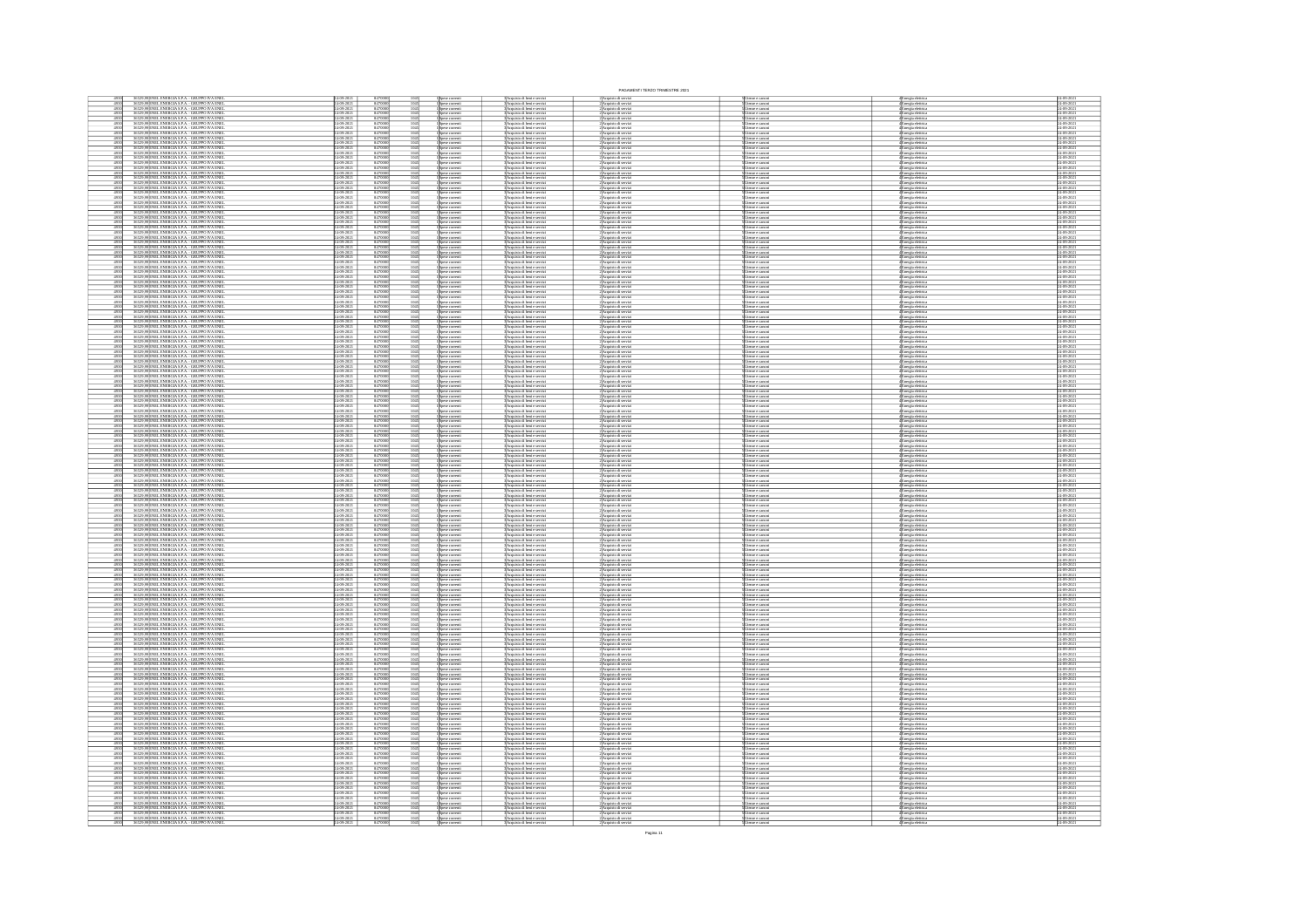|                                                                                                                                                                                                                                                                                                                                                                                                                      |                     |                                                                                          |                                                                                                |                                                                                                                                 | PAGAMENTI TERZO TRIMESTRE 2021                                                                                                                     |                                                                                   |                                                                                                                                           |                                                                                                                    |
|----------------------------------------------------------------------------------------------------------------------------------------------------------------------------------------------------------------------------------------------------------------------------------------------------------------------------------------------------------------------------------------------------------------------|---------------------|------------------------------------------------------------------------------------------|------------------------------------------------------------------------------------------------|---------------------------------------------------------------------------------------------------------------------------------|----------------------------------------------------------------------------------------------------------------------------------------------------|-----------------------------------------------------------------------------------|-------------------------------------------------------------------------------------------------------------------------------------------|--------------------------------------------------------------------------------------------------------------------|
| 36529,99 ENEL ENERGIA S.P.A. - GRUPPO IVA ENE<br>36529,99 ENEL ENERGIA S.P.A. - GRUPPO IVA ENE                                                                                                                                                                                                                                                                                                                       |                     | 84700<br>84700                                                                           |                                                                                                | Acquisto di beni e servi<br>Acquisto di beni e servi                                                                            | : Acquisto di servi<br>: Acquisto di servi                                                                                                         |                                                                                   | 4 Energia eletrica<br>4 Energia eletrica<br>4 Energia eletrica<br>4 Energia eletrica                                                      |                                                                                                                    |
| 4930<br>36529,99 ENEL ENERGIA S.P.A. - GRUPPO IVA ENEI<br>36529,99 ENEL ENERGIA S.P.A. - GRUPPO IVA ENEI                                                                                                                                                                                                                                                                                                             |                     | 847000                                                                                   | зране соглега<br>Spane corrent<br>1045<br>1045                                                 | Acquisto di beni e serviz<br>Acquisto di beni e serviz                                                                          | :<br>Acquisto di servia<br>: Acquisto di servia                                                                                                    | enze e canoe<br>enze e canoe                                                      |                                                                                                                                           | 24-09-2021<br>24-09-2021                                                                                           |
| 4930<br>4930<br>36529,99 ENEL ENERGIA S.P.A. - GRUPPO IVA ENEL<br>36529,99 ENEL ENERGIA S.P.A. - GRUPPO IVA ENEL                                                                                                                                                                                                                                                                                                     |                     | 847000                                                                                   | 1045<br>1045<br>Spese corrent<br>Spese corrent                                                 | Acquisto di beni e serviz<br>Acquisto di beni e serviz                                                                          | Acquisto di servia<br>Acquisto di servia                                                                                                           | enze e canoni<br>enze e canoni                                                    | Energia elettrici<br>Energia elettrici                                                                                                    | 24-09-2021<br>24-09-2021                                                                                           |
| $\frac{4930}{4930}$<br>36529,99 ENEL ENERGIA S.P.A. - GRUPPO IVA ENEL<br>36529,99 ENEL ENERGIA S.P.A. - GRUPPO IVA ENEL                                                                                                                                                                                                                                                                                              |                     | 847000                                                                                   | $\frac{1045}{1045}$<br>.<br>Spese corrent<br>Snese corrent                                     | Acquisto di beni e serviz<br>Acquisto di beni e serviz                                                                          | Acquisto di servia<br>Acquisto di servia                                                                                                           | enze e canoe<br>enze e canoe                                                      |                                                                                                                                           | 4-09-2021<br>4-09-2021                                                                                             |
| 4930<br>36529,99 ENEL ENERGIA S.P.A. - GRUPPO IVA ENEL<br>36529,99 ENEL ENERGIA S.P.A. - GRUPPO IVA ENEL                                                                                                                                                                                                                                                                                                             |                     | 847000                                                                                   | Spese correnti<br>Spese correnti<br>Spese correnti<br>Spese correnti<br>1045<br>1045           | :<br>:Acquisto di beni e serviz<br>:Acquisto di beni e serviz                                                                   | 2)<br>Acquisto di serviz<br>2) Acquisto di serviz<br>2) Acquisto di serviz                                                                         | mze e canor<br>mze e canor<br>enze e canoe                                        | 4 Energia eletrica<br>4 Energia eletrica<br>4 Energia eletrica<br>4 Energia eletrica<br>4 Energia eletrica<br>4 Energia eletrica          | 24-09-2021<br>24-09-2021                                                                                           |
| 4930<br>36529,99 ENEL ENERGIA S.P.A. - GRUPPO IVA ENEL<br>36529,99 ENEL ENERGIA S.P.A. - GRUPPO IVA ENEL<br>4930<br>36529,99 ENEL ENERGIA S.P.A. - GRUPPO IVA ENE                                                                                                                                                                                                                                                    |                     | 847000                                                                                   | $\frac{1045}{1045}$<br>.<br>pese corrent<br>1045                                               | :<br>:Acquisto di beni e serviz<br>:Acquisto di beni e serviz                                                                   |                                                                                                                                                    | enze e canoe<br>reze e canoe                                                      |                                                                                                                                           | 24-09-2021<br>24-09-2021                                                                                           |
| 4930<br>36529,99 ENEL ENERGIA S.P.A. - GRUPPO IVA ENEL<br>36529,99 ENEL ENERGIA S.P.A. - GRUPPO IVA ENEL                                                                                                                                                                                                                                                                                                             |                     | 847000<br>847000<br>847000                                                               | 1045<br>1045                                                                                   | :<br> Acquisto di beri e serviz<br>! Acquisto di beri e serviz<br>! Acquisto di beri e serviz                                   | 2) Acquisto di servia<br>2) Acquisto di servia<br>2) Acquisto di servia                                                                            | mze e canoe<br>mze e canoe                                                        | <b>:</b><br>Energia eletrica<br>Energia eletrica<br>Energia eletrica                                                                      | 24-09-2021<br>24-09-2021<br>24-09-2021                                                                             |
| 36529,99 ENEL ENERGIA S.P.A. - GRUPPO IVA ENE<br>36529,99 ENEL ENERGIA S.P.A. - GRUPPO IVA ENE                                                                                                                                                                                                                                                                                                                       |                     | 84700                                                                                    | Spese corrent<br>Spese corrent                                                                 | Acquisto di beni e serviz<br>Acquisto di beni e serviz                                                                          | Acquisto di servia<br>Acquisto di servia                                                                                                           | nze e canor<br>nze e canor                                                        | .<br>Inergia elettric<br>Inergia elettric                                                                                                 | 24-09-2021<br>24-09-2021                                                                                           |
| 4930<br>4930<br>36529,99 ENEL ENERGIA S.P.A. - GRUPPO IVA ENEL<br>36529,99 ENEL ENERGIA S.P.A. - GRUPPO IVA ENEL                                                                                                                                                                                                                                                                                                     | 09-202              | 847000                                                                                   | 1045<br>1045<br>Spese correnti<br>Spese correnti                                               | Acquisto di beni e serviz<br>Acquisto di beni e serviz                                                                          |                                                                                                                                                    | enze e canoni<br>enze e canoni                                                    |                                                                                                                                           | 24-09-2021<br>24-09-2021                                                                                           |
| 4930<br>4930<br>36529,99 ENEL ENERGIA S.P.A. - GRUPPO IVA ENEL<br>36529,99 ENEL ENERGIA S.P.A. - GRUPPO IVA ENEL                                                                                                                                                                                                                                                                                                     |                     | 8470001                                                                                  | $\frac{1045}{1045}$<br>Spese correnti<br>Spese correnti                                        | Acquisto di beni e serviz<br>Acquisto di beni e serviz                                                                          | 2)<br>Acquisto di serviz<br>2)Acquisto di serviz<br>2)Acquisto di serviz                                                                           | reze e canoni<br>reze e canoni                                                    |                                                                                                                                           | 24-09-2021<br>24-09-2021                                                                                           |
| 4930<br>36529,99 ENEL ENERGIA S.P.A. - GRUPPO IVA ENEL<br>36529,99 ENEL ENERGIA S.P.A. - GRUPPO IVA ENEL                                                                                                                                                                                                                                                                                                             |                     | 847000                                                                                   | Spese correnti<br>Spese correnti<br>$\frac{1045}{1045}$                                        | Acquisto di beni e serviz<br>Acquisto di beni e serviz                                                                          | :<br>Acquisto di serviz<br>: Acquisto di serviz                                                                                                    | imbe e cambri<br>Imbe e cambri                                                    | 4<br>Energia elettrica<br>4 Energia elettrica<br>4 Energia elettrica<br>4 Energia elettrica<br>4 Energia elettrica<br>4 Energia elettrica | 24-09-2021<br>24-09-2021                                                                                           |
| ENEL ENERGIA S.P.A. - GRUPPO IVA ENE<br>ENEL ENERGIA S.P.A. - GRUPPO IVA ENE                                                                                                                                                                                                                                                                                                                                         |                     | 84700                                                                                    | Spese corrent<br>Spese corrent                                                                 | Acquisto di beni e serviz<br>Acquisto di beni e serviz                                                                          | Acquisto di servi<br>Acquisto di servi                                                                                                             | enze e canoe<br>enze e canoe                                                      | .<br>Energia elettric<br>Energia elettric                                                                                                 | 4-09-2021<br>4-09-2021                                                                                             |
| $\frac{4930}{4930}$<br>36529,99 ENEL ENERGIA S.P.A. - GRUPPO IVA ENEL<br>36529,99 ENEL ENERGIA S.P.A. - GRUPPO IVA ENEL                                                                                                                                                                                                                                                                                              |                     | 84700                                                                                    | 1045<br>Spase correnti<br>Spase correnti<br>Spase correnti<br>Spase correnti<br>Spase correnti | :<br> Acquisto di beri e servizi<br> Acquisto di beri e servizi<br> Acquisto di beri e servizi<br> Acquisto di beri e servizi   | ://wapassorde.secvizi<br>2.Acquisto.di servizi<br>2.Acquisto.di servizi<br>2.Acquisto.di servizi<br>2.Acquisto.di servizi<br>2.Acquisto.di servizi | enze e canoni<br>enze e canoni                                                    | e<br>Linergia elettrica<br>Energia elettrica<br>Energia elettrica<br>Energia elettrica<br>Energia elettrica<br>Energia elettrica          | 4-09-2021<br>4-09-2021                                                                                             |
| $\begin{array}{r} 4930 \\ 4930 \\ 4930 \\ \hline 4930 \\ \hline \end{array}$<br>36529,99 ENEL ENERGIA S.P.A. - GRUPPO IVA ENEL<br>36529,99 ENEL ENERGIA S.P.A. - GRUPPO IVA ENEL                                                                                                                                                                                                                                     |                     | 847000<br>847000<br>847000<br>847000                                                     | $\frac{1045}{1045}$                                                                            |                                                                                                                                 |                                                                                                                                                    | esse e canoni<br>esse e canoni<br>esse e canoni<br>esse e canoni                  |                                                                                                                                           | 24-09-2021<br>24-09-2021                                                                                           |
| 36529,99 ENEL ENERGIA S.P.A. - GRUPPO IVA ENE<br>36529,99 ENEL ENERGIA S.P.A. - GRUPPO IVA ENE<br>36529,99 ENEL ENERGIA S.P.A. - GRUPPO IVA ENE                                                                                                                                                                                                                                                                      |                     |                                                                                          | 1045<br>1045<br>Spese corrent                                                                  | Acquisto di beni e servi<br>Acquisto di beni e servi                                                                            |                                                                                                                                                    |                                                                                   |                                                                                                                                           | 4-09-2021<br>4-09-2021                                                                                             |
| 4930<br>4930<br>36529,99 ENEL ENERGIA S.P.A. - GRUPPO IVA ENEL<br>36529,99 ENEL ENERGIA S.P.A. - GRUPPO IVA ENEL                                                                                                                                                                                                                                                                                                     |                     | 84700<br>84700<br>84700                                                                  | 1045<br>1045                                                                                   | :<br>: Acquisto di beni e serviz<br>: Acquisto di beni e serviz<br>: Acquisto di beni e serviz                                  | 2) Acquisto di servia<br>2) Acquisto di servia<br>2) Acquisto di servia                                                                            | enze e canoni<br>enze e canoni<br>enze e canoni                                   | Energia elettrica<br>Energia elettrica<br>Energia elettrica                                                                               | 24-09-2021<br>24-09-2021<br>24-09-2021                                                                             |
| 36529,99 ENEL ENERGIA S.P.A. - GRUPPO IVA ENE<br>36529,99 ENEL ENERGIA S.P.A. - GRUPPO IVA ENE<br>4930<br>4930<br>4930<br>4930<br>4930<br>4930                                                                                                                                                                                                                                                                       |                     | 847000                                                                                   | 1045<br>1045<br>Spese corrent<br>Spese corrent                                                 | Acquisto di beri e serviz<br>Acquisto di beri e serviz                                                                          | Acquisto di servia<br>Acquisto di servia                                                                                                           | enze e canoe<br>enze e canoe                                                      | Energia elettrici<br>Energia elettrici                                                                                                    | 24-09-2021<br>24-09-2021                                                                                           |
| 36529,99<br>ENEL ENERGIA S.P.A. - GRUPPO IVA ENEL<br>36529,99<br>ENEL ENERGIA S.P.A. - GRUPPO IVA ENEL<br>36529,99<br>ENEL ENERGIA S.P.A. - GRUPPO IVA ENEL                                                                                                                                                                                                                                                          | $-09 - 20$          | 847000<br>847000<br>847000                                                               | 1045<br>1045<br>1045<br>Spese corrent                                                          | :<br> Acquisto di beri e serviz<br> Acquisto di beri e serviz<br> Acquisto di beri e serviz                                     | 2)<br>Acquisto di serviz<br>2)Acquisto di serviz<br>2)Acquisto di serviz                                                                           | teme e canoni<br>teme e canoni<br>teme e canoni                                   | Energia elettrica<br>Energia elettrica                                                                                                    | $\frac{24-09-2021}{24-09-2021}$                                                                                    |
| 36529,99 ENEL ENERGIA S.P.A. - GRUPPO IVA ENE                                                                                                                                                                                                                                                                                                                                                                        |                     | 8470                                                                                     | зрање соглуги.<br>Spase correnti                                                               |                                                                                                                                 |                                                                                                                                                    |                                                                                   | nergia eletrica<br>Inergia eletrica                                                                                                       |                                                                                                                    |
| 4930<br>36529,99 ENEL ENERGIA S.P.A. - GRUPPO IVA ENEL<br>36529,99 ENEL ENERGIA S.P.A. - GRUPPO IVA ENEL                                                                                                                                                                                                                                                                                                             |                     | 847000                                                                                   | <br>  Spese correnti<br>  Spese correnti<br>$\frac{1045}{1045}$                                | :<br>BAcquisto di beri e serviz<br>BAcquisto di beri e serviz<br>BAcquisto di beri e serviz                                     | 2)<br>Acquisto di serviz<br>2) Acquisto di serviz                                                                                                  | tenze e canoni<br>tenze e canoni<br>tenze e canoni                                | 4<br>Energia eletrica<br>4 Energia eletrica<br>4 Energia eletrica                                                                         | 24-09-2021<br>24-09-2021<br>24-09-2021                                                                             |
| 36529,99 ENEL ENERGIA S.P.A. - GRUPPO IVA ENE<br>36529,99 ENEL ENERGIA S.P.A. - GRUPPO IVA ENE<br>4930<br>4930                                                                                                                                                                                                                                                                                                       |                     | 847000                                                                                   | Spese correnti<br>Spese correnti<br>1045<br>1045                                               | Acquisto di beni e serviz<br>Acquisto di beni e serviz                                                                          | :<br>Acquisto di servia<br>: Acquisto di servia                                                                                                    | enze e canoni<br>enze e canoni                                                    | Energia eletrica<br>Energia eletrica                                                                                                      | 24-09-2021<br>24-09-2021                                                                                           |
| 4930<br>4930<br>36529,99 ENEL ENERGIA S.P.A. - GRUPPO IVA ENEL<br>36529,99 ENEL ENERGIA S.P.A. - GRUPPO IVA ENEL                                                                                                                                                                                                                                                                                                     |                     | 847000                                                                                   | $\frac{1045}{1045}$<br>Spese comenti<br>Spese comenti<br>Spese comenti<br>Spese comenti        | Acquisto di beni e serviz<br>Acquisto di beni e serviz                                                                          | 2 Acquisto di servizi<br>2 Acquisto di servizi<br>2 Acquisto di servizi<br>2 Acquisto di servizi                                                   | enze e canoni<br>enze e canoni                                                    | 4<br>Energia eletrica<br>4 Energia eletrica<br>4 Energia eletrica<br>4 Energia eletrica                                                   | 4-09-2021<br>4-09-2021                                                                                             |
| $\frac{4930}{4930}$<br>36529,99 ENEL ENERGIA S.P.A. - GRUPPO IVA ENEL<br>36529,99 ENEL ENERGIA S.P.A. - GRUPPO IVA ENEL                                                                                                                                                                                                                                                                                              |                     | 847000<br>847000                                                                         | 1045<br>1045                                                                                   | : Acquisto di beni e serviz<br>: Acquisto di beni e serviz                                                                      |                                                                                                                                                    | reze e canoni<br>reze e canoni                                                    |                                                                                                                                           | 24-09-2021<br>24-09-2021                                                                                           |
| 36529,99 ENEL ENERGIA S.P.A. - GRUPPO IVA ENE<br>36529,99 ENEL ENERGIA S.P.A. - GRUPPO IVA ENE<br>4930<br>4930<br>4930<br>4930<br>4930<br>4930                                                                                                                                                                                                                                                                       |                     | 84700                                                                                    | Spese correnti<br>Spese correnti<br>1045<br>1045<br>1045                                       | :<br>: Acquisto di beri e serviz<br>: Acquisto di beri e serviz                                                                 | : Acquisto di serviz<br>! Acquisto di serviz                                                                                                       | enze e canoni<br>enze e canoni                                                    | (Energia eletrica<br>(Energia eletrica                                                                                                    | 24-09-202<br>24-09-202                                                                                             |
| 36529,99<br>ENEL ENERGIA S.P.A. - GRUPPO IVA ENEL 36529,99<br>ENEL ENERGIA S.P.A. - GRUPPO IVA ENEL 36529,99<br>ENEL ENERGIA S.P.A. - GRUPPO IVA ENEL<br>36529,99<br>ENEL ENERGIA S.P.A. - GRUPPO IVA ENEL                                                                                                                                                                                                           |                     | 847000<br>847000<br>847000<br>847000                                                     | -<br>Spese comreti<br>Spese comreti<br>Spese comreti<br>Spese comreti<br>1045<br>1045<br>1045  | :<br>Acquisto di beni e servizi<br>: Acquisto di beni e servizi<br>: Acquisto di beni e servizi<br>: Acquisto di beni e servizi |                                                                                                                                                    |                                                                                   |                                                                                                                                           | 24-09-2021<br>24-09-2021<br>24-09-2021<br>24-09-2021                                                               |
| $\frac{4930}{4930}$<br>36529,99 ENEL ENERGIA S.P.A. - GRUPPO IVA ENEL<br>36529,99 ENEL ENERGIA S.P.A. - GRUPPO IVA ENEL                                                                                                                                                                                                                                                                                              |                     | 847000                                                                                   | Spese correnti<br>Spese correnti<br>1045<br>1045                                               | : Acquisto di beni e serviz<br> Acquisto di beni e serviz                                                                       | 2)<br>Acquisto di serviz<br>2)<br>Acquisto di serviz<br>2)<br>Acquisto di serviz<br>2)<br>Acquisto di serviz<br>2)<br>Acquisto di serviz           | enze e cimoni<br>enze e cimoni<br>enze e cimoni<br>enze e cimoni<br>enze e cimoni | 4<br>Energia eletrica<br>4 Energia eletrica<br>4 Energia eletrica<br>4 Energia eletrica<br>4 Energia eletrica<br>4 Energia eletrica       | 4-09-2021<br>4-09-2021                                                                                             |
|                                                                                                                                                                                                                                                                                                                                                                                                                      |                     |                                                                                          | pese correnti<br>pese correnti                                                                 | Acquisto di beni e serviz<br>Acquisto di beni e serviz                                                                          | : Acquisto di servi<br>: Acquisto di servi                                                                                                         | nze e canor<br>nze e canor                                                        | Inergia elettrici<br>Inergia elettrici                                                                                                    |                                                                                                                    |
| 36529,99<br>ISBN 99<br>SEC 29,99<br>ISBN 91-BERGIA S.P.A. - GRUPPO IVA ENEL 36529,99<br>ISBN 91-BERGIA S.P.A. - GRUPPO IVA ENEL 36529,99<br>ISBN 91-BERGIA S.P.A. - GRUPPO IVA ENEL<br>4930<br>4930<br>4930                                                                                                                                                                                                          |                     | $\begin{array}{r} 84700 \\ 84700 \\ 84700 \\ 84700 \\ \hline 84700 \\ 84700 \end{array}$ | 1045<br>1045<br>1045<br>Spese correnti<br>Spese correnti<br>Spese correnti                     | Acquisto di beni e servi                                                                                                        | .<br>2) Acquisto di serviz<br>2) Acquisto di serviz                                                                                                | enze e cimoni<br>enze e cimoni<br>enze e cimoni                                   | Energia eletrica<br>Energia eletrica<br>Energia eletrica                                                                                  | 24-09-2021<br>24-09-2021<br>24-09-2021                                                                             |
| 36529,99 ENEL ENERGIA S.P.A. - GRUPPO IVA ENE<br>36529,99 ENEL ENERGIA S.P.A. - GRUPPO IVA ENE                                                                                                                                                                                                                                                                                                                       |                     |                                                                                          |                                                                                                | Acquisto di beni e servizi<br>Acquisto di beni e servizi                                                                        |                                                                                                                                                    |                                                                                   |                                                                                                                                           | 24-09-2021<br>24-09-2021                                                                                           |
| 36529,99 ENEL ENERGIA S.P.A. - GRUPPO IVA ENE<br>36529,99 ENEL ENERGIA S.P.A. - GRUPPO IVA ENE                                                                                                                                                                                                                                                                                                                       |                     | 84700                                                                                    | Spese correnti<br>Spese correnti                                                               | Acquisto di beni e servizi<br>Acquisto di beni e servizi                                                                        | Acquisto di serviz<br>Acquisto di serviz                                                                                                           | esse e canoni<br>esse e canoni                                                    | Energia elettrica<br>Energia elettrica                                                                                                    | 4-09-2021<br>4-09-2021                                                                                             |
| 4930<br>4930<br>36529,99 ENEL ENERGIA S.P.A. - GRUPPO IVA ENEI<br>36529,99 ENEL ENERGIA S.P.A. - GRUPPO IVA ENEI                                                                                                                                                                                                                                                                                                     |                     | 847000                                                                                   | 1045<br>Spese correnti<br>Spese correnti<br>Spese correnti<br>Spese correnti                   | 3 Acquisto di beni e servizi<br>3 Acquisto di beni e servizi<br>3 Acquisto di beni e servizi<br>3 Acquisto di beni e servizi    | 2) Acquisto di servizi<br>2) Acquisto di servizi<br>2) Acquisto di servizi<br>2) Acquisto di servizi                                               | tenze e canoni<br>tenze e canoni<br>tenze e canoni<br>tenze e canoni              | <b>Energia eletrica<br/>Energia eletrica<br/>Energia eletrica<br/>Energia eletrica</b>                                                    | 24-09-2021                                                                                                         |
| 4930<br>36529,99 ENEL ENERGIA S.P.A. - GRUPPO IVA ENEL<br>36529,99 ENEL ENERGIA S.P.A. - GRUPPO IVA ENEL                                                                                                                                                                                                                                                                                                             |                     | 847000                                                                                   | 1045<br>1045                                                                                   |                                                                                                                                 |                                                                                                                                                    |                                                                                   |                                                                                                                                           | 24-09-2021<br>24-09-2021                                                                                           |
| 36529,99 ENEL ENERGIA S.P.A. - GRUPPO IVA ENE<br>36529,99 ENEL ENERGIA S.P.A. - GRUPPO IVA ENE<br>4930<br>4930<br>36529,99 ENEL ENERGIA S.P.A. - GRUPPO IVA ENEL<br>36529,99 ENEL ENERGIA S.P.A. - GRUPPO IVA ENEL                                                                                                                                                                                                   |                     | 84700<br>84700                                                                           | Spese correnti<br>Spese correnti<br>1045                                                       | Acquisto di beni e serviz<br>Acquisto di beni e serviz                                                                          | : Acquisto di servi<br>! Acquisto di servi                                                                                                         | enze e canoni<br>enze e canoni                                                    | Energia elettrici<br>Energia elettrici                                                                                                    | 4-09-2021<br>4-09-2021<br>4-09-2021<br>4-09-2021                                                                   |
| 4930<br>4930<br>36529,99 ENEL ENERGIA S.P.A. - GRUPPO IVA ENE<br>36529,99 ENEL ENERGIA S.P.A. - GRUPPO IVA ENE                                                                                                                                                                                                                                                                                                       |                     | 847000                                                                                   | pese correnti<br>pese correnti<br>$\frac{1045}{1045}$<br>Spese correnti<br>Spese correnti      | Acquisto di beni e servizi<br>Acquisto di beni e servizi<br>Acquisto di beni e servizi<br>Acquisto di beni e servizi            | Acquisto di serviz<br>Acquisto di serviz<br>Acquisto di servia<br>Acquisto di servia                                                               | rise e canoni<br>rise e canoni<br>rise e canoni<br>rise e canoni                  | <b>Energia eletrica<br/>Energia eletrica<br/>Energia eletrica<br/>Energia eletrica</b>                                                    | 24-09-2021<br>24-09-2021                                                                                           |
| 4930<br>4930<br>36529,99 ENEL ENERGIA S.P.A. - GRUPPO IVA ENEL<br>36529,99 ENEL ENERGIA S.P.A. - GRUPPO IVA ENEL                                                                                                                                                                                                                                                                                                     |                     | 847000<br>847000                                                                         | 1045<br>1045<br>Spese correnti<br>Spese correnti                                               | : Acquisto di beni e servizi<br> Acquisto di beni e servizi                                                                     | 2 Acquisto di serviz<br>2 Acquisto di serviz                                                                                                       | reze e cimoni<br>reze e cimoni                                                    | Energia eletrica<br>Energia eletrica                                                                                                      | 24-09-2021<br>24-09-2021                                                                                           |
| 36529,99 ENEL ENERGIA S.P.A. - GRUPPO IVA ENE<br>36529,99 ENEL ENERGIA S.P.A. - GRUPPO IVA ENE                                                                                                                                                                                                                                                                                                                       |                     | 84700                                                                                    | pese correnti<br>pese correnti                                                                 | Acquisto di beri e serviz<br>Acquisto di beri e serviz                                                                          | : Acquisto di servi<br>! Acquisto di servi                                                                                                         | mze e canoni<br>mze e canoni                                                      | lnergia elettrica<br>Inergia elettrica                                                                                                    | 4-09-202<br>4-09-202                                                                                               |
| 36529,99 ENEL ENERGIA S.P.A. - GRUPPO IVA ENE                                                                                                                                                                                                                                                                                                                                                                        |                     | 8470                                                                                     | 1045<br>1045<br>1045<br>Spese corrent                                                          | Acquisto di beni e serviz                                                                                                       | Acquisto di serviz                                                                                                                                 | enze e canoe                                                                      |                                                                                                                                           | $4 - 09 - 202$                                                                                                     |
| $\frac{4930}{4930}$<br>36529,99 ENEL ENERGIA S.P.A. - GRUPPO IVA ENE<br>36529,99 ENEL ENERGIA S.P.A. - GRUPPO IVA ENE                                                                                                                                                                                                                                                                                                |                     | 847000                                                                                   | Spese correnti<br>Spese correnti<br>1045<br>1045                                               | Acquisto di beni e servizi<br>Acquisto di beni e servizi                                                                        | :<br>:Acquisto di serviz<br>:Acquisto di serviz                                                                                                    | enze e canoni<br>enze e canoni                                                    | .<br>Energia eletrica<br>Energia eletrica                                                                                                 | 24-09-202<br>24-09-202                                                                                             |
| 4930<br>4930<br>36529,99 ENEL ENERGIA S.P.A. - GRUPPO IVA ENEI<br>36529,99 ENEL ENERGIA S.P.A. - GRUPPO IVA ENEI                                                                                                                                                                                                                                                                                                     | 09-202              | 847000<br>847000                                                                         | 1045<br>1045<br>Spese correnti<br>Spese correnti<br>Spese correnti                             | Acquisto di beni e servizi<br>Acquisto di beni e servizi                                                                        | Acquisto di serviz<br>Acquisto di serviz                                                                                                           | enze e canoni<br>enze e canoni<br>tenze e canoni                                  | <mark>înergia elettrica</mark><br>Înergia elettrica                                                                                       | 24-09-2021<br>24-09-2021                                                                                           |
| 4930<br>4930<br>36529,99 ENEL ENERGIA S.P.A. - GRUPPO IVA ENEL<br>36529,99 ENEL ENERGIA S.P.A. - GRUPPO IVA ENEL                                                                                                                                                                                                                                                                                                     |                     | 847000                                                                                   | 1045<br>Spese correnti<br>Spese correnti<br>Spese correnti<br>$\frac{1045}{1045}$              | 3<br>Acquisto di beni e servizi<br>3 Acquisto di beni e servizi<br>3 Acquisto di beni e servizi                                 | 2)<br>Acquisto di servizi<br>2)<br>Acquisto di servizi<br>2)<br>Acquisto di servizi                                                                | esse e canoni<br>esse e canoni                                                    | 4 Energia eletrica<br>4 Energia eletrica<br>4 Energia eletrica<br>4 Energia eletrica                                                      | 4-09-2021<br>4-09-2021<br>24-09-2021<br>24-09-2021                                                                 |
| 4930<br>4930<br>36529,99 ENEL ENERGIA S.P.A. - GRUPPO IVA ENEL<br>36529,99 ENEL ENERGIA S.P.A. - GRUPPO IVA ENEL<br>36529,99 ENEL ENERGIA S.P.A. - GRUPPO IVA ENE<br>36529,99 ENEL ENERGIA S.P.A. - GRUPPO IVA ENE                                                                                                                                                                                                   |                     | 847000                                                                                   | Spese correnti<br>Spese correnti<br>1045<br>1045                                               | Acquisto di beni e serviz<br>Acquisto di beni e serviz                                                                          | : Acquisto di serviz<br>! Acquisto di serviz                                                                                                       | enze e canoni<br>enze e canoni                                                    | Energia elettrica<br>Energia elettrica                                                                                                    | 24-09-202<br>24-09-202                                                                                             |
| 4930<br>4930<br>4930<br>4930<br>36529,99 ENEL ENERGIA S.P.A. - GRUPPO IVA ENEL<br>36529,99 ENEL ENERGIA S.P.A. - GRUPPO IVA ENEL                                                                                                                                                                                                                                                                                     |                     | 847000                                                                                   | 1045<br>Spese correnti<br>Spese correnti                                                       | :<br>: Acquisto di beni e serviz<br>: Acquisto di beni e serviz                                                                 | Acquisto di serviz<br>Acquisto di serviz                                                                                                           | enze e canoni<br>enze e canoni                                                    | Energia elettrici<br>Energia elettrici                                                                                                    | 4-09-2021<br>4-09-2021                                                                                             |
| 4930<br>4930<br>36529,99 ENEL ENERGIA S.P.A. - GRUPPO IVA ENEL<br>36529,99 ENEL ENERGIA S.P.A. - GRUPPO IVA ENEL                                                                                                                                                                                                                                                                                                     |                     | 847000                                                                                   | $\frac{1045}{1045}$<br>Spese correnti<br>Spese correnti                                        | : Acquisto di beni e servizi<br> Acquisto di beni e servizi                                                                     | 2)Acquisto di servia<br>2)Acquisto di servia                                                                                                       | esse e canoni<br>esse e canoni                                                    |                                                                                                                                           | 4-09-2021<br>4-09-2021                                                                                             |
| 36529,99 ENEL ENERGIA S.P.A. - GRUPPO IVA ENEL<br>36529,99 ENEL ENERGIA S.P.A. - GRUPPO IVA ENEL                                                                                                                                                                                                                                                                                                                     |                     | 847000                                                                                   | 1045<br>1045<br>Spese correnti<br>Spese correnti                                               | : Acquisto di beni e serviz<br> Acquisto di beni e serviz                                                                       | 2)Acquisto di serviz<br>2)Acquisto di serviz                                                                                                       | enze e canoni<br>enze e canoni                                                    | 4 Energia eletrica<br>4 Energia eletrica<br>4 Energia eletrica<br>4 Energia eletrica                                                      | 24-09-2021<br>24-09-2021                                                                                           |
| 4930<br>4930<br>4930<br>4930<br>36529,99<br>20029,99<br>20029,99<br>2002 ENEL ENERGIA S.P.A. - GRUPPO IVA ENERGIA S.P.A. - GRUPPO IVA ENERGIA<br>36529,99<br>2002 ENEL ENERGIA S.P.A. - GRUPPO IVA ENERGIA                                                                                                                                                                                                           |                     | 847000<br>847000<br>847000                                                               | Spese corrent<br>Spese corrent                                                                 | Acquisto di beni e serviz<br>Acquisto di beni e serviz                                                                          | : Acquisto di serviz<br>! Acquisto di serviz                                                                                                       | esze e canoni<br>esze e canoni                                                    | Energia elettric<br>Energia elettric                                                                                                      | 24-09-2021<br>24-09-2021<br>24-09-2021                                                                             |
|                                                                                                                                                                                                                                                                                                                                                                                                                      |                     |                                                                                          | Spese corrent                                                                                  | Acquisto di beni e serviz                                                                                                       | Acquisto di serviz                                                                                                                                 | nze e canoe                                                                       | nergia elettrici                                                                                                                          |                                                                                                                    |
| 4930<br>4930<br>36529,99 ENEL ENERGIA S.P.A. - GRUPPO IVA ENE<br>36529,99 ENEL ENERGIA S.P.A. - GRUPPO IVA ENE<br>4930<br>4930<br>36529,99 ENEL ENERGIA S.P.A. - GRUPPO IVA ENEI<br>36529,99 ENEL ENERGIA S.P.A. - GRUPPO IVA ENEI                                                                                                                                                                                   |                     | 84700<br>847000                                                                          | Spese correnti<br>Spese correnti<br>1045<br>1045<br>1045<br>Spese correnti                     | :<br>: Acquisto di beni e servizi<br>: Acquisto di beni e servizi                                                               | 2)Acquisto di serviz<br>2)Acquisto di serviz<br>2)Acquisto di serviz<br>2)Acquisto di serviz                                                       | enze e canoni<br>enze e canoni<br>tenze e canoni<br>tenze e canoni                | Energia eletrica<br>Energia eletrica                                                                                                      | 24-09-2021<br>24-09-2021<br>24-09-2021<br>24-09-2021                                                               |
| 4930<br>36529,99 ENEL ENERGIA S.P.A. - GRUPPO IVA ENEL<br>36529,99 ENEL ENERGIA S.P.A. - GRUPPO IVA ENEL                                                                                                                                                                                                                                                                                                             |                     | 847000                                                                                   | Spese correnti<br>Spese correnti<br>Spese correnti<br>1045<br>1045                             | 3<br>Acquisto di beni e servizi<br>3 Acquisto di beni e servizi<br>3 Acquisto di beni e servizi                                 | 2 Acquisto di serviz<br>2 Acquisto di serviz                                                                                                       | tenze e cimoni<br>tenze e cimoni                                                  |                                                                                                                                           | 24-09-2021<br>24-09-2021                                                                                           |
| 4930<br>36529,99 ENEL ENERGIA S.P.A. - GRUPPO IVA ENEL<br>36529,99 ENEL ENERGIA S.P.A. - GRUPPO IVA ENEL                                                                                                                                                                                                                                                                                                             |                     | 847000<br>847000                                                                         | $\frac{1045}{1045}$<br>Spese correnti<br>Spese correnti                                        | l'Acquisto di beni e servizi<br>l'Acquisto di beni e servizi                                                                    | 2)Acquisto di servizi<br>2)Acquisto di servizi                                                                                                     | tenze e canoni<br>tenze e canoni                                                  | 4<br>Enryja eletrica<br>4 Enryja eletrica<br>4 Enryja eletrica<br>4 Enryja eletrica<br>4 Enryja eletrica<br>4 Enryja eletrica             | 24-09-2021<br>24-09-2021                                                                                           |
| 36529,99 ENEL ENERGIA S.P.A. - GRUPPO IVA ENE<br>36529,99 ENEL ENERGIA S.P.A. - GRUPPO IVA ENE                                                                                                                                                                                                                                                                                                                       |                     | 84700                                                                                    | Spese correnti<br>Spese correnti<br>1045<br>1045                                               | :<br>: Acquisto di beni e servizi<br>: Acquisto di beni e servizi                                                               | 2)Acquisto di serviz<br>2)Acquisto di serviz                                                                                                       | esze e canoni<br>esze e canoni                                                    | Energia elettrica<br>Energia elettrica                                                                                                    | 24-09-2021<br>24-09-2021                                                                                           |
| 36529,99 ENEL ENERGIA S.P.A. - GRUPPO IVA ENE<br>36529,99 ENEL ENERGIA S.P.A. - GRUPPO IVA ENE                                                                                                                                                                                                                                                                                                                       |                     | 84700                                                                                    | $\frac{1045}{1045}$<br>.<br>Spese correnti<br>Spese correnti                                   | :<br> Acquisto di beni e servizi<br> Acquisto di beni e servizi                                                                 | Acquisto di serviz<br>Acquisto di serviz                                                                                                           | enze e canoni<br>enze e canoni                                                    |                                                                                                                                           | 24-09-2021<br>34-09-2021                                                                                           |
| $\begin{array}{r} 4930 \\ 4930 \\ \hline 4930 \\ 4930 \\ \hline 4930 \\ \hline 4930 \\ \hline 4930 \\ \hline 4930 \\ \hline 4930 \\ \hline 4930 \\ \hline \end{array}$<br>$\frac{36529,99 \text{FNEL ENERGIA SPA.}-\text{GRUPPO IVA ENEIB S529,99 \text{FNEL ENERGIA SPA.}-\text{GRUPPO IVA ENEIB S529,99 \text{ENEL ENERGIA SPA.}-\text{GRUPPO IVA ENEIB S529,99 \text{ENEL ENERGIA SPA.}-\text{GRUPPO IVA ENEIE}}$ |                     | 847000                                                                                   | 1045<br>1045<br>Spese correnti<br>Spese correnti                                               | : Acquisto di beni e serviz<br> Acquisto di beni e serviz                                                                       | 2)Acquisto di serviz<br>2)Acquisto di serviz                                                                                                       | esse e canoni<br>esse e canoni                                                    | 4 Energia eletrica<br>4 Energia eletrica<br>4 Energia eletrica<br>4 Energia eletrica                                                      | 24-09-2021<br>24-09-2021                                                                                           |
|                                                                                                                                                                                                                                                                                                                                                                                                                      |                     | 847000                                                                                   | 1045<br>Spese correnti<br>Spese correnti                                                       | : Acquisto di beni e serviz<br> Acquisto di beni e serviz                                                                       | : Acquisto di servia<br>! Acquisto di servia                                                                                                       | nse e canoni<br>nse e canoni                                                      | Energia elettrici<br>Energia elettrici                                                                                                    | 24-09-2021<br>24-09-2021                                                                                           |
| 36529,99 ENEL ENERGIA S.P.A. - GRUPPO IVA ENE<br>4930                                                                                                                                                                                                                                                                                                                                                                |                     | 8470<br>847000                                                                           | Spese comenti<br>I Spese comenti<br>I Spese comenti                                            | :<br>3 Acquisto di beni e servizi<br>3 Acquisto di beni e servizi                                                               | 2) Acquisto di serviz<br>2) Acquisto di serviz<br>2) Acquisto di serviz                                                                            | esse e canoni<br>esse e canoni                                                    | i<br>Energia eletrica<br>Energia eletrica<br>Energia eletrica                                                                             | 24-09-2021<br>24-09-2021<br>24-09-2021                                                                             |
| $\frac{4930}{4930}$<br>36529,99 ENEL ENERGIA S.P.A. - GRUPPO IVA ENEL<br>36529,99 ENEL ENERGIA S.P.A. - GRUPPO IVA ENEL<br>36529,99 ENEL ENERGIA S.P.A. - GRUPPO IVA ENE<br>36529,99 ENEL ENERGIA S.P.A. - GRUPPO IVA ENE                                                                                                                                                                                            |                     | 847000                                                                                   | $\frac{1045}{1045}$<br>1045<br>1045<br>Spese correnti<br>Spese correnti                        | :<br>: Acquisto di beni e servizi<br>: Acquisto di beni e servizi                                                               | 2)Acquisto di serviz<br>2)Acquisto di serviz                                                                                                       | tenze e canoni<br>tenze e canoni                                                  | <mark>înergia elettrica</mark><br>Înergia elettrica                                                                                       | 24-09-2021<br>24-09-2021                                                                                           |
| $\begin{array}{r} 4930 \\ 4930 \\ 4930 \\ 4930 \\ \hline 4930 \\ \hline 4930 \\ \hline 4930 \\ \hline 4930 \\ \hline \end{array}$                                                                                                                                                                                                                                                                                    | 6-202               |                                                                                          | $\frac{1045}{1045}$<br>Spese correnti                                                          |                                                                                                                                 |                                                                                                                                                    | fenze e canoni                                                                    | Energia eletric                                                                                                                           | 24-09-2021                                                                                                         |
| 36529,99<br>ENERE ENEL ENERGIA S.P.A. - GRUPPO IVA ENEL<br>36529,99<br>ENEL ENERGIA S.P.A. - GRUPPO IVA ENEL<br>36529,99<br>ENEL ENERGIA S.P.A. - GRUPPO IVA ENEL<br>36529,99<br>ENEL ENERGIA S.P.A. - GRUPPO IVA ENEL                                                                                                                                                                                               |                     | $\begin{array}{r} 847000 \\ 847000 \\ 847000 \\ 847000 \end{array}$                      |                                                                                                | :<br>:}Acquisto di beni e servizi<br>:}Acquisto di beni e servizi<br>:?Acquisto di beni e servizi                               | 2 Acquisto di servizi<br>2 Acquisto di servizi<br>2 Acquisto di servizi                                                                            |                                                                                   |                                                                                                                                           | 24-09-2021<br>24-09-2021<br>24-09-2021                                                                             |
| 36529,99 ENEL ENERGIA S.P.A. - GRUPPO IVA ENEL<br>36529,99 ENEL ENERGIA S.P.A. - GRUPPO IVA ENEL                                                                                                                                                                                                                                                                                                                     |                     | 847000                                                                                   | $\frac{1045}{1045}$<br>Spese correnti<br>Spese correnti                                        | Acquisto di beri e servi<br>:<br>: Acquisto di beni e servizi<br>: Acquisto di beni e servizi                                   | Acquisto di servi<br>2) Acquisto di serviz<br>2) Acquisto di serviz                                                                                | sze e canor<br>benze e canoni<br>benze e canoni                                   | e Energia elettrica<br>Energia elettrica<br>Energia elettrica<br>Energia elettrica<br>Energia elettrica                                   | 24-09-2021<br>24-09-2021                                                                                           |
| 36529,99 ENEL ENERGIA S.P.A. - GRUPPO IVA ENE<br>36529,99 ENEL ENERGIA S.P.A. - GRUPPO IVA ENE                                                                                                                                                                                                                                                                                                                       |                     | 847000                                                                                   | 1045<br>1045<br>Spese correnti<br>Spese correnti                                               | :<br>: Acquisto di beni e servizi<br>: Acquisto di beni e servizi                                                               | 2)Acquisto di serviz<br>2)Acquisto di serviz                                                                                                       | tenze e canoni<br>tenze e canoni                                                  | Energia elettrici<br>Energia elettrici                                                                                                    | 24-09-2021<br>24-09-2021                                                                                           |
| $\begin{array}{r} 4930 \\ 4930 \\ \hline 4930 \\ \hline 4930 \\ \hline 4930 \\ \hline 4930 \\ \hline 4930 \\ \hline 4930 \end{array}$<br>36529,99 ENEL ENERGIA S.P.A. - GRUPPO IVA ENEI<br>36529,99 ENEL ENERGIA S.P.A. - GRUPPO IVA ENEI                                                                                                                                                                            |                     | 847000                                                                                   | $\frac{1045}{1045}$<br>Spese correnti<br>Spese correnti                                        | :<br> Acquisto di beni e servizi<br> Acquisto di beni e servizi                                                                 | 2)Acquisto di serviz<br>2)Acquisto di serviz                                                                                                       | benze e canoni<br>benze e canoni                                                  | Energia elettrica<br>Energia elettrica                                                                                                    | 24-09-2021<br>24-09-2021                                                                                           |
| 36529,99 ENEL ENERGIA S.P.A. - GRUPPO IVA ENEL<br>36529,99 ENEL ENERGIA S.P.A. - GRUPPO IVA ENEL                                                                                                                                                                                                                                                                                                                     |                     | 847000                                                                                   | 1045<br>1045<br>Spese correnti<br>Spese correnti                                               | :<br>: Acquisto di beni e servizi<br>: Acquisto di beni e servizi                                                               | 2 Acquisto di serviz<br>2 Acquisto di serviz                                                                                                       | rise e canoni<br>rise e canoni                                                    | i<br>Energia eletrica<br>Energia eletrica                                                                                                 | 24-09-2021<br>24-09-2021                                                                                           |
| $\begin{array}{r} 4930 \\ 4930 \\ 4930 \\ 4930 \\ \hline 4930 \\ \hline 4930 \\ \hline 4930 \\ \hline 4930 \\ \hline 4930 \\ \hline 4930 \\ \hline \end{array}$<br>3652), SOENEL ENERGIA S.P.A. - GRUPPO IVA ENEL<br>3652), SOENEL ENERGIA S.P.A. - GRUPPO IVA ENEL<br>3652), SOENEL ENERGIA S.P.A. - GRUPPO IVA ENEL<br>3652), SOENEL ENERGIA S.P.A. - GRUPPO IVA ENEL<br>3652), SOENEL ENERGIA S.P.A. - GRU        |                     | 84700<br>84700<br>84700<br>84700<br>84700                                                | 1043<br>1043<br>1043<br>Spese correnti<br>Spese correnti                                       | :<br>: Acquisto di beri e serviz<br>: Acquisto di beri e serviz                                                                 | :\Acquisto di serviz<br>:\Acquisto di serviz                                                                                                       | tenze e canoni<br>tenze e canoni                                                  | Energia elettric<br>Energia elettric                                                                                                      | 24-09-2021<br>24-09-2021<br>24-09-2021                                                                             |
|                                                                                                                                                                                                                                                                                                                                                                                                                      |                     |                                                                                          | Spese corrent<br>1045<br>1045<br>Spese correnti<br>Spese correnti                              | Acquisto di beri e servizi<br>: Acquisto di beni e servizi<br> Acquisto di beni e servizi                                       | Acquisto di servizi<br>2 Acquisto di serviz<br>2 Acquisto di serviz                                                                                | reze e canoni<br>este e canoni<br>este e canoni                                   | Energia elettrica<br>Energia elettrica<br>Energia elettrica                                                                               | 24-09-2021<br>24-09-2021                                                                                           |
|                                                                                                                                                                                                                                                                                                                                                                                                                      |                     | 84700                                                                                    | Spese correnti                                                                                 |                                                                                                                                 | .<br>2) Acquisto di servizi<br>2) Acquisto di servizi<br>2) Acquisto di servizi                                                                    | <b>lienze e canoni<br/>lienze e canoni</b><br>lienze e canoni                     | <mark>Energia elettrica</mark><br>Frentia elettrica                                                                                       |                                                                                                                    |
| 4930<br>4930<br>4930<br>4930<br>4930<br>4930<br><b>3623, SOE E ENERGIA S.P.A - GRUPPO IVA ENERGY<br/>36529, SOENEL ENERGIA S.P.A - GRUPPO IVA ENERGY<br/>36529, SOENEL ENERGIA S.P.A - GRUPPO IVA ENERGY<br/>36529, SOENEL ENERGIA S.P.A - GRUPPO IVA ENERGY<br/>36529, SOENEL ENERGIA S.P.A - G</b>                                                                                                                 |                     |                                                                                          | 1045<br>1045<br>1045                                                                           | :<br>3 Acquisto di beni e servizi<br>3 Acquisto di beni e servizi<br>3 Acquisto di beni e servizi                               |                                                                                                                                                    |                                                                                   | namen gewerenigen.<br>Kampangin andersmen                                                                                                 | $\begin{array}{r} 24-09-2021 \\ 24-09-2021 \\ 24-09-2021 \\ 24-09-2021 \\ 24-09-2021 \\ 24-09-2021 \\ \end{array}$ |
|                                                                                                                                                                                                                                                                                                                                                                                                                      |                     | 84701<br>84701<br>84701                                                                  | Spine corrent<br>Some corrent                                                                  | Acquisto di beni e serviz<br>Acquisto di beni e serviz<br>Acquisto di beni e serviz                                             | :)Acquisto di servi<br>:)Acquisto di servi<br>Acquisto di servi                                                                                    | enze e canoni<br>enze e canoni<br>nze e canor                                     | Energia eletric<br>Energia eletric<br>vrgia eletric                                                                                       |                                                                                                                    |
| $\frac{4930}{4930}$<br>36529,99 ENEL ENERGIA S.P.A. - GRUPPO IVA ENEI<br>36529,99 ENEL ENERGIA S.P.A. - GRUPPO IVA ENEI                                                                                                                                                                                                                                                                                              |                     | 84700                                                                                    | $\frac{1045}{1045}$<br>Spese correnti                                                          | :<br>: Acquisto di beni e servizi<br>: Acquisto di beni e servizi                                                               | 2)Acquisto di serviz<br>2)Acquisto di serviz                                                                                                       | ltenze e canoni<br>ltenze e canoni                                                | Energia elettrici<br>Energia elettrici                                                                                                    | 24-09-2021<br>24-09-2021                                                                                           |
| 36529,99 ENEL ENERGIA S.P.A. - GRUPPO IVA ENEL<br>36529,99 ENEL ENERGIA S.P.A. - GRUPPO IVA ENEL                                                                                                                                                                                                                                                                                                                     | $\frac{449-20}{20}$ | 847000                                                                                   | pese correnti.<br>nese correnti                                                                | :<br>: Acquisto di beni e servizi<br>: Acquisto di beni e servizi                                                               | 2)Acquisto di serviz<br>2)Acquisto di servizi                                                                                                      | esze e canoni<br>enne e canoni                                                    | .<br>Inergia elettrica<br>Inergia elettrica                                                                                               | 24-09-2021<br>24-09-2021                                                                                           |
| 4930<br>4930<br>4930<br>4930<br>36529,99 ENEL ENERGIA S.P.A. - GRUPPO IVA ENEI<br>36529,99 ENEL ENERGIA S.P.A. - GRUPPO IVA ENEI                                                                                                                                                                                                                                                                                     |                     | 847000                                                                                   | 1045<br>1045<br>1045<br>1045<br>ese corrent                                                    | Acquisto di beni e servizi<br>Acquisto di beni e servizi                                                                        | Acquisto di servizi<br>Acquisto di servizi                                                                                                         | tenze e canoni                                                                    |                                                                                                                                           | 24-09-2021<br>24-09-2021                                                                                           |